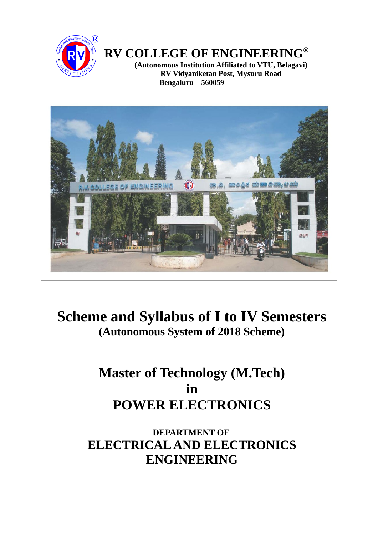

**RV COLLEGE OF ENGINEERING®**

**(Autonomous Institution Affiliated to VTU, Belagavi) RV Vidyaniketan Post, Mysuru Road Bengaluru – 560059**



## **Scheme and Syllabus of I to IV Semesters (Autonomous System of 2018 Scheme)**

## **Master of Technology (M.Tech) in POWER ELECTRONICS**

**DEPARTMENT OF ELECTRICAL AND ELECTRONICS ENGINEERING**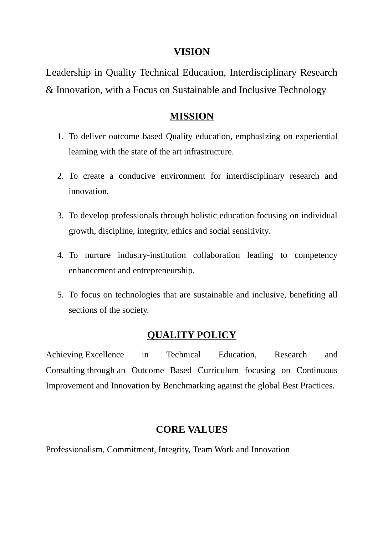## **VISION**

Leadership in Quality Technical Education, Interdisciplinary Research & Innovation, with a Focus on Sustainable and Inclusive Technology

## **MISSION**

- 1. To deliver outcome based Quality education, emphasizing on experiential learning with the state of the art infrastructure.
- 2. To create a conducive environment for interdisciplinary research and innovation.
- 3. To develop professionals through holistic education focusing on individual growth, discipline, integrity, ethics and social sensitivity.
- 4. To nurture industry-institution collaboration leading to competency enhancement and entrepreneurship.
- 5. To focus on technologies that are sustainable and inclusive, benefiting all sections of the society.

## **QUALITY POLICY**

Achieving Excellence in Technical Education, Research and Consulting through an Outcome Based Curriculum focusing on Continuous Improvement and Innovation by Benchmarking against the global Best Practices.

## **CORE VALUES**

Professionalism, Commitment, Integrity, Team Work and Innovation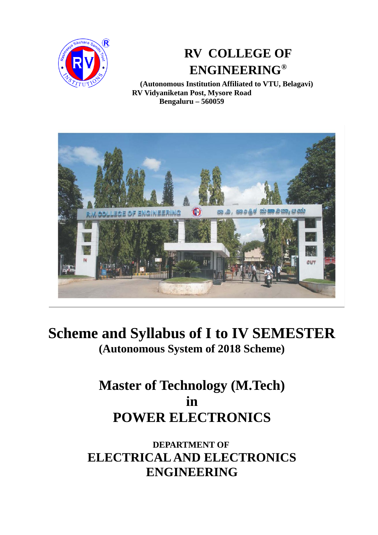

## **RV COLLEGE OF ENGINEERING®**

**(Autonomous Institution Affiliated to VTU, Belagavi) RV Vidyaniketan Post, Mysore Road Bengaluru – 560059**



# **Scheme and Syllabus of I to IV SEMESTER (Autonomous System of 2018 Scheme)**

## **Master of Technology (M.Tech) in POWER ELECTRONICS**

**DEPARTMENT OF ELECTRICAL AND ELECTRONICS ENGINEERING**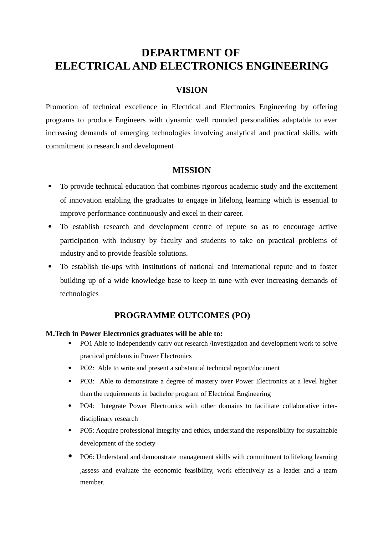## **DEPARTMENT OF ELECTRICAL AND ELECTRONICS ENGINEERING**

## **VISION**

Promotion of technical excellence in Electrical and Electronics Engineering by offering programs to produce Engineers with dynamic well rounded personalities adaptable to ever increasing demands of emerging technologies involving analytical and practical skills, with commitment to research and development

## **MISSION**

- To provide technical education that combines rigorous academic study and the excitement of innovation enabling the graduates to engage in lifelong learning which is essential to improve performance continuously and excel in their career.
- To establish research and development centre of repute so as to encourage active participation with industry by faculty and students to take on practical problems of industry and to provide feasible solutions.
- To establish tie-ups with institutions of national and international repute and to foster building up of a wide knowledge base to keep in tune with ever increasing demands of technologies

## **PROGRAMME OUTCOMES (PO)**

## **M.Tech in Power Electronics graduates will be able to:**

- PO1 Able to independently carry out research /investigation and development work to solve practical problems in Power Electronics
- PO2: Able to write and present a substantial technical report/document
- PO3: Able to demonstrate a degree of mastery over Power Electronics at a level higher than the requirements in bachelor program of Electrical Engineering
- PO4: Integrate Power Electronics with other domains to facilitate collaborative interdisciplinary research
- PO5: Acquire professional integrity and ethics, understand the responsibility for sustainable development of the society
- PO6: Understand and demonstrate management skills with commitment to lifelong learning ,assess and evaluate the economic feasibility, work effectively as a leader and a team member.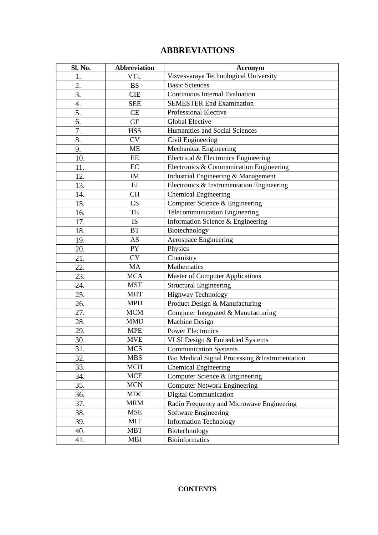## **ABBREVIATIONS**

| <b>Sl. No.</b> | <b>Abbreviation</b> | <b>Acronym</b>                                  |
|----------------|---------------------|-------------------------------------------------|
| 1.             | <b>VTU</b>          | Visvesvaraya Technological University           |
| 2.             | <b>BS</b>           | <b>Basic Sciences</b>                           |
| 3.             | <b>CIE</b>          | <b>Continuous Internal Evaluation</b>           |
| 4.             | <b>SEE</b>          | <b>SEMESTER End Examination</b>                 |
| 5.             | CE                  | <b>Professional Elective</b>                    |
| 6.             | GE                  | <b>Global Elective</b>                          |
| 7.             | <b>HSS</b>          | Humanities and Social Sciences                  |
| 8.             | CV                  | Civil Engineering                               |
| 9.             | <b>ME</b>           | <b>Mechanical Engineering</b>                   |
| 10.            | EE                  | <b>Electrical &amp; Electronics Engineering</b> |
| 11.            | EC                  | Electronics & Communication Engineering         |
| 12.            | IM                  | Industrial Engineering & Management             |
| 13.            | EI                  | Electronics & Instrumentation Engineering       |
| 14.            | CH                  | <b>Chemical Engineering</b>                     |
| 15.            | CS                  | Computer Science & Engineering                  |
| 16.            | TE                  | <b>Telecommunication Engineering</b>            |
| 17.            | <b>IS</b>           | <b>Information Science &amp; Engineering</b>    |
| 18.            | <b>BT</b>           | Biotechnology                                   |
| 19.            | <b>AS</b>           | <b>Aerospace Engineering</b>                    |
| 20.            | PY                  | Physics                                         |
| 21.            | <b>CY</b>           | Chemistry                                       |
| 22.            | MA                  | <b>Mathematics</b>                              |
| 23.            | <b>MCA</b>          | <b>Master of Computer Applications</b>          |
| 24.            | <b>MST</b>          | <b>Structural Engineering</b>                   |
| 25.            | <b>MHT</b>          | <b>Highway Technology</b>                       |
| 26.            | <b>MPD</b>          | Product Design & Manufacturing                  |
| 27.            | <b>MCM</b>          | Computer Integrated & Manufacturing             |
| 28.            | <b>MMD</b>          | Machine Design                                  |
| 29.            | <b>MPE</b>          | <b>Power Electronics</b>                        |
| 30.            | <b>MVE</b>          | VLSI Design & Embedded Systems                  |
| 31.            | MCS                 | <b>Communication Systems</b>                    |
| 32.            | <b>MBS</b>          | Bio Medical Signal Processing & Instrumentation |
| 33.            | <b>MCH</b>          | <b>Chemical Engineering</b>                     |
| 34.            | <b>MCE</b>          | Computer Science & Engineering                  |
| 35.            | <b>MCN</b>          | <b>Computer Network Engineering</b>             |
| 36.            | <b>MDC</b>          | <b>Digital Communication</b>                    |
| 37.            | <b>MRM</b>          | Radio Frequency and Microwave Engineering       |
| 38.            | <b>MSE</b>          | <b>Software Engineering</b>                     |
| 39.            | $\rm MIT$           | <b>Information Technology</b>                   |
| 40.            | <b>MBT</b>          | Biotechnology                                   |
| 41.            | <b>MBI</b>          | <b>Bioinformatics</b>                           |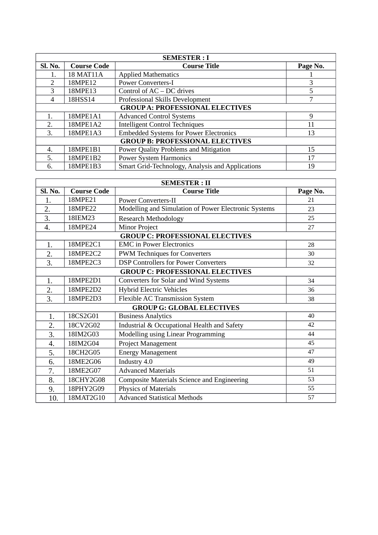| <b>SEMESTER: I</b> |                    |                                                  |          |  |  |  |
|--------------------|--------------------|--------------------------------------------------|----------|--|--|--|
| <b>Sl. No.</b>     | <b>Course Code</b> | <b>Course Title</b>                              | Page No. |  |  |  |
| 1.                 | <b>18 MAT11A</b>   | <b>Applied Mathematics</b>                       |          |  |  |  |
| $\mathcal{P}$      | 18MPE12            | <b>Power Converters-I</b>                        | 3        |  |  |  |
| 3                  | 18MPE13            | Control of AC – DC drives                        | 5        |  |  |  |
| 4                  | 18HSS14            | Professional Skills Development                  | 7        |  |  |  |
|                    |                    | <b>GROUP A: PROFESSIONAL ELECTIVES</b>           |          |  |  |  |
| $\mathbf 1$        | 18MPE1A1           | <b>Advanced Control Systems</b>                  | 9        |  |  |  |
| 2.                 | 18MPE1A2           | <b>Intelligent Control Techniques</b>            | 11       |  |  |  |
| З.                 | 18MPE1A3           | <b>Embedded Systems for Power Electronics</b>    | 13       |  |  |  |
|                    |                    | <b>GROUP B: PROFESSIONAL ELECTIVES</b>           |          |  |  |  |
| 4.                 | 18MPE1B1           | Power Quality Problems and Mitigation            | 15       |  |  |  |
| 5.                 | 18MPE1B2           | <b>Power System Harmonics</b>                    | 17       |  |  |  |
| 6.                 | 18MPE1B3           | Smart Grid-Technology, Analysis and Applications | 19       |  |  |  |

| <b>SEMESTER: II</b> |                    |                                                      |          |  |  |  |
|---------------------|--------------------|------------------------------------------------------|----------|--|--|--|
| <b>Sl. No.</b>      | <b>Course Code</b> | <b>Course Title</b>                                  | Page No. |  |  |  |
| 1.                  | 18MPE21            | <b>Power Converters-II</b>                           | 21       |  |  |  |
| 2.                  | 18MPE22            | Modelling and Simulation of Power Electronic Systems | 23       |  |  |  |
| 3.                  | 18IEM23            | <b>Research Methodology</b>                          | 25       |  |  |  |
| 4.                  | 18MPE24            | <b>Minor Project</b>                                 | 27       |  |  |  |
|                     |                    | <b>GROUP C: PROFESSIONAL ELECTIVES</b>               |          |  |  |  |
| 1.                  | 18MPE2C1           | <b>EMC</b> in Power Electronics                      | 28       |  |  |  |
| 2.                  | 18MPE2C2           | <b>PWM Techniques for Converters</b>                 | 30       |  |  |  |
| 3.                  | 18MPE2C3           | <b>DSP Controllers for Power Converters</b>          | 32       |  |  |  |
|                     |                    | <b>GROUP C: PROFESSIONAL ELECTIVES</b>               |          |  |  |  |
| 1.                  | 18MPE2D1           | Converters for Solar and Wind Systems                | 34       |  |  |  |
| 2.                  | 18MPE2D2           | <b>Hybrid Electric Vehicles</b>                      | 36       |  |  |  |
| 3.                  | 18MPE2D3           | <b>Flexible AC Transmission System</b>               | 38       |  |  |  |
|                     |                    | <b>GROUP G: GLOBAL ELECTIVES</b>                     |          |  |  |  |
| 1.                  | 18CS2G01           | <b>Business Analytics</b>                            | 40       |  |  |  |
| 2.                  | 18CV2G02           | Industrial & Occupational Health and Safety          | 42       |  |  |  |
| 3.                  | 18IM2G03           | Modelling using Linear Programming                   | 44       |  |  |  |
| 4.                  | 18IM2G04           | Project Management                                   | 45       |  |  |  |
| 5.                  | 18CH2G05           | <b>Energy Management</b>                             | 47       |  |  |  |
| 6.                  | 18ME2G06           | Industry 4.0                                         | 49       |  |  |  |
| 7.                  | 18ME2G07           | <b>Advanced Materials</b>                            | 51       |  |  |  |
| 8.                  | 18CHY2G08          | <b>Composite Materials Science and Engineering</b>   | 53       |  |  |  |
| 9.                  | 18PHY2G09          | <b>Physics of Materials</b>                          | 55       |  |  |  |
| 10.                 | 18MAT2G10          | <b>Advanced Statistical Methods</b>                  | 57       |  |  |  |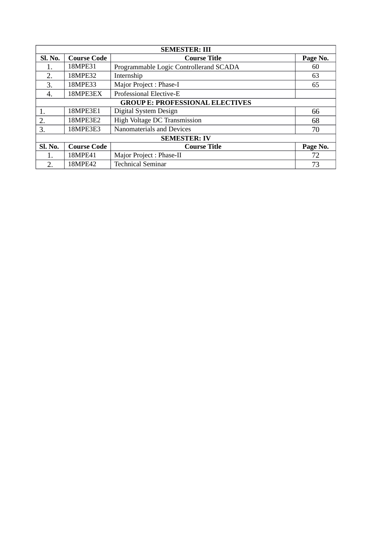| <b>SEMESTER: III</b> |                                           |                                        |          |  |  |  |  |
|----------------------|-------------------------------------------|----------------------------------------|----------|--|--|--|--|
| Sl. No.              | <b>Course Code</b><br><b>Course Title</b> |                                        |          |  |  |  |  |
| 1.                   | 18MPE31                                   | Programmable Logic Controllerand SCADA | 60       |  |  |  |  |
| 2.                   | 18MPE32                                   | Internship                             | 63       |  |  |  |  |
| 3.                   | 18MPE33                                   | Major Project : Phase-I                | 65       |  |  |  |  |
| 4.                   | Professional Elective-E<br>18MPE3EX       |                                        |          |  |  |  |  |
|                      | <b>GROUP E: PROFESSIONAL ELECTIVES</b>    |                                        |          |  |  |  |  |
|                      | 18MPE3E1                                  | Digital System Design                  | 66       |  |  |  |  |
| 2.                   | 18MPE3E2                                  | High Voltage DC Transmission           | 68       |  |  |  |  |
| 3.                   | 18MPE3E3                                  | Nanomaterials and Devices              | 70       |  |  |  |  |
|                      |                                           | <b>SEMESTER: IV</b>                    |          |  |  |  |  |
| Sl. No.              | <b>Course Code</b>                        | <b>Course Title</b>                    | Page No. |  |  |  |  |
|                      | 18MPE41                                   | Major Project : Phase-II               | 72       |  |  |  |  |
| 2.                   | 18MPE42                                   | <b>Technical Seminar</b>               | 73       |  |  |  |  |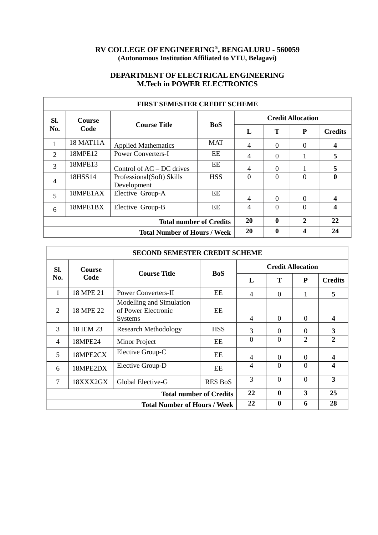## **RV COLLEGE OF ENGINEERING® , BENGALURU - 560059 (Autonomous Institution Affiliated to VTU, Belagavi)**

## **DEPARTMENT OF ELECTRICAL ENGINEERING M.Tech in POWER ELECTRONICS**

| <b>FIRST SEMESTER CREDIT SCHEME</b> |                  |                                          |            |              |                          |          |                        |  |  |
|-------------------------------------|------------------|------------------------------------------|------------|--------------|--------------------------|----------|------------------------|--|--|
| SI.                                 | Course<br>Code   | <b>Course Title</b>                      |            |              | <b>Credit Allocation</b> |          |                        |  |  |
| No.                                 |                  |                                          | <b>BoS</b> | L            | T                        | P        | <b>Credits</b>         |  |  |
| $\mathbf{1}$                        | <b>18 MAT11A</b> | <b>Applied Mathematics</b>               | MAT        | 4            | $\Omega$                 | $\Omega$ | 4                      |  |  |
| $\mathcal{D}$                       | 18MPE12          | <b>Power Converters-I</b>                | EE         | 4            | $\Omega$                 |          | 5                      |  |  |
| 3                                   | 18MPE13          | Control of $AC - DC$ drives              | EE         | 4            | 0                        |          | 5                      |  |  |
| $\overline{4}$                      | 18HSS14          | Professional(Soft) Skills<br>Development | <b>HSS</b> | $\Omega$     | $\Omega$                 | $\Omega$ | 0                      |  |  |
| 5                                   | 18MPE1AX         | Elective Group-A                         | EE         | 4            | $\Omega$                 | 0        | 4                      |  |  |
| 18MPE1BX<br>Elective Group-B<br>6   |                  |                                          | EE.        | 4            | $\Omega$                 | $\Omega$ | $\boldsymbol{\Lambda}$ |  |  |
|                                     |                  | <b>Total number of Credits</b>           | 20         | $\mathbf{0}$ | $\overline{2}$           | 22       |                        |  |  |
|                                     |                  | <b>Total Number of Hours / Week</b>      |            | 20           | 0                        | Δ        | 24                     |  |  |

| <b>SECOND SEMESTER CREDIT SCHEME</b> |           |                                                                   |                |                |                          |          |                |  |  |
|--------------------------------------|-----------|-------------------------------------------------------------------|----------------|----------------|--------------------------|----------|----------------|--|--|
| SI.                                  | Course    |                                                                   |                |                | <b>Credit Allocation</b> |          |                |  |  |
| No.                                  | Code      | <b>Course Title</b>                                               | <b>BoS</b>     | $\mathbf{I}$ . | T                        | P        | <b>Credits</b> |  |  |
| 1                                    | 18 MPE 21 | <b>Power Converters-II</b>                                        | EE             | 4              | $\theta$                 | 1        | 5              |  |  |
| $\overline{2}$                       | 18 MPE 22 | Modelling and Simulation<br>of Power Electronic<br><b>Systems</b> | EE             | $\overline{4}$ | $\Omega$                 | $\Omega$ | 4              |  |  |
| 3                                    | 18 IEM 23 | <b>Research Methodology</b>                                       | <b>HSS</b>     | 3              | $\Omega$                 | $\Omega$ | 3              |  |  |
| $\overline{4}$                       | 18MPE24   | <b>Minor Project</b>                                              | EΕ             | $\mathbf{0}$   | $\Omega$                 | 2        | $\overline{2}$ |  |  |
| 5                                    | 18MPE2CX  | Elective Group-C                                                  | EE             | $\overline{4}$ | $\Omega$                 | $\Omega$ | 4              |  |  |
| 6                                    | 18MPE2DX  | <b>Elective Group-D</b>                                           | EE             | $\overline{4}$ | $\Omega$                 | $\Omega$ | 4              |  |  |
| 7                                    | 18XXX2GX  | Global Elective-G                                                 | <b>RES BoS</b> | 3              | $\Omega$                 | $\Omega$ | 3              |  |  |
|                                      |           | <b>Total number of Credits</b>                                    | 22             | $\mathbf{0}$   | 3                        | 25       |                |  |  |
|                                      |           | <b>Total Number of Hours / Week</b>                               |                | 22             | $\bf{0}$                 | 6        | 28             |  |  |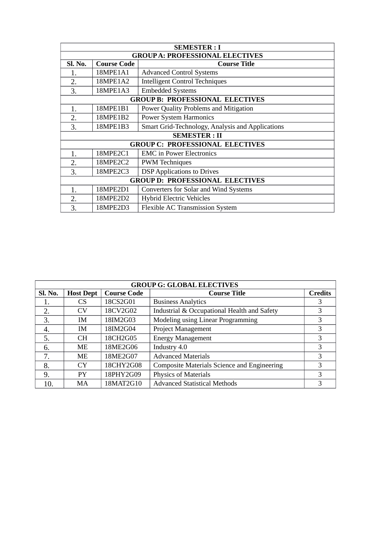| <b>SEMESTER: I</b> |                                           |                                                  |  |  |  |
|--------------------|-------------------------------------------|--------------------------------------------------|--|--|--|
|                    |                                           | <b>GROUP A: PROFESSIONAL ELECTIVES</b>           |  |  |  |
| Sl. No.            | <b>Course Code</b><br><b>Course Title</b> |                                                  |  |  |  |
| 1.                 | 18MPE1A1                                  | <b>Advanced Control Systems</b>                  |  |  |  |
| 2.                 | 18MPE1A2                                  | <b>Intelligent Control Techniques</b>            |  |  |  |
| 3.                 | 18MPE1A3                                  | <b>Embedded Systems</b>                          |  |  |  |
|                    |                                           | <b>GROUP B: PROFESSIONAL ELECTIVES</b>           |  |  |  |
| 1.                 | 18MPE1B1                                  | Power Quality Problems and Mitigation            |  |  |  |
| 2.                 | 18MPE1B2                                  | <b>Power System Harmonics</b>                    |  |  |  |
| 3.                 | 18MPE1B3                                  | Smart Grid-Technology, Analysis and Applications |  |  |  |
|                    |                                           | <b>SEMESTER: II</b>                              |  |  |  |
|                    |                                           | <b>GROUP C: PROFESSIONAL ELECTIVES</b>           |  |  |  |
| 1.                 | 18MPE2C1                                  | <b>EMC</b> in Power Electronics                  |  |  |  |
| 2.                 | 18MPE2C2                                  | <b>PWM</b> Techniques                            |  |  |  |
| 3.                 | 18MPE2C3                                  | <b>DSP Applications to Drives</b>                |  |  |  |
|                    | <b>GROUP D: PROFESSIONAL ELECTIVES</b>    |                                                  |  |  |  |
| 1.                 | 18MPE2D1                                  | Converters for Solar and Wind Systems            |  |  |  |
| 2.                 | 18MPE2D2                                  | <b>Hybrid Electric Vehicles</b>                  |  |  |  |
| 3.                 | 18MPE2D3                                  | <b>Flexible AC Transmission System</b>           |  |  |  |

|                | <b>GROUP G: GLOBAL ELECTIVES</b> |                    |                                                    |                |  |  |  |  |
|----------------|----------------------------------|--------------------|----------------------------------------------------|----------------|--|--|--|--|
| <b>Sl. No.</b> | <b>Host Dept</b>                 | <b>Course Code</b> | <b>Course Title</b>                                | <b>Credits</b> |  |  |  |  |
| 1.             | CS.                              | 18CS2G01           | <b>Business Analytics</b>                          | З              |  |  |  |  |
| 2.             | CV                               | 18CV2G02           | Industrial & Occupational Health and Safety        | 3              |  |  |  |  |
| 3.             | IM                               | 18IM2G03           | Modeling using Linear Programming                  | 3              |  |  |  |  |
| 4.             | IM                               | 18IM2G04           | <b>Project Management</b>                          | 3              |  |  |  |  |
| 5.             | <b>CH</b>                        | 18CH2G05           | <b>Energy Management</b>                           | 3              |  |  |  |  |
| 6.             | ME                               | 18ME2G06           | Industry 4.0                                       | 3              |  |  |  |  |
| 7.             | ME                               | 18ME2G07           | <b>Advanced Materials</b>                          | 3              |  |  |  |  |
| 8.             | C <sub>Y</sub>                   | 18CHY2G08          | <b>Composite Materials Science and Engineering</b> | 3              |  |  |  |  |
| 9.             | PY.                              | 18PHY2G09          | <b>Physics of Materials</b>                        | 3              |  |  |  |  |
| 10.            | MA                               | 18MAT2G10          | <b>Advanced Statistical Methods</b>                |                |  |  |  |  |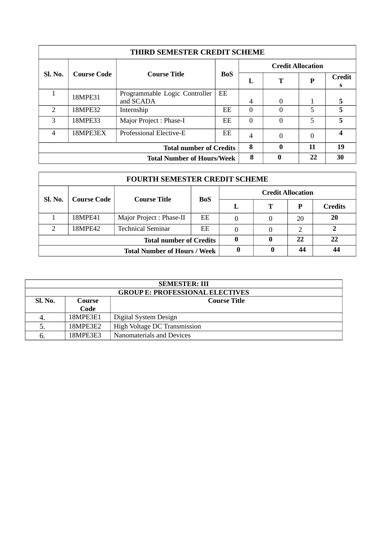| THIRD SEMESTER CREDIT SCHEME |                                   |                                            |            |                          |          |          |             |  |  |
|------------------------------|-----------------------------------|--------------------------------------------|------------|--------------------------|----------|----------|-------------|--|--|
|                              |                                   |                                            |            | <b>Credit Allocation</b> |          |          |             |  |  |
| <b>Sl. No.</b>               | <b>Course Code</b>                | <b>Course Title</b>                        | <b>BoS</b> | Ι.                       | T        | P        | Credit<br>s |  |  |
|                              | 18MPE31                           | Programmable Logic Controller<br>and SCADA | EE         | $\overline{4}$           | 0        |          | 5           |  |  |
| 2                            | 18MPE32                           | Internship                                 | EE         | $\Omega$                 |          | 5        | 5           |  |  |
| 3                            | 18MPE33                           | Major Project : Phase-I                    | EE         | $\Omega$                 |          | 5        | 5           |  |  |
| 4                            | 18MPE3EX                          | Professional Elective-E                    | EE         | 4                        | $\Omega$ | $\Omega$ |             |  |  |
|                              | <b>Total number of Credits</b>    |                                            |            |                          |          | 11       | 19          |  |  |
|                              | <b>Total Number of Hours/Week</b> |                                            |            |                          |          | 22       | 30          |  |  |

| <b>FOURTH SEMESTER CREDIT SCHEME</b> |                    |                          |            |                          |   |    |                |  |  |
|--------------------------------------|--------------------|--------------------------|------------|--------------------------|---|----|----------------|--|--|
| Sl. No.                              | <b>Course Code</b> | <b>Course Title</b>      | <b>BoS</b> | <b>Credit Allocation</b> |   |    |                |  |  |
|                                      |                    |                          |            |                          | т | P  | <b>Credits</b> |  |  |
|                                      | 18MPE41            | Major Project : Phase-II | EE         |                          | 0 | 20 | 20             |  |  |
| 2                                    | 18MPE42            | <b>Technical Seminar</b> | EE         |                          | 0 | 2  |                |  |  |
| <b>Total number of Credits</b>       |                    |                          |            | 0                        | 0 | 22 | 22             |  |  |
| <b>Total Number of Hours / Week</b>  |                    |                          |            |                          | 0 | 44 | 44             |  |  |

| <b>SEMESTER: III</b> |                                        |                              |  |  |  |  |  |
|----------------------|----------------------------------------|------------------------------|--|--|--|--|--|
|                      | <b>GROUP E: PROFESSIONAL ELECTIVES</b> |                              |  |  |  |  |  |
| Sl. No.              | <b>Course Title</b><br>Course          |                              |  |  |  |  |  |
|                      | Code                                   |                              |  |  |  |  |  |
|                      | 18MPE3E1                               | Digital System Design        |  |  |  |  |  |
|                      | 18MPE3E2                               | High Voltage DC Transmission |  |  |  |  |  |
|                      | 18MPE3E3                               | Nanomaterials and Devices    |  |  |  |  |  |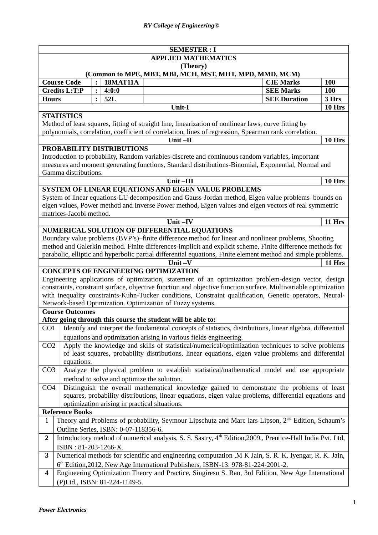|                 |                                                                                                                                                                |                |                                                                                              |  | <b>SEMESTER: I</b> |                            |  |                                                                                                                                                                                                           |            |
|-----------------|----------------------------------------------------------------------------------------------------------------------------------------------------------------|----------------|----------------------------------------------------------------------------------------------|--|--------------------|----------------------------|--|-----------------------------------------------------------------------------------------------------------------------------------------------------------------------------------------------------------|------------|
|                 |                                                                                                                                                                |                |                                                                                              |  |                    | <b>APPLIED MATHEMATICS</b> |  |                                                                                                                                                                                                           |            |
|                 | (Theory)                                                                                                                                                       |                |                                                                                              |  |                    |                            |  |                                                                                                                                                                                                           |            |
|                 |                                                                                                                                                                |                | (Common to MPE, MBT, MBI, MCH, MST, MHT, MPD, MMD, MCM)                                      |  |                    |                            |  |                                                                                                                                                                                                           |            |
|                 | <b>Course Code</b>                                                                                                                                             |                | <b>18MAT11A</b>                                                                              |  |                    |                            |  | <b>CIE Marks</b>                                                                                                                                                                                          | <b>100</b> |
|                 | <b>Credits L:T:P</b>                                                                                                                                           | $\ddot{\cdot}$ | 4:0:0                                                                                        |  |                    |                            |  | <b>SEE Marks</b>                                                                                                                                                                                          | 100        |
| <b>Hours</b>    |                                                                                                                                                                |                | 52L                                                                                          |  |                    |                            |  | <b>SEE Duration</b>                                                                                                                                                                                       | 3 Hrs      |
|                 | <b>STATISTICS</b>                                                                                                                                              |                |                                                                                              |  | Unit-I             |                            |  |                                                                                                                                                                                                           | 10 Hrs     |
|                 |                                                                                                                                                                |                |                                                                                              |  |                    |                            |  | Method of least squares, fitting of straight line, linearization of nonlinear laws, curve fitting by                                                                                                      |            |
|                 |                                                                                                                                                                |                |                                                                                              |  |                    |                            |  | polynomials, correlation, coefficient of correlation, lines of regression, Spearman rank correlation.                                                                                                     |            |
|                 |                                                                                                                                                                |                |                                                                                              |  | Unit-II            |                            |  |                                                                                                                                                                                                           | 10 Hrs     |
|                 |                                                                                                                                                                |                | PROBABILITY DISTRIBUTIONS                                                                    |  |                    |                            |  |                                                                                                                                                                                                           |            |
|                 |                                                                                                                                                                |                |                                                                                              |  |                    |                            |  | Introduction to probability, Random variables-discrete and continuous random variables, important                                                                                                         |            |
|                 |                                                                                                                                                                |                |                                                                                              |  |                    |                            |  | measures and moment generating functions, Standard distributions-Binomial, Exponential, Normal and                                                                                                        |            |
|                 | Gamma distributions.                                                                                                                                           |                |                                                                                              |  |                    |                            |  |                                                                                                                                                                                                           |            |
|                 |                                                                                                                                                                |                |                                                                                              |  | Unit-III           |                            |  |                                                                                                                                                                                                           | 10 Hrs     |
|                 |                                                                                                                                                                |                | SYSTEM OF LINEAR EQUATIONS AND EIGEN VALUE PROBLEMS                                          |  |                    |                            |  |                                                                                                                                                                                                           |            |
|                 |                                                                                                                                                                |                |                                                                                              |  |                    |                            |  | System of linear equations-LU decomposition and Gauss-Jordan method, Eigen value problems-bounds on                                                                                                       |            |
|                 |                                                                                                                                                                |                |                                                                                              |  |                    |                            |  | eigen values, Power method and Inverse Power method, Eigen values and eigen vectors of real symmetric                                                                                                     |            |
|                 | matrices-Jacobi method.                                                                                                                                        |                |                                                                                              |  |                    |                            |  |                                                                                                                                                                                                           |            |
|                 |                                                                                                                                                                |                |                                                                                              |  | Unit-IV            |                            |  |                                                                                                                                                                                                           | 11 Hrs     |
|                 |                                                                                                                                                                |                | NUMERICAL SOLUTION OF DIFFERENTIAL EQUATIONS                                                 |  |                    |                            |  |                                                                                                                                                                                                           |            |
|                 |                                                                                                                                                                |                |                                                                                              |  |                    |                            |  | Boundary value problems (BVP's)-finite difference method for linear and nonlinear problems, Shooting                                                                                                      |            |
|                 |                                                                                                                                                                |                |                                                                                              |  |                    |                            |  | method and Galerkin method. Finite differences-implicit and explicit scheme, Finite difference methods for                                                                                                |            |
|                 |                                                                                                                                                                |                |                                                                                              |  |                    |                            |  | parabolic, elliptic and hyperbolic partial differential equations, Finite element method and simple problems.                                                                                             |            |
|                 |                                                                                                                                                                |                |                                                                                              |  | Unit-V             |                            |  |                                                                                                                                                                                                           | 11 Hrs     |
|                 |                                                                                                                                                                |                | <b>CONCEPTS OF ENGINEERING OPTIMIZATION</b>                                                  |  |                    |                            |  |                                                                                                                                                                                                           |            |
|                 |                                                                                                                                                                |                |                                                                                              |  |                    |                            |  | Engineering applications of optimization, statement of an optimization problem-design vector, design                                                                                                      |            |
|                 |                                                                                                                                                                |                |                                                                                              |  |                    |                            |  | constraints, constraint surface, objective function and objective function surface. Multivariable optimization                                                                                            |            |
|                 |                                                                                                                                                                |                |                                                                                              |  |                    |                            |  | with inequality constraints-Kuhn-Tucker conditions, Constraint qualification, Genetic operators, Neural-                                                                                                  |            |
|                 | <b>Course Outcomes</b>                                                                                                                                         |                | Network-based Optimization. Optimization of Fuzzy systems.                                   |  |                    |                            |  |                                                                                                                                                                                                           |            |
|                 |                                                                                                                                                                |                |                                                                                              |  |                    |                            |  |                                                                                                                                                                                                           |            |
|                 |                                                                                                                                                                |                | After going through this course the student will be able to:                                 |  |                    |                            |  | CO1   Identify and interpret the fundamental concepts of statistics, distributions, linear algebra, differential                                                                                          |            |
|                 |                                                                                                                                                                |                |                                                                                              |  |                    |                            |  |                                                                                                                                                                                                           |            |
|                 |                                                                                                                                                                |                | equations and optimization arising in various fields engineering.                            |  |                    |                            |  |                                                                                                                                                                                                           |            |
| CO <sub>2</sub> |                                                                                                                                                                |                |                                                                                              |  |                    |                            |  | Apply the knowledge and skills of statistical/numerical/optimization techniques to solve problems<br>of least squares, probability distributions, linear equations, eigen value problems and differential |            |
|                 | equations.                                                                                                                                                     |                |                                                                                              |  |                    |                            |  |                                                                                                                                                                                                           |            |
| CO <sub>3</sub> |                                                                                                                                                                |                |                                                                                              |  |                    |                            |  | Analyze the physical problem to establish statistical/mathematical model and use appropriate                                                                                                              |            |
|                 |                                                                                                                                                                |                |                                                                                              |  |                    |                            |  |                                                                                                                                                                                                           |            |
|                 |                                                                                                                                                                |                | method to solve and optimize the solution.                                                   |  |                    |                            |  | Distinguish the overall mathematical knowledge gained to demonstrate the problems of least                                                                                                                |            |
| CO <sub>4</sub> |                                                                                                                                                                |                |                                                                                              |  |                    |                            |  | squares, probability distributions, linear equations, eigen value problems, differential equations and                                                                                                    |            |
|                 |                                                                                                                                                                |                | optimization arising in practical situations.                                                |  |                    |                            |  |                                                                                                                                                                                                           |            |
|                 | <b>Reference Books</b>                                                                                                                                         |                |                                                                                              |  |                    |                            |  |                                                                                                                                                                                                           |            |
| $\mathbf{1}$    |                                                                                                                                                                |                |                                                                                              |  |                    |                            |  | Theory and Problems of probability, Seymour Lipschutz and Marc lars Lipson, 2 <sup>nd</sup> Edition, Schaum's                                                                                             |            |
|                 |                                                                                                                                                                |                |                                                                                              |  |                    |                            |  |                                                                                                                                                                                                           |            |
| $\overline{2}$  | Outline Series, ISBN: 0-07-118356-6.<br>Introductory method of numerical analysis, S. S. Sastry, 4 <sup>th</sup> Edition, 2009,, Prentice-Hall India Pvt. Ltd, |                |                                                                                              |  |                    |                            |  |                                                                                                                                                                                                           |            |
|                 |                                                                                                                                                                |                |                                                                                              |  |                    |                            |  |                                                                                                                                                                                                           |            |
|                 | ISBN: 81-203-1266-X.                                                                                                                                           |                |                                                                                              |  |                    |                            |  |                                                                                                                                                                                                           |            |
| 3               |                                                                                                                                                                |                |                                                                                              |  |                    |                            |  | Numerical methods for scientific and engineering computation , M K Jain, S. R. K. Iyengar, R. K. Jain,                                                                                                    |            |
|                 |                                                                                                                                                                |                | 6 <sup>th</sup> Edition, 2012, New Age International Publishers, ISBN-13: 978-81-224-2001-2. |  |                    |                            |  |                                                                                                                                                                                                           |            |
| 4               |                                                                                                                                                                |                |                                                                                              |  |                    |                            |  | Engineering Optimization Theory and Practice, Singiresu S. Rao, 3rd Edition, New Age International                                                                                                        |            |
|                 |                                                                                                                                                                |                | (P)Ltd., ISBN: 81-224-1149-5.                                                                |  |                    |                            |  |                                                                                                                                                                                                           |            |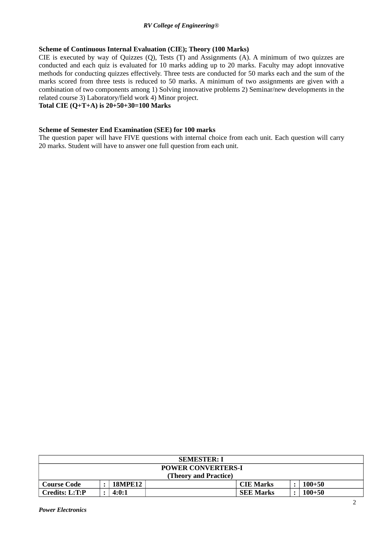#### *RV College of Engineering*®

### **Scheme of Continuous Internal Evaluation (CIE); Theory (100 Marks)**

CIE is executed by way of Quizzes (Q), Tests (T) and Assignments (A). A minimum of two quizzes are conducted and each quiz is evaluated for 10 marks adding up to 20 marks. Faculty may adopt innovative methods for conducting quizzes effectively. Three tests are conducted for 50 marks each and the sum of the marks scored from three tests is reduced to 50 marks. A minimum of two assignments are given with a combination of two components among 1) Solving innovative problems 2) Seminar/new developments in the related course 3) Laboratory/field work 4) Minor project.

**Total CIE (Q+T+A) is 20+50+30=100 Marks**

#### **Scheme of Semester End Examination (SEE) for 100 marks**

|                |                           |                | <b>SEMESTER: I</b>    |  |            |  |
|----------------|---------------------------|----------------|-----------------------|--|------------|--|
|                | <b>POWER CONVERTERS-I</b> |                |                       |  |            |  |
|                |                           |                | (Theory and Practice) |  |            |  |
| Course Code    |                           | <b>18MPE12</b> | <b>CIE Marks</b>      |  | $100 + 50$ |  |
| Credits: L:T:P |                           | 4:0:1          | <b>SEE Marks</b>      |  | $100 + 50$ |  |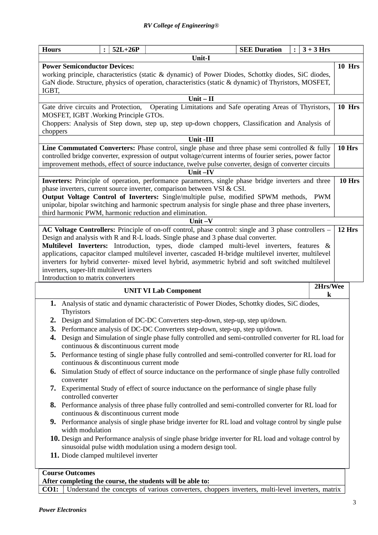| <b>Hours</b>           |                                                                                                                                                                                                                                               | $52L+26P$ |                                                                                                                                                                                                                                                                                                                                                                                                                                                                                                                                                                                                                                                                                                                                                                                                                                                                                                                                                                                                                                                                                               | <b>SEE Duration</b><br>$\ddot{\cdot}$ | $3 + 3$ Hrs         |        |
|------------------------|-----------------------------------------------------------------------------------------------------------------------------------------------------------------------------------------------------------------------------------------------|-----------|-----------------------------------------------------------------------------------------------------------------------------------------------------------------------------------------------------------------------------------------------------------------------------------------------------------------------------------------------------------------------------------------------------------------------------------------------------------------------------------------------------------------------------------------------------------------------------------------------------------------------------------------------------------------------------------------------------------------------------------------------------------------------------------------------------------------------------------------------------------------------------------------------------------------------------------------------------------------------------------------------------------------------------------------------------------------------------------------------|---------------------------------------|---------------------|--------|
|                        |                                                                                                                                                                                                                                               |           | Unit-I                                                                                                                                                                                                                                                                                                                                                                                                                                                                                                                                                                                                                                                                                                                                                                                                                                                                                                                                                                                                                                                                                        |                                       |                     |        |
| IGBT,                  | <b>Power Semiconductor Devices:</b>                                                                                                                                                                                                           |           | working principle, characteristics (static & dynamic) of Power Diodes, Schottky diodes, SiC diodes,<br>GaN diode. Structure, physics of operation, characteristics (static & dynamic) of Thyristors, MOSFET,                                                                                                                                                                                                                                                                                                                                                                                                                                                                                                                                                                                                                                                                                                                                                                                                                                                                                  |                                       |                     | 10 Hrs |
|                        |                                                                                                                                                                                                                                               |           | $Unit - II$                                                                                                                                                                                                                                                                                                                                                                                                                                                                                                                                                                                                                                                                                                                                                                                                                                                                                                                                                                                                                                                                                   |                                       |                     |        |
| choppers               | Gate drive circuits and Protection,<br>MOSFET, IGBT . Working Principle GTOs.                                                                                                                                                                 |           | Operating Limitations and Safe operating Areas of Thyristors,<br>Choppers: Analysis of Step down, step up, step up-down choppers, Classification and Analysis of<br>Unit-III                                                                                                                                                                                                                                                                                                                                                                                                                                                                                                                                                                                                                                                                                                                                                                                                                                                                                                                  |                                       |                     | 10 Hrs |
|                        |                                                                                                                                                                                                                                               |           | Line Commutated Converters: Phase control, single phase and three phase semi controlled & fully                                                                                                                                                                                                                                                                                                                                                                                                                                                                                                                                                                                                                                                                                                                                                                                                                                                                                                                                                                                               |                                       |                     | 10 Hrs |
|                        |                                                                                                                                                                                                                                               |           | controlled bridge converter, expression of output voltage/current interms of fourier series, power factor<br>improvement methods, effect of source inductance, twelve pulse converter, design of converter circuits                                                                                                                                                                                                                                                                                                                                                                                                                                                                                                                                                                                                                                                                                                                                                                                                                                                                           |                                       |                     |        |
|                        |                                                                                                                                                                                                                                               |           | Unit-IV                                                                                                                                                                                                                                                                                                                                                                                                                                                                                                                                                                                                                                                                                                                                                                                                                                                                                                                                                                                                                                                                                       |                                       |                     |        |
|                        |                                                                                                                                                                                                                                               |           | Inverters: Principle of operation, performance parameters, single phase bridge inverters and three<br>phase inverters, current source inverter, comparison between VSI & CSI.<br>Output Voltage Control of Inverters: Single/multiple pulse, modified SPWM methods, PWM<br>unipolar, bipolar switching and harmonic spectrum analysis for single phase and three phase inverters,<br>third harmonic PWM, harmonic reduction and elimination.<br>Unit-V                                                                                                                                                                                                                                                                                                                                                                                                                                                                                                                                                                                                                                        |                                       |                     | 10 Hrs |
|                        |                                                                                                                                                                                                                                               |           | AC Voltage Controllers: Principle of on-off control, phase control: single and 3 phase controllers -                                                                                                                                                                                                                                                                                                                                                                                                                                                                                                                                                                                                                                                                                                                                                                                                                                                                                                                                                                                          |                                       |                     | 12 Hrs |
|                        | inverters, super-lift multilevel inverters<br>Introduction to matrix converters                                                                                                                                                               |           | Design and analysis with R and R-L loads. Single phase and 3 phase dual converter.<br>Multilevel Inverters: Introduction, types, diode clamped multi-level inverters, features &<br>applications, capacitor clamped multilevel inverter, cascaded H-bridge multilevel inverter, multilevel<br>inverters for hybrid converter- mixed level hybrid, asymmetric hybrid and soft switched multilevel                                                                                                                                                                                                                                                                                                                                                                                                                                                                                                                                                                                                                                                                                              |                                       |                     |        |
|                        |                                                                                                                                                                                                                                               |           | <b>UNIT VI Lab Component</b>                                                                                                                                                                                                                                                                                                                                                                                                                                                                                                                                                                                                                                                                                                                                                                                                                                                                                                                                                                                                                                                                  |                                       | 2Hrs/Wee<br>$\bf k$ |        |
| 4.<br>6.<br>7.         | Thyristors<br>continuous & discontinuous current mode<br>continuous & discontinuous current mode<br>converter<br>controlled converter<br>continuous & discontinuous current mode<br>width modulation<br>11. Diode clamped multilevel inverter |           | 1. Analysis of static and dynamic characteristic of Power Diodes, Schottky diodes, SiC diodes,<br>2. Design and Simulation of DC-DC Converters step-down, step-up, step up/down.<br>3. Performance analysis of DC-DC Converters step-down, step-up, step up/down.<br>Design and Simulation of single phase fully controlled and semi-controlled converter for RL load for<br>5. Performance testing of single phase fully controlled and semi-controlled converter for RL load for<br>Simulation Study of effect of source inductance on the performance of single phase fully controlled<br>Experimental Study of effect of source inductance on the performance of single phase fully<br>8. Performance analysis of three phase fully controlled and semi-controlled converter for RL load for<br><b>9.</b> Performance analysis of single phase bridge inverter for RL load and voltage control by single pulse<br>10. Design and Performance analysis of single phase bridge inverter for RL load and voltage control by<br>sinusoidal pulse width modulation using a modern design tool. |                                       |                     |        |
| <b>Course Outcomes</b> |                                                                                                                                                                                                                                               |           |                                                                                                                                                                                                                                                                                                                                                                                                                                                                                                                                                                                                                                                                                                                                                                                                                                                                                                                                                                                                                                                                                               |                                       |                     |        |
|                        |                                                                                                                                                                                                                                               |           | After completing the course, the students will be able to:                                                                                                                                                                                                                                                                                                                                                                                                                                                                                                                                                                                                                                                                                                                                                                                                                                                                                                                                                                                                                                    |                                       |                     |        |
| <b>CO1:</b>            |                                                                                                                                                                                                                                               |           | Understand the concepts of various converters, choppers inverters, multi-level inverters, matrix                                                                                                                                                                                                                                                                                                                                                                                                                                                                                                                                                                                                                                                                                                                                                                                                                                                                                                                                                                                              |                                       |                     |        |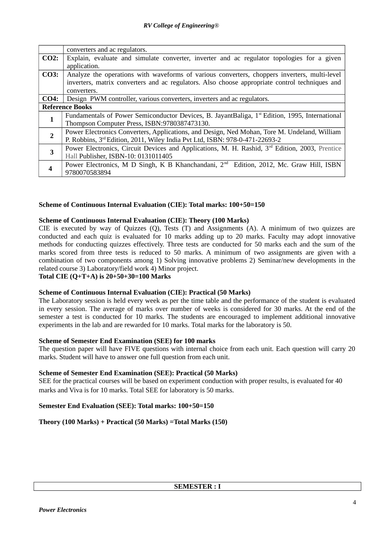|                         | converters and ac regulators.                                                                              |
|-------------------------|------------------------------------------------------------------------------------------------------------|
| $CO2$ :                 | Explain, evaluate and simulate converter, inverter and ac regulator topologies for a given                 |
|                         | application.                                                                                               |
| <b>CO3:</b>             | Analyze the operations with waveforms of various converters, choppers inverters, multi-level               |
|                         | inverters, matrix converters and ac regulators. Also choose appropriate control techniques and             |
|                         | converters.                                                                                                |
| CO4:                    | Design PWM controller, various converters, inverters and ac regulators.                                    |
|                         | <b>Reference Books</b>                                                                                     |
| 1                       | Fundamentals of Power Semiconductor Devices, B. JayantBaliga, 1 <sup>st</sup> Edition, 1995, International |
|                         | Thompson Computer Press, ISBN:9780387473130.                                                               |
| $\overline{2}$          | Power Electronics Converters, Applications, and Design, Ned Mohan, Tore M. Undeland, William               |
|                         | P. Robbins, 3rd Edition, 2011, Wiley India Pvt Ltd, ISBN: 978-0-471-22693-2                                |
| $\overline{\mathbf{3}}$ | Power Electronics, Circuit Devices and Applications, M. H. Rashid, 3 <sup>rd</sup> Edition, 2003, Prentice |
|                         | Hall Publisher, ISBN-10: 0131011405                                                                        |
| 4                       | Power Electronics, M D Singh, K B Khanchandani, 2 <sup>nd</sup> Edition, 2012, Mc. Graw Hill, ISBN         |
|                         | 9780070583894                                                                                              |

## **Scheme of Continuous Internal Evaluation (CIE): Total marks: 100+50=150**

## **Scheme of Continuous Internal Evaluation (CIE): Theory (100 Marks)**

CIE is executed by way of Quizzes (Q), Tests (T) and Assignments (A). A minimum of two quizzes are conducted and each quiz is evaluated for 10 marks adding up to 20 marks. Faculty may adopt innovative methods for conducting quizzes effectively. Three tests are conducted for 50 marks each and the sum of the marks scored from three tests is reduced to 50 marks. A minimum of two assignments are given with a combination of two components among 1) Solving innovative problems 2) Seminar/new developments in the related course 3) Laboratory/field work 4) Minor project.

#### **Total CIE (Q+T+A) is 20+50+30=100 Marks**

## **Scheme of Continuous Internal Evaluation (CIE): Practical (50 Marks)**

The Laboratory session is held every week as per the time table and the performance of the student is evaluated in every session. The average of marks over number of weeks is considered for 30 marks. At the end of the semester a test is conducted for 10 marks. The students are encouraged to implement additional innovative experiments in the lab and are rewarded for 10 marks. Total marks for the laboratory is 50.

## **Scheme of Semester End Examination (SEE) for 100 marks**

The question paper will have FIVE questions with internal choice from each unit. Each question will carry 20 marks. Student will have to answer one full question from each unit.

## **Scheme of Semester End Examination (SEE): Practical (50 Marks)**

SEE for the practical courses will be based on experiment conduction with proper results, is evaluated for 40 marks and Viva is for 10 marks. Total SEE for laboratory is 50 marks.

## **Semester End Evaluation (SEE): Total marks: 100+50=150**

## **Theory (100 Marks) + Practical (50 Marks) =Total Marks (150)**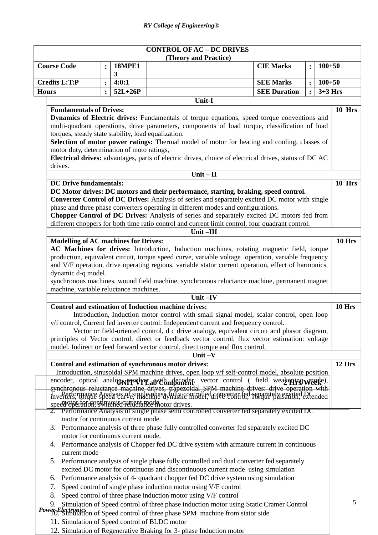|              |                                                       |                |                                                                                                                                       | <b>CONTROL OF AC - DC DRIVES</b>                                                                                                                                                               |                                         |                |            |               |
|--------------|-------------------------------------------------------|----------------|---------------------------------------------------------------------------------------------------------------------------------------|------------------------------------------------------------------------------------------------------------------------------------------------------------------------------------------------|-----------------------------------------|----------------|------------|---------------|
|              | <b>Course Code</b>                                    | $\ddot{\cdot}$ | <b>18MPE1</b>                                                                                                                         | (Theory and Practice)                                                                                                                                                                          | <b>CIE Marks</b>                        | $\ddot{\cdot}$ | $100 + 50$ |               |
|              |                                                       |                | 3                                                                                                                                     |                                                                                                                                                                                                |                                         |                |            |               |
| <b>Hours</b> | Credits L:T:P                                         | :              | 4:0:1<br>52L+26P                                                                                                                      |                                                                                                                                                                                                | <b>SEE Marks</b><br><b>SEE Duration</b> | $\ddot{\cdot}$ | $100 + 50$ | $3+3$ Hrs     |
|              |                                                       |                |                                                                                                                                       | Unit-I                                                                                                                                                                                         |                                         |                |            |               |
|              | <b>Fundamentals of Drives:</b>                        |                |                                                                                                                                       |                                                                                                                                                                                                |                                         |                |            | 10 Hrs        |
|              |                                                       |                |                                                                                                                                       | Dynamics of Electric drives: Fundamentals of torque equations, speed torque conventions and                                                                                                    |                                         |                |            |               |
|              |                                                       |                |                                                                                                                                       | multi-quadrant operations, drive parameters, components of load torque, classification of load                                                                                                 |                                         |                |            |               |
|              | torques, steady state stability, load equalization.   |                |                                                                                                                                       | Selection of motor power ratings: Thermal model of motor for heating and cooling, classes of                                                                                                   |                                         |                |            |               |
|              | motor duty, determination of moto ratings,            |                |                                                                                                                                       |                                                                                                                                                                                                |                                         |                |            |               |
|              |                                                       |                |                                                                                                                                       | Electrical drives: advantages, parts of electric drives, choice of electrical drives, status of DC AC                                                                                          |                                         |                |            |               |
|              | drives.                                               |                |                                                                                                                                       |                                                                                                                                                                                                |                                         |                |            |               |
|              |                                                       |                |                                                                                                                                       | $Unit - II$                                                                                                                                                                                    |                                         |                |            |               |
|              | <b>DC Drive fundamentals:</b>                         |                |                                                                                                                                       | DC Motor drives: DC motors and their performance, starting, braking, speed control.                                                                                                            |                                         |                |            | 10 Hrs        |
|              |                                                       |                |                                                                                                                                       | <b>Converter Control of DC Drives:</b> Analysis of series and separately excited DC motor with single                                                                                          |                                         |                |            |               |
|              |                                                       |                |                                                                                                                                       | phase and three phase converters operating in different modes and configurations.                                                                                                              |                                         |                |            |               |
|              |                                                       |                |                                                                                                                                       | Chopper Control of DC Drives: Analysis of series and separately excited DC motors fed from                                                                                                     |                                         |                |            |               |
|              |                                                       |                |                                                                                                                                       | different choppers for both time ratio control and current limit control, four quadrant control.<br>Unit-III                                                                                   |                                         |                |            |               |
|              | <b>Modelling of AC machines for Drives:</b>           |                |                                                                                                                                       |                                                                                                                                                                                                |                                         |                |            | <b>10 Hrs</b> |
|              |                                                       |                |                                                                                                                                       | AC Machines for drives: Introduction, Induction machines, rotating magnetic field, torque                                                                                                      |                                         |                |            |               |
|              |                                                       |                |                                                                                                                                       | production, equivalent circuit, torque speed curve, variable voltage operation, variable frequency                                                                                             |                                         |                |            |               |
|              |                                                       |                |                                                                                                                                       | and V/F operation, drive operating regions, variable stator current operation, effect of harmonics,                                                                                            |                                         |                |            |               |
|              | dynamic d-q model.                                    |                |                                                                                                                                       |                                                                                                                                                                                                |                                         |                |            |               |
|              |                                                       |                | synchronous machines, wound field machine, synchronous reluctance machine, permanent magnet<br>machine, variable reluctance machines. |                                                                                                                                                                                                |                                         |                |            |               |
|              |                                                       |                |                                                                                                                                       |                                                                                                                                                                                                |                                         |                |            |               |
|              |                                                       |                |                                                                                                                                       | Unit-IV                                                                                                                                                                                        |                                         |                |            |               |
|              |                                                       |                |                                                                                                                                       | <b>Control and estimation of Induction machine drives:</b>                                                                                                                                     |                                         |                |            | 10 Hrs        |
|              |                                                       |                |                                                                                                                                       | Introduction, Induction motor control with small signal model, scalar control, open loop                                                                                                       |                                         |                |            |               |
|              |                                                       |                |                                                                                                                                       | v/f control, Current fed inverter control: Independent current and frequency control.                                                                                                          |                                         |                |            |               |
|              |                                                       |                |                                                                                                                                       | Vector or field-oriented control, d c drive analogy, equivalent circuit and phasor diagram,                                                                                                    |                                         |                |            |               |
|              |                                                       |                |                                                                                                                                       | principles of Vector control, direct or feedback vector control, flux vector estimation: voltage<br>model. Indirect or feed forward vector control, direct torque and flux control,            |                                         |                |            |               |
|              |                                                       |                |                                                                                                                                       | Unit-V                                                                                                                                                                                         |                                         |                |            |               |
|              |                                                       |                |                                                                                                                                       | Control and estimation of synchronous motor drives:                                                                                                                                            |                                         |                |            | 12 Hrs        |
|              |                                                       |                |                                                                                                                                       | Introduction, sinusoidal SPM machine drives, open loop v/f self-control model, absolute position                                                                                               |                                         |                |            |               |
|              |                                                       |                |                                                                                                                                       | encoder, optical analogyresolveralweburgenent, vector control (field weakening weeke),                                                                                                         |                                         |                |            |               |
|              |                                                       |                |                                                                                                                                       | synchronous reluctance machine drives, trapezoidal SPM machine drives: drive operation with<br>Inverters, machine speels since in drives, trapezoidal SPM machine drives: drive operation with |                                         |                |            |               |
|              | speel oberation, switched Tenteral modernotor drives. |                |                                                                                                                                       |                                                                                                                                                                                                |                                         |                |            |               |
|              | motor for continuous current mode.                    |                |                                                                                                                                       | Performance Analysis of single phase semi controlled converter fed separately excited DC                                                                                                       |                                         |                |            |               |
|              | 3.                                                    |                |                                                                                                                                       | Performance analysis of three phase fully controlled converter fed separately excited DC                                                                                                       |                                         |                |            |               |
|              | motor for continuous current mode.                    |                |                                                                                                                                       |                                                                                                                                                                                                |                                         |                |            |               |
|              |                                                       |                |                                                                                                                                       | 4. Performance analysis of Chopper fed DC drive system with armature current in continuous                                                                                                     |                                         |                |            |               |
|              | current mode                                          |                |                                                                                                                                       |                                                                                                                                                                                                |                                         |                |            |               |
|              |                                                       |                |                                                                                                                                       | 5. Performance analysis of single phase fully controlled and dual converter fed separately<br>excited DC motor for continuous and discontinuous current mode using simulation                  |                                         |                |            |               |
|              | 6.                                                    |                |                                                                                                                                       | Performance analysis of 4- quadrant chopper fed DC drive system using simulation                                                                                                               |                                         |                |            |               |
|              | 7.                                                    |                |                                                                                                                                       | Speed control of single phase induction motor using V/F control                                                                                                                                |                                         |                |            |               |
|              | 8.                                                    |                |                                                                                                                                       | Speed control of three phase induction motor using V/F control                                                                                                                                 |                                         |                |            |               |
|              | 9.                                                    |                |                                                                                                                                       | Simulation of Speed control of three phase induction motor using Static Cramer Control                                                                                                         |                                         |                |            | 5             |
|              | 11. Simulation of Speed control of BLDC motor         |                |                                                                                                                                       | <b>Power</b> Electronics of Speed control of three phase SPM machine from stator side                                                                                                          |                                         |                |            |               |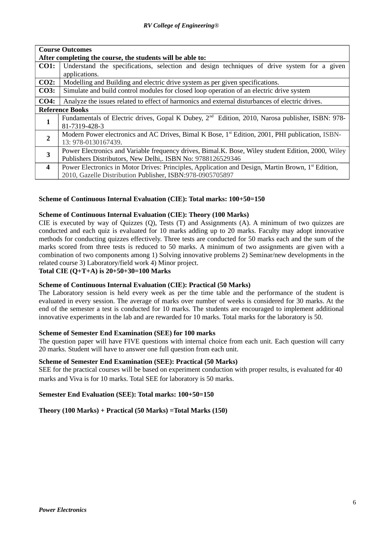|                  | <b>Course Outcomes</b>                                                                                        |
|------------------|---------------------------------------------------------------------------------------------------------------|
|                  | After completing the course, the students will be able to:                                                    |
| CO1:             | Understand the specifications, selection and design techniques of drive system for a given                    |
|                  | applications.                                                                                                 |
| $CO2$ :          | Modelling and Building and electric drive system as per given specifications.                                 |
| <b>CO3:</b>      | Simulate and build control modules for closed loop operation of an electric drive system                      |
| CO4:             | Analyze the issues related to effect of harmonics and external disturbances of electric drives.               |
|                  | <b>Reference Books</b>                                                                                        |
| 1                | Fundamentals of Electric drives, Gopal K Dubey, $2nd$ Edition, 2010, Narosa publisher, ISBN: 978-             |
|                  | 81-7319-428-3                                                                                                 |
| $\overline{2}$   | Modern Power electronics and AC Drives, Bimal K Bose, 1 <sup>st</sup> Edition, 2001, PHI publication, ISBN-   |
|                  | 13: 978-0130167439.                                                                                           |
| 3                | Power Electronics and Variable frequency drives, Bimal.K. Bose, Wiley student Edition, 2000, Wiley            |
|                  | Publishers Distributors, New Delhi,. ISBN No: 9788126529346                                                   |
| $\boldsymbol{4}$ | Power Electronics in Motor Drives: Principles, Application and Design, Martin Brown, 1 <sup>st</sup> Edition, |
|                  | 2010, Gazelle Distribution Publisher, ISBN:978-0905705897                                                     |

## **Scheme of Continuous Internal Evaluation (CIE): Total marks: 100+50=150**

#### **Scheme of Continuous Internal Evaluation (CIE): Theory (100 Marks)**

CIE is executed by way of Quizzes (Q), Tests (T) and Assignments (A). A minimum of two quizzes are conducted and each quiz is evaluated for 10 marks adding up to 20 marks. Faculty may adopt innovative methods for conducting quizzes effectively. Three tests are conducted for 50 marks each and the sum of the marks scored from three tests is reduced to 50 marks. A minimum of two assignments are given with a combination of two components among 1) Solving innovative problems 2) Seminar/new developments in the related course 3) Laboratory/field work 4) Minor project.

## **Total CIE (Q+T+A) is 20+50+30=100 Marks**

#### **Scheme of Continuous Internal Evaluation (CIE): Practical (50 Marks)**

The Laboratory session is held every week as per the time table and the performance of the student is evaluated in every session. The average of marks over number of weeks is considered for 30 marks. At the end of the semester a test is conducted for 10 marks. The students are encouraged to implement additional innovative experiments in the lab and are rewarded for 10 marks. Total marks for the laboratory is 50.

#### **Scheme of Semester End Examination (SEE) for 100 marks**

The question paper will have FIVE questions with internal choice from each unit. Each question will carry 20 marks. Student will have to answer one full question from each unit.

#### **Scheme of Semester End Examination (SEE): Practical (50 Marks)**

SEE for the practical courses will be based on experiment conduction with proper results, is evaluated for 40 marks and Viva is for 10 marks. Total SEE for laboratory is 50 marks.

#### **Semester End Evaluation (SEE): Total marks: 100+50=150**

**Theory (100 Marks) + Practical (50 Marks) =Total Marks (150)**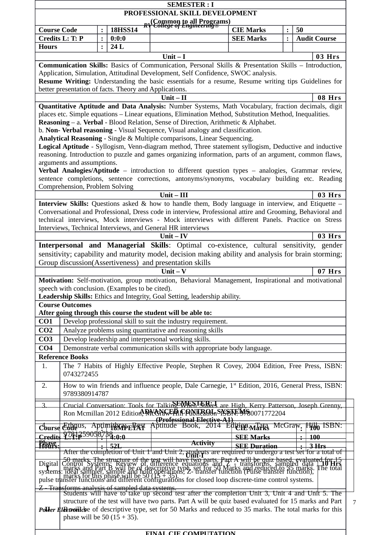| PROFESSIONAL SKILL DEVELOPMENT<br>(Common to all Programs)<br>( <i>College of Engineering</i> ®<br>$\mathbf{R}$<br><b>18HSS14</b><br><b>CIE Marks</b><br><b>Course Code</b><br>50<br>$\ddot{\cdot}$<br>Credits L: T: P<br><b>SEE Marks</b><br><b>Audit Course</b><br>$\ddot{\cdot}$<br>0:0:0<br>$\ddot{\cdot}$<br><b>Hours</b><br>24L<br>$\ddot{\cdot}$<br>Unit $-I$<br>03 Hrs<br>Communication Skills: Basics of Communication, Personal Skills & Presentation Skills - Introduction,<br>Application, Simulation, Attitudinal Development, Self Confidence, SWOC analysis.<br>Resume Writing: Understanding the basic essentials for a resume, Resume writing tips Guidelines for<br>better presentation of facts. Theory and Applications.<br>08 Hrs<br>Unit $-II$<br>Quantitative Aptitude and Data Analysis: Number Systems, Math Vocabulary, fraction decimals, digit<br>places etc. Simple equations - Linear equations, Elimination Method, Substitution Method, Inequalities.<br>Reasoning - a. Verbal - Blood Relation, Sense of Direction, Arithmetic & Alphabet.<br>b. Non- Verbal reasoning - Visual Sequence, Visual analogy and classification.<br>Analytical Reasoning - Single & Multiple comparisons, Linear Sequencing.<br>Logical Aptitude - Syllogism, Venn-diagram method, Three statement syllogism, Deductive and inductive<br>reasoning. Introduction to puzzle and games organizing information, parts of an argument, common flaws,<br>arguments and assumptions.<br><b>Verbal Analogies/Aptitude</b> – introduction to different question types – analogies, Grammar review,<br>sentence completions, sentence corrections, antonyms/synonyms, vocabulary building etc. Reading<br>Comprehension, Problem Solving<br>Unit-III<br>03 Hrs<br><b>Interview Skills:</b> Questions asked & how to handle them, Body language in interview, and Etiquette $-$<br>Conversational and Professional, Dress code in interview, Professional attire and Grooming, Behavioral and<br>technical interviews, Mock interviews - Mock interviews with different Panels. Practice on Stress<br>Interviews, Technical Interviews, and General HR interviews<br>03 Hrs<br>$Unit - IV$<br>Interpersonal and Managerial Skills: Optimal co-existence, cultural sensitivity, gender<br>sensitivity; capability and maturity model, decision making ability and analysis for brain storming;<br>Group discussion(Assertiveness) and presentation skills<br>Unit $-V$<br><b>07 Hrs</b><br>Motivation: Self-motivation, group motivation, Behavioral Management, Inspirational and motivational<br>speech with conclusion. (Examples to be cited).<br>Leadership Skills: Ethics and Integrity, Goal Setting, leadership ability.<br><b>Course Outcomes</b><br>After going through this course the student will be able to: |  |  |  |  |
|------------------------------------------------------------------------------------------------------------------------------------------------------------------------------------------------------------------------------------------------------------------------------------------------------------------------------------------------------------------------------------------------------------------------------------------------------------------------------------------------------------------------------------------------------------------------------------------------------------------------------------------------------------------------------------------------------------------------------------------------------------------------------------------------------------------------------------------------------------------------------------------------------------------------------------------------------------------------------------------------------------------------------------------------------------------------------------------------------------------------------------------------------------------------------------------------------------------------------------------------------------------------------------------------------------------------------------------------------------------------------------------------------------------------------------------------------------------------------------------------------------------------------------------------------------------------------------------------------------------------------------------------------------------------------------------------------------------------------------------------------------------------------------------------------------------------------------------------------------------------------------------------------------------------------------------------------------------------------------------------------------------------------------------------------------------------------------------------------------------------------------------------------------------------------------------------------------------------------------------------------------------------------------------------------------------------------------------------------------------------------------------------------------------------------------------------------------------------------------------------------------------------------------------------------------------------------------------------------------------------------------------------------------------------------------------------------------------------------------------------------------------------------------------------------------------------------|--|--|--|--|
|                                                                                                                                                                                                                                                                                                                                                                                                                                                                                                                                                                                                                                                                                                                                                                                                                                                                                                                                                                                                                                                                                                                                                                                                                                                                                                                                                                                                                                                                                                                                                                                                                                                                                                                                                                                                                                                                                                                                                                                                                                                                                                                                                                                                                                                                                                                                                                                                                                                                                                                                                                                                                                                                                                                                                                                                                              |  |  |  |  |
|                                                                                                                                                                                                                                                                                                                                                                                                                                                                                                                                                                                                                                                                                                                                                                                                                                                                                                                                                                                                                                                                                                                                                                                                                                                                                                                                                                                                                                                                                                                                                                                                                                                                                                                                                                                                                                                                                                                                                                                                                                                                                                                                                                                                                                                                                                                                                                                                                                                                                                                                                                                                                                                                                                                                                                                                                              |  |  |  |  |
|                                                                                                                                                                                                                                                                                                                                                                                                                                                                                                                                                                                                                                                                                                                                                                                                                                                                                                                                                                                                                                                                                                                                                                                                                                                                                                                                                                                                                                                                                                                                                                                                                                                                                                                                                                                                                                                                                                                                                                                                                                                                                                                                                                                                                                                                                                                                                                                                                                                                                                                                                                                                                                                                                                                                                                                                                              |  |  |  |  |
|                                                                                                                                                                                                                                                                                                                                                                                                                                                                                                                                                                                                                                                                                                                                                                                                                                                                                                                                                                                                                                                                                                                                                                                                                                                                                                                                                                                                                                                                                                                                                                                                                                                                                                                                                                                                                                                                                                                                                                                                                                                                                                                                                                                                                                                                                                                                                                                                                                                                                                                                                                                                                                                                                                                                                                                                                              |  |  |  |  |
|                                                                                                                                                                                                                                                                                                                                                                                                                                                                                                                                                                                                                                                                                                                                                                                                                                                                                                                                                                                                                                                                                                                                                                                                                                                                                                                                                                                                                                                                                                                                                                                                                                                                                                                                                                                                                                                                                                                                                                                                                                                                                                                                                                                                                                                                                                                                                                                                                                                                                                                                                                                                                                                                                                                                                                                                                              |  |  |  |  |
|                                                                                                                                                                                                                                                                                                                                                                                                                                                                                                                                                                                                                                                                                                                                                                                                                                                                                                                                                                                                                                                                                                                                                                                                                                                                                                                                                                                                                                                                                                                                                                                                                                                                                                                                                                                                                                                                                                                                                                                                                                                                                                                                                                                                                                                                                                                                                                                                                                                                                                                                                                                                                                                                                                                                                                                                                              |  |  |  |  |
|                                                                                                                                                                                                                                                                                                                                                                                                                                                                                                                                                                                                                                                                                                                                                                                                                                                                                                                                                                                                                                                                                                                                                                                                                                                                                                                                                                                                                                                                                                                                                                                                                                                                                                                                                                                                                                                                                                                                                                                                                                                                                                                                                                                                                                                                                                                                                                                                                                                                                                                                                                                                                                                                                                                                                                                                                              |  |  |  |  |
|                                                                                                                                                                                                                                                                                                                                                                                                                                                                                                                                                                                                                                                                                                                                                                                                                                                                                                                                                                                                                                                                                                                                                                                                                                                                                                                                                                                                                                                                                                                                                                                                                                                                                                                                                                                                                                                                                                                                                                                                                                                                                                                                                                                                                                                                                                                                                                                                                                                                                                                                                                                                                                                                                                                                                                                                                              |  |  |  |  |
|                                                                                                                                                                                                                                                                                                                                                                                                                                                                                                                                                                                                                                                                                                                                                                                                                                                                                                                                                                                                                                                                                                                                                                                                                                                                                                                                                                                                                                                                                                                                                                                                                                                                                                                                                                                                                                                                                                                                                                                                                                                                                                                                                                                                                                                                                                                                                                                                                                                                                                                                                                                                                                                                                                                                                                                                                              |  |  |  |  |
|                                                                                                                                                                                                                                                                                                                                                                                                                                                                                                                                                                                                                                                                                                                                                                                                                                                                                                                                                                                                                                                                                                                                                                                                                                                                                                                                                                                                                                                                                                                                                                                                                                                                                                                                                                                                                                                                                                                                                                                                                                                                                                                                                                                                                                                                                                                                                                                                                                                                                                                                                                                                                                                                                                                                                                                                                              |  |  |  |  |
|                                                                                                                                                                                                                                                                                                                                                                                                                                                                                                                                                                                                                                                                                                                                                                                                                                                                                                                                                                                                                                                                                                                                                                                                                                                                                                                                                                                                                                                                                                                                                                                                                                                                                                                                                                                                                                                                                                                                                                                                                                                                                                                                                                                                                                                                                                                                                                                                                                                                                                                                                                                                                                                                                                                                                                                                                              |  |  |  |  |
|                                                                                                                                                                                                                                                                                                                                                                                                                                                                                                                                                                                                                                                                                                                                                                                                                                                                                                                                                                                                                                                                                                                                                                                                                                                                                                                                                                                                                                                                                                                                                                                                                                                                                                                                                                                                                                                                                                                                                                                                                                                                                                                                                                                                                                                                                                                                                                                                                                                                                                                                                                                                                                                                                                                                                                                                                              |  |  |  |  |
|                                                                                                                                                                                                                                                                                                                                                                                                                                                                                                                                                                                                                                                                                                                                                                                                                                                                                                                                                                                                                                                                                                                                                                                                                                                                                                                                                                                                                                                                                                                                                                                                                                                                                                                                                                                                                                                                                                                                                                                                                                                                                                                                                                                                                                                                                                                                                                                                                                                                                                                                                                                                                                                                                                                                                                                                                              |  |  |  |  |
|                                                                                                                                                                                                                                                                                                                                                                                                                                                                                                                                                                                                                                                                                                                                                                                                                                                                                                                                                                                                                                                                                                                                                                                                                                                                                                                                                                                                                                                                                                                                                                                                                                                                                                                                                                                                                                                                                                                                                                                                                                                                                                                                                                                                                                                                                                                                                                                                                                                                                                                                                                                                                                                                                                                                                                                                                              |  |  |  |  |
|                                                                                                                                                                                                                                                                                                                                                                                                                                                                                                                                                                                                                                                                                                                                                                                                                                                                                                                                                                                                                                                                                                                                                                                                                                                                                                                                                                                                                                                                                                                                                                                                                                                                                                                                                                                                                                                                                                                                                                                                                                                                                                                                                                                                                                                                                                                                                                                                                                                                                                                                                                                                                                                                                                                                                                                                                              |  |  |  |  |
|                                                                                                                                                                                                                                                                                                                                                                                                                                                                                                                                                                                                                                                                                                                                                                                                                                                                                                                                                                                                                                                                                                                                                                                                                                                                                                                                                                                                                                                                                                                                                                                                                                                                                                                                                                                                                                                                                                                                                                                                                                                                                                                                                                                                                                                                                                                                                                                                                                                                                                                                                                                                                                                                                                                                                                                                                              |  |  |  |  |
|                                                                                                                                                                                                                                                                                                                                                                                                                                                                                                                                                                                                                                                                                                                                                                                                                                                                                                                                                                                                                                                                                                                                                                                                                                                                                                                                                                                                                                                                                                                                                                                                                                                                                                                                                                                                                                                                                                                                                                                                                                                                                                                                                                                                                                                                                                                                                                                                                                                                                                                                                                                                                                                                                                                                                                                                                              |  |  |  |  |
|                                                                                                                                                                                                                                                                                                                                                                                                                                                                                                                                                                                                                                                                                                                                                                                                                                                                                                                                                                                                                                                                                                                                                                                                                                                                                                                                                                                                                                                                                                                                                                                                                                                                                                                                                                                                                                                                                                                                                                                                                                                                                                                                                                                                                                                                                                                                                                                                                                                                                                                                                                                                                                                                                                                                                                                                                              |  |  |  |  |
|                                                                                                                                                                                                                                                                                                                                                                                                                                                                                                                                                                                                                                                                                                                                                                                                                                                                                                                                                                                                                                                                                                                                                                                                                                                                                                                                                                                                                                                                                                                                                                                                                                                                                                                                                                                                                                                                                                                                                                                                                                                                                                                                                                                                                                                                                                                                                                                                                                                                                                                                                                                                                                                                                                                                                                                                                              |  |  |  |  |
|                                                                                                                                                                                                                                                                                                                                                                                                                                                                                                                                                                                                                                                                                                                                                                                                                                                                                                                                                                                                                                                                                                                                                                                                                                                                                                                                                                                                                                                                                                                                                                                                                                                                                                                                                                                                                                                                                                                                                                                                                                                                                                                                                                                                                                                                                                                                                                                                                                                                                                                                                                                                                                                                                                                                                                                                                              |  |  |  |  |
|                                                                                                                                                                                                                                                                                                                                                                                                                                                                                                                                                                                                                                                                                                                                                                                                                                                                                                                                                                                                                                                                                                                                                                                                                                                                                                                                                                                                                                                                                                                                                                                                                                                                                                                                                                                                                                                                                                                                                                                                                                                                                                                                                                                                                                                                                                                                                                                                                                                                                                                                                                                                                                                                                                                                                                                                                              |  |  |  |  |
|                                                                                                                                                                                                                                                                                                                                                                                                                                                                                                                                                                                                                                                                                                                                                                                                                                                                                                                                                                                                                                                                                                                                                                                                                                                                                                                                                                                                                                                                                                                                                                                                                                                                                                                                                                                                                                                                                                                                                                                                                                                                                                                                                                                                                                                                                                                                                                                                                                                                                                                                                                                                                                                                                                                                                                                                                              |  |  |  |  |
|                                                                                                                                                                                                                                                                                                                                                                                                                                                                                                                                                                                                                                                                                                                                                                                                                                                                                                                                                                                                                                                                                                                                                                                                                                                                                                                                                                                                                                                                                                                                                                                                                                                                                                                                                                                                                                                                                                                                                                                                                                                                                                                                                                                                                                                                                                                                                                                                                                                                                                                                                                                                                                                                                                                                                                                                                              |  |  |  |  |
|                                                                                                                                                                                                                                                                                                                                                                                                                                                                                                                                                                                                                                                                                                                                                                                                                                                                                                                                                                                                                                                                                                                                                                                                                                                                                                                                                                                                                                                                                                                                                                                                                                                                                                                                                                                                                                                                                                                                                                                                                                                                                                                                                                                                                                                                                                                                                                                                                                                                                                                                                                                                                                                                                                                                                                                                                              |  |  |  |  |
|                                                                                                                                                                                                                                                                                                                                                                                                                                                                                                                                                                                                                                                                                                                                                                                                                                                                                                                                                                                                                                                                                                                                                                                                                                                                                                                                                                                                                                                                                                                                                                                                                                                                                                                                                                                                                                                                                                                                                                                                                                                                                                                                                                                                                                                                                                                                                                                                                                                                                                                                                                                                                                                                                                                                                                                                                              |  |  |  |  |
|                                                                                                                                                                                                                                                                                                                                                                                                                                                                                                                                                                                                                                                                                                                                                                                                                                                                                                                                                                                                                                                                                                                                                                                                                                                                                                                                                                                                                                                                                                                                                                                                                                                                                                                                                                                                                                                                                                                                                                                                                                                                                                                                                                                                                                                                                                                                                                                                                                                                                                                                                                                                                                                                                                                                                                                                                              |  |  |  |  |
|                                                                                                                                                                                                                                                                                                                                                                                                                                                                                                                                                                                                                                                                                                                                                                                                                                                                                                                                                                                                                                                                                                                                                                                                                                                                                                                                                                                                                                                                                                                                                                                                                                                                                                                                                                                                                                                                                                                                                                                                                                                                                                                                                                                                                                                                                                                                                                                                                                                                                                                                                                                                                                                                                                                                                                                                                              |  |  |  |  |
|                                                                                                                                                                                                                                                                                                                                                                                                                                                                                                                                                                                                                                                                                                                                                                                                                                                                                                                                                                                                                                                                                                                                                                                                                                                                                                                                                                                                                                                                                                                                                                                                                                                                                                                                                                                                                                                                                                                                                                                                                                                                                                                                                                                                                                                                                                                                                                                                                                                                                                                                                                                                                                                                                                                                                                                                                              |  |  |  |  |
|                                                                                                                                                                                                                                                                                                                                                                                                                                                                                                                                                                                                                                                                                                                                                                                                                                                                                                                                                                                                                                                                                                                                                                                                                                                                                                                                                                                                                                                                                                                                                                                                                                                                                                                                                                                                                                                                                                                                                                                                                                                                                                                                                                                                                                                                                                                                                                                                                                                                                                                                                                                                                                                                                                                                                                                                                              |  |  |  |  |
|                                                                                                                                                                                                                                                                                                                                                                                                                                                                                                                                                                                                                                                                                                                                                                                                                                                                                                                                                                                                                                                                                                                                                                                                                                                                                                                                                                                                                                                                                                                                                                                                                                                                                                                                                                                                                                                                                                                                                                                                                                                                                                                                                                                                                                                                                                                                                                                                                                                                                                                                                                                                                                                                                                                                                                                                                              |  |  |  |  |
|                                                                                                                                                                                                                                                                                                                                                                                                                                                                                                                                                                                                                                                                                                                                                                                                                                                                                                                                                                                                                                                                                                                                                                                                                                                                                                                                                                                                                                                                                                                                                                                                                                                                                                                                                                                                                                                                                                                                                                                                                                                                                                                                                                                                                                                                                                                                                                                                                                                                                                                                                                                                                                                                                                                                                                                                                              |  |  |  |  |
|                                                                                                                                                                                                                                                                                                                                                                                                                                                                                                                                                                                                                                                                                                                                                                                                                                                                                                                                                                                                                                                                                                                                                                                                                                                                                                                                                                                                                                                                                                                                                                                                                                                                                                                                                                                                                                                                                                                                                                                                                                                                                                                                                                                                                                                                                                                                                                                                                                                                                                                                                                                                                                                                                                                                                                                                                              |  |  |  |  |
|                                                                                                                                                                                                                                                                                                                                                                                                                                                                                                                                                                                                                                                                                                                                                                                                                                                                                                                                                                                                                                                                                                                                                                                                                                                                                                                                                                                                                                                                                                                                                                                                                                                                                                                                                                                                                                                                                                                                                                                                                                                                                                                                                                                                                                                                                                                                                                                                                                                                                                                                                                                                                                                                                                                                                                                                                              |  |  |  |  |
|                                                                                                                                                                                                                                                                                                                                                                                                                                                                                                                                                                                                                                                                                                                                                                                                                                                                                                                                                                                                                                                                                                                                                                                                                                                                                                                                                                                                                                                                                                                                                                                                                                                                                                                                                                                                                                                                                                                                                                                                                                                                                                                                                                                                                                                                                                                                                                                                                                                                                                                                                                                                                                                                                                                                                                                                                              |  |  |  |  |
|                                                                                                                                                                                                                                                                                                                                                                                                                                                                                                                                                                                                                                                                                                                                                                                                                                                                                                                                                                                                                                                                                                                                                                                                                                                                                                                                                                                                                                                                                                                                                                                                                                                                                                                                                                                                                                                                                                                                                                                                                                                                                                                                                                                                                                                                                                                                                                                                                                                                                                                                                                                                                                                                                                                                                                                                                              |  |  |  |  |
|                                                                                                                                                                                                                                                                                                                                                                                                                                                                                                                                                                                                                                                                                                                                                                                                                                                                                                                                                                                                                                                                                                                                                                                                                                                                                                                                                                                                                                                                                                                                                                                                                                                                                                                                                                                                                                                                                                                                                                                                                                                                                                                                                                                                                                                                                                                                                                                                                                                                                                                                                                                                                                                                                                                                                                                                                              |  |  |  |  |
|                                                                                                                                                                                                                                                                                                                                                                                                                                                                                                                                                                                                                                                                                                                                                                                                                                                                                                                                                                                                                                                                                                                                                                                                                                                                                                                                                                                                                                                                                                                                                                                                                                                                                                                                                                                                                                                                                                                                                                                                                                                                                                                                                                                                                                                                                                                                                                                                                                                                                                                                                                                                                                                                                                                                                                                                                              |  |  |  |  |
|                                                                                                                                                                                                                                                                                                                                                                                                                                                                                                                                                                                                                                                                                                                                                                                                                                                                                                                                                                                                                                                                                                                                                                                                                                                                                                                                                                                                                                                                                                                                                                                                                                                                                                                                                                                                                                                                                                                                                                                                                                                                                                                                                                                                                                                                                                                                                                                                                                                                                                                                                                                                                                                                                                                                                                                                                              |  |  |  |  |
| Develop professional skill to suit the industry requirement.<br>CO <sub>1</sub>                                                                                                                                                                                                                                                                                                                                                                                                                                                                                                                                                                                                                                                                                                                                                                                                                                                                                                                                                                                                                                                                                                                                                                                                                                                                                                                                                                                                                                                                                                                                                                                                                                                                                                                                                                                                                                                                                                                                                                                                                                                                                                                                                                                                                                                                                                                                                                                                                                                                                                                                                                                                                                                                                                                                              |  |  |  |  |
| CO <sub>2</sub><br>Analyze problems using quantitative and reasoning skills                                                                                                                                                                                                                                                                                                                                                                                                                                                                                                                                                                                                                                                                                                                                                                                                                                                                                                                                                                                                                                                                                                                                                                                                                                                                                                                                                                                                                                                                                                                                                                                                                                                                                                                                                                                                                                                                                                                                                                                                                                                                                                                                                                                                                                                                                                                                                                                                                                                                                                                                                                                                                                                                                                                                                  |  |  |  |  |
| Develop leadership and interpersonal working skills.<br>CO <sub>3</sub>                                                                                                                                                                                                                                                                                                                                                                                                                                                                                                                                                                                                                                                                                                                                                                                                                                                                                                                                                                                                                                                                                                                                                                                                                                                                                                                                                                                                                                                                                                                                                                                                                                                                                                                                                                                                                                                                                                                                                                                                                                                                                                                                                                                                                                                                                                                                                                                                                                                                                                                                                                                                                                                                                                                                                      |  |  |  |  |
| CO <sub>4</sub><br>Demonstrate verbal communication skills with appropriate body language.                                                                                                                                                                                                                                                                                                                                                                                                                                                                                                                                                                                                                                                                                                                                                                                                                                                                                                                                                                                                                                                                                                                                                                                                                                                                                                                                                                                                                                                                                                                                                                                                                                                                                                                                                                                                                                                                                                                                                                                                                                                                                                                                                                                                                                                                                                                                                                                                                                                                                                                                                                                                                                                                                                                                   |  |  |  |  |
| <b>Reference Books</b>                                                                                                                                                                                                                                                                                                                                                                                                                                                                                                                                                                                                                                                                                                                                                                                                                                                                                                                                                                                                                                                                                                                                                                                                                                                                                                                                                                                                                                                                                                                                                                                                                                                                                                                                                                                                                                                                                                                                                                                                                                                                                                                                                                                                                                                                                                                                                                                                                                                                                                                                                                                                                                                                                                                                                                                                       |  |  |  |  |
| 1.<br>The 7 Habits of Highly Effective People, Stephen R Covey, 2004 Edition, Free Press, ISBN:                                                                                                                                                                                                                                                                                                                                                                                                                                                                                                                                                                                                                                                                                                                                                                                                                                                                                                                                                                                                                                                                                                                                                                                                                                                                                                                                                                                                                                                                                                                                                                                                                                                                                                                                                                                                                                                                                                                                                                                                                                                                                                                                                                                                                                                                                                                                                                                                                                                                                                                                                                                                                                                                                                                              |  |  |  |  |
| 0743272455                                                                                                                                                                                                                                                                                                                                                                                                                                                                                                                                                                                                                                                                                                                                                                                                                                                                                                                                                                                                                                                                                                                                                                                                                                                                                                                                                                                                                                                                                                                                                                                                                                                                                                                                                                                                                                                                                                                                                                                                                                                                                                                                                                                                                                                                                                                                                                                                                                                                                                                                                                                                                                                                                                                                                                                                                   |  |  |  |  |
| 2.                                                                                                                                                                                                                                                                                                                                                                                                                                                                                                                                                                                                                                                                                                                                                                                                                                                                                                                                                                                                                                                                                                                                                                                                                                                                                                                                                                                                                                                                                                                                                                                                                                                                                                                                                                                                                                                                                                                                                                                                                                                                                                                                                                                                                                                                                                                                                                                                                                                                                                                                                                                                                                                                                                                                                                                                                           |  |  |  |  |
| How to win friends and influence people, Dale Carnegie, 1 <sup>st</sup> Edition, 2016, General Press, ISBN:<br>9789380914787                                                                                                                                                                                                                                                                                                                                                                                                                                                                                                                                                                                                                                                                                                                                                                                                                                                                                                                                                                                                                                                                                                                                                                                                                                                                                                                                                                                                                                                                                                                                                                                                                                                                                                                                                                                                                                                                                                                                                                                                                                                                                                                                                                                                                                                                                                                                                                                                                                                                                                                                                                                                                                                                                                 |  |  |  |  |
|                                                                                                                                                                                                                                                                                                                                                                                                                                                                                                                                                                                                                                                                                                                                                                                                                                                                                                                                                                                                                                                                                                                                                                                                                                                                                                                                                                                                                                                                                                                                                                                                                                                                                                                                                                                                                                                                                                                                                                                                                                                                                                                                                                                                                                                                                                                                                                                                                                                                                                                                                                                                                                                                                                                                                                                                                              |  |  |  |  |
| Crucial Conversation: Tools for Talking When Grakes are High, Kerry Patterson, Joseph Grenny,<br>3                                                                                                                                                                                                                                                                                                                                                                                                                                                                                                                                                                                                                                                                                                                                                                                                                                                                                                                                                                                                                                                                                                                                                                                                                                                                                                                                                                                                                                                                                                                                                                                                                                                                                                                                                                                                                                                                                                                                                                                                                                                                                                                                                                                                                                                                                                                                                                                                                                                                                                                                                                                                                                                                                                                           |  |  |  |  |
| Ron Mcmillan 2012 Edition, McCharlem Contractor SKSKE M50071772204                                                                                                                                                                                                                                                                                                                                                                                                                                                                                                                                                                                                                                                                                                                                                                                                                                                                                                                                                                                                                                                                                                                                                                                                                                                                                                                                                                                                                                                                                                                                                                                                                                                                                                                                                                                                                                                                                                                                                                                                                                                                                                                                                                                                                                                                                                                                                                                                                                                                                                                                                                                                                                                                                                                                                           |  |  |  |  |
| (Professional Elective-A1)                                                                                                                                                                                                                                                                                                                                                                                                                                                                                                                                                                                                                                                                                                                                                                                                                                                                                                                                                                                                                                                                                                                                                                                                                                                                                                                                                                                                                                                                                                                                                                                                                                                                                                                                                                                                                                                                                                                                                                                                                                                                                                                                                                                                                                                                                                                                                                                                                                                                                                                                                                                                                                                                                                                                                                                                   |  |  |  |  |
| Aptitude Book, 2014 Edi <del>cipe<sub>'</sub>Marks</del> McGraw <sub>:</sub><br><b>H<sub>ilo</sub> ISBN:</b><br>Course Codeus, Aptimie WipEPAST                                                                                                                                                                                                                                                                                                                                                                                                                                                                                                                                                                                                                                                                                                                                                                                                                                                                                                                                                                                                                                                                                                                                                                                                                                                                                                                                                                                                                                                                                                                                                                                                                                                                                                                                                                                                                                                                                                                                                                                                                                                                                                                                                                                                                                                                                                                                                                                                                                                                                                                                                                                                                                                                              |  |  |  |  |
| 9781259058789.0.0<br>Credits<br>100<br><b>SEE Marks</b>                                                                                                                                                                                                                                                                                                                                                                                                                                                                                                                                                                                                                                                                                                                                                                                                                                                                                                                                                                                                                                                                                                                                                                                                                                                                                                                                                                                                                                                                                                                                                                                                                                                                                                                                                                                                                                                                                                                                                                                                                                                                                                                                                                                                                                                                                                                                                                                                                                                                                                                                                                                                                                                                                                                                                                      |  |  |  |  |
| <b>Activity</b><br><b>Phase.</b><br>$3$ Hrs<br><b>SEE Duration</b>                                                                                                                                                                                                                                                                                                                                                                                                                                                                                                                                                                                                                                                                                                                                                                                                                                                                                                                                                                                                                                                                                                                                                                                                                                                                                                                                                                                                                                                                                                                                                                                                                                                                                                                                                                                                                                                                                                                                                                                                                                                                                                                                                                                                                                                                                                                                                                                                                                                                                                                                                                                                                                                                                                                                                           |  |  |  |  |
| After the completion of Unit $1$ and Unit 2, students are required to undergo a test set for a total of                                                                                                                                                                                                                                                                                                                                                                                                                                                                                                                                                                                                                                                                                                                                                                                                                                                                                                                                                                                                                                                                                                                                                                                                                                                                                                                                                                                                                                                                                                                                                                                                                                                                                                                                                                                                                                                                                                                                                                                                                                                                                                                                                                                                                                                                                                                                                                                                                                                                                                                                                                                                                                                                                                                      |  |  |  |  |
| 50 marks. The structure of the test will have two parts. Part A will be quiz based, evaluated for 15<br>Digital Control Systems: Review of difference equations and Z - transforms, sampled data (for 15<br>systems: ideal sampler,                                                                                                                                                                                                                                                                                                                                                                                                                                                                                                                                                                                                                                                                                                                                                                                                                                                                                                                                                                                                                                                                                                                                                                                                                                                                                                                                                                                                                                                                                                                                                                                                                                                                                                                                                                                                                                                                                                                                                                                                                                                                                                                                                                                                                                                                                                                                                                                                                                                                                                                                                                                          |  |  |  |  |
| ll'he total                                                                                                                                                                                                                                                                                                                                                                                                                                                                                                                                                                                                                                                                                                                                                                                                                                                                                                                                                                                                                                                                                                                                                                                                                                                                                                                                                                                                                                                                                                                                                                                                                                                                                                                                                                                                                                                                                                                                                                                                                                                                                                                                                                                                                                                                                                                                                                                                                                                                                                                                                                                                                                                                                                                                                                                                                  |  |  |  |  |
|                                                                                                                                                                                                                                                                                                                                                                                                                                                                                                                                                                                                                                                                                                                                                                                                                                                                                                                                                                                                                                                                                                                                                                                                                                                                                                                                                                                                                                                                                                                                                                                                                                                                                                                                                                                                                                                                                                                                                                                                                                                                                                                                                                                                                                                                                                                                                                                                                                                                                                                                                                                                                                                                                                                                                                                                                              |  |  |  |  |
| Z - Transforms analysis of sampled data systems.                                                                                                                                                                                                                                                                                                                                                                                                                                                                                                                                                                                                                                                                                                                                                                                                                                                                                                                                                                                                                                                                                                                                                                                                                                                                                                                                                                                                                                                                                                                                                                                                                                                                                                                                                                                                                                                                                                                                                                                                                                                                                                                                                                                                                                                                                                                                                                                                                                                                                                                                                                                                                                                                                                                                                                             |  |  |  |  |
| Students will have to take up second test after the completion Unit 3, Unit 4 and Unit 5. The                                                                                                                                                                                                                                                                                                                                                                                                                                                                                                                                                                                                                                                                                                                                                                                                                                                                                                                                                                                                                                                                                                                                                                                                                                                                                                                                                                                                                                                                                                                                                                                                                                                                                                                                                                                                                                                                                                                                                                                                                                                                                                                                                                                                                                                                                                                                                                                                                                                                                                                                                                                                                                                                                                                                |  |  |  |  |
|                                                                                                                                                                                                                                                                                                                                                                                                                                                                                                                                                                                                                                                                                                                                                                                                                                                                                                                                                                                                                                                                                                                                                                                                                                                                                                                                                                                                                                                                                                                                                                                                                                                                                                                                                                                                                                                                                                                                                                                                                                                                                                                                                                                                                                                                                                                                                                                                                                                                                                                                                                                                                                                                                                                                                                                                                              |  |  |  |  |
| structure of the test will have two parts. Part A will be quiz based evaluated for 15 marks and Part                                                                                                                                                                                                                                                                                                                                                                                                                                                                                                                                                                                                                                                                                                                                                                                                                                                                                                                                                                                                                                                                                                                                                                                                                                                                                                                                                                                                                                                                                                                                                                                                                                                                                                                                                                                                                                                                                                                                                                                                                                                                                                                                                                                                                                                                                                                                                                                                                                                                                                                                                                                                                                                                                                                         |  |  |  |  |
| Poller Elletroiliche of descriptive type, set for 50 Marks and reduced to 35 marks. The total marks for this                                                                                                                                                                                                                                                                                                                                                                                                                                                                                                                                                                                                                                                                                                                                                                                                                                                                                                                                                                                                                                                                                                                                                                                                                                                                                                                                                                                                                                                                                                                                                                                                                                                                                                                                                                                                                                                                                                                                                                                                                                                                                                                                                                                                                                                                                                                                                                                                                                                                                                                                                                                                                                                                                                                 |  |  |  |  |
| phase will be $50(15 + 35)$ .                                                                                                                                                                                                                                                                                                                                                                                                                                                                                                                                                                                                                                                                                                                                                                                                                                                                                                                                                                                                                                                                                                                                                                                                                                                                                                                                                                                                                                                                                                                                                                                                                                                                                                                                                                                                                                                                                                                                                                                                                                                                                                                                                                                                                                                                                                                                                                                                                                                                                                                                                                                                                                                                                                                                                                                                |  |  |  |  |

#### **FINAL CIE COMPUTATION**

7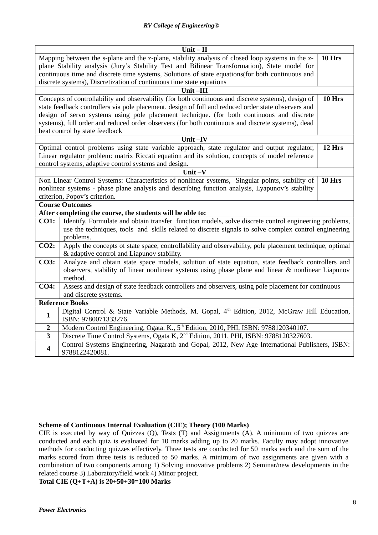|                         | $Unit - II$                                                                                                      |        |  |  |
|-------------------------|------------------------------------------------------------------------------------------------------------------|--------|--|--|
|                         | Mapping between the s-plane and the z-plane, stability analysis of closed loop systems in the z-                 | 10 Hrs |  |  |
|                         | plane Stability analysis (Jury's Stability Test and Bilinear Transformation), State model for                    |        |  |  |
|                         | continuous time and discrete time systems, Solutions of state equations(for both continuous and                  |        |  |  |
|                         | discrete systems), Discretization of continuous time state equations                                             |        |  |  |
|                         | Unit-III                                                                                                         |        |  |  |
|                         | Concepts of controllability and observability (for both continuous and discrete systems), design of              | 10 Hrs |  |  |
|                         | state feedback controllers via pole placement, design of full and reduced order state observers and              |        |  |  |
|                         | design of servo systems using pole placement technique. (for both continuous and discrete                        |        |  |  |
|                         | systems), full order and reduced order observers (for both continuous and discrete systems), dead                |        |  |  |
|                         | beat control by state feedback                                                                                   |        |  |  |
|                         | Unit-IV                                                                                                          |        |  |  |
|                         | Optimal control problems using state variable approach, state regulator and output regulator,                    | 12 Hrs |  |  |
|                         | Linear regulator problem: matrix Riccati equation and its solution, concepts of model reference                  |        |  |  |
|                         | control systems, adaptive control systems and design.                                                            |        |  |  |
|                         | Unit-V                                                                                                           |        |  |  |
|                         | Non Linear Control Systems: Characteristics of nonlinear systems, Singular points, stability of                  | 10 Hrs |  |  |
|                         | nonlinear systems - phase plane analysis and describing function analysis, Lyapunov's stability                  |        |  |  |
|                         | criterion, Popov's criterion.                                                                                    |        |  |  |
|                         | <b>Course Outcomes</b>                                                                                           |        |  |  |
|                         | After completing the course, the students will be able to:                                                       |        |  |  |
| <b>CO1:</b>             | Identify, Formulate and obtain transfer function models, solve discrete control engineering problems,            |        |  |  |
|                         | use the techniques, tools and skills related to discrete signals to solve complex control engineering            |        |  |  |
|                         | problems.                                                                                                        |        |  |  |
| <b>CO2:</b>             | Apply the concepts of state space, controllability and observability, pole placement technique, optimal          |        |  |  |
|                         | & adaptive control and Liapunov stability.                                                                       |        |  |  |
| <b>CO3:</b>             | Analyze and obtain state space models, solution of state equation, state feedback controllers and                |        |  |  |
|                         | observers, stability of linear nonlinear systems using phase plane and linear & nonlinear Liapunov               |        |  |  |
|                         | method.                                                                                                          |        |  |  |
| <b>CO4:</b>             | Assess and design of state feedback controllers and observers, using pole placement for continuous               |        |  |  |
|                         | and discrete systems.                                                                                            |        |  |  |
|                         | <b>Reference Books</b>                                                                                           |        |  |  |
| $\mathbf{1}$            | Digital Control & State Variable Methods, M. Gopal, 4 <sup>th</sup> Edition, 2012, McGraw Hill Education,        |        |  |  |
|                         | ISBN: 9780071333276.                                                                                             |        |  |  |
| $\overline{\mathbf{2}}$ | Modern Control Engineering, Ogata. K., 5 <sup>th</sup> Edition, 2010, PHI, ISBN: 9788120340107.                  |        |  |  |
| 3                       | Discrete Time Control Systems, Ogata K, 2 <sup>nd</sup> Edition, 2011, PHI, ISBN: 9788120327603.                 |        |  |  |
| $\overline{\mathbf{4}}$ | Control Systems Engineering, Nagarath and Gopal, 2012, New Age International Publishers, ISBN:<br>9788122420081. |        |  |  |

CIE is executed by way of Quizzes (Q), Tests (T) and Assignments (A). A minimum of two quizzes are conducted and each quiz is evaluated for 10 marks adding up to 20 marks. Faculty may adopt innovative methods for conducting quizzes effectively. Three tests are conducted for 50 marks each and the sum of the marks scored from three tests is reduced to 50 marks. A minimum of two assignments are given with a combination of two components among 1) Solving innovative problems 2) Seminar/new developments in the related course 3) Laboratory/field work 4) Minor project.

**Total CIE (Q+T+A) is 20+50+30=100 Marks**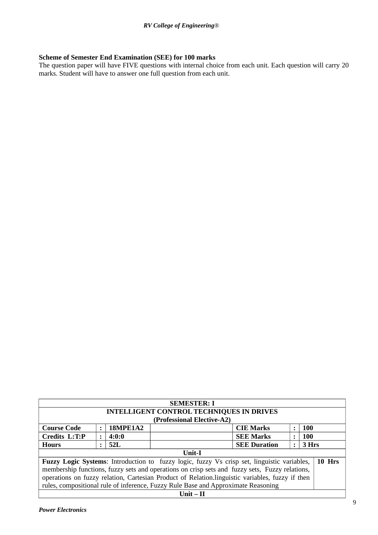## **Scheme of Semester End Examination (SEE) for 100 marks**

| <b>SEMESTER: I</b>                                                                              |           |                 |            |                     |                |       |
|-------------------------------------------------------------------------------------------------|-----------|-----------------|------------|---------------------|----------------|-------|
| <b>INTELLIGENT CONTROL TECHNIQUES IN DRIVES</b>                                                 |           |                 |            |                     |                |       |
| (Professional Elective-A2)                                                                      |           |                 |            |                     |                |       |
| <b>Course Code</b>                                                                              | $\bullet$ | <b>18MPE1A2</b> |            | <b>CIE Marks</b>    | $\ddot{\cdot}$ | 100   |
| Credits L:T:P                                                                                   | $\bullet$ | 4:0:0           |            | <b>SEE Marks</b>    | $\ddot{\cdot}$ | 100   |
| <b>Hours</b>                                                                                    | $\bullet$ | 52L             |            | <b>SEE Duration</b> | $\ddot{\cdot}$ | 3 Hrs |
| Unit-I                                                                                          |           |                 |            |                     |                |       |
| Fuzzy Logic Systems: Introduction to fuzzy logic, fuzzy Vs crisp set, linguistic variables,     |           |                 |            |                     | 10 Hrs         |       |
| membership functions, fuzzy sets and operations on crisp sets and fuzzy sets, Fuzzy relations,  |           |                 |            |                     |                |       |
| operations on fuzzy relation, Cartesian Product of Relation.linguistic variables, fuzzy if then |           |                 |            |                     |                |       |
| rules, compositional rule of inference, Fuzzy Rule Base and Approximate Reasoning               |           |                 |            |                     |                |       |
|                                                                                                 |           |                 | Unit $-II$ |                     |                |       |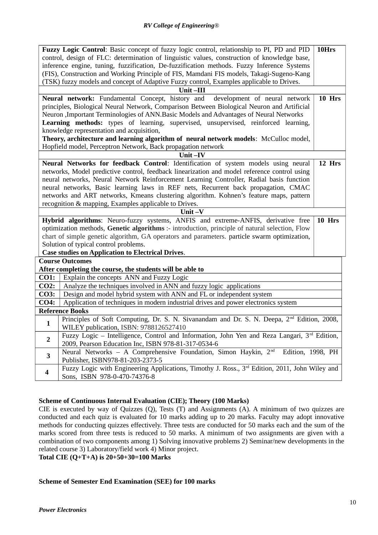|                                                                                          | Fuzzy Logic Control: Basic concept of fuzzy logic control, relationship to PI, PD and PID                                                                                      | 10Hrs  |  |  |  |  |  |
|------------------------------------------------------------------------------------------|--------------------------------------------------------------------------------------------------------------------------------------------------------------------------------|--------|--|--|--|--|--|
|                                                                                          | control, design of FLC: determination of linguistic values, construction of knowledge base,                                                                                    |        |  |  |  |  |  |
|                                                                                          | inference engine, tuning, fuzzification, De-fuzzification methods. Fuzzy Inference Systems                                                                                     |        |  |  |  |  |  |
| (FIS), Construction and Working Principle of FIS, Mamdani FIS models, Takagi-Sugeno-Kang |                                                                                                                                                                                |        |  |  |  |  |  |
| (TSK) fuzzy models and concept of Adaptive Fuzzy control, Examples applicable to Drives. |                                                                                                                                                                                |        |  |  |  |  |  |
|                                                                                          | Unit-III                                                                                                                                                                       |        |  |  |  |  |  |
|                                                                                          | Neural network: Fundamental Concept, history and<br>development of neural network                                                                                              | 10 Hrs |  |  |  |  |  |
|                                                                                          | principles, Biological Neural Network, Comparison Between Biological Neuron and Artificial                                                                                     |        |  |  |  |  |  |
|                                                                                          | Neuron , Important Terminologies of ANN. Basic Models and Advantages of Neural Networks                                                                                        |        |  |  |  |  |  |
|                                                                                          | Learning methods: types of learning, supervised, unsupervised, reinforced learning,                                                                                            |        |  |  |  |  |  |
|                                                                                          | knowledge representation and acquisition,                                                                                                                                      |        |  |  |  |  |  |
|                                                                                          | Theory, architecture and learning algorithm of neural network models: McCulloc model,                                                                                          |        |  |  |  |  |  |
|                                                                                          | Hopfield model, Perceptron Network, Back propagation network                                                                                                                   |        |  |  |  |  |  |
|                                                                                          | Unit-IV                                                                                                                                                                        |        |  |  |  |  |  |
|                                                                                          | Neural Networks for feedback Control: Identification of system models using neural                                                                                             | 12 Hrs |  |  |  |  |  |
|                                                                                          | networks, Model predictive control, feedback linearization and model reference control using                                                                                   |        |  |  |  |  |  |
|                                                                                          | neural networks, Neural Network Reinforcement Learning Controller, Radial basis function<br>neural networks, Basic learning laws in REF nets, Recurrent back propagation, CMAC |        |  |  |  |  |  |
|                                                                                          |                                                                                                                                                                                |        |  |  |  |  |  |
|                                                                                          | networks and ART networks, Kmeans clustering algorithm. Kohnen's feature maps, pattern                                                                                         |        |  |  |  |  |  |
|                                                                                          | recognition & mapping, Examples applicable to Drives.<br>Unit-V                                                                                                                |        |  |  |  |  |  |
|                                                                                          | Hybrid algorithms: Neuro-fuzzy systems, ANFIS and extreme-ANFIS, derivative free                                                                                               | 10 Hrs |  |  |  |  |  |
|                                                                                          | optimization methods, Genetic algorithms :- introduction, principle of natural selection, Flow                                                                                 |        |  |  |  |  |  |
|                                                                                          | chart of simple genetic algorithm, GA operators and parameters. particle swarm optimization,                                                                                   |        |  |  |  |  |  |
|                                                                                          | Solution of typical control problems.                                                                                                                                          |        |  |  |  |  |  |
|                                                                                          | <b>Case studies on Application to Electrical Drives.</b>                                                                                                                       |        |  |  |  |  |  |
|                                                                                          | <b>Course Outcomes</b>                                                                                                                                                         |        |  |  |  |  |  |
|                                                                                          | After completing the course, the students will be able to                                                                                                                      |        |  |  |  |  |  |
| CO1:                                                                                     | Explain the concepts ANN and Fuzzy Logic                                                                                                                                       |        |  |  |  |  |  |
| $CO2$ :                                                                                  | Analyze the techniques involved in ANN and fuzzy logic applications                                                                                                            |        |  |  |  |  |  |
| <b>CO3:</b>                                                                              | Design and model hybrid system with ANN and FL or independent system                                                                                                           |        |  |  |  |  |  |
| <b>CO4:</b>                                                                              | Application of techniques in modern industrial drives and power electronics system                                                                                             |        |  |  |  |  |  |
|                                                                                          | <b>Reference Books</b>                                                                                                                                                         |        |  |  |  |  |  |
| $\mathbf{1}$                                                                             | Principles of Soft Computing, Dr. S. N. Sivanandam and Dr. S. N. Deepa, 2 <sup>nd</sup> Edition, 2008,                                                                         |        |  |  |  |  |  |
|                                                                                          | WILEY publication, ISBN: 9788126527410                                                                                                                                         |        |  |  |  |  |  |
| $\overline{2}$                                                                           | Fuzzy Logic - Intelligence, Control and Information, John Yen and Reza Langari, $3rd$ Edition,                                                                                 |        |  |  |  |  |  |
|                                                                                          | 2009, Pearson Education Inc, ISBN 978-81-317-0534-6                                                                                                                            |        |  |  |  |  |  |
| 3                                                                                        | Neural Networks - A Comprehensive Foundation, Simon Haykin, $2nd$<br>Edition, 1998, PH                                                                                         |        |  |  |  |  |  |
|                                                                                          | Publisher, ISBN978-81-203-2373-5                                                                                                                                               |        |  |  |  |  |  |
| $\boldsymbol{4}$                                                                         | Fuzzy Logic with Engineering Applications, Timothy J. Ross., 3 <sup>rd</sup> Edition, 2011, John Wiley and                                                                     |        |  |  |  |  |  |
|                                                                                          | Sons, ISBN 978-0-470-74376-8                                                                                                                                                   |        |  |  |  |  |  |

CIE is executed by way of Quizzes (Q), Tests (T) and Assignments (A). A minimum of two quizzes are conducted and each quiz is evaluated for 10 marks adding up to 20 marks. Faculty may adopt innovative methods for conducting quizzes effectively. Three tests are conducted for 50 marks each and the sum of the marks scored from three tests is reduced to 50 marks. A minimum of two assignments are given with a combination of two components among 1) Solving innovative problems 2) Seminar/new developments in the related course 3) Laboratory/field work 4) Minor project.

**Total CIE (Q+T+A) is 20+50+30=100 Marks**

## **Scheme of Semester End Examination (SEE) for 100 marks**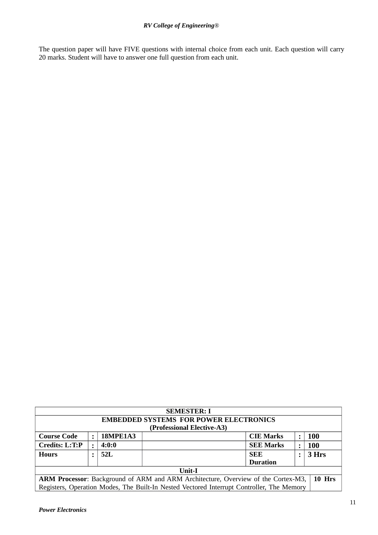| <b>SEMESTER: I</b>                            |  |                 |                                                                                           |                  |           |            |
|-----------------------------------------------|--|-----------------|-------------------------------------------------------------------------------------------|------------------|-----------|------------|
| <b>EMBEDDED SYSTEMS FOR POWER ELECTRONICS</b> |  |                 |                                                                                           |                  |           |            |
| (Professional Elective-A3)                    |  |                 |                                                                                           |                  |           |            |
| <b>Course Code</b>                            |  | <b>18MPE1A3</b> |                                                                                           | <b>CIE Marks</b> | $\bullet$ | <b>100</b> |
| Credits: L:T:P                                |  | 4:0:0           |                                                                                           | <b>SEE Marks</b> | ٠         | <b>100</b> |
| <b>Hours</b>                                  |  | 52L             |                                                                                           | <b>SEE</b>       |           | 3 Hrs      |
|                                               |  |                 |                                                                                           | <b>Duration</b>  |           |            |
| Unit-I                                        |  |                 |                                                                                           |                  |           |            |
|                                               |  |                 | ARM Processor: Background of ARM and ARM Architecture, Overview of the Cortex-M3,         |                  |           | 10 Hrs     |
|                                               |  |                 | Registers, Operation Modes, The Built-In Nested Vectored Interrupt Controller, The Memory |                  |           |            |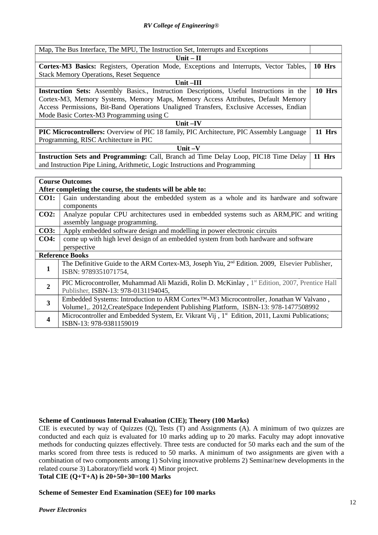| Map, The Bus Interface, The MPU, The Instruction Set, Interrupts and Exceptions                 |          |  |
|-------------------------------------------------------------------------------------------------|----------|--|
| Unit $-$ II                                                                                     |          |  |
| Cortex-M3 Basics: Registers, Operation Mode, Exceptions and Interrupts, Vector Tables,          | 10 Hrs   |  |
| <b>Stack Memory Operations, Reset Sequence</b>                                                  |          |  |
| Unit-III                                                                                        |          |  |
| Instruction Sets: Assembly Basics., Instruction Descriptions, Useful Instructions in the        | 10 Hrs   |  |
| Cortex-M3, Memory Systems, Memory Maps, Memory Access Attributes, Default Memory                |          |  |
| Access Permissions, Bit-Band Operations Unaligned Transfers, Exclusive Accesses, Endian         |          |  |
| Mode Basic Cortex-M3 Programming using C                                                        |          |  |
| Unit-IV                                                                                         |          |  |
| <b>PIC Microcontrollers:</b> Overview of PIC 18 family, PIC Architecture, PIC Assembly Language | $11$ Hrs |  |
| Programming, RISC Architecture in PIC                                                           |          |  |
| Unit $-V$                                                                                       |          |  |
| Instruction Sets and Programming: Call, Branch ad Time Delay Loop, PIC18 Time Delay             | $11$ Hrs |  |
| and Instruction Pipe Lining, Arithmetic, Logic Instructions and Programming                     |          |  |

|                  | <b>Course Outcomes</b>                                                                                    |
|------------------|-----------------------------------------------------------------------------------------------------------|
|                  | After completing the course, the students will be able to:                                                |
| <b>CO1:</b>      | Gain understanding about the embedded system as a whole and its hardware and software                     |
|                  | components                                                                                                |
| $CO2$ :          | Analyze popular CPU architectures used in embedded systems such as ARM, PIC and writing                   |
|                  | assembly language programming.                                                                            |
| <b>CO3:</b>      | Apply embedded software design and modelling in power electronic circuits                                 |
| CO4:             | come up with high level design of an embedded system from both hardware and software                      |
|                  | perspective                                                                                               |
|                  | <b>Reference Books</b>                                                                                    |
| 1                | The Definitive Guide to the ARM Cortex-M3, Joseph Yiu, $2nd$ Edition. 2009, Elsevier Publisher,           |
|                  | ISBN: 9789351071754,                                                                                      |
| $\overline{2}$   | PIC Microcontroller, Muhammad Ali Mazidi, Rolin D. McKinlay, 1 <sup>st</sup> Edition, 2007, Prentice Hall |
|                  | Publisher, ISBN-13: 978-0131194045,                                                                       |
| 3                | Embedded Systems: Introduction to ARM Cortex™-M3 Microcontroller, Jonathan W Valvano,                     |
|                  | Volume1,. 2012, CreateSpace Independent Publishing Platform, ISBN-13: 978-1477508992                      |
| $\boldsymbol{4}$ | Microcontroller and Embedded System, Er. Vikrant Vij, 1 <sup>st</sup> Edition, 2011, Laxmi Publications;  |
|                  | ISBN-13: 978-9381159019                                                                                   |

CIE is executed by way of Quizzes (Q), Tests (T) and Assignments (A). A minimum of two quizzes are conducted and each quiz is evaluated for 10 marks adding up to 20 marks. Faculty may adopt innovative methods for conducting quizzes effectively. Three tests are conducted for 50 marks each and the sum of the marks scored from three tests is reduced to 50 marks. A minimum of two assignments are given with a combination of two components among 1) Solving innovative problems 2) Seminar/new developments in the related course 3) Laboratory/field work 4) Minor project.

## **Total CIE (Q+T+A) is 20+50+30=100 Marks**

## **Scheme of Semester End Examination (SEE) for 100 marks**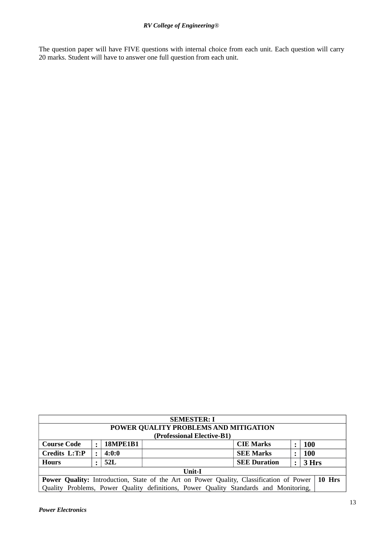| <b>SEMESTER: I</b>                                                                                      |                |                 |                            |                     |           |            |  |  |
|---------------------------------------------------------------------------------------------------------|----------------|-----------------|----------------------------|---------------------|-----------|------------|--|--|
| POWER QUALITY PROBLEMS AND MITIGATION                                                                   |                |                 |                            |                     |           |            |  |  |
|                                                                                                         |                |                 | (Professional Elective-B1) |                     |           |            |  |  |
| <b>Course Code</b>                                                                                      | $\ddot{\cdot}$ | <b>18MPE1B1</b> |                            | <b>CIE Marks</b>    |           | <b>100</b> |  |  |
| Credits L:T:P                                                                                           | $\ddot{\cdot}$ | 4:0:0           |                            | <b>SEE Marks</b>    |           | <b>100</b> |  |  |
| <b>Hours</b>                                                                                            | $\ddot{\cdot}$ | 52L             |                            | <b>SEE Duration</b> | $\bullet$ | 3 Hrs      |  |  |
| <b>Unit-I</b>                                                                                           |                |                 |                            |                     |           |            |  |  |
| <b>Power Quality:</b> Introduction, State of the Art on Power Quality, Classification of Power   10 Hrs |                |                 |                            |                     |           |            |  |  |
| Quality Problems, Power Quality definitions, Power Quality Standards and Monitoring,                    |                |                 |                            |                     |           |            |  |  |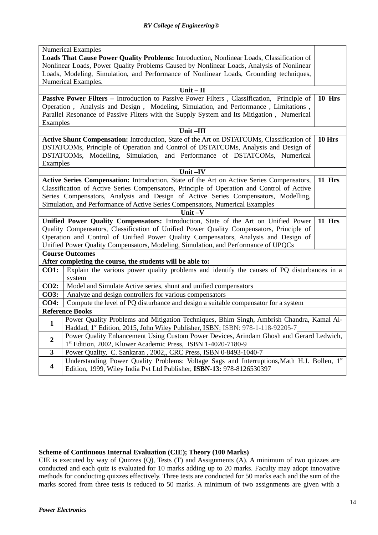|                                                                                            | <b>Numerical Examples</b>                                                                               |        |  |  |  |  |
|--------------------------------------------------------------------------------------------|---------------------------------------------------------------------------------------------------------|--------|--|--|--|--|
|                                                                                            | Loads That Cause Power Quality Problems: Introduction, Nonlinear Loads, Classification of               |        |  |  |  |  |
| Nonlinear Loads, Power Quality Problems Caused by Nonlinear Loads, Analysis of Nonlinear   |                                                                                                         |        |  |  |  |  |
| Loads, Modeling, Simulation, and Performance of Nonlinear Loads, Grounding techniques,     |                                                                                                         |        |  |  |  |  |
|                                                                                            | Numerical Examples.                                                                                     |        |  |  |  |  |
|                                                                                            | $Unit - II$                                                                                             |        |  |  |  |  |
|                                                                                            | Passive Power Filters - Introduction to Passive Power Filters, Classification, Principle of             | 10 Hrs |  |  |  |  |
|                                                                                            | Operation, Analysis and Design, Modeling, Simulation, and Performance, Limitations,                     |        |  |  |  |  |
|                                                                                            | Parallel Resonance of Passive Filters with the Supply System and Its Mitigation, Numerical              |        |  |  |  |  |
| Examples                                                                                   |                                                                                                         |        |  |  |  |  |
|                                                                                            | Unit-III                                                                                                |        |  |  |  |  |
|                                                                                            | Active Shunt Compensation: Introduction, State of the Art on DSTATCOMs, Classification of               | 10 Hrs |  |  |  |  |
|                                                                                            | DSTATCOMs, Principle of Operation and Control of DSTATCOMs, Analysis and Design of                      |        |  |  |  |  |
|                                                                                            | DSTATCOMs, Modelling, Simulation, and Performance of DSTATCOMs, Numerical                               |        |  |  |  |  |
| Examples                                                                                   |                                                                                                         |        |  |  |  |  |
|                                                                                            | Unit-IV                                                                                                 |        |  |  |  |  |
|                                                                                            | Active Series Compensation: Introduction, State of the Art on Active Series Compensators,               | 11 Hrs |  |  |  |  |
| Classification of Active Series Compensators, Principle of Operation and Control of Active |                                                                                                         |        |  |  |  |  |
| Series Compensators, Analysis and Design of Active Series Compensators, Modelling,         |                                                                                                         |        |  |  |  |  |
| Simulation, and Performance of Active Series Compensators, Numerical Examples              |                                                                                                         |        |  |  |  |  |
|                                                                                            | Unit-V                                                                                                  |        |  |  |  |  |
|                                                                                            | Unified Power Quality Compensators: Introduction, State of the Art on Unified Power                     | 11 Hrs |  |  |  |  |
|                                                                                            | Quality Compensators, Classification of Unified Power Quality Compensators, Principle of                |        |  |  |  |  |
|                                                                                            | Operation and Control of Unified Power Quality Compensators, Analysis and Design of                     |        |  |  |  |  |
|                                                                                            | Unified Power Quality Compensators, Modeling, Simulation, and Performance of UPQCs                      |        |  |  |  |  |
|                                                                                            | <b>Course Outcomes</b>                                                                                  |        |  |  |  |  |
|                                                                                            | After completing the course, the students will be able to:                                              |        |  |  |  |  |
| <b>CO1:</b>                                                                                | Explain the various power quality problems and identify the causes of PQ disturbances in a              |        |  |  |  |  |
|                                                                                            | system                                                                                                  |        |  |  |  |  |
| $CO2$ :                                                                                    | Model and Simulate Active series, shunt and unified compensators                                        |        |  |  |  |  |
| <b>CO3:</b>                                                                                | Analyze and design controllers for various compensators                                                 |        |  |  |  |  |
| CO4:                                                                                       | Compute the level of PQ disturbance and design a suitable compensator for a system                      |        |  |  |  |  |
|                                                                                            | <b>Reference Books</b>                                                                                  |        |  |  |  |  |
| $\mathbf{1}$                                                                               | Power Quality Problems and Mitigation Techniques, Bhim Singh, Ambrish Chandra, Kamal Al-                |        |  |  |  |  |
|                                                                                            | Haddad, 1st Edition, 2015, John Wiley Publisher, ISBN: ISBN: 978-1-118-92205-7                          |        |  |  |  |  |
| $\overline{2}$                                                                             | Power Quality Enhancement Using Custom Power Devices, Arindam Ghosh and Gerard Ledwich,                 |        |  |  |  |  |
|                                                                                            | 1st Edition, 2002, Kluwer Academic Press, ISBN 1-4020-7180-9                                            |        |  |  |  |  |
| 3                                                                                          | Power Quality, C. Sankaran, 2002,, CRC Press, ISBN 0-8493-1040-7                                        |        |  |  |  |  |
|                                                                                            | Understanding Power Quality Problems: Voltage Sags and Interruptions, Math H.J. Bollen, 1 <sup>st</sup> |        |  |  |  |  |
| $\boldsymbol{4}$                                                                           | Edition, 1999, Wiley India Pvt Ltd Publisher, ISBN-13: 978-8126530397                                   |        |  |  |  |  |

CIE is executed by way of Quizzes (Q), Tests (T) and Assignments (A). A minimum of two quizzes are conducted and each quiz is evaluated for 10 marks adding up to 20 marks. Faculty may adopt innovative methods for conducting quizzes effectively. Three tests are conducted for 50 marks each and the sum of the marks scored from three tests is reduced to 50 marks. A minimum of two assignments are given with a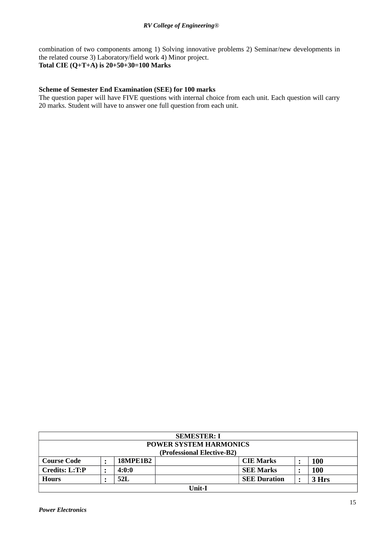### *RV College of Engineering*®

combination of two components among 1) Solving innovative problems 2) Seminar/new developments in the related course 3) Laboratory/field work 4) Minor project. **Total CIE (Q+T+A) is 20+50+30=100 Marks**

## **Scheme of Semester End Examination (SEE) for 100 marks**

| <b>SEMESTER: I</b>                                  |                            |                 |  |                  |  |            |  |  |  |  |
|-----------------------------------------------------|----------------------------|-----------------|--|------------------|--|------------|--|--|--|--|
| <b>POWER SYSTEM HARMONICS</b>                       |                            |                 |  |                  |  |            |  |  |  |  |
|                                                     | (Professional Elective-B2) |                 |  |                  |  |            |  |  |  |  |
| <b>Course Code</b>                                  |                            | <b>18MPE1B2</b> |  | <b>CIE Marks</b> |  | <b>100</b> |  |  |  |  |
| Credits: L:T:P                                      |                            | 4:0:0           |  | <b>SEE Marks</b> |  | 100        |  |  |  |  |
| <b>Hours</b><br>52L<br><b>SEE Duration</b><br>3 Hrs |                            |                 |  |                  |  |            |  |  |  |  |
|                                                     | Unit-I                     |                 |  |                  |  |            |  |  |  |  |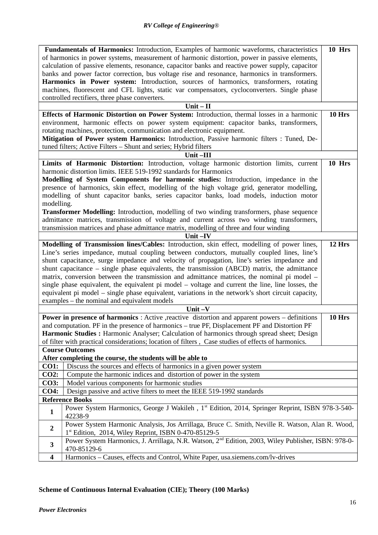| Harmonics in Power system: Introduction, sources of harmonics, transformers, rotating<br>machines, fluorescent and CFL lights, static var compensators, cycloconverters. Single phase<br>controlled rectifiers, three phase converters.<br>$Unit - II$<br>Effects of Harmonic Distortion on Power System: Introduction, thermal losses in a harmonic<br><b>10 Hrs</b><br>environment, harmonic effects on power system equipment: capacitor banks, transformers,<br>rotating machines, protection, communication and electronic equipment.<br>Mitigation of Power system Harmonics: Introduction, Passive harmonic filters : Tuned, De-<br>tuned filters; Active Filters - Shunt and series; Hybrid filters<br>Unit-III<br>10 Hrs<br>Limits of Harmonic Distortion: Introduction, voltage harmonic distortion limits, current<br>harmonic distortion limits. IEEE 519-1992 standards for Harmonics<br>Modelling of System Components for harmonic studies: Introduction, impedance in the<br>presence of harmonics, skin effect, modelling of the high voltage grid, generator modelling,<br>modelling of shunt capacitor banks, series capacitor banks, load models, induction motor<br>modelling.<br><b>Transformer Modelling:</b> Introduction, modelling of two winding transformers, phase sequence<br>admittance matrices, transmission of voltage and current across two winding transformers,<br>transmission matrices and phase admittance matrix, modelling of three and four winding<br>Unit-IV<br>Modelling of Transmission lines/Cables: Introduction, skin effect, modelling of power lines,<br>12 Hrs<br>Line's series impedance, mutual coupling between conductors, mutually coupled lines, line's<br>shunt capacitance, surge impedance and velocity of propagation, line's series impedance and<br>shunt capacitance $-$ single phase equivalents, the transmission (ABCD) matrix, the admittance<br>matrix, conversion between the transmission and admittance matrices, the nominal pi model -<br>single phase equivalent, the equivalent pi model $-$ voltage and current the line, line losses, the<br>equivalent pi model $-$ single phase equivalent, variations in the network's short circuit capacity,<br>examples – the nominal and equivalent models<br>Unit-V<br>Power in presence of harmonics : Active , reactive distortion and apparent powers - definitions<br>10 Hrs<br>and computation. PF in the presence of harmonics - true PF, Displacement PF and Distortion PF<br>Harmonic Studies : Harmonic Analyser; Calculation of harmonics through spread sheet; Design<br>of filter with practical considerations; location of filters, Case studies of effects of harmonics.<br><b>Course Outcomes</b><br>After completing the course, the students will be able to<br>Discuss the sources and effects of harmonics in a given power system<br>CO1:<br>Compute the harmonic indices and distortion of power in the system<br>$CO2$ :<br><b>CO3:</b><br>Model various components for harmonic studies<br><b>CO4:</b><br>Design passive and active filters to meet the IEEE 519-1992 standards<br><b>Reference Books</b><br>Power System Harmonics, George J Wakileh, 1 <sup>st</sup> Edition, 2014, Springer Reprint, ISBN 978-3-540-<br>$\mathbf{1}$<br>42238-9<br>Power System Harmonic Analysis, Jos Arrillaga, Bruce C. Smith, Neville R. Watson, Alan R. Wood,<br>$\overline{2}$<br>1st Edition, 2014, Wiley Reprint, ISBN 0-470-85129-5<br>Power System Harmonics, J. Arrillaga, N.R. Watson, 2 <sup>nd</sup> Edition, 2003, Wiley Publisher, ISBN: 978-0-<br>3<br>470-85129-6<br>Harmonics - Causes, effects and Control, White Paper, usa.siemens.com/lv-drives<br>4 | Fundamentals of Harmonics: Introduction, Examples of harmonic waveforms, characteristics<br>of harmonics in power systems, measurement of harmonic distortion, power in passive elements,<br>calculation of passive elements, resonance, capacitor banks and reactive power supply, capacitor<br>banks and power factor correction, bus voltage rise and resonance, harmonics in transformers. |  |  |  |  |  |  |
|-----------------------------------------------------------------------------------------------------------------------------------------------------------------------------------------------------------------------------------------------------------------------------------------------------------------------------------------------------------------------------------------------------------------------------------------------------------------------------------------------------------------------------------------------------------------------------------------------------------------------------------------------------------------------------------------------------------------------------------------------------------------------------------------------------------------------------------------------------------------------------------------------------------------------------------------------------------------------------------------------------------------------------------------------------------------------------------------------------------------------------------------------------------------------------------------------------------------------------------------------------------------------------------------------------------------------------------------------------------------------------------------------------------------------------------------------------------------------------------------------------------------------------------------------------------------------------------------------------------------------------------------------------------------------------------------------------------------------------------------------------------------------------------------------------------------------------------------------------------------------------------------------------------------------------------------------------------------------------------------------------------------------------------------------------------------------------------------------------------------------------------------------------------------------------------------------------------------------------------------------------------------------------------------------------------------------------------------------------------------------------------------------------------------------------------------------------------------------------------------------------------------------------------------------------------------------------------------------------------------------------------------------------------------------------------------------------------------------------------------------------------------------------------------------------------------------------------------------------------------------------------------------------------------------------------------------------------------------------------------------------------------------------------------------------------------------------------------------------------------------------------------------------------------------------------------------------------------------------------------------------------------------------------------------------------------------------------------------------------------------------------------------------------------------------------------------------------------------------------------------------------------------------------------------------------------------------------------------------------------------------------------------------------------------------------------------------------------|------------------------------------------------------------------------------------------------------------------------------------------------------------------------------------------------------------------------------------------------------------------------------------------------------------------------------------------------------------------------------------------------|--|--|--|--|--|--|
|                                                                                                                                                                                                                                                                                                                                                                                                                                                                                                                                                                                                                                                                                                                                                                                                                                                                                                                                                                                                                                                                                                                                                                                                                                                                                                                                                                                                                                                                                                                                                                                                                                                                                                                                                                                                                                                                                                                                                                                                                                                                                                                                                                                                                                                                                                                                                                                                                                                                                                                                                                                                                                                                                                                                                                                                                                                                                                                                                                                                                                                                                                                                                                                                                                                                                                                                                                                                                                                                                                                                                                                                                                                                                                                 |                                                                                                                                                                                                                                                                                                                                                                                                |  |  |  |  |  |  |
|                                                                                                                                                                                                                                                                                                                                                                                                                                                                                                                                                                                                                                                                                                                                                                                                                                                                                                                                                                                                                                                                                                                                                                                                                                                                                                                                                                                                                                                                                                                                                                                                                                                                                                                                                                                                                                                                                                                                                                                                                                                                                                                                                                                                                                                                                                                                                                                                                                                                                                                                                                                                                                                                                                                                                                                                                                                                                                                                                                                                                                                                                                                                                                                                                                                                                                                                                                                                                                                                                                                                                                                                                                                                                                                 |                                                                                                                                                                                                                                                                                                                                                                                                |  |  |  |  |  |  |
|                                                                                                                                                                                                                                                                                                                                                                                                                                                                                                                                                                                                                                                                                                                                                                                                                                                                                                                                                                                                                                                                                                                                                                                                                                                                                                                                                                                                                                                                                                                                                                                                                                                                                                                                                                                                                                                                                                                                                                                                                                                                                                                                                                                                                                                                                                                                                                                                                                                                                                                                                                                                                                                                                                                                                                                                                                                                                                                                                                                                                                                                                                                                                                                                                                                                                                                                                                                                                                                                                                                                                                                                                                                                                                                 |                                                                                                                                                                                                                                                                                                                                                                                                |  |  |  |  |  |  |
|                                                                                                                                                                                                                                                                                                                                                                                                                                                                                                                                                                                                                                                                                                                                                                                                                                                                                                                                                                                                                                                                                                                                                                                                                                                                                                                                                                                                                                                                                                                                                                                                                                                                                                                                                                                                                                                                                                                                                                                                                                                                                                                                                                                                                                                                                                                                                                                                                                                                                                                                                                                                                                                                                                                                                                                                                                                                                                                                                                                                                                                                                                                                                                                                                                                                                                                                                                                                                                                                                                                                                                                                                                                                                                                 |                                                                                                                                                                                                                                                                                                                                                                                                |  |  |  |  |  |  |
|                                                                                                                                                                                                                                                                                                                                                                                                                                                                                                                                                                                                                                                                                                                                                                                                                                                                                                                                                                                                                                                                                                                                                                                                                                                                                                                                                                                                                                                                                                                                                                                                                                                                                                                                                                                                                                                                                                                                                                                                                                                                                                                                                                                                                                                                                                                                                                                                                                                                                                                                                                                                                                                                                                                                                                                                                                                                                                                                                                                                                                                                                                                                                                                                                                                                                                                                                                                                                                                                                                                                                                                                                                                                                                                 |                                                                                                                                                                                                                                                                                                                                                                                                |  |  |  |  |  |  |
|                                                                                                                                                                                                                                                                                                                                                                                                                                                                                                                                                                                                                                                                                                                                                                                                                                                                                                                                                                                                                                                                                                                                                                                                                                                                                                                                                                                                                                                                                                                                                                                                                                                                                                                                                                                                                                                                                                                                                                                                                                                                                                                                                                                                                                                                                                                                                                                                                                                                                                                                                                                                                                                                                                                                                                                                                                                                                                                                                                                                                                                                                                                                                                                                                                                                                                                                                                                                                                                                                                                                                                                                                                                                                                                 |                                                                                                                                                                                                                                                                                                                                                                                                |  |  |  |  |  |  |
|                                                                                                                                                                                                                                                                                                                                                                                                                                                                                                                                                                                                                                                                                                                                                                                                                                                                                                                                                                                                                                                                                                                                                                                                                                                                                                                                                                                                                                                                                                                                                                                                                                                                                                                                                                                                                                                                                                                                                                                                                                                                                                                                                                                                                                                                                                                                                                                                                                                                                                                                                                                                                                                                                                                                                                                                                                                                                                                                                                                                                                                                                                                                                                                                                                                                                                                                                                                                                                                                                                                                                                                                                                                                                                                 |                                                                                                                                                                                                                                                                                                                                                                                                |  |  |  |  |  |  |
|                                                                                                                                                                                                                                                                                                                                                                                                                                                                                                                                                                                                                                                                                                                                                                                                                                                                                                                                                                                                                                                                                                                                                                                                                                                                                                                                                                                                                                                                                                                                                                                                                                                                                                                                                                                                                                                                                                                                                                                                                                                                                                                                                                                                                                                                                                                                                                                                                                                                                                                                                                                                                                                                                                                                                                                                                                                                                                                                                                                                                                                                                                                                                                                                                                                                                                                                                                                                                                                                                                                                                                                                                                                                                                                 |                                                                                                                                                                                                                                                                                                                                                                                                |  |  |  |  |  |  |
|                                                                                                                                                                                                                                                                                                                                                                                                                                                                                                                                                                                                                                                                                                                                                                                                                                                                                                                                                                                                                                                                                                                                                                                                                                                                                                                                                                                                                                                                                                                                                                                                                                                                                                                                                                                                                                                                                                                                                                                                                                                                                                                                                                                                                                                                                                                                                                                                                                                                                                                                                                                                                                                                                                                                                                                                                                                                                                                                                                                                                                                                                                                                                                                                                                                                                                                                                                                                                                                                                                                                                                                                                                                                                                                 |                                                                                                                                                                                                                                                                                                                                                                                                |  |  |  |  |  |  |
|                                                                                                                                                                                                                                                                                                                                                                                                                                                                                                                                                                                                                                                                                                                                                                                                                                                                                                                                                                                                                                                                                                                                                                                                                                                                                                                                                                                                                                                                                                                                                                                                                                                                                                                                                                                                                                                                                                                                                                                                                                                                                                                                                                                                                                                                                                                                                                                                                                                                                                                                                                                                                                                                                                                                                                                                                                                                                                                                                                                                                                                                                                                                                                                                                                                                                                                                                                                                                                                                                                                                                                                                                                                                                                                 |                                                                                                                                                                                                                                                                                                                                                                                                |  |  |  |  |  |  |
|                                                                                                                                                                                                                                                                                                                                                                                                                                                                                                                                                                                                                                                                                                                                                                                                                                                                                                                                                                                                                                                                                                                                                                                                                                                                                                                                                                                                                                                                                                                                                                                                                                                                                                                                                                                                                                                                                                                                                                                                                                                                                                                                                                                                                                                                                                                                                                                                                                                                                                                                                                                                                                                                                                                                                                                                                                                                                                                                                                                                                                                                                                                                                                                                                                                                                                                                                                                                                                                                                                                                                                                                                                                                                                                 |                                                                                                                                                                                                                                                                                                                                                                                                |  |  |  |  |  |  |
|                                                                                                                                                                                                                                                                                                                                                                                                                                                                                                                                                                                                                                                                                                                                                                                                                                                                                                                                                                                                                                                                                                                                                                                                                                                                                                                                                                                                                                                                                                                                                                                                                                                                                                                                                                                                                                                                                                                                                                                                                                                                                                                                                                                                                                                                                                                                                                                                                                                                                                                                                                                                                                                                                                                                                                                                                                                                                                                                                                                                                                                                                                                                                                                                                                                                                                                                                                                                                                                                                                                                                                                                                                                                                                                 |                                                                                                                                                                                                                                                                                                                                                                                                |  |  |  |  |  |  |
|                                                                                                                                                                                                                                                                                                                                                                                                                                                                                                                                                                                                                                                                                                                                                                                                                                                                                                                                                                                                                                                                                                                                                                                                                                                                                                                                                                                                                                                                                                                                                                                                                                                                                                                                                                                                                                                                                                                                                                                                                                                                                                                                                                                                                                                                                                                                                                                                                                                                                                                                                                                                                                                                                                                                                                                                                                                                                                                                                                                                                                                                                                                                                                                                                                                                                                                                                                                                                                                                                                                                                                                                                                                                                                                 |                                                                                                                                                                                                                                                                                                                                                                                                |  |  |  |  |  |  |
|                                                                                                                                                                                                                                                                                                                                                                                                                                                                                                                                                                                                                                                                                                                                                                                                                                                                                                                                                                                                                                                                                                                                                                                                                                                                                                                                                                                                                                                                                                                                                                                                                                                                                                                                                                                                                                                                                                                                                                                                                                                                                                                                                                                                                                                                                                                                                                                                                                                                                                                                                                                                                                                                                                                                                                                                                                                                                                                                                                                                                                                                                                                                                                                                                                                                                                                                                                                                                                                                                                                                                                                                                                                                                                                 |                                                                                                                                                                                                                                                                                                                                                                                                |  |  |  |  |  |  |
|                                                                                                                                                                                                                                                                                                                                                                                                                                                                                                                                                                                                                                                                                                                                                                                                                                                                                                                                                                                                                                                                                                                                                                                                                                                                                                                                                                                                                                                                                                                                                                                                                                                                                                                                                                                                                                                                                                                                                                                                                                                                                                                                                                                                                                                                                                                                                                                                                                                                                                                                                                                                                                                                                                                                                                                                                                                                                                                                                                                                                                                                                                                                                                                                                                                                                                                                                                                                                                                                                                                                                                                                                                                                                                                 |                                                                                                                                                                                                                                                                                                                                                                                                |  |  |  |  |  |  |
|                                                                                                                                                                                                                                                                                                                                                                                                                                                                                                                                                                                                                                                                                                                                                                                                                                                                                                                                                                                                                                                                                                                                                                                                                                                                                                                                                                                                                                                                                                                                                                                                                                                                                                                                                                                                                                                                                                                                                                                                                                                                                                                                                                                                                                                                                                                                                                                                                                                                                                                                                                                                                                                                                                                                                                                                                                                                                                                                                                                                                                                                                                                                                                                                                                                                                                                                                                                                                                                                                                                                                                                                                                                                                                                 |                                                                                                                                                                                                                                                                                                                                                                                                |  |  |  |  |  |  |
|                                                                                                                                                                                                                                                                                                                                                                                                                                                                                                                                                                                                                                                                                                                                                                                                                                                                                                                                                                                                                                                                                                                                                                                                                                                                                                                                                                                                                                                                                                                                                                                                                                                                                                                                                                                                                                                                                                                                                                                                                                                                                                                                                                                                                                                                                                                                                                                                                                                                                                                                                                                                                                                                                                                                                                                                                                                                                                                                                                                                                                                                                                                                                                                                                                                                                                                                                                                                                                                                                                                                                                                                                                                                                                                 |                                                                                                                                                                                                                                                                                                                                                                                                |  |  |  |  |  |  |
|                                                                                                                                                                                                                                                                                                                                                                                                                                                                                                                                                                                                                                                                                                                                                                                                                                                                                                                                                                                                                                                                                                                                                                                                                                                                                                                                                                                                                                                                                                                                                                                                                                                                                                                                                                                                                                                                                                                                                                                                                                                                                                                                                                                                                                                                                                                                                                                                                                                                                                                                                                                                                                                                                                                                                                                                                                                                                                                                                                                                                                                                                                                                                                                                                                                                                                                                                                                                                                                                                                                                                                                                                                                                                                                 |                                                                                                                                                                                                                                                                                                                                                                                                |  |  |  |  |  |  |
|                                                                                                                                                                                                                                                                                                                                                                                                                                                                                                                                                                                                                                                                                                                                                                                                                                                                                                                                                                                                                                                                                                                                                                                                                                                                                                                                                                                                                                                                                                                                                                                                                                                                                                                                                                                                                                                                                                                                                                                                                                                                                                                                                                                                                                                                                                                                                                                                                                                                                                                                                                                                                                                                                                                                                                                                                                                                                                                                                                                                                                                                                                                                                                                                                                                                                                                                                                                                                                                                                                                                                                                                                                                                                                                 |                                                                                                                                                                                                                                                                                                                                                                                                |  |  |  |  |  |  |
|                                                                                                                                                                                                                                                                                                                                                                                                                                                                                                                                                                                                                                                                                                                                                                                                                                                                                                                                                                                                                                                                                                                                                                                                                                                                                                                                                                                                                                                                                                                                                                                                                                                                                                                                                                                                                                                                                                                                                                                                                                                                                                                                                                                                                                                                                                                                                                                                                                                                                                                                                                                                                                                                                                                                                                                                                                                                                                                                                                                                                                                                                                                                                                                                                                                                                                                                                                                                                                                                                                                                                                                                                                                                                                                 |                                                                                                                                                                                                                                                                                                                                                                                                |  |  |  |  |  |  |
|                                                                                                                                                                                                                                                                                                                                                                                                                                                                                                                                                                                                                                                                                                                                                                                                                                                                                                                                                                                                                                                                                                                                                                                                                                                                                                                                                                                                                                                                                                                                                                                                                                                                                                                                                                                                                                                                                                                                                                                                                                                                                                                                                                                                                                                                                                                                                                                                                                                                                                                                                                                                                                                                                                                                                                                                                                                                                                                                                                                                                                                                                                                                                                                                                                                                                                                                                                                                                                                                                                                                                                                                                                                                                                                 |                                                                                                                                                                                                                                                                                                                                                                                                |  |  |  |  |  |  |
|                                                                                                                                                                                                                                                                                                                                                                                                                                                                                                                                                                                                                                                                                                                                                                                                                                                                                                                                                                                                                                                                                                                                                                                                                                                                                                                                                                                                                                                                                                                                                                                                                                                                                                                                                                                                                                                                                                                                                                                                                                                                                                                                                                                                                                                                                                                                                                                                                                                                                                                                                                                                                                                                                                                                                                                                                                                                                                                                                                                                                                                                                                                                                                                                                                                                                                                                                                                                                                                                                                                                                                                                                                                                                                                 |                                                                                                                                                                                                                                                                                                                                                                                                |  |  |  |  |  |  |
|                                                                                                                                                                                                                                                                                                                                                                                                                                                                                                                                                                                                                                                                                                                                                                                                                                                                                                                                                                                                                                                                                                                                                                                                                                                                                                                                                                                                                                                                                                                                                                                                                                                                                                                                                                                                                                                                                                                                                                                                                                                                                                                                                                                                                                                                                                                                                                                                                                                                                                                                                                                                                                                                                                                                                                                                                                                                                                                                                                                                                                                                                                                                                                                                                                                                                                                                                                                                                                                                                                                                                                                                                                                                                                                 |                                                                                                                                                                                                                                                                                                                                                                                                |  |  |  |  |  |  |
|                                                                                                                                                                                                                                                                                                                                                                                                                                                                                                                                                                                                                                                                                                                                                                                                                                                                                                                                                                                                                                                                                                                                                                                                                                                                                                                                                                                                                                                                                                                                                                                                                                                                                                                                                                                                                                                                                                                                                                                                                                                                                                                                                                                                                                                                                                                                                                                                                                                                                                                                                                                                                                                                                                                                                                                                                                                                                                                                                                                                                                                                                                                                                                                                                                                                                                                                                                                                                                                                                                                                                                                                                                                                                                                 |                                                                                                                                                                                                                                                                                                                                                                                                |  |  |  |  |  |  |
|                                                                                                                                                                                                                                                                                                                                                                                                                                                                                                                                                                                                                                                                                                                                                                                                                                                                                                                                                                                                                                                                                                                                                                                                                                                                                                                                                                                                                                                                                                                                                                                                                                                                                                                                                                                                                                                                                                                                                                                                                                                                                                                                                                                                                                                                                                                                                                                                                                                                                                                                                                                                                                                                                                                                                                                                                                                                                                                                                                                                                                                                                                                                                                                                                                                                                                                                                                                                                                                                                                                                                                                                                                                                                                                 |                                                                                                                                                                                                                                                                                                                                                                                                |  |  |  |  |  |  |
|                                                                                                                                                                                                                                                                                                                                                                                                                                                                                                                                                                                                                                                                                                                                                                                                                                                                                                                                                                                                                                                                                                                                                                                                                                                                                                                                                                                                                                                                                                                                                                                                                                                                                                                                                                                                                                                                                                                                                                                                                                                                                                                                                                                                                                                                                                                                                                                                                                                                                                                                                                                                                                                                                                                                                                                                                                                                                                                                                                                                                                                                                                                                                                                                                                                                                                                                                                                                                                                                                                                                                                                                                                                                                                                 |                                                                                                                                                                                                                                                                                                                                                                                                |  |  |  |  |  |  |
|                                                                                                                                                                                                                                                                                                                                                                                                                                                                                                                                                                                                                                                                                                                                                                                                                                                                                                                                                                                                                                                                                                                                                                                                                                                                                                                                                                                                                                                                                                                                                                                                                                                                                                                                                                                                                                                                                                                                                                                                                                                                                                                                                                                                                                                                                                                                                                                                                                                                                                                                                                                                                                                                                                                                                                                                                                                                                                                                                                                                                                                                                                                                                                                                                                                                                                                                                                                                                                                                                                                                                                                                                                                                                                                 |                                                                                                                                                                                                                                                                                                                                                                                                |  |  |  |  |  |  |
|                                                                                                                                                                                                                                                                                                                                                                                                                                                                                                                                                                                                                                                                                                                                                                                                                                                                                                                                                                                                                                                                                                                                                                                                                                                                                                                                                                                                                                                                                                                                                                                                                                                                                                                                                                                                                                                                                                                                                                                                                                                                                                                                                                                                                                                                                                                                                                                                                                                                                                                                                                                                                                                                                                                                                                                                                                                                                                                                                                                                                                                                                                                                                                                                                                                                                                                                                                                                                                                                                                                                                                                                                                                                                                                 |                                                                                                                                                                                                                                                                                                                                                                                                |  |  |  |  |  |  |
|                                                                                                                                                                                                                                                                                                                                                                                                                                                                                                                                                                                                                                                                                                                                                                                                                                                                                                                                                                                                                                                                                                                                                                                                                                                                                                                                                                                                                                                                                                                                                                                                                                                                                                                                                                                                                                                                                                                                                                                                                                                                                                                                                                                                                                                                                                                                                                                                                                                                                                                                                                                                                                                                                                                                                                                                                                                                                                                                                                                                                                                                                                                                                                                                                                                                                                                                                                                                                                                                                                                                                                                                                                                                                                                 |                                                                                                                                                                                                                                                                                                                                                                                                |  |  |  |  |  |  |
|                                                                                                                                                                                                                                                                                                                                                                                                                                                                                                                                                                                                                                                                                                                                                                                                                                                                                                                                                                                                                                                                                                                                                                                                                                                                                                                                                                                                                                                                                                                                                                                                                                                                                                                                                                                                                                                                                                                                                                                                                                                                                                                                                                                                                                                                                                                                                                                                                                                                                                                                                                                                                                                                                                                                                                                                                                                                                                                                                                                                                                                                                                                                                                                                                                                                                                                                                                                                                                                                                                                                                                                                                                                                                                                 |                                                                                                                                                                                                                                                                                                                                                                                                |  |  |  |  |  |  |
|                                                                                                                                                                                                                                                                                                                                                                                                                                                                                                                                                                                                                                                                                                                                                                                                                                                                                                                                                                                                                                                                                                                                                                                                                                                                                                                                                                                                                                                                                                                                                                                                                                                                                                                                                                                                                                                                                                                                                                                                                                                                                                                                                                                                                                                                                                                                                                                                                                                                                                                                                                                                                                                                                                                                                                                                                                                                                                                                                                                                                                                                                                                                                                                                                                                                                                                                                                                                                                                                                                                                                                                                                                                                                                                 |                                                                                                                                                                                                                                                                                                                                                                                                |  |  |  |  |  |  |
|                                                                                                                                                                                                                                                                                                                                                                                                                                                                                                                                                                                                                                                                                                                                                                                                                                                                                                                                                                                                                                                                                                                                                                                                                                                                                                                                                                                                                                                                                                                                                                                                                                                                                                                                                                                                                                                                                                                                                                                                                                                                                                                                                                                                                                                                                                                                                                                                                                                                                                                                                                                                                                                                                                                                                                                                                                                                                                                                                                                                                                                                                                                                                                                                                                                                                                                                                                                                                                                                                                                                                                                                                                                                                                                 |                                                                                                                                                                                                                                                                                                                                                                                                |  |  |  |  |  |  |
|                                                                                                                                                                                                                                                                                                                                                                                                                                                                                                                                                                                                                                                                                                                                                                                                                                                                                                                                                                                                                                                                                                                                                                                                                                                                                                                                                                                                                                                                                                                                                                                                                                                                                                                                                                                                                                                                                                                                                                                                                                                                                                                                                                                                                                                                                                                                                                                                                                                                                                                                                                                                                                                                                                                                                                                                                                                                                                                                                                                                                                                                                                                                                                                                                                                                                                                                                                                                                                                                                                                                                                                                                                                                                                                 |                                                                                                                                                                                                                                                                                                                                                                                                |  |  |  |  |  |  |
|                                                                                                                                                                                                                                                                                                                                                                                                                                                                                                                                                                                                                                                                                                                                                                                                                                                                                                                                                                                                                                                                                                                                                                                                                                                                                                                                                                                                                                                                                                                                                                                                                                                                                                                                                                                                                                                                                                                                                                                                                                                                                                                                                                                                                                                                                                                                                                                                                                                                                                                                                                                                                                                                                                                                                                                                                                                                                                                                                                                                                                                                                                                                                                                                                                                                                                                                                                                                                                                                                                                                                                                                                                                                                                                 |                                                                                                                                                                                                                                                                                                                                                                                                |  |  |  |  |  |  |
|                                                                                                                                                                                                                                                                                                                                                                                                                                                                                                                                                                                                                                                                                                                                                                                                                                                                                                                                                                                                                                                                                                                                                                                                                                                                                                                                                                                                                                                                                                                                                                                                                                                                                                                                                                                                                                                                                                                                                                                                                                                                                                                                                                                                                                                                                                                                                                                                                                                                                                                                                                                                                                                                                                                                                                                                                                                                                                                                                                                                                                                                                                                                                                                                                                                                                                                                                                                                                                                                                                                                                                                                                                                                                                                 |                                                                                                                                                                                                                                                                                                                                                                                                |  |  |  |  |  |  |
|                                                                                                                                                                                                                                                                                                                                                                                                                                                                                                                                                                                                                                                                                                                                                                                                                                                                                                                                                                                                                                                                                                                                                                                                                                                                                                                                                                                                                                                                                                                                                                                                                                                                                                                                                                                                                                                                                                                                                                                                                                                                                                                                                                                                                                                                                                                                                                                                                                                                                                                                                                                                                                                                                                                                                                                                                                                                                                                                                                                                                                                                                                                                                                                                                                                                                                                                                                                                                                                                                                                                                                                                                                                                                                                 |                                                                                                                                                                                                                                                                                                                                                                                                |  |  |  |  |  |  |
|                                                                                                                                                                                                                                                                                                                                                                                                                                                                                                                                                                                                                                                                                                                                                                                                                                                                                                                                                                                                                                                                                                                                                                                                                                                                                                                                                                                                                                                                                                                                                                                                                                                                                                                                                                                                                                                                                                                                                                                                                                                                                                                                                                                                                                                                                                                                                                                                                                                                                                                                                                                                                                                                                                                                                                                                                                                                                                                                                                                                                                                                                                                                                                                                                                                                                                                                                                                                                                                                                                                                                                                                                                                                                                                 |                                                                                                                                                                                                                                                                                                                                                                                                |  |  |  |  |  |  |
|                                                                                                                                                                                                                                                                                                                                                                                                                                                                                                                                                                                                                                                                                                                                                                                                                                                                                                                                                                                                                                                                                                                                                                                                                                                                                                                                                                                                                                                                                                                                                                                                                                                                                                                                                                                                                                                                                                                                                                                                                                                                                                                                                                                                                                                                                                                                                                                                                                                                                                                                                                                                                                                                                                                                                                                                                                                                                                                                                                                                                                                                                                                                                                                                                                                                                                                                                                                                                                                                                                                                                                                                                                                                                                                 |                                                                                                                                                                                                                                                                                                                                                                                                |  |  |  |  |  |  |
|                                                                                                                                                                                                                                                                                                                                                                                                                                                                                                                                                                                                                                                                                                                                                                                                                                                                                                                                                                                                                                                                                                                                                                                                                                                                                                                                                                                                                                                                                                                                                                                                                                                                                                                                                                                                                                                                                                                                                                                                                                                                                                                                                                                                                                                                                                                                                                                                                                                                                                                                                                                                                                                                                                                                                                                                                                                                                                                                                                                                                                                                                                                                                                                                                                                                                                                                                                                                                                                                                                                                                                                                                                                                                                                 |                                                                                                                                                                                                                                                                                                                                                                                                |  |  |  |  |  |  |
|                                                                                                                                                                                                                                                                                                                                                                                                                                                                                                                                                                                                                                                                                                                                                                                                                                                                                                                                                                                                                                                                                                                                                                                                                                                                                                                                                                                                                                                                                                                                                                                                                                                                                                                                                                                                                                                                                                                                                                                                                                                                                                                                                                                                                                                                                                                                                                                                                                                                                                                                                                                                                                                                                                                                                                                                                                                                                                                                                                                                                                                                                                                                                                                                                                                                                                                                                                                                                                                                                                                                                                                                                                                                                                                 |                                                                                                                                                                                                                                                                                                                                                                                                |  |  |  |  |  |  |
|                                                                                                                                                                                                                                                                                                                                                                                                                                                                                                                                                                                                                                                                                                                                                                                                                                                                                                                                                                                                                                                                                                                                                                                                                                                                                                                                                                                                                                                                                                                                                                                                                                                                                                                                                                                                                                                                                                                                                                                                                                                                                                                                                                                                                                                                                                                                                                                                                                                                                                                                                                                                                                                                                                                                                                                                                                                                                                                                                                                                                                                                                                                                                                                                                                                                                                                                                                                                                                                                                                                                                                                                                                                                                                                 |                                                                                                                                                                                                                                                                                                                                                                                                |  |  |  |  |  |  |
|                                                                                                                                                                                                                                                                                                                                                                                                                                                                                                                                                                                                                                                                                                                                                                                                                                                                                                                                                                                                                                                                                                                                                                                                                                                                                                                                                                                                                                                                                                                                                                                                                                                                                                                                                                                                                                                                                                                                                                                                                                                                                                                                                                                                                                                                                                                                                                                                                                                                                                                                                                                                                                                                                                                                                                                                                                                                                                                                                                                                                                                                                                                                                                                                                                                                                                                                                                                                                                                                                                                                                                                                                                                                                                                 |                                                                                                                                                                                                                                                                                                                                                                                                |  |  |  |  |  |  |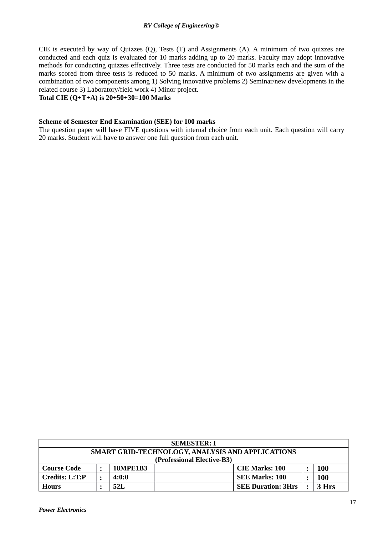CIE is executed by way of Quizzes (Q), Tests (T) and Assignments (A). A minimum of two quizzes are conducted and each quiz is evaluated for 10 marks adding up to 20 marks. Faculty may adopt innovative methods for conducting quizzes effectively. Three tests are conducted for 50 marks each and the sum of the marks scored from three tests is reduced to 50 marks. A minimum of two assignments are given with a combination of two components among 1) Solving innovative problems 2) Seminar/new developments in the related course 3) Laboratory/field work 4) Minor project.

#### **Total CIE (Q+T+A) is 20+50+30=100 Marks**

#### **Scheme of Semester End Examination (SEE) for 100 marks**

| <b>SEMESTER: I</b> |                                                  |                 |                            |                       |  |     |  |  |  |  |
|--------------------|--------------------------------------------------|-----------------|----------------------------|-----------------------|--|-----|--|--|--|--|
|                    | SMART GRID-TECHNOLOGY, ANALYSIS AND APPLICATIONS |                 |                            |                       |  |     |  |  |  |  |
|                    |                                                  |                 | (Professional Elective-B3) |                       |  |     |  |  |  |  |
| <b>Course Code</b> |                                                  | <b>18MPE1B3</b> |                            | <b>CIE Marks: 100</b> |  | 100 |  |  |  |  |
| Credits: L:T:P     | <b>SEE Marks: 100</b><br>4:0:0<br><b>100</b>     |                 |                            |                       |  |     |  |  |  |  |
| <b>Hours</b>       | 52L<br><b>SEE Duration: 3Hrs</b><br>3 Hrs        |                 |                            |                       |  |     |  |  |  |  |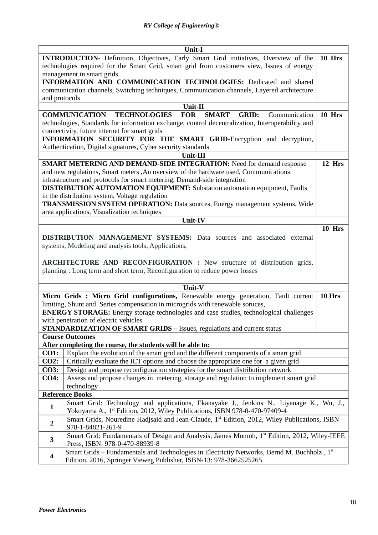|                                                                                                              | Unit-I                                                                                                                                    |        |  |  |  |  |  |
|--------------------------------------------------------------------------------------------------------------|-------------------------------------------------------------------------------------------------------------------------------------------|--------|--|--|--|--|--|
| INTRODUCTION- Definition, Objectives, Early Smart Grid initiatives, Overview of the                          |                                                                                                                                           |        |  |  |  |  |  |
| technologies required for the Smart Grid, smart grid from customers view, Issues of energy                   |                                                                                                                                           |        |  |  |  |  |  |
| management in smart grids                                                                                    |                                                                                                                                           |        |  |  |  |  |  |
| INFORMATION AND COMMUNICATION TECHNOLOGIES: Dedicated and shared                                             |                                                                                                                                           |        |  |  |  |  |  |
| communication channels, Switching techniques, Communication channels, Layered architecture                   |                                                                                                                                           |        |  |  |  |  |  |
| and protocols                                                                                                |                                                                                                                                           |        |  |  |  |  |  |
|                                                                                                              | Unit-II                                                                                                                                   |        |  |  |  |  |  |
|                                                                                                              | <b>COMMUNICATION</b><br><b>TECHNOLOGIES</b><br><b>FOR</b><br><b>SMART</b><br><b>GRID:</b><br>Communication                                | 10 Hrs |  |  |  |  |  |
|                                                                                                              | technologies, Standards for information exchange, control decentralization, Interoperability and                                          |        |  |  |  |  |  |
|                                                                                                              | connectivity, future internet for smart grids                                                                                             |        |  |  |  |  |  |
|                                                                                                              | INFORMATION SECURITY FOR THE SMART GRID-Encryption and decryption,                                                                        |        |  |  |  |  |  |
|                                                                                                              | Authentication, Digital signatures, Cyber security standards                                                                              |        |  |  |  |  |  |
|                                                                                                              | Unit-III                                                                                                                                  |        |  |  |  |  |  |
|                                                                                                              | <b>SMART METERING AND DEMAND-SIDE INTEGRATION: Need for demand response</b>                                                               | 12 Hrs |  |  |  |  |  |
|                                                                                                              | and new regulations, Smart meters , An overview of the hardware used, Communications                                                      |        |  |  |  |  |  |
|                                                                                                              | infrastructure and protocols for smart metering, Demand-side integration                                                                  |        |  |  |  |  |  |
|                                                                                                              | <b>DISTRIBUTION AUTOMATION EQUIPMENT: Substation automation equipment, Faults</b>                                                         |        |  |  |  |  |  |
|                                                                                                              | in the distribution system, Voltage regulation                                                                                            |        |  |  |  |  |  |
|                                                                                                              | <b>TRANSMISSION SYSTEM OPERATION:</b> Data sources, Energy management systems, Wide                                                       |        |  |  |  |  |  |
|                                                                                                              | area applications, Visualization techniques                                                                                               |        |  |  |  |  |  |
|                                                                                                              | <b>Unit-IV</b>                                                                                                                            |        |  |  |  |  |  |
|                                                                                                              |                                                                                                                                           | 10 Hrs |  |  |  |  |  |
|                                                                                                              | <b>DISTRIBUTION MANAGEMENT SYSTEMS:</b> Data sources and associated external                                                              |        |  |  |  |  |  |
|                                                                                                              | systems, Modeling and analysis tools, Applications,                                                                                       |        |  |  |  |  |  |
|                                                                                                              |                                                                                                                                           |        |  |  |  |  |  |
|                                                                                                              | <b>ARCHITECTURE AND RECONFIGURATION :</b> New structure of distribution grids,                                                            |        |  |  |  |  |  |
|                                                                                                              | planning: Long term and short term, Reconfiguration to reduce power losses                                                                |        |  |  |  |  |  |
|                                                                                                              |                                                                                                                                           |        |  |  |  |  |  |
|                                                                                                              | Unit-V                                                                                                                                    |        |  |  |  |  |  |
|                                                                                                              | Micro Grids : Micro Grid configurations, Renewable energy generation, Fault current                                                       | 10 Hrs |  |  |  |  |  |
|                                                                                                              | limiting, Shunt and Series compensation in microgrids with renewable soruces,                                                             |        |  |  |  |  |  |
|                                                                                                              | ENERGY STORAGE: Energy storage technologies and case studies, technological challenges                                                    |        |  |  |  |  |  |
|                                                                                                              | with penetration of electric vehicles                                                                                                     |        |  |  |  |  |  |
|                                                                                                              | <b>STANDARDIZATION OF SMART GRIDS - Issues, regulations and current status</b>                                                            |        |  |  |  |  |  |
|                                                                                                              | <b>Course Outcomes</b>                                                                                                                    |        |  |  |  |  |  |
|                                                                                                              | After completing the course, the students will be able to:                                                                                |        |  |  |  |  |  |
| <b>CO1:</b>                                                                                                  | Explain the evolution of the smart grid and the different components of a smart grid                                                      |        |  |  |  |  |  |
| <b>CO2:</b>                                                                                                  | Critically evaluate the ICT options and choose the appropriate one for a given grid                                                       |        |  |  |  |  |  |
| <b>CO3:</b>                                                                                                  | Design and propose reconfiguration strategies for the smart distribution network                                                          |        |  |  |  |  |  |
| <b>CO4:</b>                                                                                                  | Assess and propose changes in metering, storage and regulation to implement smart grid                                                    |        |  |  |  |  |  |
|                                                                                                              | technology                                                                                                                                |        |  |  |  |  |  |
|                                                                                                              | <b>Reference Books</b>                                                                                                                    |        |  |  |  |  |  |
|                                                                                                              | Smart Grid: Technology and applications, Ekanayake J., Jenkins N., Liyanage K., Wu, J.,                                                   |        |  |  |  |  |  |
| $\mathbf{1}$                                                                                                 | Yokoyama A., 1 <sup>st</sup> Edition, 2012, Wiley Publications, ISBN 978-0-470-97409-4                                                    |        |  |  |  |  |  |
| Smart Grids, Nouredine Hadjsaid and Jean-Claude, 1 <sup>st</sup> Edition, 2012, Wiley Publications, ISBN -   |                                                                                                                                           |        |  |  |  |  |  |
| $\overline{2}$<br>978-1-84821-261-9                                                                          |                                                                                                                                           |        |  |  |  |  |  |
|                                                                                                              |                                                                                                                                           |        |  |  |  |  |  |
| Smart Grid: Fundamentals of Design and Analysis, James Momoh, 1 <sup>st</sup> Edition, 2012, Wiley-IEEE<br>3 |                                                                                                                                           |        |  |  |  |  |  |
|                                                                                                              | Press, ISBN: 978-0-470-88939-8<br>Smart Grids - Fundamentals and Technologies in Electricity Networks, Bernd M. Buchholz, 1 <sup>st</sup> |        |  |  |  |  |  |
| 4                                                                                                            |                                                                                                                                           |        |  |  |  |  |  |
|                                                                                                              | Edition, 2016, Springer Vieweg Publisher, ISBN-13: 978-3662525265                                                                         |        |  |  |  |  |  |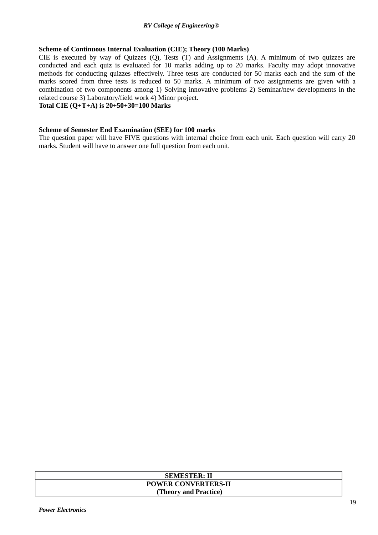#### *RV College of Engineering*®

### **Scheme of Continuous Internal Evaluation (CIE); Theory (100 Marks)**

CIE is executed by way of Quizzes (Q), Tests (T) and Assignments (A). A minimum of two quizzes are conducted and each quiz is evaluated for 10 marks adding up to 20 marks. Faculty may adopt innovative methods for conducting quizzes effectively. Three tests are conducted for 50 marks each and the sum of the marks scored from three tests is reduced to 50 marks. A minimum of two assignments are given with a combination of two components among 1) Solving innovative problems 2) Seminar/new developments in the related course 3) Laboratory/field work 4) Minor project.

**Total CIE (Q+T+A) is 20+50+30=100 Marks**

#### **Scheme of Semester End Examination (SEE) for 100 marks**

| <b>SEMESTER: II</b>        |
|----------------------------|
| <b>POWER CONVERTERS-II</b> |
| (Theory and Practice)      |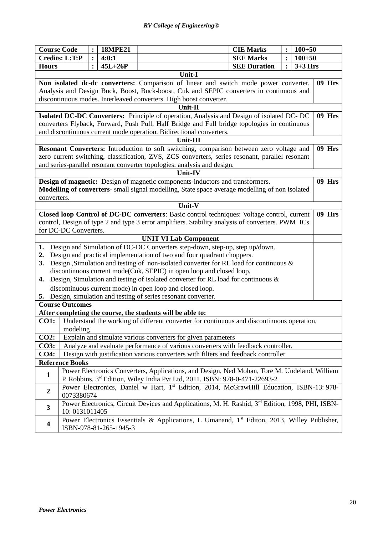| <b>Course Code</b>                                                                                 |                              | :              | <b>18MPE21</b>         |                                                                                                                                                       | <b>CIE Marks</b>    |            | $100 + 50$ |        |  |  |
|----------------------------------------------------------------------------------------------------|------------------------------|----------------|------------------------|-------------------------------------------------------------------------------------------------------------------------------------------------------|---------------------|------------|------------|--------|--|--|
|                                                                                                    | Credits: L:T:P               | $\ddot{\cdot}$ | 4:0:1                  |                                                                                                                                                       | <b>SEE Marks</b>    | $100 + 50$ |            |        |  |  |
| <b>Hours</b>                                                                                       |                              | $\cdot$        | 45L+26P                |                                                                                                                                                       | <b>SEE Duration</b> | $3+3$ Hrs  |            |        |  |  |
|                                                                                                    |                              |                |                        | <b>Unit-I</b>                                                                                                                                         |                     |            |            |        |  |  |
|                                                                                                    |                              |                |                        | Non isolated dc-dc converters: Comparison of linear and switch mode power converter.                                                                  |                     |            |            | 09 Hrs |  |  |
|                                                                                                    |                              |                |                        | Analysis and Design Buck, Boost, Buck-boost, Cuk and SEPIC converters in continuous and                                                               |                     |            |            |        |  |  |
| discontinuous modes. Interleaved converters. High boost converter.                                 |                              |                |                        |                                                                                                                                                       |                     |            |            |        |  |  |
|                                                                                                    | Unit-II                      |                |                        |                                                                                                                                                       |                     |            |            |        |  |  |
| Isolated DC-DC Converters: Principle of operation, Analysis and Design of isolated DC-DC<br>09 Hrs |                              |                |                        |                                                                                                                                                       |                     |            |            |        |  |  |
|                                                                                                    |                              |                |                        | converters Flyback, Forward, Push Pull, Half Bridge and Full bridge topologies in continuous                                                          |                     |            |            |        |  |  |
|                                                                                                    |                              |                |                        | and discontinuous current mode operation. Bidirectional converters.                                                                                   |                     |            |            |        |  |  |
|                                                                                                    |                              |                |                        | Unit-III                                                                                                                                              |                     |            |            |        |  |  |
|                                                                                                    |                              |                |                        | Resonant Converters: Introduction to soft switching, comparison between zero voltage and                                                              |                     |            |            | 09 Hrs |  |  |
|                                                                                                    |                              |                |                        | zero current switching, classification, ZVS, ZCS converters, series resonant, parallel resonant                                                       |                     |            |            |        |  |  |
|                                                                                                    |                              |                |                        | and series-parallel resonant converter topologies: analysis and design.                                                                               |                     |            |            |        |  |  |
|                                                                                                    |                              |                |                        | <b>Unit-IV</b>                                                                                                                                        |                     |            |            |        |  |  |
|                                                                                                    |                              |                |                        | Design of magnetic: Design of magnetic components-inductors and transformers.                                                                         |                     |            |            | 09 Hrs |  |  |
|                                                                                                    |                              |                |                        | Modelling of converters- small signal modelling, State space average modelling of non isolated                                                        |                     |            |            |        |  |  |
| converters.                                                                                        |                              |                |                        |                                                                                                                                                       |                     |            |            |        |  |  |
|                                                                                                    |                              |                |                        | Unit-V                                                                                                                                                |                     |            |            |        |  |  |
|                                                                                                    |                              |                |                        | Closed loop Control of DC-DC converters: Basic control techniques: Voltage control, current                                                           |                     |            |            | 09 Hrs |  |  |
|                                                                                                    |                              |                |                        | control, Design of type 2 and type 3 error amplifiers. Stability analysis of converters. PWM ICs                                                      |                     |            |            |        |  |  |
|                                                                                                    | for DC-DC Converters.        |                |                        |                                                                                                                                                       |                     |            |            |        |  |  |
|                                                                                                    |                              |                |                        | <b>UNIT VI Lab Component</b>                                                                                                                          |                     |            |            |        |  |  |
| 1.                                                                                                 |                              |                |                        | Design and Simulation of DC-DC Converters step-down, step-up, step up/down.<br>Design and practical implementation of two and four quadrant choppers. |                     |            |            |        |  |  |
| 2.<br>3.                                                                                           |                              |                |                        | Design , Simulation and testing of non-isolated converter for RL load for continuous &                                                                |                     |            |            |        |  |  |
|                                                                                                    |                              |                |                        | discontinuous current mode(Cuk, SEPIC) in open loop and closed loop,                                                                                  |                     |            |            |        |  |  |
| 4.                                                                                                 |                              |                |                        | Design, Simulation and testing of isolated converter for RL load for continuous &                                                                     |                     |            |            |        |  |  |
|                                                                                                    |                              |                |                        | discontinuous current mode) in open loop and closed loop.                                                                                             |                     |            |            |        |  |  |
| 5.                                                                                                 |                              |                |                        | Design, simulation and testing of series resonant converter.                                                                                          |                     |            |            |        |  |  |
|                                                                                                    | <b>Course Outcomes</b>       |                |                        |                                                                                                                                                       |                     |            |            |        |  |  |
|                                                                                                    |                              |                |                        | After completing the course, the students will be able to:                                                                                            |                     |            |            |        |  |  |
| <b>CO1:</b>                                                                                        |                              |                |                        | Understand the working of different converter for continuous and discontinuous operation,                                                             |                     |            |            |        |  |  |
|                                                                                                    | modeling                     |                |                        |                                                                                                                                                       |                     |            |            |        |  |  |
| $CO2$ :                                                                                            |                              |                |                        | Explain and simulate various converters for given parameters                                                                                          |                     |            |            |        |  |  |
| CO3:                                                                                               |                              |                |                        | Analyze and evaluate performance of various converters with feedback controller.                                                                      |                     |            |            |        |  |  |
| CO4:                                                                                               |                              |                |                        | Design with justification various converters with filters and feedback controller                                                                     |                     |            |            |        |  |  |
|                                                                                                    | <b>Reference Books</b>       |                |                        |                                                                                                                                                       |                     |            |            |        |  |  |
|                                                                                                    |                              |                |                        | Power Electronics Converters, Applications, and Design, Ned Mohan, Tore M. Undeland, William                                                          |                     |            |            |        |  |  |
| $\mathbf{1}$                                                                                       |                              |                |                        | P. Robbins, 3rd Edition, Wiley India Pvt Ltd, 2011. ISBN: 978-0-471-22693-2                                                                           |                     |            |            |        |  |  |
|                                                                                                    |                              |                |                        | Power Electronics, Daniel w Hart, 1 <sup>st</sup> Edition, 2014, McGrawHill Education, ISBN-13: 978-                                                  |                     |            |            |        |  |  |
|                                                                                                    | $\overline{2}$<br>0073380674 |                |                        |                                                                                                                                                       |                     |            |            |        |  |  |
|                                                                                                    |                              |                |                        | Power Electronics, Circuit Devices and Applications, M. H. Rashid, 3 <sup>rd</sup> Edition, 1998, PHI, ISBN-                                          |                     |            |            |        |  |  |
| 3                                                                                                  | 10: 0131011405               |                |                        |                                                                                                                                                       |                     |            |            |        |  |  |
|                                                                                                    |                              |                |                        | Power Electronics Essentials & Applications, L Umanand, 1 <sup>st</sup> Editon, 2013, Willey Publisher,                                               |                     |            |            |        |  |  |
| 4                                                                                                  |                              |                | ISBN-978-81-265-1945-3 |                                                                                                                                                       |                     |            |            |        |  |  |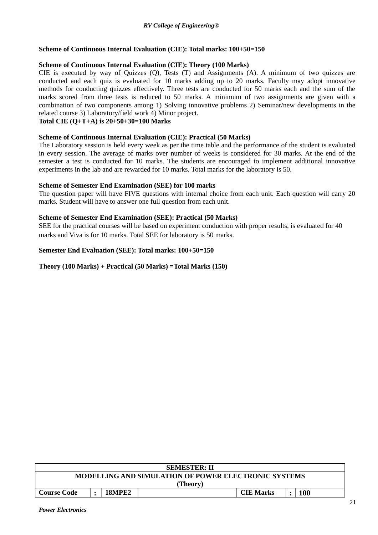## **Scheme of Continuous Internal Evaluation (CIE): Total marks: 100+50=150**

## **Scheme of Continuous Internal Evaluation (CIE): Theory (100 Marks)**

CIE is executed by way of Quizzes (Q), Tests (T) and Assignments (A). A minimum of two quizzes are conducted and each quiz is evaluated for 10 marks adding up to 20 marks. Faculty may adopt innovative methods for conducting quizzes effectively. Three tests are conducted for 50 marks each and the sum of the marks scored from three tests is reduced to 50 marks. A minimum of two assignments are given with a combination of two components among 1) Solving innovative problems 2) Seminar/new developments in the related course 3) Laboratory/field work 4) Minor project.

## **Total CIE (Q+T+A) is 20+50+30=100 Marks**

## **Scheme of Continuous Internal Evaluation (CIE): Practical (50 Marks)**

The Laboratory session is held every week as per the time table and the performance of the student is evaluated in every session. The average of marks over number of weeks is considered for 30 marks. At the end of the semester a test is conducted for 10 marks. The students are encouraged to implement additional innovative experiments in the lab and are rewarded for 10 marks. Total marks for the laboratory is 50.

## **Scheme of Semester End Examination (SEE) for 100 marks**

The question paper will have FIVE questions with internal choice from each unit. Each question will carry 20 marks. Student will have to answer one full question from each unit.

## **Scheme of Semester End Examination (SEE): Practical (50 Marks)**

SEE for the practical courses will be based on experiment conduction with proper results, is evaluated for 40 marks and Viva is for 10 marks. Total SEE for laboratory is 50 marks.

## **Semester End Evaluation (SEE): Total marks: 100+50=150**

**Theory (100 Marks) + Practical (50 Marks) =Total Marks (150)**

| <b>SEMESTER: II</b>                                  |          |               |  |                  |  |            |  |  |  |
|------------------------------------------------------|----------|---------------|--|------------------|--|------------|--|--|--|
| MODELLING AND SIMULATION OF POWER ELECTRONIC SYSTEMS |          |               |  |                  |  |            |  |  |  |
|                                                      | (Theory) |               |  |                  |  |            |  |  |  |
| <b>Course Code</b>                                   |          | <b>18MPE2</b> |  | <b>CIE Marks</b> |  | <b>100</b> |  |  |  |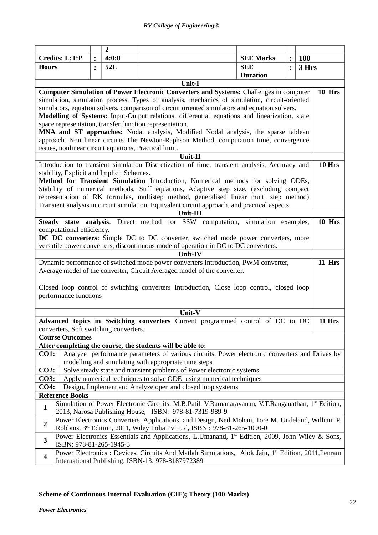|                                                                                               |                                                                          |                | $\overline{2}$                            |                                                                                                                |                  |                              |  |        |  |  |
|-----------------------------------------------------------------------------------------------|--------------------------------------------------------------------------|----------------|-------------------------------------------|----------------------------------------------------------------------------------------------------------------|------------------|------------------------------|--|--------|--|--|
|                                                                                               | Credits: L:T:P                                                           | $\ddot{\cdot}$ | 4:0:0                                     |                                                                                                                | <b>SEE Marks</b> | <b>100</b><br>$\ddot{\cdot}$ |  |        |  |  |
| <b>Hours</b>                                                                                  |                                                                          | $\ddot{\cdot}$ | 52L                                       |                                                                                                                | <b>SEE</b>       | 3 Hrs                        |  |        |  |  |
|                                                                                               |                                                                          |                |                                           |                                                                                                                | <b>Duration</b>  |                              |  |        |  |  |
| Unit-I                                                                                        |                                                                          |                |                                           |                                                                                                                |                  |                              |  |        |  |  |
| <b>Computer Simulation of Power Electronic Converters and Systems: Challenges in computer</b> |                                                                          |                |                                           |                                                                                                                |                  |                              |  |        |  |  |
| simulation, simulation process, Types of analysis, mechanics of simulation, circuit-oriented  |                                                                          |                |                                           |                                                                                                                |                  |                              |  |        |  |  |
| simulators, equation solvers, comparison of circuit oriented simulators and equation solvers. |                                                                          |                |                                           |                                                                                                                |                  |                              |  |        |  |  |
| Modelling of Systems: Input-Output relations, differential equations and linearization, state |                                                                          |                |                                           |                                                                                                                |                  |                              |  |        |  |  |
|                                                                                               |                                                                          |                |                                           | space representation, transfer function representation.                                                        |                  |                              |  |        |  |  |
|                                                                                               |                                                                          |                |                                           | MNA and ST approaches: Nodal analysis, Modified Nodal analysis, the sparse tableau                             |                  |                              |  |        |  |  |
|                                                                                               |                                                                          |                |                                           | approach. Non linear circuits The Newton-Raphson Method, computation time, convergence                         |                  |                              |  |        |  |  |
|                                                                                               |                                                                          |                |                                           | issues, nonlinear circuit equations, Practical limit.                                                          |                  |                              |  |        |  |  |
|                                                                                               |                                                                          |                |                                           | Unit-II                                                                                                        |                  |                              |  |        |  |  |
|                                                                                               |                                                                          |                |                                           | Introduction to transient simulation Discretization of time, transient analysis, Accuracy and                  |                  |                              |  | 10 Hrs |  |  |
|                                                                                               |                                                                          |                | stability, Explicit and Implicit Schemes. |                                                                                                                |                  |                              |  |        |  |  |
|                                                                                               |                                                                          |                |                                           | Method for Transient Simulation Introduction, Numerical methods for solving ODEs,                              |                  |                              |  |        |  |  |
|                                                                                               |                                                                          |                |                                           | Stability of numerical methods. Stiff equations, Adaptive step size, (excluding compact                        |                  |                              |  |        |  |  |
|                                                                                               |                                                                          |                |                                           | representation of RK formulas, multistep method, generalised linear multi step method)                         |                  |                              |  |        |  |  |
|                                                                                               |                                                                          |                |                                           | Transient analysis in circuit simulation, Equivalent circuit approach, and practical aspects.                  |                  |                              |  |        |  |  |
|                                                                                               |                                                                          |                |                                           | Unit-III                                                                                                       |                  |                              |  |        |  |  |
|                                                                                               |                                                                          |                |                                           | Steady state analysis: Direct method for SSW computation, simulation examples,                                 |                  |                              |  | 10 Hrs |  |  |
|                                                                                               | computational efficiency.                                                |                |                                           |                                                                                                                |                  |                              |  |        |  |  |
|                                                                                               |                                                                          |                |                                           | DC DC converters: Simple DC to DC converter, switched mode power converters, more                              |                  |                              |  |        |  |  |
|                                                                                               |                                                                          |                |                                           | versatile power converters, discontinuous mode of operation in DC to DC converters.                            |                  |                              |  |        |  |  |
|                                                                                               |                                                                          |                |                                           | <b>Unit-IV</b>                                                                                                 |                  |                              |  |        |  |  |
|                                                                                               |                                                                          |                |                                           | Dynamic performance of switched mode power converters Introduction, PWM converter,                             |                  |                              |  | 11 Hrs |  |  |
|                                                                                               |                                                                          |                |                                           | Average model of the converter, Circuit Averaged model of the converter.                                       |                  |                              |  |        |  |  |
|                                                                                               |                                                                          |                |                                           |                                                                                                                |                  |                              |  |        |  |  |
|                                                                                               |                                                                          |                |                                           | Closed loop control of switching converters Introduction, Close loop control, closed loop                      |                  |                              |  |        |  |  |
|                                                                                               | performance functions                                                    |                |                                           |                                                                                                                |                  |                              |  |        |  |  |
|                                                                                               |                                                                          |                |                                           |                                                                                                                |                  |                              |  |        |  |  |
|                                                                                               |                                                                          |                |                                           | Unit-V                                                                                                         |                  |                              |  |        |  |  |
|                                                                                               |                                                                          |                |                                           | Advanced topics in Switching converters Current programmed control of DC to DC                                 |                  |                              |  | 11 Hrs |  |  |
|                                                                                               |                                                                          |                | converters, Soft switching converters.    |                                                                                                                |                  |                              |  |        |  |  |
|                                                                                               | <b>Course Outcomes</b>                                                   |                |                                           |                                                                                                                |                  |                              |  |        |  |  |
|                                                                                               |                                                                          |                |                                           | After completing the course, the students will be able to:                                                     |                  |                              |  |        |  |  |
| <b>CO1:</b>                                                                                   |                                                                          |                |                                           | Analyze performance parameters of various circuits, Power electronic converters and Drives by                  |                  |                              |  |        |  |  |
|                                                                                               |                                                                          |                |                                           | modelling and simulating with appropriate time steps                                                           |                  |                              |  |        |  |  |
| <b>CO2:</b>                                                                                   |                                                                          |                |                                           | Solve steady state and transient problems of Power electronic systems                                          |                  |                              |  |        |  |  |
| <b>CO3:</b>                                                                                   |                                                                          |                |                                           | Apply numerical techniques to solve ODE using numerical techniques                                             |                  |                              |  |        |  |  |
| <b>CO4:</b>                                                                                   |                                                                          |                |                                           | Design, Implement and Analyze open and closed loop systems                                                     |                  |                              |  |        |  |  |
|                                                                                               | <b>Reference Books</b>                                                   |                |                                           |                                                                                                                |                  |                              |  |        |  |  |
| $\mathbf{1}$                                                                                  |                                                                          |                |                                           | Simulation of Power Electronic Circuits, M.B.Patil, V.Ramanarayanan, V.T.Ranganathan, 1 <sup>st</sup> Edition, |                  |                              |  |        |  |  |
|                                                                                               |                                                                          |                |                                           | 2013, Narosa Publishing House, ISBN: 978-81-7319-989-9                                                         |                  |                              |  |        |  |  |
| $\overline{2}$                                                                                |                                                                          |                |                                           | Power Electronics Converters, Applications, and Design, Ned Mohan, Tore M. Undeland, William P.                |                  |                              |  |        |  |  |
|                                                                                               | Robbins, 3rd Edition, 2011, Wiley India Pvt Ltd, ISBN: 978-81-265-1090-0 |                |                                           |                                                                                                                |                  |                              |  |        |  |  |
| 3                                                                                             |                                                                          |                |                                           | Power Electronics Essentials and Applications, L.Umanand, 1 <sup>st</sup> Edition, 2009, John Wiley & Sons,    |                  |                              |  |        |  |  |
|                                                                                               | ISBN: 978-81-265-1945-3                                                  |                |                                           |                                                                                                                |                  |                              |  |        |  |  |
| 4                                                                                             |                                                                          |                |                                           | Power Electronics : Devices, Circuits And Matlab Simulations, Alok Jain, 1 <sup>st</sup> Edition, 2011, Penram |                  |                              |  |        |  |  |
|                                                                                               | International Publishing, ISBN-13: 978-8187972389                        |                |                                           |                                                                                                                |                  |                              |  |        |  |  |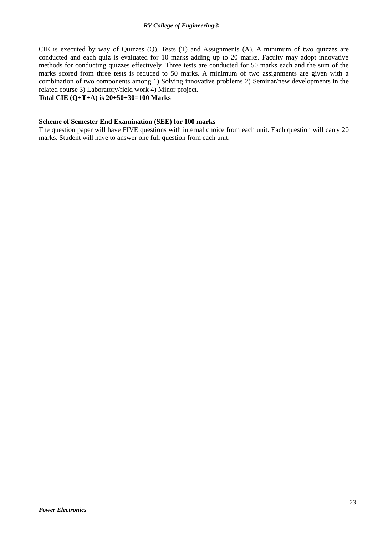CIE is executed by way of Quizzes (Q), Tests (T) and Assignments (A). A minimum of two quizzes are conducted and each quiz is evaluated for 10 marks adding up to 20 marks. Faculty may adopt innovative methods for conducting quizzes effectively. Three tests are conducted for 50 marks each and the sum of the marks scored from three tests is reduced to 50 marks. A minimum of two assignments are given with a combination of two components among 1) Solving innovative problems 2) Seminar/new developments in the related course 3) Laboratory/field work 4) Minor project.

#### **Total CIE (Q+T+A) is 20+50+30=100 Marks**

#### **Scheme of Semester End Examination (SEE) for 100 marks**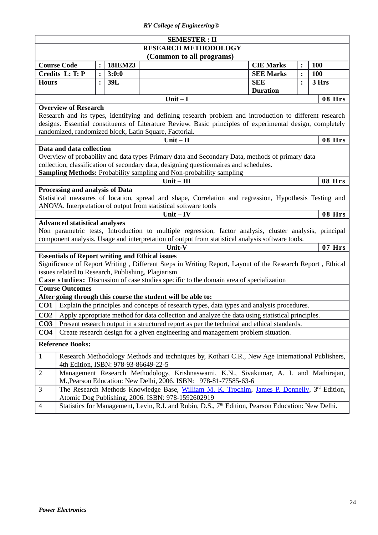## *RV College of Engineering*®

|                             |                                                                                                                |                |                | <b>SEMESTER: II</b>                                                                                                                                      |                  |                |     |        |  |  |
|-----------------------------|----------------------------------------------------------------------------------------------------------------|----------------|----------------|----------------------------------------------------------------------------------------------------------------------------------------------------------|------------------|----------------|-----|--------|--|--|
| <b>RESEARCH METHODOLOGY</b> |                                                                                                                |                |                |                                                                                                                                                          |                  |                |     |        |  |  |
| (Common to all programs)    |                                                                                                                |                |                |                                                                                                                                                          |                  |                |     |        |  |  |
|                             | <b>Course Code</b>                                                                                             | $\ddot{\cdot}$ | <b>18IEM23</b> |                                                                                                                                                          | <b>CIE Marks</b> | $\ddot{\cdot}$ | 100 |        |  |  |
|                             | Credits L: T: P                                                                                                | $\ddot{\cdot}$ | 3:0:0          |                                                                                                                                                          | <b>SEE Marks</b> | $\ddot{\cdot}$ | 100 |        |  |  |
| <b>Hours</b>                |                                                                                                                |                | 39L            |                                                                                                                                                          | <b>SEE</b>       |                |     | 3 Hrs  |  |  |
|                             |                                                                                                                |                |                |                                                                                                                                                          | <b>Duration</b>  |                |     |        |  |  |
|                             |                                                                                                                |                |                | Unit $-I$                                                                                                                                                |                  |                |     | 08 Hrs |  |  |
|                             | <b>Overview of Research</b>                                                                                    |                |                | Research and its types, identifying and defining research problem and introduction to different research                                                 |                  |                |     |        |  |  |
|                             |                                                                                                                |                |                | designs. Essential constituents of Literature Review. Basic principles of experimental design, completely                                                |                  |                |     |        |  |  |
|                             |                                                                                                                |                |                | randomized, randomized block, Latin Square, Factorial.                                                                                                   |                  |                |     |        |  |  |
|                             |                                                                                                                |                |                | $Unit - II$                                                                                                                                              |                  |                |     | 08 Hrs |  |  |
|                             | Data and data collection                                                                                       |                |                |                                                                                                                                                          |                  |                |     |        |  |  |
|                             |                                                                                                                |                |                | Overview of probability and data types Primary data and Secondary Data, methods of primary data                                                          |                  |                |     |        |  |  |
|                             |                                                                                                                |                |                | collection, classification of secondary data, designing questionnaires and schedules.                                                                    |                  |                |     |        |  |  |
|                             |                                                                                                                |                |                | <b>Sampling Methods: Probability sampling and Non-probability sampling</b>                                                                               |                  |                |     |        |  |  |
|                             |                                                                                                                |                |                | Unit-III                                                                                                                                                 |                  |                |     | 08 Hrs |  |  |
|                             | <b>Processing and analysis of Data</b>                                                                         |                |                |                                                                                                                                                          |                  |                |     |        |  |  |
|                             |                                                                                                                |                |                | Statistical measures of location, spread and shape, Correlation and regression, Hypothesis Testing and                                                   |                  |                |     |        |  |  |
|                             |                                                                                                                |                |                | ANOVA. Interpretation of output from statistical software tools                                                                                          |                  |                |     |        |  |  |
|                             |                                                                                                                |                |                | $Unit - IV$                                                                                                                                              |                  |                |     | 08 Hrs |  |  |
|                             | <b>Advanced statistical analyses</b>                                                                           |                |                | Non parametric tests, Introduction to multiple regression, factor analysis, cluster analysis, principal                                                  |                  |                |     |        |  |  |
|                             |                                                                                                                |                |                | component analysis. Usage and interpretation of output from statistical analysis software tools.                                                         |                  |                |     |        |  |  |
|                             |                                                                                                                |                |                | Unit-V                                                                                                                                                   |                  |                |     | 07 Hrs |  |  |
|                             | <b>Essentials of Report writing and Ethical issues</b>                                                         |                |                |                                                                                                                                                          |                  |                |     |        |  |  |
|                             |                                                                                                                |                |                | Significance of Report Writing, Different Steps in Writing Report, Layout of the Research Report, Ethical                                                |                  |                |     |        |  |  |
|                             | issues related to Research, Publishing, Plagiarism                                                             |                |                |                                                                                                                                                          |                  |                |     |        |  |  |
|                             |                                                                                                                |                |                | Case studies: Discussion of case studies specific to the domain area of specialization                                                                   |                  |                |     |        |  |  |
|                             | <b>Course Outcomes</b>                                                                                         |                |                |                                                                                                                                                          |                  |                |     |        |  |  |
|                             |                                                                                                                |                |                | After going through this course the student will be able to:                                                                                             |                  |                |     |        |  |  |
| CO1                         |                                                                                                                |                |                | Explain the principles and concepts of research types, data types and analysis procedures.                                                               |                  |                |     |        |  |  |
| CO <sub>2</sub>             |                                                                                                                |                |                | Apply appropriate method for data collection and analyze the data using statistical principles.                                                          |                  |                |     |        |  |  |
| CO <sub>3</sub>             |                                                                                                                |                |                | Present research output in a structured report as per the technical and ethical standards.                                                               |                  |                |     |        |  |  |
| CO <sub>4</sub>             |                                                                                                                |                |                | Create research design for a given engineering and management problem situation.                                                                         |                  |                |     |        |  |  |
|                             | <b>Reference Books:</b>                                                                                        |                |                |                                                                                                                                                          |                  |                |     |        |  |  |
| $\mathbf{1}$                | 4th Edition, ISBN: 978-93-86649-22-5                                                                           |                |                | Research Methodology Methods and techniques by, Kothari C.R., New Age International Publishers,                                                          |                  |                |     |        |  |  |
| $\overline{2}$              |                                                                                                                |                |                | Management Research Methodology, Krishnaswami, K.N., Sivakumar, A. I. and Mathirajan,<br>M., Pearson Education: New Delhi, 2006. ISBN: 978-81-77585-63-6 |                  |                |     |        |  |  |
| 3                           |                                                                                                                |                |                | The Research Methods Knowledge Base, William M. K. Trochim, James P. Donnelly, 3rd Edition,                                                              |                  |                |     |        |  |  |
|                             |                                                                                                                |                |                | Atomic Dog Publishing, 2006. ISBN: 978-1592602919                                                                                                        |                  |                |     |        |  |  |
| $\overline{4}$              | Statistics for Management, Levin, R.I. and Rubin, D.S., 7 <sup>th</sup> Edition, Pearson Education: New Delhi. |                |                |                                                                                                                                                          |                  |                |     |        |  |  |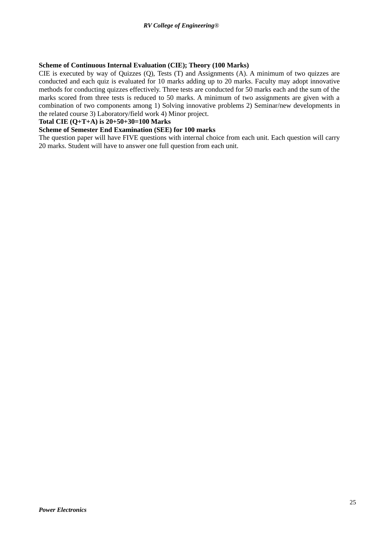CIE is executed by way of Quizzes (Q), Tests (T) and Assignments (A). A minimum of two quizzes are conducted and each quiz is evaluated for 10 marks adding up to 20 marks. Faculty may adopt innovative methods for conducting quizzes effectively. Three tests are conducted for 50 marks each and the sum of the marks scored from three tests is reduced to 50 marks. A minimum of two assignments are given with a combination of two components among 1) Solving innovative problems 2) Seminar/new developments in the related course 3) Laboratory/field work 4) Minor project.

### **Total CIE (Q+T+A) is 20+50+30=100 Marks**

## **Scheme of Semester End Examination (SEE) for 100 marks**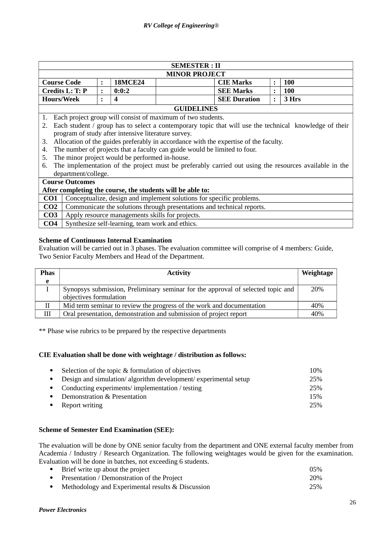| <b>SEMESTER: II</b>                                                          |                        |   |                                                     |                                                                                      |                     |                |                                                                                                        |  |  |  |  |
|------------------------------------------------------------------------------|------------------------|---|-----------------------------------------------------|--------------------------------------------------------------------------------------|---------------------|----------------|--------------------------------------------------------------------------------------------------------|--|--|--|--|
| <b>MINOR PROJECT</b>                                                         |                        |   |                                                     |                                                                                      |                     |                |                                                                                                        |  |  |  |  |
|                                                                              | <b>Course Code</b>     | : | <b>18MCE24</b>                                      |                                                                                      | <b>CIE Marks</b>    | $\ddot{\cdot}$ | <b>100</b>                                                                                             |  |  |  |  |
| <b>SEE Marks</b><br>Credits L: T: P<br>0:0:2<br><b>100</b><br>$\ddot{\cdot}$ |                        |   |                                                     |                                                                                      |                     |                |                                                                                                        |  |  |  |  |
| <b>Hours/Week</b>                                                            |                        | ٠ | 4                                                   |                                                                                      | <b>SEE Duration</b> | $\ddot{\cdot}$ | 3 Hrs                                                                                                  |  |  |  |  |
| <b>GUIDELINES</b>                                                            |                        |   |                                                     |                                                                                      |                     |                |                                                                                                        |  |  |  |  |
| 1.                                                                           |                        |   |                                                     | Each project group will consist of maximum of two students.                          |                     |                |                                                                                                        |  |  |  |  |
| 2.                                                                           |                        |   |                                                     |                                                                                      |                     |                | Each student / group has to select a contemporary topic that will use the technical knowledge of their |  |  |  |  |
|                                                                              |                        |   | program of study after intensive literature survey. |                                                                                      |                     |                |                                                                                                        |  |  |  |  |
| З.                                                                           |                        |   |                                                     | Allocation of the guides preferably in accordance with the expertise of the faculty. |                     |                |                                                                                                        |  |  |  |  |
| 4.                                                                           |                        |   |                                                     | The number of projects that a faculty can guide would be limited to four.            |                     |                |                                                                                                        |  |  |  |  |
| 5.                                                                           |                        |   | The minor project would be performed in-house.      |                                                                                      |                     |                |                                                                                                        |  |  |  |  |
| 6.                                                                           |                        |   |                                                     |                                                                                      |                     |                | The implementation of the project must be preferably carried out using the resources available in the  |  |  |  |  |
|                                                                              | department/college.    |   |                                                     |                                                                                      |                     |                |                                                                                                        |  |  |  |  |
|                                                                              | <b>Course Outcomes</b> |   |                                                     |                                                                                      |                     |                |                                                                                                        |  |  |  |  |
|                                                                              |                        |   |                                                     | After completing the course, the students will be able to:                           |                     |                |                                                                                                        |  |  |  |  |
| CO <sub>1</sub>                                                              |                        |   |                                                     | Conceptualize, design and implement solutions for specific problems.                 |                     |                |                                                                                                        |  |  |  |  |
| CO <sub>2</sub>                                                              |                        |   |                                                     | Communicate the solutions through presentations and technical reports.               |                     |                |                                                                                                        |  |  |  |  |
| CO <sub>3</sub>                                                              |                        |   |                                                     | Apply resource managements skills for projects.                                      |                     |                |                                                                                                        |  |  |  |  |
| <u>_</u> _                                                                   |                        |   | $\sigma$ and the set of the set of $\sigma$         |                                                                                      |                     |                |                                                                                                        |  |  |  |  |

**CO4** Synthesize self-learning, team work and ethics.

## **Scheme of Continuous Internal Examination**

Evaluation will be carried out in 3 phases. The evaluation committee will comprise of 4 members: Guide, Two Senior Faculty Members and Head of the Department.

| Phas | <b>Activity</b>                                                                 | Weightage |
|------|---------------------------------------------------------------------------------|-----------|
| e    |                                                                                 |           |
|      | Synopsys submission, Preliminary seminar for the approval of selected topic and | 20%       |
|      | objectives formulation                                                          |           |
|      | Mid term seminar to review the progress of the work and documentation           | 40%       |
| Ш    | Oral presentation, demonstration and submission of project report               | 40%       |

\*\* Phase wise rubrics to be prepared by the respective departments

## **CIE Evaluation shall be done with weightage / distribution as follows:**

| Selection of the topic & formulation of objectives               | $10\%$ |
|------------------------------------------------------------------|--------|
| • Design and simulation/algorithm development/experimental setup | 25%    |
| • Conducting experiments/implementation/testing                  | 25%    |
| • Demonstration & Presentation                                   | 15%    |
| • Report writing                                                 | 25%    |

## **Scheme of Semester End Examination (SEE):**

The evaluation will be done by ONE senior faculty from the department and ONE external faculty member from Academia / Industry / Research Organization. The following weightages would be given for the examination. Evaluation will be done in batches, not exceeding 6 students.

| Brief write up about the project                  | $0.5\%$    |
|---------------------------------------------------|------------|
| Presentation / Demonstration of the Project       | <b>20%</b> |
| Methodology and Experimental results & Discussion | 25%        |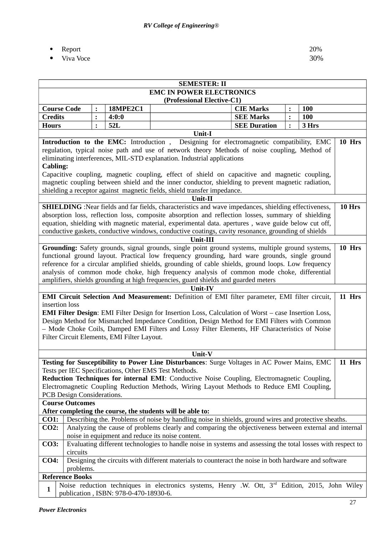- Report  $20\%$
- Viva Voce 30%

| <b>SEMESTER: II</b>                                                                                                                                                                                                                                                                                                                                                                                                                                                                   |                                                                                                                                                                                            |                |                                               |                                                                                                                                                                                                                                                                                                                                                                                                                                                                                                                |                     |                |       |        |  |  |
|---------------------------------------------------------------------------------------------------------------------------------------------------------------------------------------------------------------------------------------------------------------------------------------------------------------------------------------------------------------------------------------------------------------------------------------------------------------------------------------|--------------------------------------------------------------------------------------------------------------------------------------------------------------------------------------------|----------------|-----------------------------------------------|----------------------------------------------------------------------------------------------------------------------------------------------------------------------------------------------------------------------------------------------------------------------------------------------------------------------------------------------------------------------------------------------------------------------------------------------------------------------------------------------------------------|---------------------|----------------|-------|--------|--|--|
| <b>EMC IN POWER ELECTRONICS</b><br>(Professional Elective-C1)                                                                                                                                                                                                                                                                                                                                                                                                                         |                                                                                                                                                                                            |                |                                               |                                                                                                                                                                                                                                                                                                                                                                                                                                                                                                                |                     |                |       |        |  |  |
|                                                                                                                                                                                                                                                                                                                                                                                                                                                                                       | <b>Course Code</b>                                                                                                                                                                         | $\ddot{\cdot}$ | <b>18MPE2C1</b>                               |                                                                                                                                                                                                                                                                                                                                                                                                                                                                                                                | <b>CIE Marks</b>    | $\ddot{\cdot}$ | 100   |        |  |  |
| <b>Credits</b>                                                                                                                                                                                                                                                                                                                                                                                                                                                                        |                                                                                                                                                                                            | $\ddot{\cdot}$ | 4:0:0                                         |                                                                                                                                                                                                                                                                                                                                                                                                                                                                                                                | <b>SEE Marks</b>    | $\ddot{\cdot}$ | 100   |        |  |  |
| <b>Hours</b>                                                                                                                                                                                                                                                                                                                                                                                                                                                                          |                                                                                                                                                                                            | $\ddot{\cdot}$ | 52L                                           |                                                                                                                                                                                                                                                                                                                                                                                                                                                                                                                | <b>SEE Duration</b> | $\ddot{\cdot}$ | 3 Hrs |        |  |  |
|                                                                                                                                                                                                                                                                                                                                                                                                                                                                                       |                                                                                                                                                                                            |                |                                               | Unit-I                                                                                                                                                                                                                                                                                                                                                                                                                                                                                                         |                     |                |       |        |  |  |
|                                                                                                                                                                                                                                                                                                                                                                                                                                                                                       |                                                                                                                                                                                            |                | <b>Introduction to the EMC:</b> Introduction, | Designing for electromagnetic compatibility, EMC                                                                                                                                                                                                                                                                                                                                                                                                                                                               |                     |                |       | 10 Hrs |  |  |
| regulation, typical noise path and use of network theory Methods of noise coupling, Method of<br>eliminating interferences, MIL-STD explanation. Industrial applications<br><b>Cabling:</b><br>Capacitive coupling, magnetic coupling, effect of shield on capacitive and magnetic coupling,                                                                                                                                                                                          |                                                                                                                                                                                            |                |                                               |                                                                                                                                                                                                                                                                                                                                                                                                                                                                                                                |                     |                |       |        |  |  |
|                                                                                                                                                                                                                                                                                                                                                                                                                                                                                       |                                                                                                                                                                                            |                |                                               | magnetic coupling between shield and the inner conductor, shielding to prevent magnetic radiation,                                                                                                                                                                                                                                                                                                                                                                                                             |                     |                |       |        |  |  |
|                                                                                                                                                                                                                                                                                                                                                                                                                                                                                       |                                                                                                                                                                                            |                |                                               | shielding a receptor against magnetic fields, shield transfer impedance.                                                                                                                                                                                                                                                                                                                                                                                                                                       |                     |                |       |        |  |  |
|                                                                                                                                                                                                                                                                                                                                                                                                                                                                                       |                                                                                                                                                                                            |                |                                               | Unit-II                                                                                                                                                                                                                                                                                                                                                                                                                                                                                                        |                     |                |       |        |  |  |
|                                                                                                                                                                                                                                                                                                                                                                                                                                                                                       |                                                                                                                                                                                            |                |                                               | <b>SHIELDING</b> : Near fields and far fields, characteristics and wave impedances, shielding effectiveness,<br>absorption loss, reflection loss, composite absorption and reflection losses, summary of shielding<br>equation, shielding with magnetic material, experimental data. apertures, wave guide below cut off,<br>conductive gaskets, conductive windows, conductive coatings, cavity resonance, grounding of shields                                                                               |                     |                |       | 10 Hrs |  |  |
|                                                                                                                                                                                                                                                                                                                                                                                                                                                                                       |                                                                                                                                                                                            |                |                                               | Unit-III                                                                                                                                                                                                                                                                                                                                                                                                                                                                                                       |                     |                |       |        |  |  |
|                                                                                                                                                                                                                                                                                                                                                                                                                                                                                       |                                                                                                                                                                                            |                |                                               | Grounding: Safety grounds, signal grounds, single point ground systems, multiple ground systems,<br>functional ground layout. Practical low frequency grounding, hard ware grounds, single ground<br>reference for a circular amplified shields, grounding of cable shields, ground loops. Low frequency<br>analysis of common mode choke, high frequency analysis of common mode choke, differential<br>amplifiers, shields grounding at high frequencies, guard shields and guarded meters<br><b>Unit-IV</b> |                     |                |       | 10 Hrs |  |  |
|                                                                                                                                                                                                                                                                                                                                                                                                                                                                                       |                                                                                                                                                                                            |                |                                               |                                                                                                                                                                                                                                                                                                                                                                                                                                                                                                                |                     |                |       | 11 Hrs |  |  |
| <b>EMI Circuit Selection And Measurement:</b> Definition of EMI filter parameter, EMI filter circuit,<br>insertion loss<br><b>EMI Filter Design:</b> EMI Filter Design for Insertion Loss, Calculation of Worst - case Insertion Loss,<br>Design Method for Mismatched Impedance Condition, Design Method for EMI Filters with Common<br>- Mode Choke Coils, Damped EMI Filters and Lossy Filter Elements, HF Characteristics of Noise<br>Filter Circuit Elements, EMI Filter Layout. |                                                                                                                                                                                            |                |                                               |                                                                                                                                                                                                                                                                                                                                                                                                                                                                                                                |                     |                |       |        |  |  |
|                                                                                                                                                                                                                                                                                                                                                                                                                                                                                       |                                                                                                                                                                                            |                |                                               | Unit-V                                                                                                                                                                                                                                                                                                                                                                                                                                                                                                         |                     |                |       |        |  |  |
|                                                                                                                                                                                                                                                                                                                                                                                                                                                                                       | PCB Design Considerations.                                                                                                                                                                 |                |                                               | Testing for Susceptibility to Power Line Disturbances: Surge Voltages in AC Power Mains, EMC<br>Tests per IEC Specifications, Other EMS Test Methods.<br>Reduction Techniques for internal EMI: Conductive Noise Coupling, Electromagnetic Coupling,<br>Electromagnetic Coupling Reduction Methods, Wiring Layout Methods to Reduce EMI Coupling,                                                                                                                                                              |                     |                |       | 11 Hrs |  |  |
|                                                                                                                                                                                                                                                                                                                                                                                                                                                                                       | <b>Course Outcomes</b>                                                                                                                                                                     |                |                                               |                                                                                                                                                                                                                                                                                                                                                                                                                                                                                                                |                     |                |       |        |  |  |
|                                                                                                                                                                                                                                                                                                                                                                                                                                                                                       |                                                                                                                                                                                            |                |                                               | After completing the course, the students will be able to:                                                                                                                                                                                                                                                                                                                                                                                                                                                     |                     |                |       |        |  |  |
| CO1:                                                                                                                                                                                                                                                                                                                                                                                                                                                                                  |                                                                                                                                                                                            |                |                                               | Describing the. Problems of noise by handling noise in shields, ground wires and protective sheaths.                                                                                                                                                                                                                                                                                                                                                                                                           |                     |                |       |        |  |  |
| <b>CO2:</b>                                                                                                                                                                                                                                                                                                                                                                                                                                                                           |                                                                                                                                                                                            |                |                                               | Analyzing the cause of problems clearly and comparing the objectiveness between external and internal                                                                                                                                                                                                                                                                                                                                                                                                          |                     |                |       |        |  |  |
|                                                                                                                                                                                                                                                                                                                                                                                                                                                                                       | noise in equipment and reduce its noise content.<br>Evaluating different technologies to handle noise in systems and assessing the total losses with respect to<br><b>CO3:</b><br>circuits |                |                                               |                                                                                                                                                                                                                                                                                                                                                                                                                                                                                                                |                     |                |       |        |  |  |
| <b>CO4:</b>                                                                                                                                                                                                                                                                                                                                                                                                                                                                           | problems.                                                                                                                                                                                  |                |                                               | Designing the circuits with different materials to counteract the noise in both hardware and software                                                                                                                                                                                                                                                                                                                                                                                                          |                     |                |       |        |  |  |
|                                                                                                                                                                                                                                                                                                                                                                                                                                                                                       | <b>Reference Books</b>                                                                                                                                                                     |                |                                               |                                                                                                                                                                                                                                                                                                                                                                                                                                                                                                                |                     |                |       |        |  |  |
| $\mathbf{1}$                                                                                                                                                                                                                                                                                                                                                                                                                                                                          |                                                                                                                                                                                            |                | publication, ISBN: 978-0-470-18930-6.         | Noise reduction techniques in electronics systems, Henry .W. Ott, 3 <sup>rd</sup> Edition, 2015, John Wiley                                                                                                                                                                                                                                                                                                                                                                                                    |                     |                |       |        |  |  |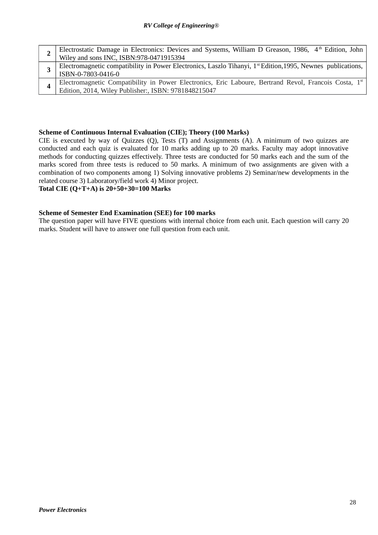| Electrostatic Damage in Electronics: Devices and Systems, William D Greason, 1986, 4 <sup>th</sup> Edition, John<br>Wiley and sons INC, ISBN:978-0471915394   |
|---------------------------------------------------------------------------------------------------------------------------------------------------------------|
| Electromagnetic compatibility in Power Electronics, Laszlo Tihanyi, 1 <sup>st</sup> Edition, 1995, Newnes publications,<br>ISBN-0-7803-0416-0                 |
| Electromagnetic Compatibility in Power Electronics, Eric Laboure, Bertrand Revol, Francois Costa, 1st<br>Edition, 2014, Wiley Publisher:, ISBN: 9781848215047 |

CIE is executed by way of Quizzes (Q), Tests (T) and Assignments (A). A minimum of two quizzes are conducted and each quiz is evaluated for 10 marks adding up to 20 marks. Faculty may adopt innovative methods for conducting quizzes effectively. Three tests are conducted for 50 marks each and the sum of the marks scored from three tests is reduced to 50 marks. A minimum of two assignments are given with a combination of two components among 1) Solving innovative problems 2) Seminar/new developments in the related course 3) Laboratory/field work 4) Minor project.

**Total CIE (Q+T+A) is 20+50+30=100 Marks**

#### **Scheme of Semester End Examination (SEE) for 100 marks**

The question paper will have FIVE questions with internal choice from each unit. Each question will carry 20 marks. Student will have to answer one full question from each unit.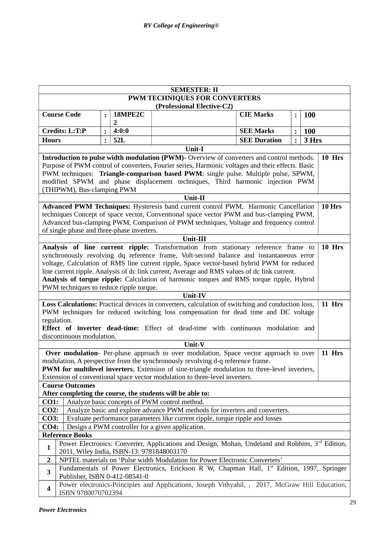|                            |                                                                                                                                                 |                |                           | <b>SEMESTER: II</b>                                                                                                                                                                      |                     |                              |       |        |  |  |  |
|----------------------------|-------------------------------------------------------------------------------------------------------------------------------------------------|----------------|---------------------------|------------------------------------------------------------------------------------------------------------------------------------------------------------------------------------------|---------------------|------------------------------|-------|--------|--|--|--|
|                            |                                                                                                                                                 |                |                           | PWM TECHNIQUES FOR CONVERTERS                                                                                                                                                            |                     |                              |       |        |  |  |  |
| (Professional Elective-C2) |                                                                                                                                                 |                |                           |                                                                                                                                                                                          |                     |                              |       |        |  |  |  |
|                            | <b>Course Code</b>                                                                                                                              | :              | 18MPE2C<br>$\overline{2}$ |                                                                                                                                                                                          | <b>CIE Marks</b>    | <b>100</b><br>$\ddot{\cdot}$ |       |        |  |  |  |
|                            | Credits: L:T:P                                                                                                                                  | $\ddot{\cdot}$ | 4:0:0                     |                                                                                                                                                                                          | <b>SEE Marks</b>    |                              | 100   |        |  |  |  |
| <b>Hours</b>               |                                                                                                                                                 | $\ddot{\cdot}$ | 52L                       |                                                                                                                                                                                          | <b>SEE Duration</b> | $\ddot{\cdot}$               | 3 Hrs |        |  |  |  |
| Unit-I                     |                                                                                                                                                 |                |                           |                                                                                                                                                                                          |                     |                              |       |        |  |  |  |
|                            |                                                                                                                                                 |                |                           | Introduction to pulse width modulation (PWM)- Overview of converters and control methods.                                                                                                |                     |                              |       | 10 Hrs |  |  |  |
|                            |                                                                                                                                                 |                |                           | Purpose of PWM control of converters, Fourier series, Harmonic voltages and their effects. Basic                                                                                         |                     |                              |       |        |  |  |  |
|                            |                                                                                                                                                 |                |                           | PWM techniques: Triangle-comparison based PWM: single pulse. Multiple pulse, SPWM,                                                                                                       |                     |                              |       |        |  |  |  |
|                            |                                                                                                                                                 |                |                           | modified SPWM and phase displacement techniques, Third harmonic injection PWM                                                                                                            |                     |                              |       |        |  |  |  |
|                            | (THIPWM), Bus-clamping PWM                                                                                                                      |                |                           |                                                                                                                                                                                          |                     |                              |       |        |  |  |  |
|                            |                                                                                                                                                 |                |                           | Unit-II                                                                                                                                                                                  |                     |                              |       |        |  |  |  |
|                            |                                                                                                                                                 |                |                           | Advanced PWM Techniques: Hysteresis band current control PWM, Harmonic Cancellation                                                                                                      |                     |                              |       | 10 Hrs |  |  |  |
|                            |                                                                                                                                                 |                |                           | techniques Concept of space vector, Conventional space vector PWM and bus-clamping PWM,                                                                                                  |                     |                              |       |        |  |  |  |
|                            |                                                                                                                                                 |                |                           | Advanced bus-clamping PWM, Comparison of PWM techniques, Voltage and frequency control                                                                                                   |                     |                              |       |        |  |  |  |
|                            | of single phase and three-phase inverters.                                                                                                      |                |                           |                                                                                                                                                                                          |                     |                              |       |        |  |  |  |
|                            |                                                                                                                                                 |                |                           | <b>Unit-III</b>                                                                                                                                                                          |                     |                              |       |        |  |  |  |
|                            |                                                                                                                                                 |                |                           | Analysis of line current ripple: Transformation from stationary reference frame to                                                                                                       |                     |                              |       | 10 Hrs |  |  |  |
|                            |                                                                                                                                                 |                |                           | synchronously revolving dq reference frame, Volt-second balance and instantaneous error                                                                                                  |                     |                              |       |        |  |  |  |
|                            |                                                                                                                                                 |                |                           | voltage, Calculation of RMS line current ripple, Space vector-based hybrid PWM for reduced                                                                                               |                     |                              |       |        |  |  |  |
|                            |                                                                                                                                                 |                |                           | line current ripple. Analysis of dc link current, Average and RMS values of dc link current.<br>Analysis of torque ripple: Calculation of harmonic torques and RMS torque ripple, Hybrid |                     |                              |       |        |  |  |  |
|                            | PWM techniques to reduce ripple torque.                                                                                                         |                |                           |                                                                                                                                                                                          |                     |                              |       |        |  |  |  |
|                            |                                                                                                                                                 |                |                           | <b>Unit-IV</b>                                                                                                                                                                           |                     |                              |       |        |  |  |  |
|                            |                                                                                                                                                 |                |                           | Loss Calculations: Practical devices in converters, calculation of switching and conduction loss,                                                                                        |                     |                              |       | 11 Hrs |  |  |  |
|                            |                                                                                                                                                 |                |                           | PWM techniques for reduced switching loss compensation for dead time and DC voltage                                                                                                      |                     |                              |       |        |  |  |  |
|                            | regulation.                                                                                                                                     |                |                           |                                                                                                                                                                                          |                     |                              |       |        |  |  |  |
|                            |                                                                                                                                                 |                |                           | Effect of inverter dead-time: Effect of dead-time with continuous modulation and                                                                                                         |                     |                              |       |        |  |  |  |
|                            | discontinuous modulation.                                                                                                                       |                |                           |                                                                                                                                                                                          |                     |                              |       |        |  |  |  |
|                            |                                                                                                                                                 |                |                           | Unit-V                                                                                                                                                                                   |                     |                              |       |        |  |  |  |
|                            |                                                                                                                                                 |                |                           | Over modulation- Per-phase approach to over modulation, Space vector approach to over                                                                                                    |                     |                              |       | 11 Hrs |  |  |  |
|                            |                                                                                                                                                 |                |                           | modulation, A perspective from the synchronously revolving d-q reference frame.                                                                                                          |                     |                              |       |        |  |  |  |
|                            |                                                                                                                                                 |                |                           | PWM for multilevel inverters, Extension of sine-triangle modulation to three-level inverters,                                                                                            |                     |                              |       |        |  |  |  |
|                            |                                                                                                                                                 |                |                           | Extension of conventional space vector modulation to three-level inverters.                                                                                                              |                     |                              |       |        |  |  |  |
|                            | <b>Course Outcomes</b>                                                                                                                          |                |                           |                                                                                                                                                                                          |                     |                              |       |        |  |  |  |
|                            |                                                                                                                                                 |                |                           | After completing the course, the students will be able to:                                                                                                                               |                     |                              |       |        |  |  |  |
| <b>CO1:</b>                |                                                                                                                                                 |                |                           | Analyze basic concepts of PWM control method.                                                                                                                                            |                     |                              |       |        |  |  |  |
| <b>CO2:</b>                |                                                                                                                                                 |                |                           | Analyze basic and explore advance PWM methods for inverters and converters.                                                                                                              |                     |                              |       |        |  |  |  |
| <b>CO3:</b>                |                                                                                                                                                 |                |                           | Evaluate performance parameters like current ripple, torque ripple and losses                                                                                                            |                     |                              |       |        |  |  |  |
|                            | Design a PWM controller for a given application.<br>CO4:                                                                                        |                |                           |                                                                                                                                                                                          |                     |                              |       |        |  |  |  |
| <b>Reference Books</b>     |                                                                                                                                                 |                |                           |                                                                                                                                                                                          |                     |                              |       |        |  |  |  |
| $\mathbf{1}$               | Power Electronics: Converter, Applications and Design, Mohan, Undeland and Robbins, $3rd$ Edition,<br>2011, Wiley India, ISBN-13: 9781848003170 |                |                           |                                                                                                                                                                                          |                     |                              |       |        |  |  |  |
| $\overline{\mathbf{2}}$    |                                                                                                                                                 |                |                           | NPTEL materials on 'Pulse width Modulation for Power Electronic Converters'                                                                                                              |                     |                              |       |        |  |  |  |
|                            |                                                                                                                                                 |                |                           | Fundamentals of Power Electronics, Erickson R W, Chapman Hall, 1 <sup>st</sup> Edition, 1997, Springer                                                                                   |                     |                              |       |        |  |  |  |
| 3                          | Publisher, ISBN 0-412-08541-0                                                                                                                   |                |                           |                                                                                                                                                                                          |                     |                              |       |        |  |  |  |
| $\overline{\mathbf{4}}$    | Power electronics-Principles and Applications, Joseph Vithyahil, , 2017, McGraw Hill Education,<br>ISBN 9780070702394                           |                |                           |                                                                                                                                                                                          |                     |                              |       |        |  |  |  |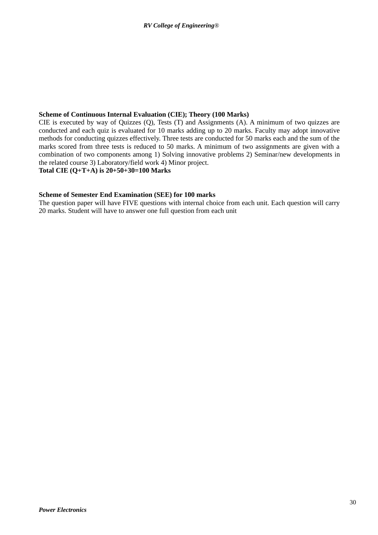CIE is executed by way of Quizzes (Q), Tests (T) and Assignments (A). A minimum of two quizzes are conducted and each quiz is evaluated for 10 marks adding up to 20 marks. Faculty may adopt innovative methods for conducting quizzes effectively. Three tests are conducted for 50 marks each and the sum of the marks scored from three tests is reduced to 50 marks. A minimum of two assignments are given with a combination of two components among 1) Solving innovative problems 2) Seminar/new developments in the related course 3) Laboratory/field work 4) Minor project.

**Total CIE (Q+T+A) is 20+50+30=100 Marks**

#### **Scheme of Semester End Examination (SEE) for 100 marks**

The question paper will have FIVE questions with internal choice from each unit. Each question will carry 20 marks. Student will have to answer one full question from each unit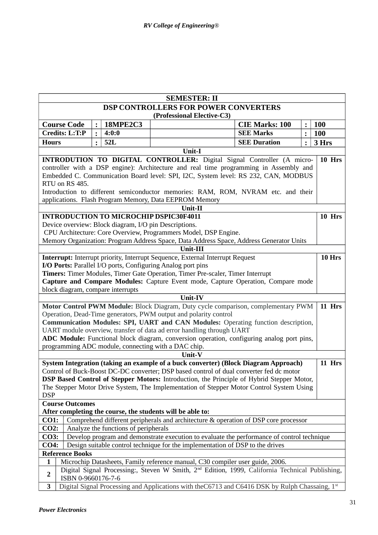| <b>SEMESTER: II</b>                                                    |                        |                |                                                       |                                                                                                                                                       |                       |                |            |  |
|------------------------------------------------------------------------|------------------------|----------------|-------------------------------------------------------|-------------------------------------------------------------------------------------------------------------------------------------------------------|-----------------------|----------------|------------|--|
|                                                                        |                        |                |                                                       | <b>DSP CONTROLLERS FOR POWER CONVERTERS</b>                                                                                                           |                       |                |            |  |
| (Professional Elective-C3)                                             |                        |                |                                                       |                                                                                                                                                       |                       |                |            |  |
|                                                                        | <b>Course Code</b>     | $\ddot{\cdot}$ | <b>18MPE2C3</b>                                       |                                                                                                                                                       | <b>CIE Marks: 100</b> | :              | <b>100</b> |  |
|                                                                        | Credits: L:T:P         | $\ddot{\cdot}$ | 4:0:0                                                 |                                                                                                                                                       | <b>SEE Marks</b>      | $\ddot{\cdot}$ | 100        |  |
| <b>Hours</b>                                                           |                        | $\ddot{\cdot}$ | <b>52L</b>                                            |                                                                                                                                                       | <b>SEE Duration</b>   | $\ddot{\cdot}$ | 3 Hrs      |  |
|                                                                        |                        |                |                                                       | Unit-I                                                                                                                                                |                       |                |            |  |
| INTRODUTION TO DIGITAL CONTROLLER: Digital Signal Controller (A micro- |                        |                |                                                       |                                                                                                                                                       |                       |                | 10 Hrs     |  |
|                                                                        |                        |                |                                                       | controller with a DSP engine): Architecture and real time programming in Assembly and                                                                 |                       |                |            |  |
|                                                                        |                        |                |                                                       | Embedded C. Communication Board level: SPI, I2C, System level: RS 232, CAN, MODBUS                                                                    |                       |                |            |  |
|                                                                        | RTU on RS 485.         |                |                                                       |                                                                                                                                                       |                       |                |            |  |
|                                                                        |                        |                |                                                       | Introduction to different semiconductor memories: RAM, ROM, NVRAM etc. and their<br>applications. Flash Program Memory, Data EEPROM Memory            |                       |                |            |  |
|                                                                        |                        |                |                                                       | Unit-II                                                                                                                                               |                       |                |            |  |
|                                                                        |                        |                |                                                       | <b>INTRODUCTION TO MICROCHIP DSPIC30F4011</b>                                                                                                         |                       |                | 10 Hrs     |  |
|                                                                        |                        |                | Device overview: Block diagram, I/O pin Descriptions. |                                                                                                                                                       |                       |                |            |  |
|                                                                        |                        |                |                                                       | CPU Architecture: Core Overview, Programmers Model, DSP Engine.                                                                                       |                       |                |            |  |
|                                                                        |                        |                |                                                       | Memory Organization: Program Address Space, Data Address Space, Address Generator Units                                                               |                       |                |            |  |
|                                                                        |                        |                |                                                       | <b>Unit-III</b>                                                                                                                                       |                       |                |            |  |
|                                                                        |                        |                |                                                       | Interrupt: Interrupt priority, Interrupt Sequence, External Interrupt Request                                                                         |                       |                | 10 Hrs     |  |
|                                                                        |                        |                |                                                       | I/O Ports: Parallel I/O ports, Configuring Analog port pins                                                                                           |                       |                |            |  |
|                                                                        |                        |                |                                                       | Timers: Timer Modules, Timer Gate Operation, Timer Pre-scaler, Timer Interrupt                                                                        |                       |                |            |  |
|                                                                        |                        |                |                                                       | Capture and Compare Modules: Capture Event mode, Capture Operation, Compare mode                                                                      |                       |                |            |  |
|                                                                        |                        |                | block diagram, compare interrupts                     |                                                                                                                                                       |                       |                |            |  |
|                                                                        |                        |                |                                                       | Unit-IV                                                                                                                                               |                       |                |            |  |
|                                                                        |                        |                |                                                       | Motor Control PWM Module: Block Diagram, Duty cycle comparison, complementary PWM                                                                     |                       |                | 11 Hrs     |  |
|                                                                        |                        |                |                                                       | Operation, Dead-Time generators, PWM output and polarity control<br>Communication Modules: SPI, UART and CAN Modules: Operating function description, |                       |                |            |  |
|                                                                        |                        |                |                                                       | UART module overview, transfer of data ad error handling through UART                                                                                 |                       |                |            |  |
|                                                                        |                        |                |                                                       | ADC Module: Functional block diagram, conversion operation, configuring analog port pins,                                                             |                       |                |            |  |
|                                                                        |                        |                |                                                       | programming ADC module, connecting with a DAC chip.                                                                                                   |                       |                |            |  |
|                                                                        |                        |                |                                                       | Unit-V                                                                                                                                                |                       |                |            |  |
|                                                                        |                        |                |                                                       | System Integration (taking an example of a buck converter) (Block Diagram Approach)                                                                   |                       |                | 11 Hrs     |  |
|                                                                        |                        |                |                                                       | Control of Buck-Boost DC-DC converter; DSP based control of dual converter fed dc motor                                                               |                       |                |            |  |
|                                                                        |                        |                |                                                       | <b>DSP Based Control of Stepper Motors:</b> Introduction, the Principle of Hybrid Stepper Motor,                                                      |                       |                |            |  |
|                                                                        |                        |                |                                                       | The Stepper Motor Drive System, The Implementation of Stepper Motor Control System Using                                                              |                       |                |            |  |
| <b>DSP</b>                                                             |                        |                |                                                       |                                                                                                                                                       |                       |                |            |  |
|                                                                        | <b>Course Outcomes</b> |                |                                                       |                                                                                                                                                       |                       |                |            |  |
| <b>CO1:</b>                                                            |                        |                |                                                       | After completing the course, the students will be able to:<br>Comprehend different peripherals and architecture & operation of DSP core processor     |                       |                |            |  |
| $CO2$ :                                                                |                        |                | Analyze the functions of peripherals                  |                                                                                                                                                       |                       |                |            |  |
| CO3:                                                                   |                        |                |                                                       | Develop program and demonstrate execution to evaluate the performance of control technique                                                            |                       |                |            |  |
| CO4:                                                                   |                        |                |                                                       | Design suitable control technique for the implementation of DSP to the drives                                                                         |                       |                |            |  |
|                                                                        | <b>Reference Books</b> |                |                                                       |                                                                                                                                                       |                       |                |            |  |
| $\mathbf{1}$                                                           |                        |                |                                                       | Microchip Datasheets, Family reference manual, C30 compiler user guide, 2006.                                                                         |                       |                |            |  |
|                                                                        |                        |                |                                                       | Digital Signal Processing:, Steven W Smith, 2 <sup>nd</sup> Edition, 1999, California Technical Publishing,                                           |                       |                |            |  |
| $\overline{2}$                                                         | ISBN 0-9660176-7-6     |                |                                                       |                                                                                                                                                       |                       |                |            |  |
| 3                                                                      |                        |                |                                                       | Digital Signal Processing and Applications with the C6713 and C6416 DSK by Rulph Chassaing, 1 <sup>st</sup>                                           |                       |                |            |  |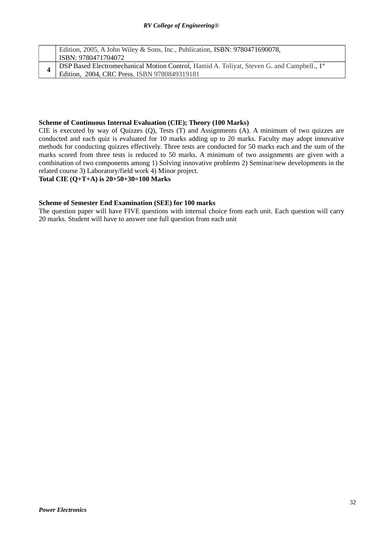| Edition, 2005, A John Wiley & Sons, Inc., Publication, ISBN: 9780471690078,<br>ISBN: 9780471704072                                                     |
|--------------------------------------------------------------------------------------------------------------------------------------------------------|
| DSP Based Electromechanical Motion Control, Hamid A. Toliyat, Steven G. and Campbell., 1 <sup>st</sup><br>Edition, 2004, CRC Press. ISBN 9780849319181 |

CIE is executed by way of Quizzes (Q), Tests (T) and Assignments (A). A minimum of two quizzes are conducted and each quiz is evaluated for 10 marks adding up to 20 marks. Faculty may adopt innovative methods for conducting quizzes effectively. Three tests are conducted for 50 marks each and the sum of the marks scored from three tests is reduced to 50 marks. A minimum of two assignments are given with a combination of two components among 1) Solving innovative problems 2) Seminar/new developments in the related course 3) Laboratory/field work 4) Minor project.

**Total CIE (Q+T+A) is 20+50+30=100 Marks**

#### **Scheme of Semester End Examination (SEE) for 100 marks**

The question paper will have FIVE questions with internal choice from each unit. Each question will carry 20 marks. Student will have to answer one full question from each unit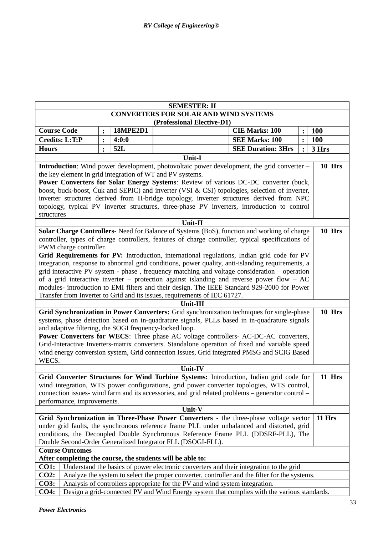|                            |                                                                                             |   |                 | <b>SEMESTER: II</b>                                                                                                                                                              |                |            |  |  |
|----------------------------|---------------------------------------------------------------------------------------------|---|-----------------|----------------------------------------------------------------------------------------------------------------------------------------------------------------------------------|----------------|------------|--|--|
|                            |                                                                                             |   |                 | <b>CONVERTERS FOR SOLAR AND WIND SYSTEMS</b>                                                                                                                                     |                |            |  |  |
| (Professional Elective-D1) |                                                                                             |   |                 |                                                                                                                                                                                  |                |            |  |  |
| <b>Course Code</b>         |                                                                                             | : | <b>18MPE2D1</b> | <b>CIE Marks: 100</b>                                                                                                                                                            |                | <b>100</b> |  |  |
|                            | Credits: L:T:P                                                                              | : | 4:0:0           | <b>SEE Marks: 100</b>                                                                                                                                                            | $\ddot{\cdot}$ | <b>100</b> |  |  |
| <b>Hours</b>               |                                                                                             | : | 52L             | <b>SEE Duration: 3Hrs</b>                                                                                                                                                        | $\ddot{\cdot}$ | 3 Hrs      |  |  |
|                            |                                                                                             |   |                 | Unit-I                                                                                                                                                                           |                |            |  |  |
|                            |                                                                                             |   |                 | <b>Introduction:</b> Wind power development, photovoltaic power development, the grid converter -<br>the key element in grid integration of WT and PV systems.                   |                | 10 Hrs     |  |  |
|                            |                                                                                             |   |                 | Power Converters for Solar Energy Systems: Review of various DC-DC converter (buck,                                                                                              |                |            |  |  |
|                            |                                                                                             |   |                 | boost, buck-boost, Cuk and SEPIC) and inverter (VSI & CSI) topologies, selection of inverter,                                                                                    |                |            |  |  |
|                            |                                                                                             |   |                 | inverter structures derived from H-bridge topology, inverter structures derived from NPC                                                                                         |                |            |  |  |
| structures                 |                                                                                             |   |                 | topology, typical PV inverter structures, three-phase PV inverters, introduction to control                                                                                      |                |            |  |  |
|                            |                                                                                             |   |                 | <b>Unit-II</b>                                                                                                                                                                   |                |            |  |  |
|                            |                                                                                             |   |                 | Solar Charge Controllers- Need for Balance of Systems (BoS), function and working of charge                                                                                      |                | 10 Hrs     |  |  |
|                            | PWM charge controller.                                                                      |   |                 | controller, types of charge controllers, features of charge controller, typical specifications of                                                                                |                |            |  |  |
|                            |                                                                                             |   |                 | Grid Requirements for PV: Introduction, international regulations, Indian grid code for PV                                                                                       |                |            |  |  |
|                            |                                                                                             |   |                 | integration, response to abnormal grid conditions, power quality, anti-islanding requirements, a                                                                                 |                |            |  |  |
|                            |                                                                                             |   |                 | grid interactive PV system - phase, frequency matching and voltage consideration - operation                                                                                     |                |            |  |  |
|                            |                                                                                             |   |                 | of a grid interactive inverter – protection against islanding and reverse power flow – AC                                                                                        |                |            |  |  |
|                            |                                                                                             |   |                 | modules- introduction to EMI filters and their design. The IEEE Standard 929-2000 for Power                                                                                      |                |            |  |  |
|                            |                                                                                             |   |                 | Transfer from Inverter to Grid and its issues, requirements of IEC 61727.                                                                                                        |                |            |  |  |
|                            |                                                                                             |   |                 | Unit-III                                                                                                                                                                         |                |            |  |  |
|                            |                                                                                             |   |                 | Grid Synchronization in Power Converters: Grid synchronization techniques for single-phase                                                                                       |                | 10 Hrs     |  |  |
|                            |                                                                                             |   |                 | systems, phase detection based on in-quadrature signals, PLLs based in in-quadrature signals<br>and adaptive filtering, the SOGI frequency-locked loop.                          |                |            |  |  |
|                            |                                                                                             |   |                 | Power Converters for WECS: Three phase AC voltage controllers- AC-DC-AC converters,                                                                                              |                |            |  |  |
|                            |                                                                                             |   |                 | Grid-Interactive Inverters-matrix converters. Standalone operation of fixed and variable speed                                                                                   |                |            |  |  |
|                            |                                                                                             |   |                 | wind energy conversion system, Grid connection Issues, Grid integrated PMSG and SCIG Based                                                                                       |                |            |  |  |
| WECS.                      |                                                                                             |   |                 |                                                                                                                                                                                  |                |            |  |  |
|                            |                                                                                             |   |                 | <b>Unit-IV</b>                                                                                                                                                                   |                |            |  |  |
|                            |                                                                                             |   |                 | Grid Converter Structures for Wind Turbine Systems: Introduction, Indian grid code for                                                                                           |                | 11 Hrs     |  |  |
|                            |                                                                                             |   |                 | wind integration, WTS power configurations, grid power converter topologies, WTS control,                                                                                        |                |            |  |  |
|                            |                                                                                             |   |                 | connection issues- wind farm and its accessories, and grid related problems – generator control –                                                                                |                |            |  |  |
|                            | performance, improvements.                                                                  |   |                 |                                                                                                                                                                                  |                |            |  |  |
|                            |                                                                                             |   |                 | Unit-V                                                                                                                                                                           |                |            |  |  |
|                            |                                                                                             |   |                 | Grid Synchronization in Three-Phase Power Converters - the three-phase voltage vector                                                                                            |                | 11 Hrs     |  |  |
|                            |                                                                                             |   |                 | under grid faults, the synchronous reference frame PLL under unbalanced and distorted, grid<br>conditions, the Decoupled Double Synchronous Reference Frame PLL (DDSRF-PLL), The |                |            |  |  |
|                            |                                                                                             |   |                 | Double Second-Order Generalized Integrator FLL (DSOGI-FLL).                                                                                                                      |                |            |  |  |
|                            | <b>Course Outcomes</b>                                                                      |   |                 |                                                                                                                                                                                  |                |            |  |  |
|                            |                                                                                             |   |                 | After completing the course, the students will be able to:                                                                                                                       |                |            |  |  |
| <b>CO1:</b>                |                                                                                             |   |                 | Understand the basics of power electronic converters and their integration to the grid                                                                                           |                |            |  |  |
| <b>CO2:</b>                |                                                                                             |   |                 | Analyze the system to select the proper converter, controller and the filter for the systems.                                                                                    |                |            |  |  |
| <b>CO3:</b>                |                                                                                             |   |                 | Analysis of controllers appropriate for the PV and wind system integration.                                                                                                      |                |            |  |  |
| CO4:                       | Design a grid-connected PV and Wind Energy system that complies with the various standards. |   |                 |                                                                                                                                                                                  |                |            |  |  |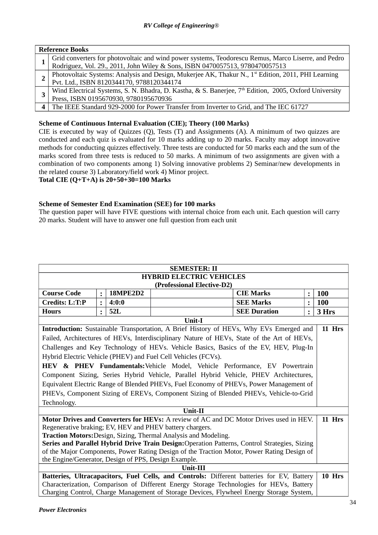|  | <b>Reference Books</b>                                                                                                                                                           |
|--|----------------------------------------------------------------------------------------------------------------------------------------------------------------------------------|
|  |                                                                                                                                                                                  |
|  | Grid converters for photovoltaic and wind power systems, Teodorescu Remus, Marco Liserre, and Pedro Rodriguez, Vol. 29., 2011, John Wiley & Sons, ISBN 0470057513, 9780470057513 |
|  | 2   Photovoltaic Systems: Analysis and Design, Mukerjee AK, Thakur N., 1 <sup>st</sup> Edition, 2011, PHI Learning                                                               |
|  | Pvt. Ltd., ISBN 8120344170, 9788120344174                                                                                                                                        |

- **3** Wind Electrical Systems, S. N. Bhadra, D. Kastha, & S. Banerjee, 7<sup>th</sup> Edition, 2005, Oxford University Press, ISBN 0195670930, 9780195670936
- **4** The IEEE Standard 929-2000 for Power Transfer from Inverter to Grid, and The IEC 61727

CIE is executed by way of Quizzes (Q), Tests (T) and Assignments (A). A minimum of two quizzes are conducted and each quiz is evaluated for 10 marks adding up to 20 marks. Faculty may adopt innovative methods for conducting quizzes effectively. Three tests are conducted for 50 marks each and the sum of the marks scored from three tests is reduced to 50 marks. A minimum of two assignments are given with a combination of two components among 1) Solving innovative problems 2) Seminar/new developments in the related course 3) Laboratory/field work 4) Minor project.

**Total CIE (Q+T+A) is 20+50+30=100 Marks**

#### **Scheme of Semester End Examination (SEE) for 100 marks**

The question paper will have FIVE questions with internal choice from each unit. Each question will carry 20 marks. Student will have to answer one full question from each unit

| <b>SEMESTER: II</b>                                                                                                                                                                         |                |            |                                                                                            |                |            |  |
|---------------------------------------------------------------------------------------------------------------------------------------------------------------------------------------------|----------------|------------|--------------------------------------------------------------------------------------------|----------------|------------|--|
|                                                                                                                                                                                             |                |            | <b>HYBRID ELECTRIC VEHICLES</b>                                                            |                |            |  |
|                                                                                                                                                                                             |                |            | (Professional Elective-D2)                                                                 |                |            |  |
| <b>18MPE2D2</b><br><b>Course Code</b><br><b>CIE Marks</b><br>100<br>$\ddot{\cdot}$<br>$\ddot{\cdot}$                                                                                        |                |            |                                                                                            |                |            |  |
| Credits: L:T:P                                                                                                                                                                              | $\ddot{\cdot}$ | 4:0:0      | <b>SEE Marks</b>                                                                           | $\ddot{\cdot}$ | <b>100</b> |  |
| <b>Hours</b>                                                                                                                                                                                | $\ddot{\cdot}$ | <b>52L</b> | <b>SEE Duration</b>                                                                        | $\ddot{\cdot}$ | 3 Hrs      |  |
|                                                                                                                                                                                             |                |            | Unit-I                                                                                     |                |            |  |
|                                                                                                                                                                                             |                |            | Introduction: Sustainable Transportation, A Brief History of HEVs, Why EVs Emerged and     |                | 11 Hrs     |  |
|                                                                                                                                                                                             |                |            | Failed, Architectures of HEVs, Interdisciplinary Nature of HEVs, State of the Art of HEVs, |                |            |  |
|                                                                                                                                                                                             |                |            | Challenges and Key Technology of HEVs. Vehicle Basics, Basics of the EV, HEV, Plug-In      |                |            |  |
|                                                                                                                                                                                             |                |            | Hybrid Electric Vehicle (PHEV) and Fuel Cell Vehicles (FCVs).                              |                |            |  |
|                                                                                                                                                                                             |                |            | HEV & PHEV Fundamentals: Vehicle Model, Vehicle Performance, EV Powertrain                 |                |            |  |
|                                                                                                                                                                                             |                |            | Component Sizing, Series Hybrid Vehicle, Parallel Hybrid Vehicle, PHEV Architectures,      |                |            |  |
|                                                                                                                                                                                             |                |            |                                                                                            |                |            |  |
| Equivalent Electric Range of Blended PHEVs, Fuel Economy of PHEVs, Power Management of<br>PHEVs, Component Sizing of EREVs, Component Sizing of Blended PHEVs, Vehicle-to-Grid              |                |            |                                                                                            |                |            |  |
|                                                                                                                                                                                             |                |            |                                                                                            |                |            |  |
| Technology.                                                                                                                                                                                 |                |            | <b>Unit-II</b>                                                                             |                |            |  |
|                                                                                                                                                                                             |                |            | Motor Drives and Converters for HEVs: A review of AC and DC Motor Drives used in HEV.      |                | 11 Hrs     |  |
|                                                                                                                                                                                             |                |            | Regenerative braking; EV, HEV and PHEV battery chargers.                                   |                |            |  |
|                                                                                                                                                                                             |                |            | Traction Motors: Design, Sizing, Thermal Analysis and Modeling.                            |                |            |  |
|                                                                                                                                                                                             |                |            |                                                                                            |                |            |  |
| Series and Parallel Hybrid Drive Train Design: Operation Patterns, Control Strategies, Sizing<br>of the Major Components, Power Rating Design of the Traction Motor, Power Rating Design of |                |            |                                                                                            |                |            |  |
| the Engine/Generator, Design of PPS, Design Example.                                                                                                                                        |                |            |                                                                                            |                |            |  |
|                                                                                                                                                                                             |                |            | Unit-III                                                                                   |                |            |  |
|                                                                                                                                                                                             |                |            | Batteries, Ultracapacitors, Fuel Cells, and Controls: Different batteries for EV, Battery  |                | 10 Hrs     |  |
|                                                                                                                                                                                             |                |            | Characterization, Comparison of Different Energy Storage Technologies for HEVs, Battery    |                |            |  |
|                                                                                                                                                                                             |                |            | Charging Control, Charge Management of Storage Devices, Flywheel Energy Storage System,    |                |            |  |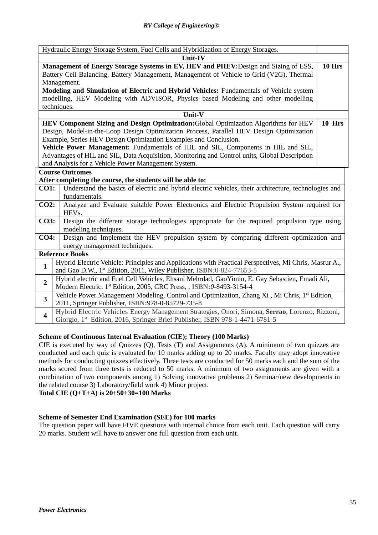|                         | Hydraulic Energy Storage System, Fuel Cells and Hybridization of Energy Storages.                         |        |
|-------------------------|-----------------------------------------------------------------------------------------------------------|--------|
|                         | <b>Unit-IV</b>                                                                                            |        |
|                         | Management of Energy Storage Systems in EV, HEV and PHEV: Design and Sizing of ESS,                       | 10 Hrs |
|                         | Battery Cell Balancing, Battery Management, Management of Vehicle to Grid (V2G), Thermal                  |        |
|                         | Management.                                                                                               |        |
|                         | Modeling and Simulation of Electric and Hybrid Vehicles: Fundamentals of Vehicle system                   |        |
|                         | modelling, HEV Modeling with ADVISOR, Physics based Modeling and other modelling                          |        |
|                         | techniques.                                                                                               |        |
|                         | Unit-V                                                                                                    |        |
|                         | HEV Component Sizing and Design Optimization: Global Optimization Algorithms for HEV                      | 10 Hrs |
|                         | Design, Model-in-the-Loop Design Optimization Process, Parallel HEV Design Optimization                   |        |
|                         | Example, Series HEV Design Optimization Examples and Conclusion.                                          |        |
|                         | Vehicle Power Management: Fundamentals of HIL and SIL, Components in HIL and SIL,                         |        |
|                         | Advantages of HIL and SIL, Data Acquisition, Monitoring and Control units, Global Description             |        |
|                         | and Analysis for a Vehicle Power Management System.                                                       |        |
|                         | <b>Course Outcomes</b>                                                                                    |        |
|                         | After completing the course, the students will be able to:                                                |        |
| CO1:                    | Understand the basics of electric and hybrid electric vehicles, their architecture, technologies and      |        |
|                         | fundamentals.                                                                                             |        |
| $CO2$ :                 | Analyze and Evaluate suitable Power Electronics and Electric Propulsion System required for               |        |
|                         | HEVs.                                                                                                     |        |
| <b>CO3:</b>             | Design the different storage technologies appropriate for the required propulsion type using              |        |
|                         | modeling techniques.                                                                                      |        |
| <b>CO4:</b>             | Design and Implement the HEV propulsion system by comparing different optimization and                    |        |
|                         | energy management techniques.                                                                             |        |
|                         | <b>Reference Books</b>                                                                                    |        |
|                         | Hybrid Electric Vehicle: Principles and Applications with Practical Perspectives, Mi Chris, Masrur A.,    |        |
| $\mathbf{1}$            | and Gao D.W., 1 <sup>st</sup> Edition, 2011, Wiley Publisher, ISBN:0-824-77653-5                          |        |
|                         | Hybrid electric and Fuel Cell Vehicles, Ehsani Mehrdad, Gao Yimin, E. Gay Sebastien, Emadi Ali,           |        |
| $\overline{2}$          | Modern Electric, 1 <sup>st</sup> Edition, 2005, CRC Press, , ISBN:0-8493-3154-4                           |        |
|                         | Vehicle Power Management Modeling, Control and Optimization, Zhang Xi, Mi Chris, 1 <sup>st</sup> Edition, |        |
| $\overline{\mathbf{3}}$ | 2011, Springer Publisher, ISBN:978-0-85729-735-8                                                          |        |
|                         | Hybrid Electric Vehicles Energy Management Strategies, Onori, Simona, Serrao, Lorenzo, Rizzoni,           |        |
| $\overline{\mathbf{4}}$ | Giorgio, 1st Edition, 2016, Springer Brief Publisher, ISBN 978-1-4471-6781-5                              |        |
|                         |                                                                                                           |        |

CIE is executed by way of Quizzes (Q), Tests (T) and Assignments (A). A minimum of two quizzes are conducted and each quiz is evaluated for 10 marks adding up to 20 marks. Faculty may adopt innovative methods for conducting quizzes effectively. Three tests are conducted for 50 marks each and the sum of the marks scored from three tests is reduced to 50 marks. A minimum of two assignments are given with a combination of two components among 1) Solving innovative problems 2) Seminar/new developments in the related course 3) Laboratory/field work 4) Minor project.

**Total CIE (Q+T+A) is 20+50+30=100 Marks**

#### **Scheme of Semester End Examination (SEE) for 100 marks**

The question paper will have FIVE questions with internal choice from each unit. Each question will carry 20 marks. Student will have to answer one full question from each unit.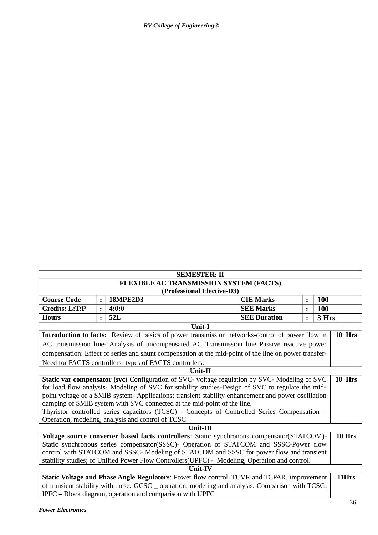*RV College of Engineering*®

| <b>SEMESTER: II</b>                                                                                         |                |       |                                                                                                       |                     |                |            |        |
|-------------------------------------------------------------------------------------------------------------|----------------|-------|-------------------------------------------------------------------------------------------------------|---------------------|----------------|------------|--------|
| FLEXIBLE AC TRANSMISSION SYSTEM (FACTS)                                                                     |                |       |                                                                                                       |                     |                |            |        |
|                                                                                                             |                |       | (Professional Elective-D3)                                                                            |                     |                |            |        |
| <b>18MPE2D3</b><br><b>Course Code</b><br><b>CIE Marks</b><br><b>100</b><br>$\ddot{\cdot}$<br>$\ddot{\cdot}$ |                |       |                                                                                                       |                     |                |            |        |
| Credits: L:T:P                                                                                              | $\ddot{\cdot}$ | 4:0:0 |                                                                                                       | <b>SEE Marks</b>    | $\ddot{\cdot}$ | <b>100</b> |        |
| <b>Hours</b>                                                                                                | $\ddot{\cdot}$ | 52L   |                                                                                                       | <b>SEE Duration</b> | $\ddot{\cdot}$ | 3 Hrs      |        |
|                                                                                                             |                |       | Unit-I                                                                                                |                     |                |            |        |
|                                                                                                             |                |       | Introduction to facts: Review of basics of power transmission networks-control of power flow in       |                     |                |            | 10 Hrs |
|                                                                                                             |                |       | AC transmission line- Analysis of uncompensated AC Transmission line Passive reactive power           |                     |                |            |        |
|                                                                                                             |                |       | compensation: Effect of series and shunt compensation at the mid-point of the line on power transfer- |                     |                |            |        |
|                                                                                                             |                |       | Need for FACTS controllers-types of FACTS controllers.                                                |                     |                |            |        |
|                                                                                                             |                |       | Unit-II                                                                                               |                     |                |            |        |
|                                                                                                             |                |       | Static var compensator (svc) Configuration of SVC- voltage regulation by SVC- Modeling of SVC         |                     |                |            | 10 Hrs |
|                                                                                                             |                |       | for load flow analysis- Modeling of SVC for stability studies-Design of SVC to regulate the mid-      |                     |                |            |        |
|                                                                                                             |                |       | point voltage of a SMIB system- Applications: transient stability enhancement and power oscillation   |                     |                |            |        |
|                                                                                                             |                |       | damping of SMIB system with SVC connected at the mid-point of the line.                               |                     |                |            |        |
|                                                                                                             |                |       | Thyristor controlled series capacitors (TCSC) - Concepts of Controlled Series Compensation -          |                     |                |            |        |
| Operation, modeling, analysis and control of TCSC.                                                          |                |       |                                                                                                       |                     |                |            |        |
|                                                                                                             |                |       | <b>Unit-III</b>                                                                                       |                     |                |            |        |
|                                                                                                             |                |       | Voltage source converter based facts controllers: Static synchronous compensator(STATCOM)-            |                     |                |            | 10 Hrs |
|                                                                                                             |                |       | Static synchronous series compensator(SSSC)- Operation of STATCOM and SSSC-Power flow                 |                     |                |            |        |
|                                                                                                             |                |       | control with STATCOM and SSSC- Modeling of STATCOM and SSSC for power flow and transient              |                     |                |            |        |
| stability studies; of Unified Power Flow Controllers(UPFC) - Modeling, Operation and control.               |                |       |                                                                                                       |                     |                |            |        |
|                                                                                                             |                |       | <b>Unit-IV</b>                                                                                        |                     |                |            |        |
|                                                                                                             |                |       | Static Voltage and Phase Angle Regulators: Power flow control, TCVR and TCPAR, improvement            |                     |                |            | 11Hrs  |
|                                                                                                             |                |       | of transient stability with these. GCSC _ operation, modeling and analysis. Comparison with TCSC,     |                     |                |            |        |
|                                                                                                             |                |       | IPFC - Block diagram, operation and comparison with UPFC                                              |                     |                |            |        |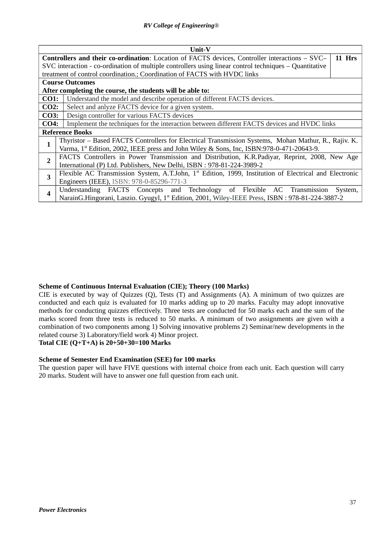|                | Unit-V                                                                                                             |  |  |  |  |  |  |
|----------------|--------------------------------------------------------------------------------------------------------------------|--|--|--|--|--|--|
|                | <b>Controllers and their co-ordination:</b> Location of FACTS devices, Controller interactions – SVC–<br>$11$ Hrs  |  |  |  |  |  |  |
|                | SVC interaction - co-ordination of multiple controllers using linear control techniques $-$ Quantitative           |  |  |  |  |  |  |
|                | treatment of control coordination.; Coordination of FACTS with HVDC links                                          |  |  |  |  |  |  |
|                | <b>Course Outcomes</b>                                                                                             |  |  |  |  |  |  |
|                | After completing the course, the students will be able to:                                                         |  |  |  |  |  |  |
| CO1:           | Understand the model and describe operation of different FACTS devices.                                            |  |  |  |  |  |  |
| $CO2$ :        | Select and anlyze FACTS device for a given system.                                                                 |  |  |  |  |  |  |
| <b>CO3:</b>    | Design controller for various FACTS devices                                                                        |  |  |  |  |  |  |
| CO4:           | Implement the techniques for the interaction between different FACTS devices and HVDC links                        |  |  |  |  |  |  |
|                | <b>Reference Books</b>                                                                                             |  |  |  |  |  |  |
| 1              | Thyristor – Based FACTS Controllers for Electrical Transmission Systems, Mohan Mathur, R., Rajiv. K.               |  |  |  |  |  |  |
|                | Varma, 1 <sup>st</sup> Edition, 2002, IEEE press and John Wiley & Sons, Inc, ISBN:978-0-471-20643-9.               |  |  |  |  |  |  |
| $\overline{2}$ | FACTS Controllers in Power Transmission and Distribution, K.R.Padiyar, Reprint, 2008, New Age                      |  |  |  |  |  |  |
|                | International (P) Ltd. Publishers, New Delhi, ISBN: 978-81-224-3989-2                                              |  |  |  |  |  |  |
| 3              | Flexible AC Transmission System, A.T.John, 1 <sup>st</sup> Edition, 1999, Institution of Electrical and Electronic |  |  |  |  |  |  |
|                | Engineers (IEEE), ISBN: 978-0-85296-771-3                                                                          |  |  |  |  |  |  |
| 4              | Understanding FACTS Concepts and Technology of Flexible AC Transmission<br>System,                                 |  |  |  |  |  |  |
|                | NarainG.Hingorani, Laszio. Gyugyl, 1 <sup>st</sup> Edition, 2001, Wiley-IEEE Press, ISBN: 978-81-224-3887-2        |  |  |  |  |  |  |

CIE is executed by way of Quizzes (Q), Tests (T) and Assignments (A). A minimum of two quizzes are conducted and each quiz is evaluated for 10 marks adding up to 20 marks. Faculty may adopt innovative methods for conducting quizzes effectively. Three tests are conducted for 50 marks each and the sum of the marks scored from three tests is reduced to 50 marks. A minimum of two assignments are given with a combination of two components among 1) Solving innovative problems 2) Seminar/new developments in the related course 3) Laboratory/field work 4) Minor project.

### **Total CIE (Q+T+A) is 20+50+30=100 Marks**

### **Scheme of Semester End Examination (SEE) for 100 marks**

The question paper will have FIVE questions with internal choice from each unit. Each question will carry 20 marks. Student will have to answer one full question from each unit.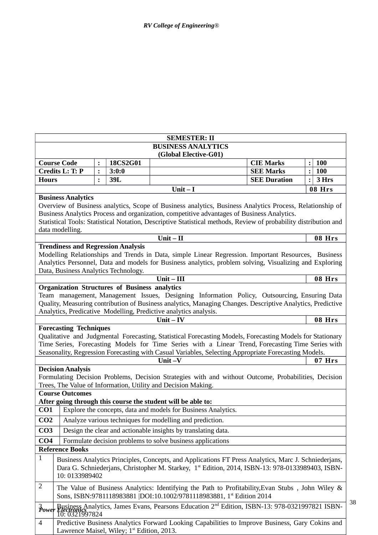|                          |                                                           |                |                                                                                   | <b>SEMESTER: II</b>                                                                                                                                                                                                                                                                                                              |                     |                |                 |
|--------------------------|-----------------------------------------------------------|----------------|-----------------------------------------------------------------------------------|----------------------------------------------------------------------------------------------------------------------------------------------------------------------------------------------------------------------------------------------------------------------------------------------------------------------------------|---------------------|----------------|-----------------|
|                          |                                                           |                |                                                                                   | <b>BUSINESS ANALYTICS</b><br>(Global Elective-G01)                                                                                                                                                                                                                                                                               |                     |                |                 |
|                          | <b>Course Code</b>                                        | $\ddot{\cdot}$ | 18CS2G01                                                                          |                                                                                                                                                                                                                                                                                                                                  | <b>CIE Marks</b>    | $\ddot{\cdot}$ | 100             |
|                          | Credits L: T: P                                           | :              | 3:0:0                                                                             |                                                                                                                                                                                                                                                                                                                                  | <b>SEE Marks</b>    | :              | <b>100</b>      |
| <b>Hours</b>             |                                                           | :              | 39L                                                                               |                                                                                                                                                                                                                                                                                                                                  | <b>SEE Duration</b> | $\ddot{\cdot}$ | 3 Hrs           |
|                          |                                                           |                |                                                                                   | $Unit - I$                                                                                                                                                                                                                                                                                                                       |                     |                | 08 Hrs          |
|                          | <b>Business Analytics</b><br>data modelling.              |                |                                                                                   | Overview of Business analytics, Scope of Business analytics, Business Analytics Process, Relationship of<br>Business Analytics Process and organization, competitive advantages of Business Analytics.<br>Statistical Tools: Statistical Notation, Descriptive Statistical methods, Review of probability distribution and       |                     |                |                 |
|                          |                                                           |                |                                                                                   | $Unit - II$                                                                                                                                                                                                                                                                                                                      |                     |                | 08 Hrs          |
|                          |                                                           |                | <b>Trendiness and Regression Analysis</b><br>Data, Business Analytics Technology. | Modelling Relationships and Trends in Data, simple Linear Regression. Important Resources,<br>Analytics Personnel, Data and models for Business analytics, problem solving, Visualizing and Exploring                                                                                                                            |                     |                | <b>Business</b> |
|                          |                                                           |                | <b>Organization Structures of Business analytics</b>                              | Unit-III                                                                                                                                                                                                                                                                                                                         |                     |                | 08 Hrs          |
|                          |                                                           |                |                                                                                   | Team management, Management Issues, Designing Information Policy, Outsourcing, Ensuring Data<br>Quality, Measuring contribution of Business analytics, Managing Changes. Descriptive Analytics, Predictive<br>Analytics, Predicative Modelling, Predictive analytics analysis.<br>Unit-IV                                        |                     |                | 08 Hrs          |
|                          | <b>Forecasting Techniques</b><br><b>Decision Analysis</b> |                |                                                                                   | Qualitative and Judgmental Forecasting, Statistical Forecasting Models, Forecasting Models for Stationary<br>Time Series, Forecasting Models for Time Series with a Linear Trend, Forecasting Time Series with<br>Seasonality, Regression Forecasting with Casual Variables, Selecting Appropriate Forecasting Models.<br>Unit-V |                     |                | 07 Hrs          |
|                          |                                                           |                |                                                                                   | Formulating Decision Problems, Decision Strategies with and without Outcome, Probabilities, Decision<br>Trees, The Value of Information, Utility and Decision Making.                                                                                                                                                            |                     |                |                 |
|                          | <b>Course Outcomes</b>                                    |                |                                                                                   | After going through this course the student will be able to:                                                                                                                                                                                                                                                                     |                     |                |                 |
| CO1                      |                                                           |                |                                                                                   | Explore the concepts, data and models for Business Analytics.                                                                                                                                                                                                                                                                    |                     |                |                 |
| CO <sub>2</sub>          |                                                           |                |                                                                                   | Analyze various techniques for modelling and prediction.                                                                                                                                                                                                                                                                         |                     |                |                 |
| CO <sub>3</sub>          |                                                           |                |                                                                                   | Design the clear and actionable insights by translating data.                                                                                                                                                                                                                                                                    |                     |                |                 |
| CO <sub>4</sub>          |                                                           |                |                                                                                   | Formulate decision problems to solve business applications                                                                                                                                                                                                                                                                       |                     |                |                 |
|                          | <b>Reference Books</b>                                    |                |                                                                                   |                                                                                                                                                                                                                                                                                                                                  |                     |                |                 |
| $\mathbf{1}$             | 10: 0133989402                                            |                |                                                                                   | Business Analytics Principles, Concepts, and Applications FT Press Analytics, Marc J. Schniederjans,<br>Dara G. Schniederjans, Christopher M. Starkey, 1 <sup>st</sup> Edition, 2014, ISBN-13: 978-0133989403, ISBN-                                                                                                             |                     |                |                 |
| $\overline{2}$           |                                                           |                |                                                                                   | The Value of Business Analytics: Identifying the Path to Profitability, Evan Stubs, John Wiley &<br>Sons, ISBN:9781118983881  DOI:10.1002/9781118983881, 1st Edition 2014                                                                                                                                                        |                     |                |                 |
|                          | 10: 0321997824                                            |                |                                                                                   | Power Business Analytics, James Evans, Pearsons Education 2 <sup>nd</sup> Edition, ISBN-13: 978-0321997821 ISBN-                                                                                                                                                                                                                 |                     |                |                 |
| $\overline{\mathcal{A}}$ |                                                           |                | Lawrence Maisel, Wiley; 1 <sup>st</sup> Edition, 2013.                            | Predictive Business Analytics Forward Looking Capabilities to Improve Business, Gary Cokins and                                                                                                                                                                                                                                  |                     |                |                 |

38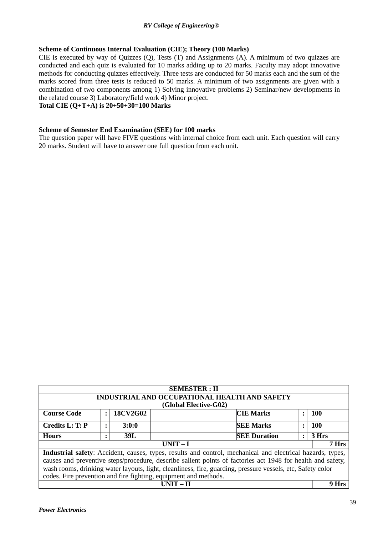#### *RV College of Engineering*®

#### **Scheme of Continuous Internal Evaluation (CIE); Theory (100 Marks)**

CIE is executed by way of Quizzes (Q), Tests (T) and Assignments (A). A minimum of two quizzes are conducted and each quiz is evaluated for 10 marks adding up to 20 marks. Faculty may adopt innovative methods for conducting quizzes effectively. Three tests are conducted for 50 marks each and the sum of the marks scored from three tests is reduced to 50 marks. A minimum of two assignments are given with a combination of two components among 1) Solving innovative problems 2) Seminar/new developments in the related course 3) Laboratory/field work 4) Minor project.

**Total CIE (Q+T+A) is 20+50+30=100 Marks**

#### **Scheme of Semester End Examination (SEE) for 100 marks**

The question paper will have FIVE questions with internal choice from each unit. Each question will carry 20 marks. Student will have to answer one full question from each unit.

| <b>SEMESTER: II</b>                                                                                         |                                                                                                             |          |                                                                                                            |           |            |
|-------------------------------------------------------------------------------------------------------------|-------------------------------------------------------------------------------------------------------------|----------|------------------------------------------------------------------------------------------------------------|-----------|------------|
|                                                                                                             |                                                                                                             |          | <b>INDUSTRIAL AND OCCUPATIONAL HEALTH AND SAFETY</b>                                                       |           |            |
|                                                                                                             |                                                                                                             |          | (Global Elective-G02)                                                                                      |           |            |
| <b>Course Code</b>                                                                                          | $\ddot{\cdot}$                                                                                              | 18CV2G02 | <b>CIE Marks</b>                                                                                           | ٠         | <b>100</b> |
| Credits L: T: P                                                                                             | $\bullet$<br>$\bullet$                                                                                      | 3:0:0    | <b>SEE Marks</b>                                                                                           | ٠         | <b>100</b> |
| <b>Hours</b>                                                                                                | $\bullet$                                                                                                   | 39L      | <b>SEE Duration</b>                                                                                        | $\bullet$ | 3 Hrs      |
|                                                                                                             | $UNIT-I$<br>7 Hrs                                                                                           |          |                                                                                                            |           |            |
|                                                                                                             |                                                                                                             |          | Industrial safety: Accident, causes, types, results and control, mechanical and electrical hazards, types, |           |            |
|                                                                                                             | causes and preventive steps/procedure, describe salient points of factories act 1948 for health and safety, |          |                                                                                                            |           |            |
| wash rooms, drinking water layouts, light, cleanliness, fire, guarding, pressure vessels, etc, Safety color |                                                                                                             |          |                                                                                                            |           |            |
| codes. Fire prevention and fire fighting, equipment and methods.                                            |                                                                                                             |          |                                                                                                            |           |            |
|                                                                                                             |                                                                                                             |          | UNIT – H                                                                                                   |           | 9 Hrs      |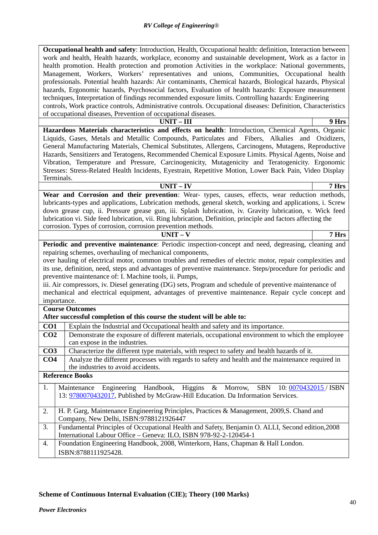**Occupational health and safety**: Introduction, Health, Occupational health: definition, Interaction between work and health, Health hazards, workplace, economy and sustainable development, Work as a factor in health promotion. Health protection and promotion Activities in the workplace: National governments, Management, Workers, Workers' representatives and unions, Communities, Occupational health professionals. Potential health hazards: Air contaminants, Chemical hazards, Biological hazards, Physical hazards, Ergonomic hazards, Psychosocial factors, Evaluation of health hazards: Exposure measurement techniques, Interpretation of findings recommended exposure limits. Controlling hazards: Engineering controls, Work practice controls, Administrative controls. Occupational diseases: Definition, Characteristics of occupational diseases, Prevention of occupational diseases.

**UNIT – III 9 Hrs Hazardous Materials characteristics and effects on health**: Introduction, Chemical Agents, Organic Liquids, Gases, Metals and Metallic Compounds, Particulates and Fibers, Alkalies and Oxidizers, General Manufacturing Materials, Chemical Substitutes, Allergens, Carcinogens, Mutagens, Reproductive Hazards, Sensitizers and Teratogens, Recommended Chemical Exposure Limits. Physical Agents, Noise and Vibration, Temperature and Pressure, Carcinogenicity, Mutagenicity and Teratogenicity. Ergonomic Stresses: Stress-Related Health Incidents, Eyestrain, Repetitive Motion, Lower Back Pain, Video Display Terminals.

| $UNIT - IV$                                                                                                   | 7 Hrs |
|---------------------------------------------------------------------------------------------------------------|-------|
| Wear and Corrosion and their prevention: Wear- types, causes, effects, wear reduction methods,                |       |
| lubricants-types and applications, Lubrication methods, general sketch, working and applications, i. Screw    |       |
| down grease cup, ii. Pressure grease gun, iii. Splash lubrication, iv. Gravity lubrication, v. Wick feed      |       |
| lubrication vi. Side feed lubrication, vii. Ring lubrication, Definition, principle and factors affecting the |       |
| corrosion. Types of corrosion, corrosion prevention methods.                                                  |       |
| $UNIT-V$                                                                                                      | 7 Hrs |

|                                                                                                             | , ,,,,,,, |
|-------------------------------------------------------------------------------------------------------------|-----------|
| <b>Periodic and preventive maintenance:</b> Periodic inspection-concept and need, degreasing, cleaning and  |           |
| repairing schemes, overhauling of mechanical components,                                                    |           |
| over hauling of electrical motor, common troubles and remedies of electric motor, repair complexities and   |           |
| its use, definition, need, steps and advantages of preventive maintenance. Steps/procedure for periodic and |           |
| preventive maintenance of: I. Machine tools, ii. Pumps,                                                     |           |
| iii. Air compressors, iv. Diesel generating (DG) sets, Program and schedule of preventive maintenance of    |           |
|                                                                                                             |           |

mechanical and electrical equipment, advantages of preventive maintenance. Repair cycle concept and importance.

#### **Course Outcomes**

| After successful completion of this course the student will be able to: |  |  |  |
|-------------------------------------------------------------------------|--|--|--|
|                                                                         |  |  |  |

| CO <sub>1</sub> | Explain the Industrial and Occupational health and safety and its importance.                     |
|-----------------|---------------------------------------------------------------------------------------------------|
| CO <sub>2</sub> | Demonstrate the exposure of different materials, occupational environment to which the employee   |
|                 | can expose in the industries.                                                                     |
| CO <sub>3</sub> | Characterize the different type materials, with respect to safety and health hazards of it.       |
| CO <sub>4</sub> | Analyze the different processes with regards to safety and health and the maintenance required in |
|                 | the industries to avoid accidents.                                                                |

#### **Reference Books**

| Maintenance Engineering Handbook, Higgins & Morrow, SBN 10:0070432015/ISBN                       |
|--------------------------------------------------------------------------------------------------|
| 13: 9780070432017, Published by McGraw-Hill Education. Da Information Services.                  |
|                                                                                                  |
| H. P. Garg, Maintenance Engineering Principles, Practices & Management, 2009, S. Chand and       |
| Company, New Delhi, ISBN:9788121926447                                                           |
| Fundamental Principles of Occupational Health and Safety, Benjamin O. ALLI, Second edition, 2008 |
| International Labour Office - Geneva: ILO, ISBN 978-92-2-120454-1                                |
|                                                                                                  |
| Foundation Engineering Handbook, 2008, Winterkorn, Hans, Chapman & Hall London.                  |
|                                                                                                  |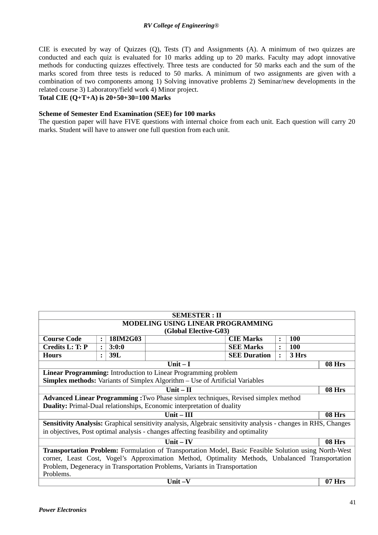CIE is executed by way of Quizzes (Q), Tests (T) and Assignments (A). A minimum of two quizzes are conducted and each quiz is evaluated for 10 marks adding up to 20 marks. Faculty may adopt innovative methods for conducting quizzes effectively. Three tests are conducted for 50 marks each and the sum of the marks scored from three tests is reduced to 50 marks. A minimum of two assignments are given with a combination of two components among 1) Solving innovative problems 2) Seminar/new developments in the related course 3) Laboratory/field work 4) Minor project.

#### **Total CIE (Q+T+A) is 20+50+30=100 Marks**

#### **Scheme of Semester End Examination (SEE) for 100 marks**

The question paper will have FIVE questions with internal choice from each unit. Each question will carry 20 marks. Student will have to answer one full question from each unit.

| <b>SEMESTER: II</b>                                                                                          |                                   |            |                                                                                                                |                     |                |            |        |  |
|--------------------------------------------------------------------------------------------------------------|-----------------------------------|------------|----------------------------------------------------------------------------------------------------------------|---------------------|----------------|------------|--------|--|
|                                                                                                              | MODELING USING LINEAR PROGRAMMING |            |                                                                                                                |                     |                |            |        |  |
|                                                                                                              |                                   |            | (Global Elective-G03)                                                                                          |                     |                |            |        |  |
| <b>Course Code</b>                                                                                           | $\ddot{\cdot}$                    | 18IM2G03   |                                                                                                                | <b>CIE Marks</b>    | :              | 100        |        |  |
| Credits L: T: P                                                                                              | $\ddot{\phantom{a}}$              | 3:0:0      |                                                                                                                | <b>SEE Marks</b>    | $\ddot{\cdot}$ | <b>100</b> |        |  |
| <b>Hours</b>                                                                                                 | $\ddot{\cdot}$                    | <b>39L</b> |                                                                                                                | <b>SEE Duration</b> | $\ddot{\cdot}$ | 3 Hrs      |        |  |
|                                                                                                              |                                   |            | Unit $-I$                                                                                                      |                     |                |            | 08 Hrs |  |
|                                                                                                              |                                   |            | <b>Linear Programming:</b> Introduction to Linear Programming problem                                          |                     |                |            |        |  |
|                                                                                                              |                                   |            | Simplex methods: Variants of Simplex Algorithm - Use of Artificial Variables                                   |                     |                |            |        |  |
|                                                                                                              |                                   |            | Unit $-II$                                                                                                     |                     |                |            | 08 Hrs |  |
|                                                                                                              |                                   |            | <b>Advanced Linear Programming:</b> Two Phase simplex techniques, Revised simplex method                       |                     |                |            |        |  |
|                                                                                                              |                                   |            | <b>Duality:</b> Primal-Dual relationships, Economic interpretation of duality                                  |                     |                |            |        |  |
|                                                                                                              |                                   |            | $Unit - III$                                                                                                   |                     |                |            | 08 Hrs |  |
|                                                                                                              |                                   |            | Sensitivity Analysis: Graphical sensitivity analysis, Algebraic sensitivity analysis - changes in RHS, Changes |                     |                |            |        |  |
|                                                                                                              |                                   |            | in objectives, Post optimal analysis - changes affecting feasibility and optimality                            |                     |                |            |        |  |
|                                                                                                              |                                   |            | Unit $-$ IV                                                                                                    |                     |                |            | 08 Hrs |  |
| <b>Transportation Problem:</b> Formulation of Transportation Model, Basic Feasible Solution using North-West |                                   |            |                                                                                                                |                     |                |            |        |  |
| corner, Least Cost, Vogel's Approximation Method, Optimality Methods, Unbalanced Transportation              |                                   |            |                                                                                                                |                     |                |            |        |  |
| Problem, Degeneracy in Transportation Problems, Variants in Transportation                                   |                                   |            |                                                                                                                |                     |                |            |        |  |
| Problems.                                                                                                    |                                   |            |                                                                                                                |                     |                |            |        |  |
|                                                                                                              |                                   |            | Unit-V                                                                                                         |                     |                |            | 07 Hrs |  |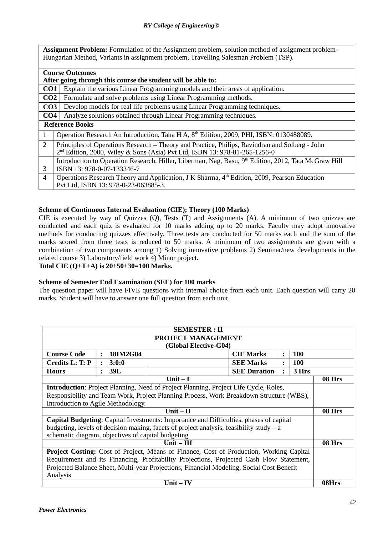**Assignment Problem:** Formulation of the Assignment problem, solution method of assignment problem-Hungarian Method, Variants in assignment problem, Travelling Salesman Problem (TSP).

|                 | <b>Course Outcomes</b>                                                                                           |  |  |  |  |  |  |  |
|-----------------|------------------------------------------------------------------------------------------------------------------|--|--|--|--|--|--|--|
|                 | After going through this course the student will be able to:                                                     |  |  |  |  |  |  |  |
| CO <sub>1</sub> | Explain the various Linear Programming models and their areas of application.                                    |  |  |  |  |  |  |  |
| CO <sub>2</sub> | Formulate and solve problems using Linear Programming methods.                                                   |  |  |  |  |  |  |  |
| CO <sub>3</sub> | Develop models for real life problems using Linear Programming techniques.                                       |  |  |  |  |  |  |  |
| CO <sub>4</sub> | Analyze solutions obtained through Linear Programming techniques.                                                |  |  |  |  |  |  |  |
|                 | <b>Reference Books</b>                                                                                           |  |  |  |  |  |  |  |
| 1               | Operation Research An Introduction, Taha H A, 8 <sup>th</sup> Edition, 2009, PHI, ISBN: 0130488089.              |  |  |  |  |  |  |  |
| 2               | Principles of Operations Research – Theory and Practice, Philips, Ravindran and Solberg - John                   |  |  |  |  |  |  |  |
|                 | 2 <sup>nd</sup> Edition, 2000, Wiley & Sons (Asia) Pvt Ltd, ISBN 13: 978-81-265-1256-0                           |  |  |  |  |  |  |  |
|                 | Introduction to Operation Research, Hiller, Liberman, Nag, Basu, 9 <sup>th</sup> Edition, 2012, Tata McGraw Hill |  |  |  |  |  |  |  |
| 3               | ISBN 13: 978-0-07-133346-7                                                                                       |  |  |  |  |  |  |  |
| $\overline{4}$  | Operations Research Theory and Application, J K Sharma, 4 <sup>th</sup> Edition, 2009, Pearson Education         |  |  |  |  |  |  |  |
|                 | Pvt Ltd, ISBN 13: 978-0-23-063885-3.                                                                             |  |  |  |  |  |  |  |

#### **Scheme of Continuous Internal Evaluation (CIE); Theory (100 Marks)**

CIE is executed by way of Quizzes (Q), Tests (T) and Assignments (A). A minimum of two quizzes are conducted and each quiz is evaluated for 10 marks adding up to 20 marks. Faculty may adopt innovative methods for conducting quizzes effectively. Three tests are conducted for 50 marks each and the sum of the marks scored from three tests is reduced to 50 marks. A minimum of two assignments are given with a combination of two components among 1) Solving innovative problems 2) Seminar/new developments in the related course 3) Laboratory/field work 4) Minor project.

**Total CIE (Q+T+A) is 20+50+30=100 Marks.**

#### **Scheme of Semester End Examination (SEE) for 100 marks**

The question paper will have FIVE questions with internal choice from each unit. Each question will carry 20 marks. Student will have to answer one full question from each unit.

|                                                                                                |                                                    |            | <b>SEMESTER: II</b>                                                                         |                     |                |            |        |
|------------------------------------------------------------------------------------------------|----------------------------------------------------|------------|---------------------------------------------------------------------------------------------|---------------------|----------------|------------|--------|
|                                                                                                |                                                    |            |                                                                                             |                     |                |            |        |
|                                                                                                |                                                    |            | <b>PROJECT MANAGEMENT</b>                                                                   |                     |                |            |        |
|                                                                                                |                                                    |            | (Global Elective-G04)                                                                       |                     |                |            |        |
| <b>Course Code</b>                                                                             | ÷                                                  | 18IM2G04   |                                                                                             | <b>CIE Marks</b>    | $\ddot{\cdot}$ | <b>100</b> |        |
| Credits L: T: P                                                                                | $\ddot{\cdot}$                                     | 3:0:0      |                                                                                             | <b>SEE Marks</b>    | $\ddot{\cdot}$ | <b>100</b> |        |
| <b>Hours</b>                                                                                   | $\ddot{\cdot}$                                     | <b>39L</b> |                                                                                             | <b>SEE Duration</b> | $\ddot{\cdot}$ | 3 Hrs      |        |
|                                                                                                |                                                    |            | Unit $-1$                                                                                   |                     |                |            | 08 Hrs |
|                                                                                                |                                                    |            | <b>Introduction:</b> Project Planning, Need of Project Planning, Project Life Cycle, Roles, |                     |                |            |        |
|                                                                                                |                                                    |            | Responsibility and Team Work, Project Planning Process, Work Breakdown Structure (WBS),     |                     |                |            |        |
| Introduction to Agile Methodology.                                                             |                                                    |            |                                                                                             |                     |                |            |        |
| Unit $-$ II                                                                                    |                                                    |            |                                                                                             |                     | 08 Hrs         |            |        |
| <b>Capital Budgeting:</b> Capital Investments: Importance and Difficulties, phases of capital  |                                                    |            |                                                                                             |                     |                |            |        |
|                                                                                                |                                                    |            | budgeting, levels of decision making, facets of project analysis, feasibility study $-$ a   |                     |                |            |        |
|                                                                                                | schematic diagram, objectives of capital budgeting |            |                                                                                             |                     |                |            |        |
| Unit $-$ III                                                                                   |                                                    |            |                                                                                             |                     | 08 Hrs         |            |        |
| <b>Project Costing:</b> Cost of Project, Means of Finance, Cost of Production, Working Capital |                                                    |            |                                                                                             |                     |                |            |        |
| Requirement and its Financing, Profitability Projections, Projected Cash Flow Statement,       |                                                    |            |                                                                                             |                     |                |            |        |
|                                                                                                |                                                    |            | Projected Balance Sheet, Multi-year Projections, Financial Modeling, Social Cost Benefit    |                     |                |            |        |
| Analysis                                                                                       |                                                    |            |                                                                                             |                     |                |            |        |
|                                                                                                |                                                    |            | Unit $-$ IV                                                                                 |                     |                |            | 08Hrs  |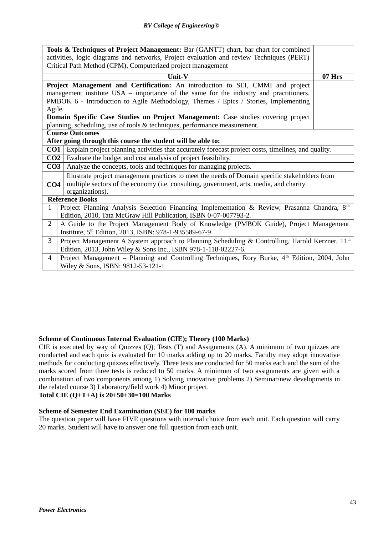|                                                                                          | Tools & Techniques of Project Management: Bar (GANTT) chart, bar chart for combined                                                                                          |        |  |  |  |  |
|------------------------------------------------------------------------------------------|------------------------------------------------------------------------------------------------------------------------------------------------------------------------------|--------|--|--|--|--|
| activities, logic diagrams and networks, Project evaluation and review Techniques (PERT) |                                                                                                                                                                              |        |  |  |  |  |
| Critical Path Method (CPM), Computerized project management                              |                                                                                                                                                                              |        |  |  |  |  |
|                                                                                          | Unit-V                                                                                                                                                                       | 07 Hrs |  |  |  |  |
|                                                                                          | Project Management and Certification: An introduction to SEI, CMMI and project                                                                                               |        |  |  |  |  |
|                                                                                          | management institute $USA - importance$ of the same for the industry and practitioners.                                                                                      |        |  |  |  |  |
|                                                                                          | PMBOK 6 - Introduction to Agile Methodology, Themes / Epics / Stories, Implementing                                                                                          |        |  |  |  |  |
| Agile.                                                                                   |                                                                                                                                                                              |        |  |  |  |  |
|                                                                                          | Domain Specific Case Studies on Project Management: Case studies covering project                                                                                            |        |  |  |  |  |
|                                                                                          | planning, scheduling, use of tools & techniques, performance measurement.                                                                                                    |        |  |  |  |  |
|                                                                                          | <b>Course Outcomes</b>                                                                                                                                                       |        |  |  |  |  |
|                                                                                          | After going through this course the student will be able to:                                                                                                                 |        |  |  |  |  |
| CO1                                                                                      | Explain project planning activities that accurately forecast project costs, timelines, and quality.                                                                          |        |  |  |  |  |
| CO2                                                                                      | Evaluate the budget and cost analysis of project feasibility.                                                                                                                |        |  |  |  |  |
|                                                                                          | Analyze the concepts, tools and techniques for managing projects.<br>CO3                                                                                                     |        |  |  |  |  |
|                                                                                          | Illustrate project management practices to meet the needs of Domain specific stakeholders from                                                                               |        |  |  |  |  |
| CO4                                                                                      | multiple sectors of the economy (i.e. consulting, government, arts, media, and charity                                                                                       |        |  |  |  |  |
|                                                                                          | organizations).                                                                                                                                                              |        |  |  |  |  |
|                                                                                          | <b>Reference Books</b>                                                                                                                                                       |        |  |  |  |  |
| 1                                                                                        | Project Planning Analysis Selection Financing Implementation & Review, Prasanna Chandra, 8 <sup>th</sup><br>Edition, 2010, Tata McGraw Hill Publication, ISBN 0-07-007793-2. |        |  |  |  |  |
| 2                                                                                        | A Guide to the Project Management Body of Knowledge (PMBOK Guide), Project Management                                                                                        |        |  |  |  |  |
|                                                                                          | Institute, 5 <sup>th</sup> Edition, 2013, ISBN: 978-1-935589-67-9                                                                                                            |        |  |  |  |  |
| 3                                                                                        | Project Management A System approach to Planning Scheduling & Controlling, Harold Kerzner, 11 <sup>th</sup>                                                                  |        |  |  |  |  |
|                                                                                          | Edition, 2013, John Wiley & Sons Inc., ISBN 978-1-118-02227-6.                                                                                                               |        |  |  |  |  |
| $\overline{4}$                                                                           | Project Management – Planning and Controlling Techniques, Rory Burke, $4th$ Edition, 2004, John                                                                              |        |  |  |  |  |
|                                                                                          | Wiley & Sons, ISBN: 9812-53-121-1                                                                                                                                            |        |  |  |  |  |
|                                                                                          |                                                                                                                                                                              |        |  |  |  |  |

CIE is executed by way of Quizzes (Q), Tests (T) and Assignments (A). A minimum of two quizzes are conducted and each quiz is evaluated for 10 marks adding up to 20 marks. Faculty may adopt innovative methods for conducting quizzes effectively. Three tests are conducted for 50 marks each and the sum of the marks scored from three tests is reduced to 50 marks. A minimum of two assignments are given with a combination of two components among 1) Solving innovative problems 2) Seminar/new developments in the related course 3) Laboratory/field work 4) Minor project.

**Total CIE (Q+T+A) is 20+50+30=100 Marks**

### **Scheme of Semester End Examination (SEE) for 100 marks**

The question paper will have FIVE questions with internal choice from each unit. Each question will carry 20 marks. Student will have to answer one full question from each unit.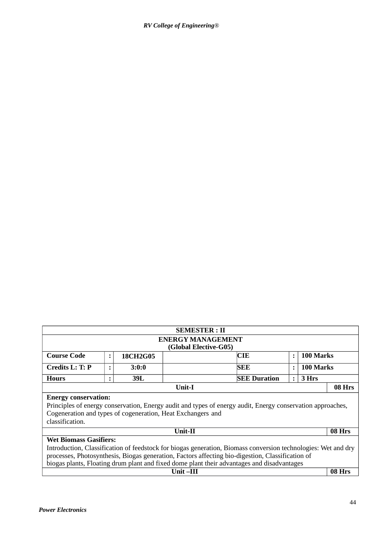*RV College of Engineering*®

|                                                                                                  | <b>SEMESTER: II</b>                                                                                           |          |                                                                                                            |                     |                |           |        |
|--------------------------------------------------------------------------------------------------|---------------------------------------------------------------------------------------------------------------|----------|------------------------------------------------------------------------------------------------------------|---------------------|----------------|-----------|--------|
|                                                                                                  | <b>ENERGY MANAGEMENT</b>                                                                                      |          |                                                                                                            |                     |                |           |        |
|                                                                                                  |                                                                                                               |          | (Global Elective-G05)                                                                                      |                     |                |           |        |
| <b>Course Code</b>                                                                               | $\ddot{\cdot}$                                                                                                | 18CH2G05 |                                                                                                            | CIE                 | $\ddot{\cdot}$ | 100 Marks |        |
| Credits L: T: P                                                                                  | ٠                                                                                                             | 3:0:0    |                                                                                                            | SEE                 | $\ddot{\cdot}$ | 100 Marks |        |
| <b>Hours</b>                                                                                     | ٠                                                                                                             | 39L      |                                                                                                            | <b>SEE Duration</b> | $\ddot{\cdot}$ | 3 Hrs     |        |
|                                                                                                  |                                                                                                               |          | <b>Unit-I</b>                                                                                              |                     |                |           | 08 Hrs |
| <b>Energy conservation:</b>                                                                      |                                                                                                               |          |                                                                                                            |                     |                |           |        |
|                                                                                                  |                                                                                                               |          | Principles of energy conservation, Energy audit and types of energy audit, Energy conservation approaches, |                     |                |           |        |
|                                                                                                  |                                                                                                               |          | Cogeneration and types of cogeneration, Heat Exchangers and                                                |                     |                |           |        |
| classification.                                                                                  |                                                                                                               |          |                                                                                                            |                     |                |           |        |
|                                                                                                  |                                                                                                               |          | Unit-II                                                                                                    |                     |                |           | 08 Hrs |
| <b>Wet Biomass Gasifiers:</b>                                                                    |                                                                                                               |          |                                                                                                            |                     |                |           |        |
|                                                                                                  | Introduction, Classification of feedstock for biogas generation, Biomass conversion technologies: Wet and dry |          |                                                                                                            |                     |                |           |        |
| processes, Photosynthesis, Biogas generation, Factors affecting bio-digestion, Classification of |                                                                                                               |          |                                                                                                            |                     |                |           |        |
|                                                                                                  |                                                                                                               |          | biogas plants, Floating drum plant and fixed dome plant their advantages and disadvantages                 |                     |                |           |        |
|                                                                                                  |                                                                                                               |          | Unit $-III$                                                                                                |                     |                |           | 08 Hrs |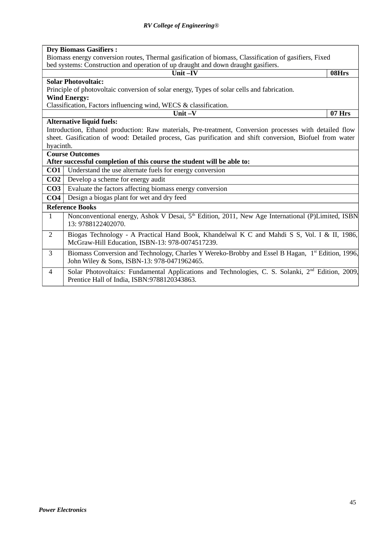|                 | <b>Dry Biomass Gasifiers:</b>                                                                                                                               |        |
|-----------------|-------------------------------------------------------------------------------------------------------------------------------------------------------------|--------|
|                 | Biomass energy conversion routes, Thermal gasification of biomass, Classification of gasifiers, Fixed                                                       |        |
|                 | bed systems: Construction and operation of up draught and down draught gasifiers.                                                                           |        |
|                 | Unit-IV                                                                                                                                                     | 08Hrs  |
|                 | <b>Solar Photovoltaic:</b>                                                                                                                                  |        |
|                 | Principle of photovoltaic conversion of solar energy, Types of solar cells and fabrication.                                                                 |        |
|                 | <b>Wind Energy:</b>                                                                                                                                         |        |
|                 | Classification, Factors influencing wind, WECS & classification.                                                                                            |        |
|                 | Unit $-V$                                                                                                                                                   | 07 Hrs |
|                 | <b>Alternative liquid fuels:</b>                                                                                                                            |        |
|                 | Introduction, Ethanol production: Raw materials, Pre-treatment, Conversion processes with detailed flow                                                     |        |
|                 | sheet. Gasification of wood: Detailed process, Gas purification and shift conversion, Biofuel from water                                                    |        |
| hyacinth.       |                                                                                                                                                             |        |
|                 | <b>Course Outcomes</b>                                                                                                                                      |        |
|                 | After successful completion of this course the student will be able to:                                                                                     |        |
| CO1             | Understand the use alternate fuels for energy conversion                                                                                                    |        |
| CO <sub>2</sub> | Develop a scheme for energy audit                                                                                                                           |        |
| CO <sub>3</sub> | Evaluate the factors affecting biomass energy conversion                                                                                                    |        |
| CO <sub>4</sub> | Design a biogas plant for wet and dry feed                                                                                                                  |        |
|                 | <b>Reference Books</b>                                                                                                                                      |        |
| $\mathbf{1}$    | Nonconventional energy, Ashok V Desai, 5 <sup>th</sup> Edition, 2011, New Age International (P)Limited, ISBN<br>13: 9788122402070.                          |        |
| $\overline{2}$  | Biogas Technology - A Practical Hand Book, Khandelwal K C and Mahdi S S, Vol. I & II, 1986,<br>McGraw-Hill Education, ISBN-13: 978-0074517239.              |        |
| 3               | Biomass Conversion and Technology, Charles Y Wereko-Brobby and Essel B Hagan, 1 <sup>st</sup> Edition, 1996,<br>John Wiley & Sons, ISBN-13: 978-0471962465. |        |
| $\overline{4}$  | Solar Photovoltaics: Fundamental Applications and Technologies, C. S. Solanki, $2nd$ Edition, 2009,<br>Prentice Hall of India, ISBN:9788120343863.          |        |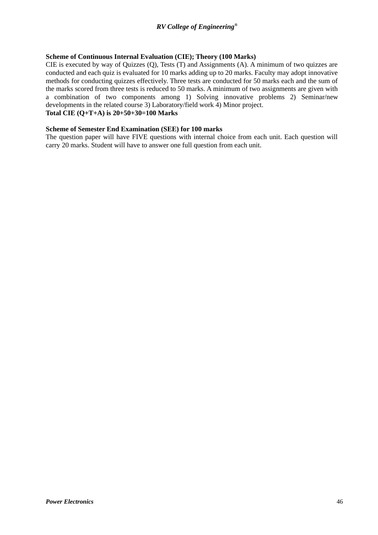CIE is executed by way of Quizzes (Q), Tests (T) and Assignments (A). A minimum of two quizzes are conducted and each quiz is evaluated for 10 marks adding up to 20 marks. Faculty may adopt innovative methods for conducting quizzes effectively. Three tests are conducted for 50 marks each and the sum of the marks scored from three tests is reduced to 50 marks. A minimum of two assignments are given with a combination of two components among 1) Solving innovative problems 2) Seminar/new developments in the related course 3) Laboratory/field work 4) Minor project. **Total CIE (Q+T+A) is 20+50+30=100 Marks**

# **Scheme of Semester End Examination (SEE) for 100 marks**

The question paper will have FIVE questions with internal choice from each unit. Each question will carry 20 marks. Student will have to answer one full question from each unit.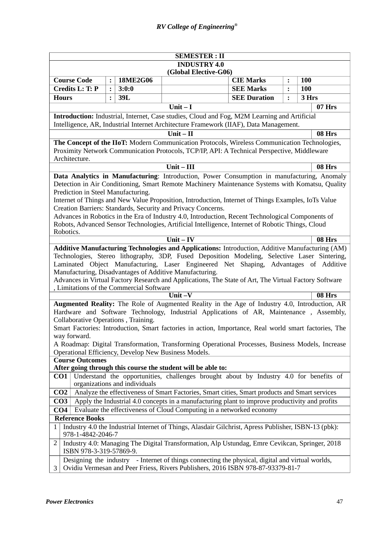|                 |                                                                                                                                                                                     |                |                                          | <b>SEMESTER: II</b>                                                                                                                                      |                     |                |       |        |
|-----------------|-------------------------------------------------------------------------------------------------------------------------------------------------------------------------------------|----------------|------------------------------------------|----------------------------------------------------------------------------------------------------------------------------------------------------------|---------------------|----------------|-------|--------|
|                 |                                                                                                                                                                                     |                |                                          | <b>INDUSTRY 4.0</b>                                                                                                                                      |                     |                |       |        |
|                 | <b>Course Code</b>                                                                                                                                                                  | $\ddot{\cdot}$ | <b>18ME2G06</b>                          | (Global Elective-G06)                                                                                                                                    | <b>CIE Marks</b>    | $\ddot{\cdot}$ | 100   |        |
|                 | Credits L: T: P                                                                                                                                                                     | :              | 3:0:0                                    |                                                                                                                                                          | <b>SEE Marks</b>    |                | 100   |        |
| <b>Hours</b>    |                                                                                                                                                                                     |                | 39L                                      |                                                                                                                                                          | <b>SEE Duration</b> | $\ddot{\cdot}$ | 3 Hrs |        |
|                 |                                                                                                                                                                                     |                |                                          | Unit $-I$                                                                                                                                                |                     |                |       | 07 Hrs |
|                 |                                                                                                                                                                                     |                |                                          | Introduction: Industrial, Internet, Case studies, Cloud and Fog, M2M Learning and Artificial                                                             |                     |                |       |        |
|                 |                                                                                                                                                                                     |                |                                          | Intelligence, AR, Industrial Internet Architecture Framework (IIAF), Data Management.                                                                    |                     |                |       |        |
|                 |                                                                                                                                                                                     |                |                                          | $Unit - II$                                                                                                                                              |                     |                |       | 08 Hrs |
|                 |                                                                                                                                                                                     |                |                                          | The Concept of the IIoT: Modern Communication Protocols, Wireless Communication Technologies,                                                            |                     |                |       |        |
|                 |                                                                                                                                                                                     |                |                                          | Proximity Network Communication Protocols, TCP/IP, API: A Technical Perspective, Middleware                                                              |                     |                |       |        |
|                 | Architecture.                                                                                                                                                                       |                |                                          |                                                                                                                                                          |                     |                |       |        |
|                 |                                                                                                                                                                                     |                |                                          | $Unit - III$                                                                                                                                             |                     |                |       | 08 Hrs |
|                 |                                                                                                                                                                                     |                |                                          | Data Analytics in Manufacturing: Introduction, Power Consumption in manufacturing, Anomaly                                                               |                     |                |       |        |
|                 |                                                                                                                                                                                     |                | Prediction in Steel Manufacturing.       | Detection in Air Conditioning, Smart Remote Machinery Maintenance Systems with Komatsu, Quality                                                          |                     |                |       |        |
|                 |                                                                                                                                                                                     |                |                                          | Internet of Things and New Value Proposition, Introduction, Internet of Things Examples, IoTs Value                                                      |                     |                |       |        |
|                 |                                                                                                                                                                                     |                |                                          | Creation Barriers: Standards, Security and Privacy Concerns.                                                                                             |                     |                |       |        |
|                 |                                                                                                                                                                                     |                |                                          | Advances in Robotics in the Era of Industry 4.0, Introduction, Recent Technological Components of                                                        |                     |                |       |        |
|                 |                                                                                                                                                                                     |                |                                          | Robots, Advanced Sensor Technologies, Artificial Intelligence, Internet of Robotic Things, Cloud                                                         |                     |                |       |        |
| Robotics.       |                                                                                                                                                                                     |                |                                          | $\overline{Unit - IV}$                                                                                                                                   |                     |                |       | 08 Hrs |
|                 |                                                                                                                                                                                     |                |                                          | Additive Manufacturing Technologies and Applications: Introduction, Additive Manufacturing (AM)                                                          |                     |                |       |        |
|                 |                                                                                                                                                                                     |                |                                          | Technologies, Stereo lithography, 3DP, Fused Deposition Modeling, Selective Laser Sintering,                                                             |                     |                |       |        |
|                 |                                                                                                                                                                                     |                |                                          | Laminated Object Manufacturing, Laser Engineered Net Shaping, Advantages of Additive                                                                     |                     |                |       |        |
|                 |                                                                                                                                                                                     |                |                                          | Manufacturing, Disadvantages of Additive Manufacturing.                                                                                                  |                     |                |       |        |
|                 |                                                                                                                                                                                     |                |                                          | Advances in Virtual Factory Research and Applications, The State of Art, The Virtual Factory Software                                                    |                     |                |       |        |
|                 |                                                                                                                                                                                     |                | , Limitations of the Commercial Software | Unit-V                                                                                                                                                   |                     |                |       | 08 Hrs |
|                 |                                                                                                                                                                                     |                |                                          | Augmented Reality: The Role of Augmented Reality in the Age of Industry 4.0, Introduction, AR                                                            |                     |                |       |        |
|                 |                                                                                                                                                                                     |                |                                          | Hardware and Software Technology, Industrial Applications of AR, Maintenance , Assembly,                                                                 |                     |                |       |        |
|                 |                                                                                                                                                                                     |                | Collaborative Operations, Training.      |                                                                                                                                                          |                     |                |       |        |
|                 | Smart Factories: Introduction, Smart factories in action, Importance, Real world smart factories, The                                                                               |                |                                          |                                                                                                                                                          |                     |                |       |        |
|                 | way forward.                                                                                                                                                                        |                |                                          |                                                                                                                                                          |                     |                |       |        |
|                 |                                                                                                                                                                                     |                |                                          | A Roadmap: Digital Transformation, Transforming Operational Processes, Business Models, Increase<br>Operational Efficiency, Develop New Business Models. |                     |                |       |        |
|                 | <b>Course Outcomes</b>                                                                                                                                                              |                |                                          |                                                                                                                                                          |                     |                |       |        |
|                 |                                                                                                                                                                                     |                |                                          | After going through this course the student will be able to:                                                                                             |                     |                |       |        |
| CO1             |                                                                                                                                                                                     |                |                                          | Understand the opportunities, challenges brought about by Industry 4.0 for benefits of                                                                   |                     |                |       |        |
|                 |                                                                                                                                                                                     |                | organizations and individuals            |                                                                                                                                                          |                     |                |       |        |
| CO <sub>2</sub> |                                                                                                                                                                                     |                |                                          | Analyze the effectiveness of Smart Factories, Smart cities, Smart products and Smart services                                                            |                     |                |       |        |
| CO <sub>3</sub> |                                                                                                                                                                                     |                |                                          | Apply the Industrial 4.0 concepts in a manufacturing plant to improve productivity and profits                                                           |                     |                |       |        |
| CO <sub>4</sub> |                                                                                                                                                                                     |                |                                          | Evaluate the effectiveness of Cloud Computing in a networked economy                                                                                     |                     |                |       |        |
| $1\vert$        | <b>Reference Books</b>                                                                                                                                                              |                |                                          | Industry 4.0 the Industrial Internet of Things, Alasdair Gilchrist, Apress Publisher, ISBN-13 (pbk):                                                     |                     |                |       |        |
|                 | 978-1-4842-2046-7                                                                                                                                                                   |                |                                          |                                                                                                                                                          |                     |                |       |        |
| 2               | ISBN 978-3-319-57869-9.                                                                                                                                                             |                |                                          | Industry 4.0: Managing The Digital Transformation, Alp Ustundag, Emre Cevikcan, Springer, 2018                                                           |                     |                |       |        |
| 3               | Designing the industry - Internet of things connecting the physical, digital and virtual worlds,<br>Ovidiu Vermesan and Peer Friess, Rivers Publishers, 2016 ISBN 978-87-93379-81-7 |                |                                          |                                                                                                                                                          |                     |                |       |        |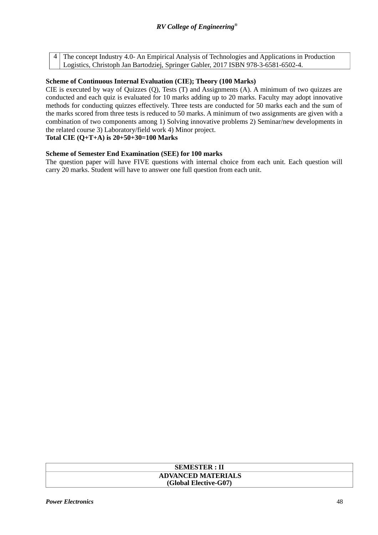4 The concept Industry 4.0- An Empirical Analysis of Technologies and Applications in Production Logistics, Christoph Jan Bartodziej, Springer Gabler, 2017 ISBN 978-3-6581-6502-4.

#### **Scheme of Continuous Internal Evaluation (CIE); Theory (100 Marks)**

CIE is executed by way of Quizzes (Q), Tests (T) and Assignments (A). A minimum of two quizzes are conducted and each quiz is evaluated for 10 marks adding up to 20 marks. Faculty may adopt innovative methods for conducting quizzes effectively. Three tests are conducted for 50 marks each and the sum of the marks scored from three tests is reduced to 50 marks. A minimum of two assignments are given with a combination of two components among 1) Solving innovative problems 2) Seminar/new developments in the related course 3) Laboratory/field work 4) Minor project.

#### **Total CIE (Q+T+A) is 20+50+30=100 Marks**

#### **Scheme of Semester End Examination (SEE) for 100 marks**

The question paper will have FIVE questions with internal choice from each unit. Each question will carry 20 marks. Student will have to answer one full question from each unit.

| <b>SEMESTER: II</b>       |
|---------------------------|
| <b>ADVANCED MATERIALS</b> |
| (Global Elective-G07)     |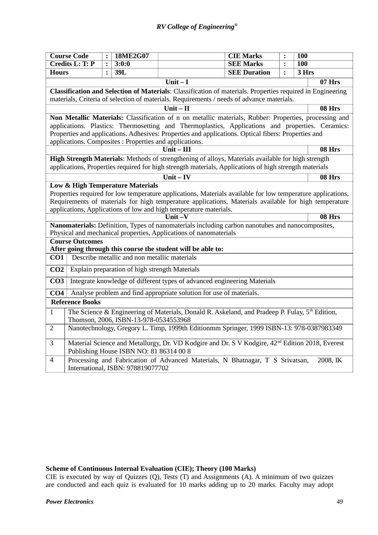|                 | <b>Course Code</b>                                                                                                                                                        | $\ddot{\cdot}$     | 18ME2G07                                               |                                                                                                             | <b>CIE Marks</b>    | $\ddot{\cdot}$ | 100    |
|-----------------|---------------------------------------------------------------------------------------------------------------------------------------------------------------------------|--------------------|--------------------------------------------------------|-------------------------------------------------------------------------------------------------------------|---------------------|----------------|--------|
|                 | Credits L: T: P                                                                                                                                                           | $\overline{\cdot}$ | 3:0:0                                                  |                                                                                                             | <b>SEE Marks</b>    |                | 100    |
| <b>Hours</b>    |                                                                                                                                                                           | $\ddot{\cdot}$     | <b>39L</b>                                             |                                                                                                             | <b>SEE Duration</b> | $\ddot{\cdot}$ | 3 Hrs  |
|                 |                                                                                                                                                                           |                    |                                                        | Unit $-I$                                                                                                   |                     |                | 07 Hrs |
|                 |                                                                                                                                                                           |                    |                                                        | Classification and Selection of Materials: Classification of materials. Properties required in Engineering  |                     |                |        |
|                 |                                                                                                                                                                           |                    |                                                        | materials, Criteria of selection of materials. Requirements / needs of advance materials.                   |                     |                |        |
|                 |                                                                                                                                                                           |                    |                                                        | $Unit - II$                                                                                                 |                     |                | 08 Hrs |
|                 |                                                                                                                                                                           |                    |                                                        | Non Metallic Materials: Classification of n on metallic materials, Rubber: Properties, processing and       |                     |                |        |
|                 |                                                                                                                                                                           |                    |                                                        | applications. Plastics: Thermosetting and Thermoplastics, Applications and properties. Ceramics:            |                     |                |        |
|                 |                                                                                                                                                                           |                    |                                                        | Properties and applications. Adhesives: Properties and applications. Optical fibers: Properties and         |                     |                |        |
|                 |                                                                                                                                                                           |                    | applications. Composites: Properties and applications. |                                                                                                             |                     |                |        |
|                 |                                                                                                                                                                           |                    |                                                        | Unit-III                                                                                                    |                     |                | 08 Hrs |
|                 |                                                                                                                                                                           |                    |                                                        | High Strength Materials: Methods of strengthening of alloys, Materials available for high strength          |                     |                |        |
|                 |                                                                                                                                                                           |                    |                                                        | applications, Properties required for high strength materials, Applications of high strength materials      |                     |                |        |
|                 |                                                                                                                                                                           |                    |                                                        | $\overline{Unit - IV}$                                                                                      |                     |                | 08 Hrs |
|                 |                                                                                                                                                                           |                    | <b>Low &amp; High Temperature Materials</b>            |                                                                                                             |                     |                |        |
|                 |                                                                                                                                                                           |                    |                                                        | Properties required for low temperature applications, Materials available for low temperature applications, |                     |                |        |
|                 |                                                                                                                                                                           |                    |                                                        | Requirements of materials for high temperature applications, Materials available for high temperature       |                     |                |        |
|                 |                                                                                                                                                                           |                    |                                                        | applications, Applications of low and high temperature materials.<br>Unit-V                                 |                     |                | 08 Hrs |
|                 |                                                                                                                                                                           |                    |                                                        | Nanomaterials: Definition, Types of nanomaterials including carbon nanotubes and nanocomposites,            |                     |                |        |
|                 |                                                                                                                                                                           |                    |                                                        | Physical and mechanical properties, Applications of nanomaterials                                           |                     |                |        |
|                 | <b>Course Outcomes</b>                                                                                                                                                    |                    |                                                        |                                                                                                             |                     |                |        |
|                 |                                                                                                                                                                           |                    |                                                        | After going through this course the student will be able to:                                                |                     |                |        |
|                 | Describe metallic and non metallic materials<br>CO1                                                                                                                       |                    |                                                        |                                                                                                             |                     |                |        |
| CO <sub>2</sub> |                                                                                                                                                                           |                    | Explain preparation of high strength Materials         |                                                                                                             |                     |                |        |
| CO <sub>3</sub> |                                                                                                                                                                           |                    |                                                        | Integrate knowledge of different types of advanced engineering Materials                                    |                     |                |        |
| CO <sub>4</sub> |                                                                                                                                                                           |                    |                                                        | Analyse problem and find appropriate solution for use of materials.                                         |                     |                |        |
|                 | <b>Reference Books</b>                                                                                                                                                    |                    |                                                        |                                                                                                             |                     |                |        |
| $\mathbf{1}$    |                                                                                                                                                                           |                    |                                                        | The Science & Engineering of Materials, Donald R. Askeland, and Pradeep P. Fulay, 5 <sup>th</sup> Edition,  |                     |                |        |
|                 |                                                                                                                                                                           |                    | Thomson, 2006, ISBN-13-978-0534553968                  |                                                                                                             |                     |                |        |
| $\overline{2}$  |                                                                                                                                                                           |                    |                                                        | Nanotechnology, Gregory L. Timp, 1999th Editionmm Springer, 1999 ISBN-13: 978-0387983349                    |                     |                |        |
| $\overline{3}$  |                                                                                                                                                                           |                    |                                                        | Material Science and Metallurgy, Dr. VD Kodgire and Dr. S V Kodgire, 42 <sup>nd</sup> Edition 2018, Everest |                     |                |        |
|                 |                                                                                                                                                                           |                    |                                                        |                                                                                                             |                     |                |        |
| 4               | Publishing House ISBN NO: 81 86314 00 8<br>Processing and Fabrication of Advanced Materials, N Bhatnagar, T S Srivatsan,<br>2008, IK<br>International, ISBN: 978819077702 |                    |                                                        |                                                                                                             |                     |                |        |

CIE is executed by way of Quizzes (Q), Tests (T) and Assignments (A). A minimum of two quizzes are conducted and each quiz is evaluated for 10 marks adding up to 20 marks. Faculty may adopt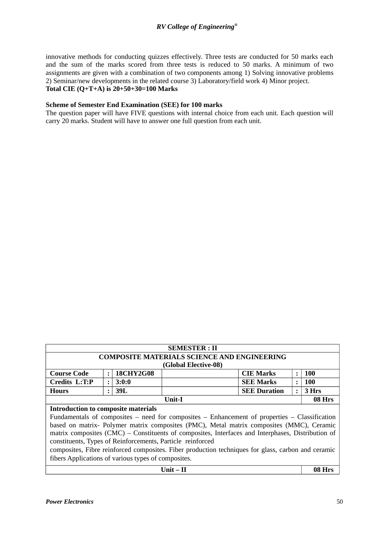innovative methods for conducting quizzes effectively. Three tests are conducted for 50 marks each and the sum of the marks scored from three tests is reduced to 50 marks. A minimum of two assignments are given with a combination of two components among 1) Solving innovative problems 2) Seminar/new developments in the related course 3) Laboratory/field work 4) Minor project. **Total CIE (Q+T+A) is 20+50+30=100 Marks**

#### **Scheme of Semester End Examination (SEE) for 100 marks**

The question paper will have FIVE questions with internal choice from each unit. Each question will carry 20 marks. Student will have to answer one full question from each unit.

|                                                                                                    | <b>SEMESTER: II</b>                                                                      |                  |                                                                                                   |                     |                      |            |
|----------------------------------------------------------------------------------------------------|------------------------------------------------------------------------------------------|------------------|---------------------------------------------------------------------------------------------------|---------------------|----------------------|------------|
|                                                                                                    |                                                                                          |                  | <b>COMPOSITE MATERIALS SCIENCE AND ENGINEERING</b>                                                |                     |                      |            |
|                                                                                                    |                                                                                          |                  | (Global Elective-08)                                                                              |                     |                      |            |
| <b>Course Code</b>                                                                                 | $\ddot{\phantom{a}}$                                                                     | <b>18CHY2G08</b> |                                                                                                   | <b>CIE Marks</b>    | $\ddot{\cdot}$       | <b>100</b> |
| Credits L:T:P                                                                                      | $\bullet$                                                                                | 3:0:0            |                                                                                                   | <b>SEE Marks</b>    | $\ddot{\cdot}$       | <b>100</b> |
| <b>Hours</b>                                                                                       | $\ddot{\phantom{a}}$                                                                     | <b>39L</b>       |                                                                                                   | <b>SEE Duration</b> | $\ddot{\phantom{a}}$ | 3 Hrs      |
| Unit-I<br>08 Hrs                                                                                   |                                                                                          |                  |                                                                                                   |                     |                      |            |
| <b>Introduction to composite materials</b>                                                         |                                                                                          |                  |                                                                                                   |                     |                      |            |
|                                                                                                    |                                                                                          |                  | Fundamentals of composites – need for composites – Enhancement of properties – Classification     |                     |                      |            |
|                                                                                                    | based on matrix- Polymer matrix composites (PMC), Metal matrix composites (MMC), Ceramic |                  |                                                                                                   |                     |                      |            |
|                                                                                                    |                                                                                          |                  | matrix composites (CMC) – Constituents of composites, Interfaces and Interphases, Distribution of |                     |                      |            |
|                                                                                                    | constituents, Types of Reinforcements, Particle reinforced                               |                  |                                                                                                   |                     |                      |            |
| composites, Fibre reinforced composites. Fiber production techniques for glass, carbon and ceramic |                                                                                          |                  |                                                                                                   |                     |                      |            |
| fibers Applications of various types of composites.                                                |                                                                                          |                  |                                                                                                   |                     |                      |            |
| Unit – II<br>08 Hrs                                                                                |                                                                                          |                  |                                                                                                   |                     |                      |            |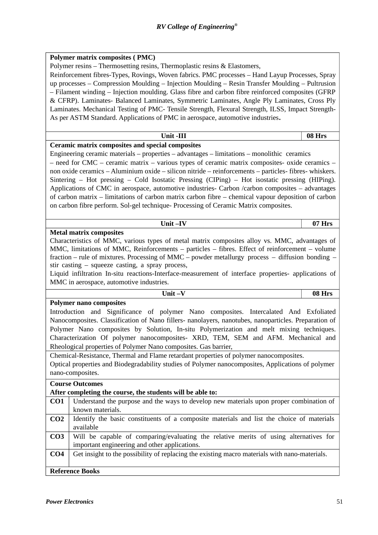|                                                                                                 | <b>Polymer matrix composites (PMC)</b>                                                                                                                                                                                                                                                                                                                                                                                                                                                                                                                                                                                                                               |        |  |  |  |  |  |
|-------------------------------------------------------------------------------------------------|----------------------------------------------------------------------------------------------------------------------------------------------------------------------------------------------------------------------------------------------------------------------------------------------------------------------------------------------------------------------------------------------------------------------------------------------------------------------------------------------------------------------------------------------------------------------------------------------------------------------------------------------------------------------|--------|--|--|--|--|--|
|                                                                                                 | Polymer resins - Thermosetting resins, Thermoplastic resins & Elastomers,                                                                                                                                                                                                                                                                                                                                                                                                                                                                                                                                                                                            |        |  |  |  |  |  |
|                                                                                                 | Reinforcement fibres-Types, Rovings, Woven fabrics. PMC processes - Hand Layup Processes, Spray                                                                                                                                                                                                                                                                                                                                                                                                                                                                                                                                                                      |        |  |  |  |  |  |
| up processes - Compression Moulding - Injection Moulding - Resin Transfer Moulding - Pultrusion |                                                                                                                                                                                                                                                                                                                                                                                                                                                                                                                                                                                                                                                                      |        |  |  |  |  |  |
|                                                                                                 | - Filament winding - Injection moulding. Glass fibre and carbon fibre reinforced composites (GFRP                                                                                                                                                                                                                                                                                                                                                                                                                                                                                                                                                                    |        |  |  |  |  |  |
|                                                                                                 | & CFRP). Laminates- Balanced Laminates, Symmetric Laminates, Angle Ply Laminates, Cross Ply                                                                                                                                                                                                                                                                                                                                                                                                                                                                                                                                                                          |        |  |  |  |  |  |
|                                                                                                 | Laminates. Mechanical Testing of PMC- Tensile Strength, Flexural Strength, ILSS, Impact Strength-                                                                                                                                                                                                                                                                                                                                                                                                                                                                                                                                                                    |        |  |  |  |  |  |
|                                                                                                 | As per ASTM Standard. Applications of PMC in aerospace, automotive industries.                                                                                                                                                                                                                                                                                                                                                                                                                                                                                                                                                                                       |        |  |  |  |  |  |
|                                                                                                 |                                                                                                                                                                                                                                                                                                                                                                                                                                                                                                                                                                                                                                                                      |        |  |  |  |  |  |
|                                                                                                 | Unit-III                                                                                                                                                                                                                                                                                                                                                                                                                                                                                                                                                                                                                                                             | 08 Hrs |  |  |  |  |  |
|                                                                                                 | <b>Ceramic matrix composites and special composites</b>                                                                                                                                                                                                                                                                                                                                                                                                                                                                                                                                                                                                              |        |  |  |  |  |  |
|                                                                                                 | Engineering ceramic materials – properties – advantages – limitations – monolithic ceramics                                                                                                                                                                                                                                                                                                                                                                                                                                                                                                                                                                          |        |  |  |  |  |  |
|                                                                                                 | - need for CMC - ceramic matrix - various types of ceramic matrix composites- oxide ceramics -                                                                                                                                                                                                                                                                                                                                                                                                                                                                                                                                                                       |        |  |  |  |  |  |
|                                                                                                 | non oxide ceramics - Aluminium oxide - silicon nitride - reinforcements - particles- fibres- whiskers.                                                                                                                                                                                                                                                                                                                                                                                                                                                                                                                                                               |        |  |  |  |  |  |
|                                                                                                 | Sintering $-$ Hot pressing $-$ Cold Isostatic Pressing (CIPing) $-$ Hot isostatic pressing (HIPing).                                                                                                                                                                                                                                                                                                                                                                                                                                                                                                                                                                 |        |  |  |  |  |  |
|                                                                                                 | Applications of CMC in aerospace, automotive industries- Carbon /carbon composites - advantages                                                                                                                                                                                                                                                                                                                                                                                                                                                                                                                                                                      |        |  |  |  |  |  |
|                                                                                                 | of carbon matrix - limitations of carbon matrix carbon fibre - chemical vapour deposition of carbon                                                                                                                                                                                                                                                                                                                                                                                                                                                                                                                                                                  |        |  |  |  |  |  |
|                                                                                                 | on carbon fibre perform. Sol-gel technique- Processing of Ceramic Matrix composites.                                                                                                                                                                                                                                                                                                                                                                                                                                                                                                                                                                                 |        |  |  |  |  |  |
|                                                                                                 |                                                                                                                                                                                                                                                                                                                                                                                                                                                                                                                                                                                                                                                                      |        |  |  |  |  |  |
|                                                                                                 | Unit-IV                                                                                                                                                                                                                                                                                                                                                                                                                                                                                                                                                                                                                                                              | 07 Hrs |  |  |  |  |  |
|                                                                                                 | <b>Metal matrix composites</b>                                                                                                                                                                                                                                                                                                                                                                                                                                                                                                                                                                                                                                       |        |  |  |  |  |  |
|                                                                                                 | Characteristics of MMC, various types of metal matrix composites alloy vs. MMC, advantages of<br>MMC, limitations of MMC, Reinforcements - particles - fibres. Effect of reinforcement - volume<br>fraction - rule of mixtures. Processing of MMC - powder metallurgy process - diffusion bonding -<br>stir casting – squeeze casting, a spray process,<br>Liquid infiltration In-situ reactions-Interface-measurement of interface properties- applications of<br>MMC in aerospace, automotive industries.                                                                                                                                                          |        |  |  |  |  |  |
|                                                                                                 | Unit-V                                                                                                                                                                                                                                                                                                                                                                                                                                                                                                                                                                                                                                                               | 08 Hrs |  |  |  |  |  |
|                                                                                                 | <b>Polymer nano composites</b>                                                                                                                                                                                                                                                                                                                                                                                                                                                                                                                                                                                                                                       |        |  |  |  |  |  |
|                                                                                                 | Introduction and Significance of polymer Nano composites. Intercalated And Exfoliated<br>Nanocomposites. Classification of Nano fillers- nanolayers, nanotubes, nanoparticles. Preparation of<br>Polymer Nano composites by Solution, In-situ Polymerization and melt mixing techniques.<br>Characterization Of polymer nanocomposites- XRD, TEM, SEM and AFM. Mechanical and<br>Rheological properties of Polymer Nano composites. Gas barrier,<br>Chemical-Resistance, Thermal and Flame retardant properties of polymer nanocomposites.<br>Optical properties and Biodegradability studies of Polymer nanocomposites, Applications of polymer<br>nano-composites. |        |  |  |  |  |  |
|                                                                                                 | <b>Course Outcomes</b>                                                                                                                                                                                                                                                                                                                                                                                                                                                                                                                                                                                                                                               |        |  |  |  |  |  |
|                                                                                                 | After completing the course, the students will be able to:                                                                                                                                                                                                                                                                                                                                                                                                                                                                                                                                                                                                           |        |  |  |  |  |  |
| CO <sub>1</sub>                                                                                 | Understand the purpose and the ways to develop new materials upon proper combination of                                                                                                                                                                                                                                                                                                                                                                                                                                                                                                                                                                              |        |  |  |  |  |  |
|                                                                                                 | known materials.                                                                                                                                                                                                                                                                                                                                                                                                                                                                                                                                                                                                                                                     |        |  |  |  |  |  |
| CO <sub>2</sub>                                                                                 | Identify the basic constituents of a composite materials and list the choice of materials                                                                                                                                                                                                                                                                                                                                                                                                                                                                                                                                                                            |        |  |  |  |  |  |
|                                                                                                 | available                                                                                                                                                                                                                                                                                                                                                                                                                                                                                                                                                                                                                                                            |        |  |  |  |  |  |
| CO <sub>3</sub>                                                                                 | Will be capable of comparing/evaluating the relative merits of using alternatives for                                                                                                                                                                                                                                                                                                                                                                                                                                                                                                                                                                                |        |  |  |  |  |  |
|                                                                                                 | important engineering and other applications.                                                                                                                                                                                                                                                                                                                                                                                                                                                                                                                                                                                                                        |        |  |  |  |  |  |
| CO <sub>4</sub>                                                                                 | Get insight to the possibility of replacing the existing macro materials with nano-materials.                                                                                                                                                                                                                                                                                                                                                                                                                                                                                                                                                                        |        |  |  |  |  |  |
|                                                                                                 |                                                                                                                                                                                                                                                                                                                                                                                                                                                                                                                                                                                                                                                                      |        |  |  |  |  |  |
|                                                                                                 | <b>Reference Books</b>                                                                                                                                                                                                                                                                                                                                                                                                                                                                                                                                                                                                                                               |        |  |  |  |  |  |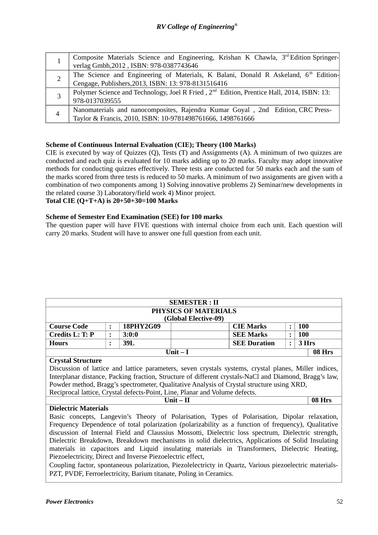|   | Composite Materials Science and Engineering, Krishan K Chawla, 3 <sup>rd</sup> Edition Springer-<br>verlag Gmbh, 2012, ISBN: 978-0387743646 |
|---|---------------------------------------------------------------------------------------------------------------------------------------------|
|   |                                                                                                                                             |
|   | The Science and Engineering of Materials, K Balani, Donald R Askeland, 6 <sup>th</sup> Edition-                                             |
|   | Cengage, Publishers, 2013, ISBN: 13: 978-8131516416                                                                                         |
| 3 | Polymer Science and Technology, Joel R Fried, 2 <sup>nd</sup> Edition, Prentice Hall, 2014, ISBN: 13:                                       |
|   | 978-0137039555                                                                                                                              |
|   | Nanomaterials and nanocomposites, Rajendra Kumar Goyal, 2nd Edition, CRC Press-                                                             |
|   | Taylor & Francis, 2010, ISBN: 10-9781498761666, 1498761666                                                                                  |

CIE is executed by way of Quizzes (Q), Tests (T) and Assignments (A). A minimum of two quizzes are conducted and each quiz is evaluated for 10 marks adding up to 20 marks. Faculty may adopt innovative methods for conducting quizzes effectively. Three tests are conducted for 50 marks each and the sum of the marks scored from three tests is reduced to 50 marks. A minimum of two assignments are given with a combination of two components among 1) Solving innovative problems 2) Seminar/new developments in the related course 3) Laboratory/field work 4) Minor project.

#### **Total CIE (Q+T+A) is 20+50+30=100 Marks**

#### **Scheme of Semester End Examination (SEE) for 100 marks**

The question paper will have FIVE questions with internal choice from each unit. Each question will carry 20 marks. Student will have to answer one full question from each unit.

|                                                                                                                                                                                                          | <b>SEMESTER: II</b> |           |                                                                                                        |                     |                |            |
|----------------------------------------------------------------------------------------------------------------------------------------------------------------------------------------------------------|---------------------|-----------|--------------------------------------------------------------------------------------------------------|---------------------|----------------|------------|
|                                                                                                                                                                                                          |                     |           | PHYSICS OF MATERIALS                                                                                   |                     |                |            |
|                                                                                                                                                                                                          |                     |           | (Global Elective-09)                                                                                   |                     |                |            |
| <b>Course Code</b>                                                                                                                                                                                       | $\ddot{\cdot}$      | 18PHY2G09 |                                                                                                        | <b>CIE Marks</b>    | $\ddot{\cdot}$ | <b>100</b> |
| Credits L: T: P                                                                                                                                                                                          | $\bullet$           | 3:0:0     |                                                                                                        | <b>SEE Marks</b>    | $\bullet$      | 100        |
| <b>Hours</b>                                                                                                                                                                                             | ٠                   | 39L       |                                                                                                        | <b>SEE Duration</b> | $\ddot{\cdot}$ | 3 Hrs      |
| Unit $-I$                                                                                                                                                                                                |                     |           |                                                                                                        | 08 Hrs              |                |            |
| <b>Crystal Structure</b>                                                                                                                                                                                 |                     |           |                                                                                                        |                     |                |            |
|                                                                                                                                                                                                          |                     |           | Discussion of lattice and lattice parameters, seven crystals systems, crystal planes, Miller indices,  |                     |                |            |
|                                                                                                                                                                                                          |                     |           | Interplanar distance, Packing fraction, Structure of different crystals-NaCl and Diamond, Bragg's law, |                     |                |            |
|                                                                                                                                                                                                          |                     |           | Powder method, Bragg's spectrometer, Qualitative Analysis of Crystal structure using XRD,              |                     |                |            |
|                                                                                                                                                                                                          |                     |           | Reciprocal lattice, Crystal defects-Point, Line, Planar and Volume defects.                            |                     |                |            |
| $Unit - II$<br>08 Hrs                                                                                                                                                                                    |                     |           |                                                                                                        |                     |                |            |
| <b>Dielectric Materials</b>                                                                                                                                                                              |                     |           |                                                                                                        |                     |                |            |
|                                                                                                                                                                                                          |                     |           | Basic concepts, Langevin's Theory of Polarisation, Types of Polarisation, Dipolar relaxation,          |                     |                |            |
|                                                                                                                                                                                                          |                     |           | Frequency Dependence of total polarization (polarizability as a function of frequency), Qualitative    |                     |                |            |
|                                                                                                                                                                                                          |                     |           |                                                                                                        |                     |                |            |
| discussion of Internal Field and Claussius Mossotti, Dielectric loss spectrum, Dielectric strength,<br>Dielectric Breakdown, Breakdown mechanisms in solid dielectrics, Applications of Solid Insulating |                     |           |                                                                                                        |                     |                |            |
| materials in capacitors and Liquid insulating materials in Transformers, Dielectric Heating,                                                                                                             |                     |           |                                                                                                        |                     |                |            |
| Piezoelectricity, Direct and Inverse Piezoelectric effect,                                                                                                                                               |                     |           |                                                                                                        |                     |                |            |
| Coupling factor, spontaneous polarization, Piezolelectricty in Quartz, Various piezoelectric materials-                                                                                                  |                     |           |                                                                                                        |                     |                |            |
|                                                                                                                                                                                                          |                     |           |                                                                                                        |                     |                |            |
|                                                                                                                                                                                                          |                     |           | PZT, PVDF, Ferroelectricity, Barium titanate, Poling in Ceramics.                                      |                     |                |            |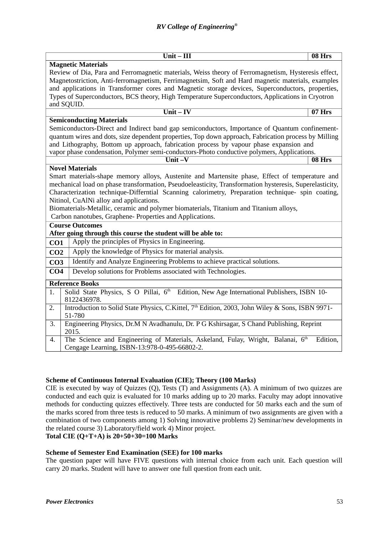|                 | $Unit - III$                                                                                                                      | 08 Hrs   |  |  |  |  |  |
|-----------------|-----------------------------------------------------------------------------------------------------------------------------------|----------|--|--|--|--|--|
|                 | <b>Magnetic Materials</b>                                                                                                         |          |  |  |  |  |  |
|                 | Review of Dia, Para and Ferromagnetic materials, Weiss theory of Ferromagnetism, Hysteresis effect,                               |          |  |  |  |  |  |
|                 | Magnetostriction, Anti-ferromagnetism, Ferrimagnetsim, Soft and Hard magnetic materials, examples                                 |          |  |  |  |  |  |
|                 | and applications in Transformer cores and Magnetic storage devices, Superconductors, properties,                                  |          |  |  |  |  |  |
|                 | Types of Superconductors, BCS theory, High Temperature Superconductors, Applications in Cryotron                                  |          |  |  |  |  |  |
|                 | and SQUID.                                                                                                                        |          |  |  |  |  |  |
|                 | $\overline{\text{Unit} - \text{IV}}$                                                                                              | 07 Hrs   |  |  |  |  |  |
|                 | <b>Semiconducting Materials</b>                                                                                                   |          |  |  |  |  |  |
|                 | Semiconductors-Direct and Indirect band gap semiconductors, Importance of Quantum confinement-                                    |          |  |  |  |  |  |
|                 | quantum wires and dots, size dependent properties, Top down approach, Fabrication process by Milling                              |          |  |  |  |  |  |
|                 | and Lithography, Bottom up approach, fabrication process by vapour phase expansion and                                            |          |  |  |  |  |  |
|                 | vapor phase condensation, Polymer semi-conductors-Photo conductive polymers, Applications.                                        |          |  |  |  |  |  |
|                 | Unit-V                                                                                                                            | 08 Hrs   |  |  |  |  |  |
|                 | <b>Novel Materials</b>                                                                                                            |          |  |  |  |  |  |
|                 | Smart materials-shape memory alloys, Austenite and Martensite phase, Effect of temperature and                                    |          |  |  |  |  |  |
|                 | mechanical load on phase transformation, Pseudoeleasticity, Transformation hysteresis, Superelasticity,                           |          |  |  |  |  |  |
|                 | Characterization technique-Differntial Scanning calorimetry, Preparation technique- spin coating,                                 |          |  |  |  |  |  |
|                 | Nitinol, CuAlNi alloy and applications.<br>Biomaterials-Metallic, ceramic and polymer biomaterials, Titanium and Titanium alloys, |          |  |  |  |  |  |
|                 | Carbon nanotubes, Graphene- Properties and Applications.                                                                          |          |  |  |  |  |  |
|                 | <b>Course Outcomes</b>                                                                                                            |          |  |  |  |  |  |
|                 | After going through this course the student will be able to:                                                                      |          |  |  |  |  |  |
|                 | Apply the principles of Physics in Engineering.                                                                                   |          |  |  |  |  |  |
| CO1             |                                                                                                                                   |          |  |  |  |  |  |
| CO <sub>2</sub> | Apply the knowledge of Physics for material analysis.                                                                             |          |  |  |  |  |  |
| CO <sub>3</sub> | Identify and Analyze Engineering Problems to achieve practical solutions.                                                         |          |  |  |  |  |  |
| CO <sub>4</sub> | Develop solutions for Problems associated with Technologies.                                                                      |          |  |  |  |  |  |
|                 | <b>Reference Books</b>                                                                                                            |          |  |  |  |  |  |
| 1.              | Solid State Physics, S O Pillai, 6 <sup>th</sup> Edition, New Age International Publishers, ISBN 10-                              |          |  |  |  |  |  |
|                 | 8122436978.                                                                                                                       |          |  |  |  |  |  |
| 2.              | Introduction to Solid State Physics, C.Kittel, 7 <sup>th</sup> Edition, 2003, John Wiley & Sons, ISBN 9971-                       |          |  |  |  |  |  |
|                 | 51-780                                                                                                                            |          |  |  |  |  |  |
| 3.              | Engineering Physics, Dr.M N Avadhanulu, Dr. P G Kshirsagar, S Chand Publishing, Reprint                                           |          |  |  |  |  |  |
|                 | 2015.                                                                                                                             |          |  |  |  |  |  |
| 4.              | The Science and Engineering of Materials, Askeland, Fulay, Wright, Balanai, 6 <sup>th</sup>                                       | Edition, |  |  |  |  |  |
|                 | Cengage Learning, ISBN-13:978-0-495-66802-2.                                                                                      |          |  |  |  |  |  |

CIE is executed by way of Quizzes (Q), Tests (T) and Assignments (A). A minimum of two quizzes are conducted and each quiz is evaluated for 10 marks adding up to 20 marks. Faculty may adopt innovative methods for conducting quizzes effectively. Three tests are conducted for 50 marks each and the sum of the marks scored from three tests is reduced to 50 marks. A minimum of two assignments are given with a combination of two components among 1) Solving innovative problems 2) Seminar/new developments in the related course 3) Laboratory/field work 4) Minor project.

# **Total CIE (Q+T+A) is 20+50+30=100 Marks**

#### **Scheme of Semester End Examination (SEE) for 100 marks**

The question paper will have FIVE questions with internal choice from each unit. Each question will carry 20 marks. Student will have to answer one full question from each unit.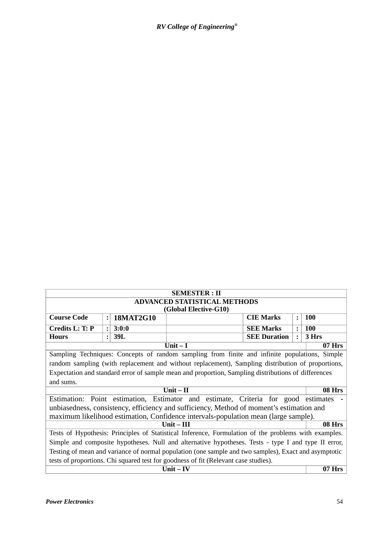*RV College of Engineering®*

|                                                                                                      | <b>SEMESTER: II</b>                                                                      |                  |                                                                                                     |                     |                      |               |
|------------------------------------------------------------------------------------------------------|------------------------------------------------------------------------------------------|------------------|-----------------------------------------------------------------------------------------------------|---------------------|----------------------|---------------|
|                                                                                                      | <b>ADVANCED STATISTICAL METHODS</b>                                                      |                  |                                                                                                     |                     |                      |               |
|                                                                                                      |                                                                                          |                  | (Global Elective-G10)                                                                               |                     |                      |               |
| <b>Course Code</b>                                                                                   | $\ddot{\cdot}$                                                                           | <b>18MAT2G10</b> |                                                                                                     | <b>CIE Marks</b>    | $\ddot{\cdot}$       | 100           |
| Credits L: T: P                                                                                      | $\bullet$                                                                                | 3:0:0            |                                                                                                     | <b>SEE Marks</b>    | $\ddot{\cdot}$       | 100           |
| <b>Hours</b>                                                                                         | $\ddot{\cdot}$                                                                           | 39L              |                                                                                                     | <b>SEE Duration</b> | $\ddot{\phantom{a}}$ | 3 Hrs         |
|                                                                                                      |                                                                                          |                  | $Unit - I$                                                                                          |                     |                      | <b>07 Hrs</b> |
|                                                                                                      |                                                                                          |                  | Sampling Techniques: Concepts of random sampling from finite and infinite populations, Simple       |                     |                      |               |
|                                                                                                      |                                                                                          |                  | random sampling (with replacement and without replacement), Sampling distribution of proportions,   |                     |                      |               |
|                                                                                                      |                                                                                          |                  | Expectation and standard error of sample mean and proportion, Sampling distributions of differences |                     |                      |               |
| and sums.                                                                                            |                                                                                          |                  |                                                                                                     |                     |                      |               |
| $Unit - II$<br>08 Hrs                                                                                |                                                                                          |                  |                                                                                                     |                     |                      |               |
|                                                                                                      |                                                                                          |                  | Estimation: Point estimation, Estimator and estimate, Criteria for good estimates                   |                     |                      |               |
|                                                                                                      | unbiasedness, consistency, efficiency and sufficiency, Method of moment's estimation and |                  |                                                                                                     |                     |                      |               |
|                                                                                                      |                                                                                          |                  | maximum likelihood estimation, Confidence intervals-population mean (large sample).                 |                     |                      |               |
| $Unit - III$<br>08 Hrs                                                                               |                                                                                          |                  |                                                                                                     |                     |                      |               |
| Tests of Hypothesis: Principles of Statistical Inference, Formulation of the problems with examples. |                                                                                          |                  |                                                                                                     |                     |                      |               |
| Simple and composite hypotheses. Null and alternative hypotheses. Tests - type I and type II error,  |                                                                                          |                  |                                                                                                     |                     |                      |               |
| Testing of mean and variance of normal population (one sample and two samples), Exact and asymptotic |                                                                                          |                  |                                                                                                     |                     |                      |               |
|                                                                                                      |                                                                                          |                  | tests of proportions. Chi squared test for goodness of fit (Relevant case studies).                 |                     |                      |               |
|                                                                                                      | $Unit - IV$<br>07 Hrs                                                                    |                  |                                                                                                     |                     |                      |               |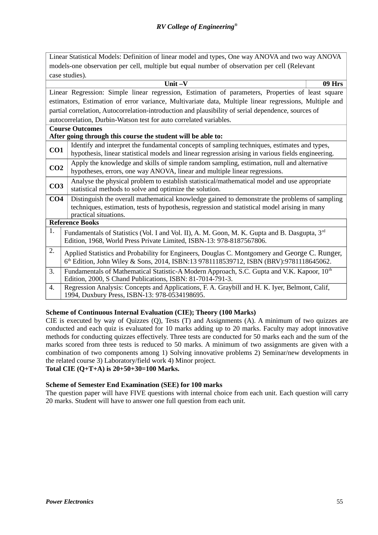Linear Statistical Models: Definition of linear model and types, One way ANOVA and two way ANOVA models-one observation per cell, multiple but equal number of observation per cell (Relevant case studies).

**Unit –V 09 Hrs** Linear Regression: Simple linear regression, Estimation of parameters, Properties of least square estimators, Estimation of error variance, Multivariate data, Multiple linear regressions, Multiple and partial correlation, Autocorrelation-introduction and plausibility of serial dependence, sources of autocorrelation, Durbin-Watson test for auto correlated variables.

#### **Course Outcomes**

|                 | Course Outcomes                                                                                                                                                                                                         |  |  |  |  |
|-----------------|-------------------------------------------------------------------------------------------------------------------------------------------------------------------------------------------------------------------------|--|--|--|--|
|                 | After going through this course the student will be able to:                                                                                                                                                            |  |  |  |  |
| CO1             | Identify and interpret the fundamental concepts of sampling techniques, estimates and types,<br>hypothesis, linear statistical models and linear regression arising in various fields engineering.                      |  |  |  |  |
| CO <sub>2</sub> | Apply the knowledge and skills of simple random sampling, estimation, null and alternative<br>hypotheses, errors, one way ANOVA, linear and multiple linear regressions.                                                |  |  |  |  |
|                 | Analyse the physical problem to establish statistical/mathematical model and use appropriate<br>CO <sub>3</sub><br>statistical methods to solve and optimize the solution.                                              |  |  |  |  |
| CO <sub>4</sub> | Distinguish the overall mathematical knowledge gained to demonstrate the problems of sampling<br>techniques, estimation, tests of hypothesis, regression and statistical model arising in many<br>practical situations. |  |  |  |  |
|                 | <b>Reference Books</b>                                                                                                                                                                                                  |  |  |  |  |
| 1.              | Fundamentals of Statistics (Vol. I and Vol. II), A. M. Goon, M. K. Gupta and B. Dasgupta, 3rd<br>Edition, 1968, World Press Private Limited, ISBN-13: 978-8187567806.                                                   |  |  |  |  |
| 2.              | Applied Statistics and Probability for Engineers, Douglas C. Montgomery and George C. Runger,<br>$6th$ Edition, John Wiley & Sons, 2014, ISBN:13 9781118539712, ISBN (BRV):9781118645062.                               |  |  |  |  |
| 3.              | Fundamentals of Mathematical Statistic-A Modern Approach, S.C. Gupta and V.K. Kapoor, 10 <sup>th</sup><br>Edition, 2000, S Chand Publications, ISBN: 81-7014-791-3.                                                     |  |  |  |  |
| 4.              | Regression Analysis: Concepts and Applications, F. A. Graybill and H. K. Iyer, Belmont, Calif,                                                                                                                          |  |  |  |  |

**Scheme of Continuous Internal Evaluation (CIE); Theory (100 Marks)** CIE is executed by way of Quizzes (Q), Tests (T) and Assignments (A). A minimum of two quizzes are conducted and each quiz is evaluated for 10 marks adding up to 20 marks. Faculty may adopt innovative methods for conducting quizzes effectively. Three tests are conducted for 50 marks each and the sum of the marks scored from three tests is reduced to 50 marks. A minimum of two assignments are given with a combination of two components among 1) Solving innovative problems 2) Seminar/new developments in the related course 3) Laboratory/field work 4) Minor project.

# **Total CIE (Q+T+A) is 20+50+30=100 Marks.**

### **Scheme of Semester End Examination (SEE) for 100 marks**

1994, Duxbury Press, ISBN-13: 978-0534198695.

The question paper will have FIVE questions with internal choice from each unit. Each question will carry 20 marks. Student will have to answer one full question from each unit.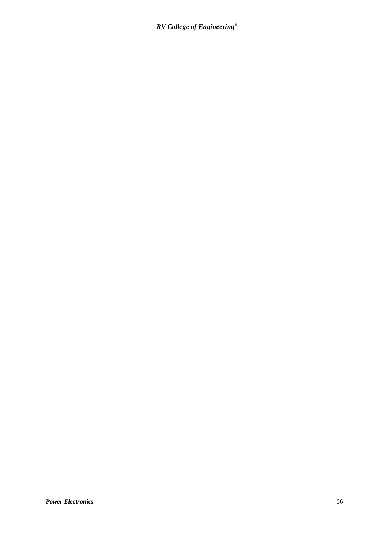*RV College of Engineering®*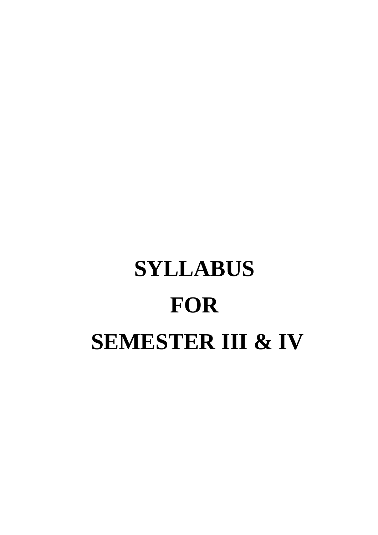# **SYLLABUS FOR SEMESTER III & IV**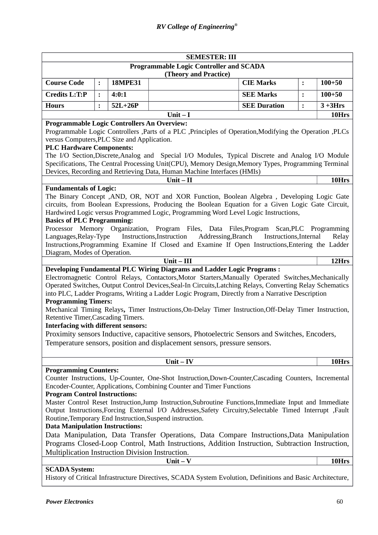|                                                                                                                                                                                                                                                                                                                                                                                                                                                                                                                                                                                                                                                                                                                                                                                                                                                                                                                                                                                                                                                                                                                                                                                                                                                                                                                                                                                                                                                                                                                                                       |                |                | <b>SEMESTER: III</b>                                                                                                                                                           |                     |                                                                                                                                    |            |  |  |  |  |
|-------------------------------------------------------------------------------------------------------------------------------------------------------------------------------------------------------------------------------------------------------------------------------------------------------------------------------------------------------------------------------------------------------------------------------------------------------------------------------------------------------------------------------------------------------------------------------------------------------------------------------------------------------------------------------------------------------------------------------------------------------------------------------------------------------------------------------------------------------------------------------------------------------------------------------------------------------------------------------------------------------------------------------------------------------------------------------------------------------------------------------------------------------------------------------------------------------------------------------------------------------------------------------------------------------------------------------------------------------------------------------------------------------------------------------------------------------------------------------------------------------------------------------------------------------|----------------|----------------|--------------------------------------------------------------------------------------------------------------------------------------------------------------------------------|---------------------|------------------------------------------------------------------------------------------------------------------------------------|------------|--|--|--|--|
|                                                                                                                                                                                                                                                                                                                                                                                                                                                                                                                                                                                                                                                                                                                                                                                                                                                                                                                                                                                                                                                                                                                                                                                                                                                                                                                                                                                                                                                                                                                                                       |                |                | <b>Programmable Logic Controller and SCADA</b><br>(Theory and Practice)                                                                                                        |                     |                                                                                                                                    |            |  |  |  |  |
| <b>Course Code</b>                                                                                                                                                                                                                                                                                                                                                                                                                                                                                                                                                                                                                                                                                                                                                                                                                                                                                                                                                                                                                                                                                                                                                                                                                                                                                                                                                                                                                                                                                                                                    | $\ddot{\cdot}$ | <b>18MPE31</b> |                                                                                                                                                                                | <b>CIE Marks</b>    | $\ddot{\cdot}$                                                                                                                     | $100 + 50$ |  |  |  |  |
| Credits L:T:P                                                                                                                                                                                                                                                                                                                                                                                                                                                                                                                                                                                                                                                                                                                                                                                                                                                                                                                                                                                                                                                                                                                                                                                                                                                                                                                                                                                                                                                                                                                                         | $\ddot{\cdot}$ | 4:0:1          |                                                                                                                                                                                | <b>SEE Marks</b>    | $\ddot{\cdot}$                                                                                                                     | $100 + 50$ |  |  |  |  |
| <b>Hours</b>                                                                                                                                                                                                                                                                                                                                                                                                                                                                                                                                                                                                                                                                                                                                                                                                                                                                                                                                                                                                                                                                                                                                                                                                                                                                                                                                                                                                                                                                                                                                          | :              | 52L+26P        |                                                                                                                                                                                | <b>SEE Duration</b> | $\ddot{\cdot}$                                                                                                                     | $3 + 3Hrs$ |  |  |  |  |
|                                                                                                                                                                                                                                                                                                                                                                                                                                                                                                                                                                                                                                                                                                                                                                                                                                                                                                                                                                                                                                                                                                                                                                                                                                                                                                                                                                                                                                                                                                                                                       |                |                | Unit $-I$                                                                                                                                                                      |                     |                                                                                                                                    | 10Hrs      |  |  |  |  |
| <b>Programmable Logic Controllers An Overview:</b><br>Programmable Logic Controllers , Parts of a PLC , Principles of Operation, Modifying the Operation , PLCs<br>versus Computers, PLC Size and Application.<br><b>PLC Hardware Components:</b><br>The I/O Section, Discrete, Analog and Special I/O Modules, Typical Discrete and Analog I/O Module                                                                                                                                                                                                                                                                                                                                                                                                                                                                                                                                                                                                                                                                                                                                                                                                                                                                                                                                                                                                                                                                                                                                                                                                |                |                |                                                                                                                                                                                |                     |                                                                                                                                    |            |  |  |  |  |
|                                                                                                                                                                                                                                                                                                                                                                                                                                                                                                                                                                                                                                                                                                                                                                                                                                                                                                                                                                                                                                                                                                                                                                                                                                                                                                                                                                                                                                                                                                                                                       |                |                | Specifications, The Central Processing Unit(CPU), Memory Design, Memory Types, Programming Terminal<br>Devices, Recording and Retrieving Data, Human Machine Interfaces (HMIs) |                     |                                                                                                                                    |            |  |  |  |  |
|                                                                                                                                                                                                                                                                                                                                                                                                                                                                                                                                                                                                                                                                                                                                                                                                                                                                                                                                                                                                                                                                                                                                                                                                                                                                                                                                                                                                                                                                                                                                                       |                |                | $Unit - II$                                                                                                                                                                    |                     |                                                                                                                                    | 10Hrs      |  |  |  |  |
|                                                                                                                                                                                                                                                                                                                                                                                                                                                                                                                                                                                                                                                                                                                                                                                                                                                                                                                                                                                                                                                                                                                                                                                                                                                                                                                                                                                                                                                                                                                                                       |                |                |                                                                                                                                                                                |                     |                                                                                                                                    |            |  |  |  |  |
| <b>Fundamentals of Logic:</b><br>The Binary Concept , AND, OR, NOT and XOR Function, Boolean Algebra, Developing Logic Gate<br>circuits, from Boolean Expressions, Producing the Boolean Equation for a Given Logic Gate Circuit,<br>Hardwired Logic versus Programmed Logic, Programming Word Level Logic Instructions,<br><b>Basics of PLC Programming:</b><br>Processor Memory Organization, Program Files, Data Files, Program Scan, PLC Programming<br>Instructions, Instruction<br>Languages, Relay-Type<br>Addressing, Branch<br>Instructions, Internal<br>Relay<br>Instructions, Programming Examine If Closed and Examine If Open Instructions, Entering the Ladder<br>Diagram, Modes of Operation.<br>Unit-III<br>12Hrs<br><b>Developing Fundamental PLC Wiring Diagrams and Ladder Logic Programs:</b><br>Electromagnetic Control Relays, Contactors, Motor Starters, Manually Operated Switches, Mechanically<br>Operated Switches, Output Control Devices, Seal-In Circuits, Latching Relays, Converting Relay Schematics<br>into PLC, Ladder Programs, Writing a Ladder Logic Program, Directly from a Narrative Description<br><b>Programming Timers:</b><br>Mechanical Timing Relays, Timer Instructions, On-Delay Timer Instruction, Off-Delay Timer Instruction,<br>Retentive Timer, Cascading Timers.<br><b>Interfacing with different sensors:</b><br>Proximity sensors Inductive, capacitive sensors, Photoelectric Sensors and Switches, Encoders,<br>Temperature sensors, position and displacement sensors, pressure sensors. |                |                |                                                                                                                                                                                |                     |                                                                                                                                    |            |  |  |  |  |
|                                                                                                                                                                                                                                                                                                                                                                                                                                                                                                                                                                                                                                                                                                                                                                                                                                                                                                                                                                                                                                                                                                                                                                                                                                                                                                                                                                                                                                                                                                                                                       |                |                |                                                                                                                                                                                |                     |                                                                                                                                    |            |  |  |  |  |
| $Unit - IV$<br>10Hrs<br><b>Programming Counters:</b><br>Counter Instructions, Up-Counter, One-Shot Instruction, Down-Counter, Cascading Counters, Incremental<br>Encoder-Counter, Applications, Combining Counter and Timer Functions<br><b>Program Control Instructions:</b><br>Master Control Reset Instruction, Jump Instruction, Subroutine Functions, Immediate Input and Immediate<br>Output Instructions, Forcing External I/O Addresses, Safety Circuitry, Selectable Timed Interrupt, Fault<br>Routine, Temporary End Instruction, Suspend instruction.<br><b>Data Manipulation Instructions:</b><br>Data Manipulation, Data Transfer Operations, Data Compare Instructions, Data Manipulation<br>Programs Closed-Loop Control, Math Instructions, Addition Instruction, Subtraction Instruction,<br>Multiplication Instruction Division Instruction.                                                                                                                                                                                                                                                                                                                                                                                                                                                                                                                                                                                                                                                                                        |                |                |                                                                                                                                                                                |                     |                                                                                                                                    |            |  |  |  |  |
|                                                                                                                                                                                                                                                                                                                                                                                                                                                                                                                                                                                                                                                                                                                                                                                                                                                                                                                                                                                                                                                                                                                                                                                                                                                                                                                                                                                                                                                                                                                                                       |                |                | $Unit - V$                                                                                                                                                                     |                     |                                                                                                                                    | 10Hrs      |  |  |  |  |
|                                                                                                                                                                                                                                                                                                                                                                                                                                                                                                                                                                                                                                                                                                                                                                                                                                                                                                                                                                                                                                                                                                                                                                                                                                                                                                                                                                                                                                                                                                                                                       |                |                |                                                                                                                                                                                |                     | <b>SCADA System:</b><br>History of Critical Infrastructure Directives, SCADA System Evolution, Definitions and Basic Architecture, |            |  |  |  |  |

I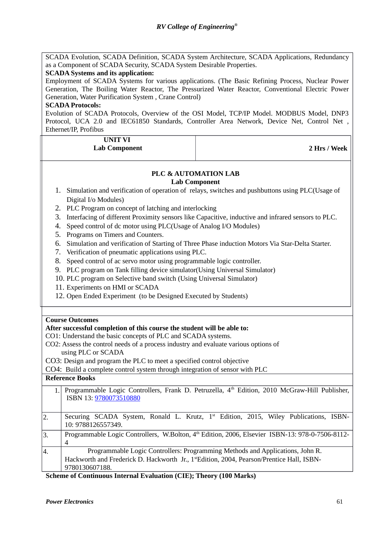SCADA Evolution, SCADA Definition, SCADA System Architecture, SCADA Applications, Redundancy as a Component of SCADA Security, SCADA System Desirable Properties.

#### **SCADA Systems and its application:**

Employment of SCADA Systems for various applications. (The Basic Refining Process, Nuclear Power Generation, The Boiling Water Reactor, The Pressurized Water Reactor, Conventional Electric Power Generation, Water Purification System , Crane Control)

#### **SCADA Protocols:**

Evolution of SCADA Protocols, Overview of the OSI Model, TCP/IP Model. MODBUS Model, DNP3 Protocol, UCA 2.0 and IEC61850 Standards, Controller Area Network, Device Net, Control Net , Ethernet/IP, Profibus

#### **UNIT VI Lab Component 2 Hrs / Week**

# **PLC & AUTOMATION LAB**

#### **Lab Component**

- 1. Simulation and verification of operation of relays, switches and pushbuttons using PLC(Usage of Digital I/o Modules)
- 2. PLC Program on concept of latching and interlocking
- 3. Interfacing of different Proximity sensors like Capacitive, inductive and infrared sensors to PLC.
- 4. Speed control of dc motor using PLC(Usage of Analog I/O Modules)
- 5. Programs on Timers and Counters.
- 6. Simulation and verification of Starting of Three Phase induction Motors Via Star-Delta Starter.
- 7. Verification of pneumatic applications using PLC.
- 8. Speed control of ac servo motor using programmable logic controller.
- 9. PLC program on Tank filling device simulator(Using Universal Simulator)
- 10. PLC program on Selective band switch (Using Universal Simulator)
- 11. Experiments on HMI or SCADA
- 12. Open Ended Experiment (to be Designed Executed by Students)

#### **Course Outcomes**

#### **After successful completion of this course the student will be able to:**

- CO1: Understand the basic concepts of PLC and SCADA systems.
- CO2: Assess the control needs of a process industry and evaluate various options of using PLC or SCADA

CO3: Design and program the PLC to meet a specified control objective

CO4: Build a complete control system through integration of sensor with PLC

# **Reference Books**

|                  | Programmable Logic Controllers, Frank D. Petruzella, 4 <sup>th</sup> Edition, 2010 McGraw-Hill Publisher,<br>ISBN 13: 9780073510880                                                                      |
|------------------|----------------------------------------------------------------------------------------------------------------------------------------------------------------------------------------------------------|
| 2.               | Securing SCADA System, Ronald L. Krutz, 1 <sup>st</sup> Edition, 2015, Wiley Publications, ISBN-<br>10: 9788126557349.                                                                                   |
| 3.               | Programmable Logic Controllers, W.Bolton, 4 <sup>th</sup> Edition, 2006, Elsevier ISBN-13: 978-0-7506-8112-<br>4                                                                                         |
| $\overline{4}$ . | Programmable Logic Controllers: Programming Methods and Applications, John R.<br>Hackworth and Frederick D. Hackworth Jr., 1 <sup>st</sup> Edition, 2004, Pearson/Prentice Hall, ISBN-<br>9780130607188. |

**Scheme of Continuous Internal Evaluation (CIE); Theory (100 Marks)**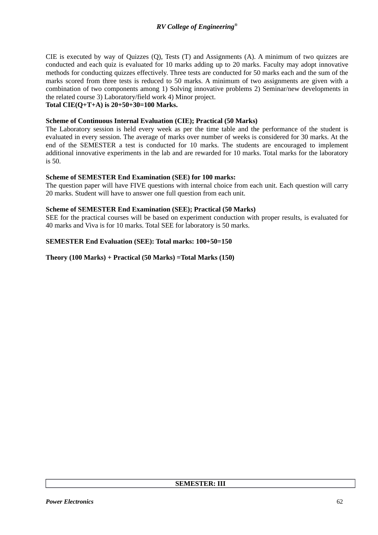CIE is executed by way of Quizzes (Q), Tests (T) and Assignments (A). A minimum of two quizzes are conducted and each quiz is evaluated for 10 marks adding up to 20 marks. Faculty may adopt innovative methods for conducting quizzes effectively. Three tests are conducted for 50 marks each and the sum of the marks scored from three tests is reduced to 50 marks. A minimum of two assignments are given with a combination of two components among 1) Solving innovative problems 2) Seminar/new developments in the related course 3) Laboratory/field work 4) Minor project.

#### **Total CIE(Q+T+A) is 20+50+30=100 Marks.**

#### **Scheme of Continuous Internal Evaluation (CIE); Practical (50 Marks)**

The Laboratory session is held every week as per the time table and the performance of the student is evaluated in every session. The average of marks over number of weeks is considered for 30 marks. At the end of the SEMESTER a test is conducted for 10 marks. The students are encouraged to implement additional innovative experiments in the lab and are rewarded for 10 marks. Total marks for the laboratory is 50.

#### **Scheme of SEMESTER End Examination (SEE) for 100 marks:**

The question paper will have FIVE questions with internal choice from each unit. Each question will carry 20 marks. Student will have to answer one full question from each unit.

#### **Scheme of SEMESTER End Examination (SEE); Practical (50 Marks)**

SEE for the practical courses will be based on experiment conduction with proper results, is evaluated for 40 marks and Viva is for 10 marks. Total SEE for laboratory is 50 marks.

#### **SEMESTER End Evaluation (SEE): Total marks: 100+50=150**

#### **Theory (100 Marks) + Practical (50 Marks) =Total Marks (150)**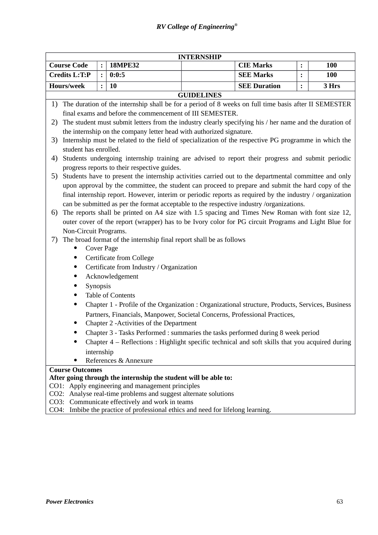| <b>INTERNSHIP</b>                                                                                        |                                                                                                               |                                                                                                      |  |                     |                |       |  |  |
|----------------------------------------------------------------------------------------------------------|---------------------------------------------------------------------------------------------------------------|------------------------------------------------------------------------------------------------------|--|---------------------|----------------|-------|--|--|
| <b>Course Code</b>                                                                                       | $\ddot{\cdot}$                                                                                                | <b>18MPE32</b>                                                                                       |  | <b>CIE Marks</b>    | :              | 100   |  |  |
| <b>Credits L:T:P</b>                                                                                     | $\ddot{\cdot}$                                                                                                | 0:0:5                                                                                                |  | <b>SEE Marks</b>    | $\ddot{\cdot}$ | 100   |  |  |
| Hours/week                                                                                               | $\ddot{\cdot}$                                                                                                | 10                                                                                                   |  | <b>SEE Duration</b> | $\ddot{\cdot}$ | 3 Hrs |  |  |
| <b>GUIDELINES</b>                                                                                        |                                                                                                               |                                                                                                      |  |                     |                |       |  |  |
| 1)                                                                                                       |                                                                                                               | The duration of the internship shall be for a period of 8 weeks on full time basis after II SEMESTER |  |                     |                |       |  |  |
|                                                                                                          | final exams and before the commencement of III SEMESTER.                                                      |                                                                                                      |  |                     |                |       |  |  |
| 2)                                                                                                       | The student must submit letters from the industry clearly specifying his / her name and the duration of       |                                                                                                      |  |                     |                |       |  |  |
|                                                                                                          | the internship on the company letter head with authorized signature.                                          |                                                                                                      |  |                     |                |       |  |  |
| 3)                                                                                                       | Internship must be related to the field of specialization of the respective PG programme in which the         |                                                                                                      |  |                     |                |       |  |  |
|                                                                                                          | student has enrolled.                                                                                         |                                                                                                      |  |                     |                |       |  |  |
| 4)                                                                                                       | Students undergoing internship training are advised to report their progress and submit periodic              |                                                                                                      |  |                     |                |       |  |  |
|                                                                                                          | progress reports to their respective guides.                                                                  |                                                                                                      |  |                     |                |       |  |  |
| 5)                                                                                                       | Students have to present the internship activities carried out to the departmental committee and only         |                                                                                                      |  |                     |                |       |  |  |
|                                                                                                          | upon approval by the committee, the student can proceed to prepare and submit the hard copy of the            |                                                                                                      |  |                     |                |       |  |  |
| final internship report. However, interim or periodic reports as required by the industry / organization |                                                                                                               |                                                                                                      |  |                     |                |       |  |  |
|                                                                                                          | can be submitted as per the format acceptable to the respective industry /organizations.                      |                                                                                                      |  |                     |                |       |  |  |
|                                                                                                          | The reports shall be printed on A4 size with 1.5 spacing and Times New Roman with font size 12,<br>6)         |                                                                                                      |  |                     |                |       |  |  |
|                                                                                                          | outer cover of the report (wrapper) has to be Ivory color for PG circuit Programs and Light Blue for          |                                                                                                      |  |                     |                |       |  |  |
| Non-Circuit Programs.                                                                                    |                                                                                                               |                                                                                                      |  |                     |                |       |  |  |
| The broad format of the internship final report shall be as follows<br>7)                                |                                                                                                               |                                                                                                      |  |                     |                |       |  |  |
| Cover Page<br>٠                                                                                          |                                                                                                               |                                                                                                      |  |                     |                |       |  |  |
| Certificate from College<br>٠                                                                            |                                                                                                               |                                                                                                      |  |                     |                |       |  |  |
| Certificate from Industry / Organization<br>٠                                                            |                                                                                                               |                                                                                                      |  |                     |                |       |  |  |
| Acknowledgement<br>$\bullet$                                                                             |                                                                                                               |                                                                                                      |  |                     |                |       |  |  |
| Synopsis<br>$\bullet$                                                                                    |                                                                                                               |                                                                                                      |  |                     |                |       |  |  |
|                                                                                                          | <b>Table of Contents</b><br>$\bullet$                                                                         |                                                                                                      |  |                     |                |       |  |  |
|                                                                                                          | Chapter 1 - Profile of the Organization : Organizational structure, Products, Services, Business<br>$\bullet$ |                                                                                                      |  |                     |                |       |  |  |
|                                                                                                          |                                                                                                               | Partners, Financials, Manpower, Societal Concerns, Professional Practices,                           |  |                     |                |       |  |  |
|                                                                                                          |                                                                                                               | Chapter 2 - Activities of the Department                                                             |  |                     |                |       |  |  |
|                                                                                                          | Chapter 3 - Tasks Performed : summaries the tasks performed during 8 week period<br>$\bullet$                 |                                                                                                      |  |                     |                |       |  |  |
|                                                                                                          | Chapter 4 – Reflections : Highlight specific technical and soft skills that you acquired during<br>$\bullet$  |                                                                                                      |  |                     |                |       |  |  |
|                                                                                                          | internship                                                                                                    |                                                                                                      |  |                     |                |       |  |  |
| References & Annexure                                                                                    |                                                                                                               |                                                                                                      |  |                     |                |       |  |  |
| <b>Course Outcomes</b>                                                                                   | After going through the internship the student will be able to:                                               |                                                                                                      |  |                     |                |       |  |  |

- CO1: Apply engineering and management principles
- CO2: Analyse real-time problems and suggest alternate solutions
- CO3: Communicate effectively and work in teams
- CO4: Imbibe the practice of professional ethics and need for lifelong learning.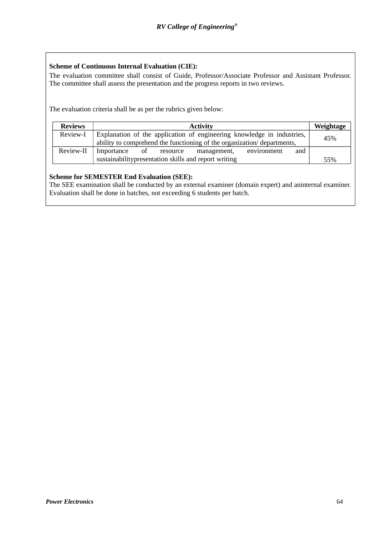#### **Scheme of Continuous Internal Evaluation (CIE):**

The evaluation committee shall consist of Guide, Professor/Associate Professor and Assistant Professor. The committee shall assess the presentation and the progress reports in two reviews.

The evaluation criteria shall be as per the rubrics given below:

| <b>Reviews</b> | <b>Activity</b>                                                                                                                                  | Weightage |
|----------------|--------------------------------------------------------------------------------------------------------------------------------------------------|-----------|
| Review-I       | Explanation of the application of engineering knowledge in industries,<br>ability to comprehend the functioning of the organization/departments, | 45%       |
| Review-II      | and<br>environment<br>Importance of resource<br>management,                                                                                      |           |
|                | sustainabilitypresentation skills and report writing                                                                                             | 55%       |

#### **Scheme for SEMESTER End Evaluation (SEE):**

The SEE examination shall be conducted by an external examiner (domain expert) and aninternal examiner. Evaluation shall be done in batches, not exceeding 6 students per batch.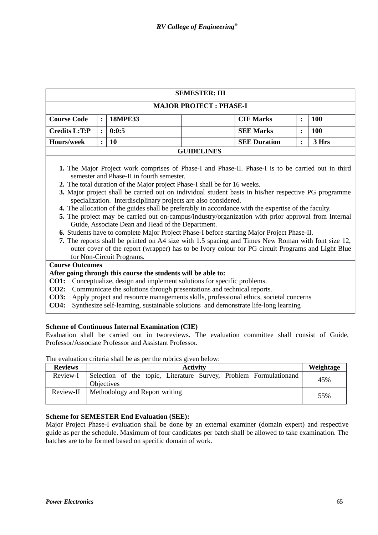| <b>SEMESTER: III</b>                                                                                                                                                                                                                                                                                                                                                                                                                                                                                                                                                                                                                                                                                                                                                                                                                                                                                                                                                                                              |                                                                               |                |       |                   |                     |                |       |  |  |  |
|-------------------------------------------------------------------------------------------------------------------------------------------------------------------------------------------------------------------------------------------------------------------------------------------------------------------------------------------------------------------------------------------------------------------------------------------------------------------------------------------------------------------------------------------------------------------------------------------------------------------------------------------------------------------------------------------------------------------------------------------------------------------------------------------------------------------------------------------------------------------------------------------------------------------------------------------------------------------------------------------------------------------|-------------------------------------------------------------------------------|----------------|-------|-------------------|---------------------|----------------|-------|--|--|--|
| <b>MAJOR PROJECT: PHASE-I</b>                                                                                                                                                                                                                                                                                                                                                                                                                                                                                                                                                                                                                                                                                                                                                                                                                                                                                                                                                                                     |                                                                               |                |       |                   |                     |                |       |  |  |  |
| <b>Course Code</b>                                                                                                                                                                                                                                                                                                                                                                                                                                                                                                                                                                                                                                                                                                                                                                                                                                                                                                                                                                                                | <b>18MPE33</b><br><b>CIE Marks</b><br>100<br>$\ddot{\cdot}$<br>$\ddot{\cdot}$ |                |       |                   |                     |                |       |  |  |  |
| Credits L:T:P                                                                                                                                                                                                                                                                                                                                                                                                                                                                                                                                                                                                                                                                                                                                                                                                                                                                                                                                                                                                     |                                                                               | $\ddot{\cdot}$ | 0:0:5 |                   | <b>SEE Marks</b>    | $\ddot{\cdot}$ | 100   |  |  |  |
| Hours/week                                                                                                                                                                                                                                                                                                                                                                                                                                                                                                                                                                                                                                                                                                                                                                                                                                                                                                                                                                                                        |                                                                               | $\bullet$      | 10    |                   | <b>SEE Duration</b> | ٠              | 3 Hrs |  |  |  |
|                                                                                                                                                                                                                                                                                                                                                                                                                                                                                                                                                                                                                                                                                                                                                                                                                                                                                                                                                                                                                   |                                                                               |                |       | <b>GUIDELINES</b> |                     |                |       |  |  |  |
| 1. The Major Project work comprises of Phase-I and Phase-II. Phase-I is to be carried out in third<br>semester and Phase-II in fourth semester.<br>2. The total duration of the Major project Phase-I shall be for 16 weeks.<br>3. Major project shall be carried out on individual student basis in his/her respective PG programme<br>specialization. Interdisciplinary projects are also considered.<br>4. The allocation of the guides shall be preferably in accordance with the expertise of the faculty.<br>5. The project may be carried out on-campus/industry/organization with prior approval from Internal<br>Guide, Associate Dean and Head of the Department.<br>6. Students have to complete Major Project Phase-I before starting Major Project Phase-II.<br>7. The reports shall be printed on A4 size with 1.5 spacing and Times New Roman with font size 12,<br>outer cover of the report (wrapper) has to be Ivory colour for PG circuit Programs and Light Blue<br>for Non-Circuit Programs. |                                                                               |                |       |                   |                     |                |       |  |  |  |
| <b>Course Outcomes</b>                                                                                                                                                                                                                                                                                                                                                                                                                                                                                                                                                                                                                                                                                                                                                                                                                                                                                                                                                                                            |                                                                               |                |       |                   |                     |                |       |  |  |  |
| After going through this course the students will be able to:<br><b>CO1:</b> Conceptualize, design and implement solutions for specific problems.<br>Communicate the solutions through presentations and technical reports.<br>CO2:<br>Apply project and resource managements skills, professional ethics, societal concerns<br>CO3:<br>Synthesize self-learning, sustainable solutions and demonstrate life-long learning<br>CO4:                                                                                                                                                                                                                                                                                                                                                                                                                                                                                                                                                                                |                                                                               |                |       |                   |                     |                |       |  |  |  |

# **Scheme of Continuous Internal Examination (CIE)**

Evaluation shall be carried out in tworeviews. The evaluation committee shall consist of Guide, Professor/Associate Professor and Assistant Professor.

**Reviews Activity Activity Weightage** Review-I Selection of the topic, Literature Survey, Problem Formulationand 15% Review-II Methodology and Report writing 55%

The evaluation criteria shall be as per the rubrics given below:

## **Scheme for SEMESTER End Evaluation (SEE):**

Major Project Phase-I evaluation shall be done by an external examiner (domain expert) and respective guide as per the schedule. Maximum of four candidates per batch shall be allowed to take examination. The batches are to be formed based on specific domain of work.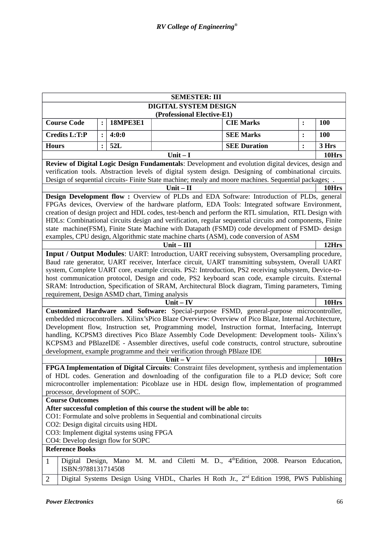| <b>SEMESTER: III</b>                                                                                                                                                                                       |  |                            |                     |                |       |  |  |  |  |
|------------------------------------------------------------------------------------------------------------------------------------------------------------------------------------------------------------|--|----------------------------|---------------------|----------------|-------|--|--|--|--|
| DIGITAL SYSTEM DESIGN                                                                                                                                                                                      |  |                            |                     |                |       |  |  |  |  |
|                                                                                                                                                                                                            |  | (Professional Elective-E1) |                     |                |       |  |  |  |  |
| <b>Course Code</b><br><b>18MPE3E1</b><br>:                                                                                                                                                                 |  |                            | <b>CIE Marks</b>    | $\ddot{\cdot}$ | 100   |  |  |  |  |
| Credits L:T:P<br>4:0:0<br>:                                                                                                                                                                                |  |                            | <b>SEE Marks</b>    | $\ddot{\cdot}$ | 100   |  |  |  |  |
| <b>Hours</b><br>52L<br>:                                                                                                                                                                                   |  |                            | <b>SEE Duration</b> | $\ddot{\cdot}$ | 3 Hrs |  |  |  |  |
|                                                                                                                                                                                                            |  | Unit $-I$                  |                     |                | 10Hrs |  |  |  |  |
| Review of Digital Logic Design Fundamentals: Development and evolution digital devices, design and                                                                                                         |  |                            |                     |                |       |  |  |  |  |
| verification tools. Abstraction levels of digital system design. Designing of combinational circuits.                                                                                                      |  |                            |                     |                |       |  |  |  |  |
| Design of sequential circuits- Finite State machine; mealy and moore machines. Sequential packages; .                                                                                                      |  |                            |                     |                |       |  |  |  |  |
|                                                                                                                                                                                                            |  | $Unit - II$                |                     |                | 10Hrs |  |  |  |  |
| Design Development flow: Overview of PLDs and EDA Software: Introduction of PLDs, general                                                                                                                  |  |                            |                     |                |       |  |  |  |  |
| FPGAs devices, Overview of the hardware platform, EDA Tools: Integrated software Environment,                                                                                                              |  |                            |                     |                |       |  |  |  |  |
| creation of design project and HDL codes, test-bench and perform the RTL simulation, RTL Design with                                                                                                       |  |                            |                     |                |       |  |  |  |  |
| HDLs: Combinational circuits design and verification, regular sequential circuits and components, Finite<br>state machine(FSM), Finite State Machine with Datapath (FSMD) code development of FSMD- design |  |                            |                     |                |       |  |  |  |  |
| examples, CPU design, Algorithmic state machine charts (ASM), code conversion of ASM                                                                                                                       |  |                            |                     |                |       |  |  |  |  |
|                                                                                                                                                                                                            |  | Unit-III                   |                     |                | 12Hrs |  |  |  |  |
| Input / Output Modules: UART: Introduction, UART receiving subsystem, Oversampling procedure,                                                                                                              |  |                            |                     |                |       |  |  |  |  |
| Baud rate generator, UART receiver, Interface circuit, UART transmitting subsystem, Overall UART                                                                                                           |  |                            |                     |                |       |  |  |  |  |
| system, Complete UART core, example circuits. PS2: Introduction, PS2 receiving subsystem, Device-to-                                                                                                       |  |                            |                     |                |       |  |  |  |  |
| host communication protocol, Design and code, PS2 keyboard scan code, example circuits. External                                                                                                           |  |                            |                     |                |       |  |  |  |  |
| SRAM: Introduction, Specification of SRAM, Architectural Block diagram, Timing parameters, Timing                                                                                                          |  |                            |                     |                |       |  |  |  |  |
| requirement, Design ASMD chart, Timing analysis                                                                                                                                                            |  |                            |                     |                |       |  |  |  |  |
|                                                                                                                                                                                                            |  | Unit $-$ IV                |                     |                | 10Hrs |  |  |  |  |
| Customized Hardware and Software: Special-purpose FSMD, general-purpose microcontroller,                                                                                                                   |  |                            |                     |                |       |  |  |  |  |
| embedded microcontrollers. Xilinx'sPico Blaze Overview: Overview of Pico Blaze, Internal Architecture,                                                                                                     |  |                            |                     |                |       |  |  |  |  |
| Development flow, Instruction set, Programming model, Instruction format, Interfacing, Interrupt                                                                                                           |  |                            |                     |                |       |  |  |  |  |
| handling, KCPSM3 directives Pico Blaze Assembly Code Development: Development tools- Xilinx's                                                                                                              |  |                            |                     |                |       |  |  |  |  |
| KCPSM3 and PBlazeIDE - Assembler directives, useful code constructs, control structure, subroutine                                                                                                         |  |                            |                     |                |       |  |  |  |  |
| development, example programme and their verification through PBlaze IDE                                                                                                                                   |  |                            |                     |                |       |  |  |  |  |
|                                                                                                                                                                                                            |  | $Unit - V$                 |                     |                | 10Hrs |  |  |  |  |
| FPGA Implementation of Digital Circuits: Constraint files development, synthesis and implementation                                                                                                        |  |                            |                     |                |       |  |  |  |  |
| of HDL codes. Generation and downloading of the configuration file to a PLD device; Soft core                                                                                                              |  |                            |                     |                |       |  |  |  |  |
| microcontroller implementation: Picoblaze use in HDL design flow, implementation of programmed<br>processor, development of SOPC.                                                                          |  |                            |                     |                |       |  |  |  |  |
| <b>Course Outcomes</b>                                                                                                                                                                                     |  |                            |                     |                |       |  |  |  |  |
| After successful completion of this course the student will be able to:                                                                                                                                    |  |                            |                     |                |       |  |  |  |  |
| CO1: Formulate and solve problems in Sequential and combinational circuits                                                                                                                                 |  |                            |                     |                |       |  |  |  |  |
| CO2: Design digital circuits using HDL                                                                                                                                                                     |  |                            |                     |                |       |  |  |  |  |
| CO3: Implement digital systems using FPGA                                                                                                                                                                  |  |                            |                     |                |       |  |  |  |  |
| CO4: Develop design flow for SOPC                                                                                                                                                                          |  |                            |                     |                |       |  |  |  |  |
| <b>Reference Books</b>                                                                                                                                                                                     |  |                            |                     |                |       |  |  |  |  |
| Digital Design, Mano M. M. and Ciletti M. D., 4 <sup>th</sup> Edition, 2008. Pearson Education,<br>$\mathbf{1}$<br>ISBN:9788131714508                                                                      |  |                            |                     |                |       |  |  |  |  |
| Digital Systems Design Using VHDL, Charles H Roth Jr., 2 <sup>nd</sup> Edition 1998, PWS Publishing<br>2                                                                                                   |  |                            |                     |                |       |  |  |  |  |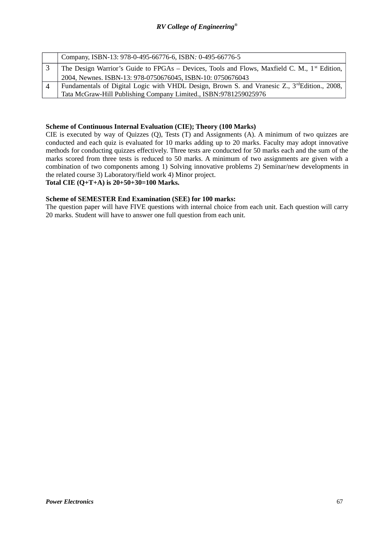|                | Company, ISBN-13: 978-0-495-66776-6, ISBN: 0-495-66776-5                                           |
|----------------|----------------------------------------------------------------------------------------------------|
|                | The Design Warrior's Guide to FPGAs - Devices, Tools and Flows, Maxfield C. M., $1st$ Edition,     |
|                | 2004, Newnes. ISBN-13: 978-0750676045, ISBN-10: 0750676043                                         |
| $\overline{A}$ | Fundamentals of Digital Logic with VHDL Design, Brown S. and Vranesic Z., $3^{rd}$ Edition., 2008, |
|                | Tata McGraw-Hill Publishing Company Limited., ISBN:9781259025976                                   |

# **Scheme of Continuous Internal Evaluation (CIE); Theory (100 Marks)**

CIE is executed by way of Quizzes (Q), Tests (T) and Assignments (A). A minimum of two quizzes are conducted and each quiz is evaluated for 10 marks adding up to 20 marks. Faculty may adopt innovative methods for conducting quizzes effectively. Three tests are conducted for 50 marks each and the sum of the marks scored from three tests is reduced to 50 marks. A minimum of two assignments are given with a combination of two components among 1) Solving innovative problems 2) Seminar/new developments in the related course 3) Laboratory/field work 4) Minor project.

# **Total CIE (Q+T+A) is 20+50+30=100 Marks.**

# **Scheme of SEMESTER End Examination (SEE) for 100 marks:**

The question paper will have FIVE questions with internal choice from each unit. Each question will carry 20 marks. Student will have to answer one full question from each unit.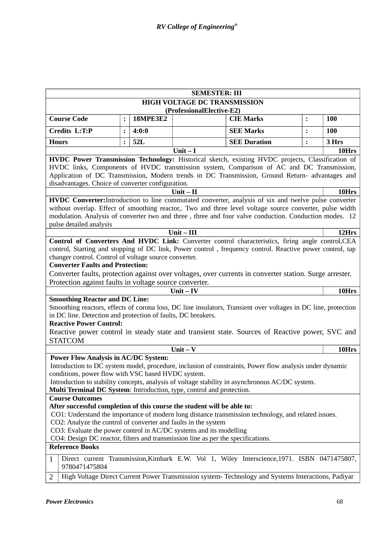|                                                                                                                                                                                                                                                                                                                                                                                                                                                                                                                                                                                                                                                                                                                                                                             |                |                 | <b>SEMESTER: III</b>                                                                                                                                                                                                                                                                                |                                                                                                                                                                                                                                                                                                                             |                |            |  |  |
|-----------------------------------------------------------------------------------------------------------------------------------------------------------------------------------------------------------------------------------------------------------------------------------------------------------------------------------------------------------------------------------------------------------------------------------------------------------------------------------------------------------------------------------------------------------------------------------------------------------------------------------------------------------------------------------------------------------------------------------------------------------------------------|----------------|-----------------|-----------------------------------------------------------------------------------------------------------------------------------------------------------------------------------------------------------------------------------------------------------------------------------------------------|-----------------------------------------------------------------------------------------------------------------------------------------------------------------------------------------------------------------------------------------------------------------------------------------------------------------------------|----------------|------------|--|--|
| HIGH VOLTAGE DC TRANSMISSION<br>(ProfessionalElective-E2)                                                                                                                                                                                                                                                                                                                                                                                                                                                                                                                                                                                                                                                                                                                   |                |                 |                                                                                                                                                                                                                                                                                                     |                                                                                                                                                                                                                                                                                                                             |                |            |  |  |
| <b>Course Code</b>                                                                                                                                                                                                                                                                                                                                                                                                                                                                                                                                                                                                                                                                                                                                                          | $\ddot{\cdot}$ | <b>18MPE3E2</b> |                                                                                                                                                                                                                                                                                                     | <b>CIE Marks</b>                                                                                                                                                                                                                                                                                                            | $\ddot{\cdot}$ | <b>100</b> |  |  |
| Credits L:T:P                                                                                                                                                                                                                                                                                                                                                                                                                                                                                                                                                                                                                                                                                                                                                               | $\ddot{\cdot}$ | 4:0:0           |                                                                                                                                                                                                                                                                                                     | <b>SEE Marks</b>                                                                                                                                                                                                                                                                                                            |                | 100        |  |  |
| <b>Hours</b>                                                                                                                                                                                                                                                                                                                                                                                                                                                                                                                                                                                                                                                                                                                                                                | $\ddot{\cdot}$ | 52L             |                                                                                                                                                                                                                                                                                                     | <b>SEE Duration</b>                                                                                                                                                                                                                                                                                                         | $\ddot{\cdot}$ | 3 Hrs      |  |  |
|                                                                                                                                                                                                                                                                                                                                                                                                                                                                                                                                                                                                                                                                                                                                                                             |                |                 | Unit $-I$                                                                                                                                                                                                                                                                                           |                                                                                                                                                                                                                                                                                                                             |                | 10Hrs      |  |  |
| disadvantages. Choice of converter configuration.                                                                                                                                                                                                                                                                                                                                                                                                                                                                                                                                                                                                                                                                                                                           |                |                 |                                                                                                                                                                                                                                                                                                     | HVDC Power Transmission Technology: Historical sketch, existing HVDC projects, Classification of<br>HVDC links, Components of HVDC transmission system, Comparison of AC and DC Transmission,<br>Application of DC Transmission, Modern trends in DC Transmission, Ground Return- advantages and                            |                |            |  |  |
|                                                                                                                                                                                                                                                                                                                                                                                                                                                                                                                                                                                                                                                                                                                                                                             |                |                 | $Unit - II$                                                                                                                                                                                                                                                                                         |                                                                                                                                                                                                                                                                                                                             |                | 10Hrs      |  |  |
| pulse detailed analysis                                                                                                                                                                                                                                                                                                                                                                                                                                                                                                                                                                                                                                                                                                                                                     |                |                 |                                                                                                                                                                                                                                                                                                     | HVDC Converter: Introduction to line commutated converter, analysis of six and twelve pulse converter<br>without overlap. Effect of smoothing reactor,. Two and three level voltage source converter, pulse width<br>modulation. Analysis of converter two and three, three and four valve conduction. Conduction modes. 12 |                |            |  |  |
|                                                                                                                                                                                                                                                                                                                                                                                                                                                                                                                                                                                                                                                                                                                                                                             |                |                 | $Unit - III$                                                                                                                                                                                                                                                                                        |                                                                                                                                                                                                                                                                                                                             |                | 12Hrs      |  |  |
| Control of Converters And HVDC Link: Converter control characteristics, firing angle control, CEA<br>control, Starting and stopping of DC link, Power control, frequency control. Reactive power control, tap<br>changer control. Control of voltage source converter.<br><b>Converter Faults and Protection:</b><br>Converter faults, protection against over voltages, over currents in converter station. Surge arrester.<br>Protection against faults in voltage source converter.<br>$Unit - IV$<br>10Hrs<br><b>Smoothing Reactor and DC Line:</b><br>Smoothing reactors, effects of corona loss, DC line insulators, Transient over voltages in DC line, protection<br>in DC line. Detection and protection of faults, DC breakers.<br><b>Reactive Power Control:</b> |                |                 |                                                                                                                                                                                                                                                                                                     |                                                                                                                                                                                                                                                                                                                             |                |            |  |  |
| <b>STATCOM</b>                                                                                                                                                                                                                                                                                                                                                                                                                                                                                                                                                                                                                                                                                                                                                              |                |                 |                                                                                                                                                                                                                                                                                                     | Reactive power control in steady state and transient state. Sources of Reactive power, SVC and                                                                                                                                                                                                                              |                |            |  |  |
|                                                                                                                                                                                                                                                                                                                                                                                                                                                                                                                                                                                                                                                                                                                                                                             |                |                 | $Unit - V$                                                                                                                                                                                                                                                                                          |                                                                                                                                                                                                                                                                                                                             |                | 10Hrs      |  |  |
| <b>Power Flow Analysis in AC/DC System:</b><br>conditions, power flow with VSC based HVDC system.                                                                                                                                                                                                                                                                                                                                                                                                                                                                                                                                                                                                                                                                           |                |                 | Multi Terminal DC System: Introduction, type, control and protection.                                                                                                                                                                                                                               | Introduction to DC system model, procedure, inclusion of constraints, Power flow analysis under dynamic<br>Introduction to stability concepts, analysis of voltage stability in asynchronous AC/DC system.                                                                                                                  |                |            |  |  |
| <b>Course Outcomes</b>                                                                                                                                                                                                                                                                                                                                                                                                                                                                                                                                                                                                                                                                                                                                                      |                |                 |                                                                                                                                                                                                                                                                                                     |                                                                                                                                                                                                                                                                                                                             |                |            |  |  |
| <b>Reference Books</b>                                                                                                                                                                                                                                                                                                                                                                                                                                                                                                                                                                                                                                                                                                                                                      |                |                 | After successful completion of this course the student will be able to:<br>CO2: Analyze the control of converter and faults in the system<br>CO3: Evaluate the power control in AC/DC systems and its modelling<br>CO4: Design DC reactor, filters and transmission line as per the specifications. | CO1: Understand the importance of modern long distance transmission technology, and related issues.                                                                                                                                                                                                                         |                |            |  |  |
| 1<br>9780471475804                                                                                                                                                                                                                                                                                                                                                                                                                                                                                                                                                                                                                                                                                                                                                          |                |                 |                                                                                                                                                                                                                                                                                                     | Direct current Transmission, Kimbark E.W. Vol 1, Wiley Interscience, 1971. ISBN 0471475807,                                                                                                                                                                                                                                 |                |            |  |  |
| 2                                                                                                                                                                                                                                                                                                                                                                                                                                                                                                                                                                                                                                                                                                                                                                           |                |                 |                                                                                                                                                                                                                                                                                                     | High Voltage Direct Current Power Transmission system- Technology and Systems Interactions, Padiyar                                                                                                                                                                                                                         |                |            |  |  |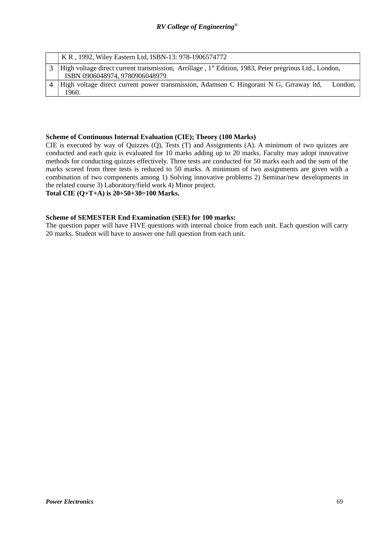| K R, 1992, Wiley Eastern Ltd, ISBN-13: 978-1906574772                                                                                               |         |
|-----------------------------------------------------------------------------------------------------------------------------------------------------|---------|
| High voltage direct current transmission, Arrillage, 1 <sup>st</sup> Edition, 1983, Peter pregrinus Ltd., London,<br>ISBN 0906048974, 9780906048979 |         |
| High voltage direct current power transmission, Adamson C Hingorani N G, Grraway ltd,<br>1960.                                                      | London, |

## **Scheme of Continuous Internal Evaluation (CIE); Theory (100 Marks)**

CIE is executed by way of Quizzes (Q), Tests (T) and Assignments (A). A minimum of two quizzes are conducted and each quiz is evaluated for 10 marks adding up to 20 marks. Faculty may adopt innovative methods for conducting quizzes effectively. Three tests are conducted for 50 marks each and the sum of the marks scored from three tests is reduced to 50 marks. A minimum of two assignments are given with a combination of two components among 1) Solving innovative problems 2) Seminar/new developments in the related course 3) Laboratory/field work 4) Minor project.

**Total CIE (Q+T+A) is 20+50+30=100 Marks.**

## **Scheme of SEMESTER End Examination (SEE) for 100 marks:**

The question paper will have FIVE questions with internal choice from each unit. Each question will carry 20 marks. Student will have to answer one full question from each unit.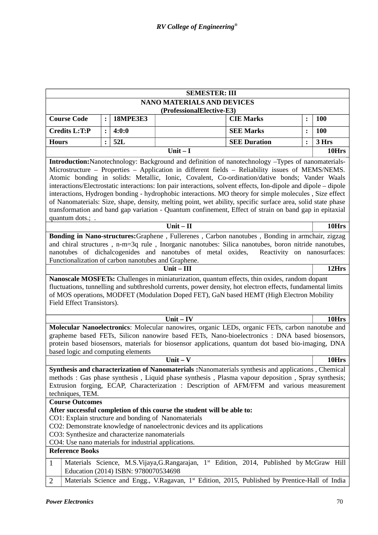| <b>SEMESTER: III</b>                                                                                                                                                                                                                                                                                                                                                                                                                                                                                                                                                                                                                                                                                                                                           |                                                                                                        |   |                                                     |                                                                                                                                                                                                                                                                       |                             |                      |            |  |  |
|----------------------------------------------------------------------------------------------------------------------------------------------------------------------------------------------------------------------------------------------------------------------------------------------------------------------------------------------------------------------------------------------------------------------------------------------------------------------------------------------------------------------------------------------------------------------------------------------------------------------------------------------------------------------------------------------------------------------------------------------------------------|--------------------------------------------------------------------------------------------------------|---|-----------------------------------------------------|-----------------------------------------------------------------------------------------------------------------------------------------------------------------------------------------------------------------------------------------------------------------------|-----------------------------|----------------------|------------|--|--|
| <b>NANO MATERIALS AND DEVICES</b><br>(ProfessionalElective-E3)                                                                                                                                                                                                                                                                                                                                                                                                                                                                                                                                                                                                                                                                                                 |                                                                                                        |   |                                                     |                                                                                                                                                                                                                                                                       |                             |                      |            |  |  |
| <b>Course Code</b>                                                                                                                                                                                                                                                                                                                                                                                                                                                                                                                                                                                                                                                                                                                                             |                                                                                                        | : | <b>18MPE3E3</b>                                     |                                                                                                                                                                                                                                                                       | <b>CIE Marks</b>            | $\ddot{\cdot}$       | <b>100</b> |  |  |
| Credits L:T:P                                                                                                                                                                                                                                                                                                                                                                                                                                                                                                                                                                                                                                                                                                                                                  |                                                                                                        | : | 4:0:0                                               |                                                                                                                                                                                                                                                                       | <b>SEE Marks</b>            | :                    | 100        |  |  |
| <b>Hours</b>                                                                                                                                                                                                                                                                                                                                                                                                                                                                                                                                                                                                                                                                                                                                                   |                                                                                                        | : | 52L                                                 |                                                                                                                                                                                                                                                                       | <b>SEE Duration</b>         | $\ddot{\phantom{a}}$ | 3 Hrs      |  |  |
|                                                                                                                                                                                                                                                                                                                                                                                                                                                                                                                                                                                                                                                                                                                                                                |                                                                                                        |   |                                                     | Unit $-I$                                                                                                                                                                                                                                                             |                             |                      | 10Hrs      |  |  |
| Introduction: Nanotechnology: Background and definition of nanotechnology -Types of nanomaterials-<br>Microstructure - Properties - Application in different fields - Reliability issues of MEMS/NEMS.<br>Atomic bonding in solids: Metallic, Ionic, Covalent, Co-ordination/dative bonds; Vander Waals<br>interactions/Electrostatic interactions: Ion pair interactions, solvent effects, Ion-dipole and dipole – dipole<br>interactions, Hydrogen bonding - hydrophobic interactions. MO theory for simple molecules, Size effect<br>of Nanomaterials: Size, shape, density, melting point, wet ability, specific surface area, solid state phase<br>transformation and band gap variation - Quantum confinement, Effect of strain on band gap in epitaxial |                                                                                                        |   |                                                     |                                                                                                                                                                                                                                                                       |                             |                      |            |  |  |
| quantum dots.; .                                                                                                                                                                                                                                                                                                                                                                                                                                                                                                                                                                                                                                                                                                                                               |                                                                                                        |   |                                                     | Unit $-II$                                                                                                                                                                                                                                                            |                             |                      | 10Hrs      |  |  |
|                                                                                                                                                                                                                                                                                                                                                                                                                                                                                                                                                                                                                                                                                                                                                                |                                                                                                        |   | Functionalization of carbon nanotubes and Graphene. | Bonding in Nano-structures: Graphene, Fullerenes, Carbon nanotubes, Bonding in armchair, zigzag<br>and chiral structures, n-m=3q rule, Inorganic nanotubes: Silica nanotubes, boron nitride nanotubes,<br>nanotubes of dichalcogenides and nanotubes of metal oxides, | Reactivity on nanosurfaces: |                      |            |  |  |
|                                                                                                                                                                                                                                                                                                                                                                                                                                                                                                                                                                                                                                                                                                                                                                |                                                                                                        |   |                                                     | Unit-III                                                                                                                                                                                                                                                              |                             |                      | 12Hrs      |  |  |
|                                                                                                                                                                                                                                                                                                                                                                                                                                                                                                                                                                                                                                                                                                                                                                | Field Effect Transistors).                                                                             |   |                                                     | fluctuations, tunnelling and subthreshold currents, power density, hot electron effects, fundamental limits<br>of MOS operations, MODFET (Modulation Doped FET), GaN based HEMT (High Electron Mobility                                                               |                             |                      |            |  |  |
|                                                                                                                                                                                                                                                                                                                                                                                                                                                                                                                                                                                                                                                                                                                                                                |                                                                                                        |   |                                                     | Unit $-$ IV                                                                                                                                                                                                                                                           |                             |                      | 10Hrs      |  |  |
| Molecular Nanoelectronics: Molecular nanowires, organic LEDs, organic FETs, carbon nanotube and<br>grapheme based FETs, Silicon nanowire based FETs, Nano-bioelectronics : DNA based biosensors,<br>protein based biosensors, materials for biosensor applications, quantum dot based bio-imaging, DNA<br>based logic and computing elements                                                                                                                                                                                                                                                                                                                                                                                                                   |                                                                                                        |   |                                                     |                                                                                                                                                                                                                                                                       |                             |                      |            |  |  |
|                                                                                                                                                                                                                                                                                                                                                                                                                                                                                                                                                                                                                                                                                                                                                                |                                                                                                        |   |                                                     | $Unit - V$                                                                                                                                                                                                                                                            |                             |                      | 10Hrs      |  |  |
| Synthesis and characterization of Nanomaterials : Nanomaterials synthesis and applications, Chemical<br>methods : Gas phase synthesis, Liquid phase synthesis, Plasma vapour deposition, Spray synthesis;<br>Extrusion forging, ECAP, Characterization : Description of AFM/FFM and various measurement<br>techniques, TEM.<br><b>Course Outcomes</b>                                                                                                                                                                                                                                                                                                                                                                                                          |                                                                                                        |   |                                                     |                                                                                                                                                                                                                                                                       |                             |                      |            |  |  |
|                                                                                                                                                                                                                                                                                                                                                                                                                                                                                                                                                                                                                                                                                                                                                                |                                                                                                        |   |                                                     | After successful completion of this course the student will be able to:                                                                                                                                                                                               |                             |                      |            |  |  |
|                                                                                                                                                                                                                                                                                                                                                                                                                                                                                                                                                                                                                                                                                                                                                                |                                                                                                        |   |                                                     | CO1: Explain structure and bonding of Nanomaterials                                                                                                                                                                                                                   |                             |                      |            |  |  |
|                                                                                                                                                                                                                                                                                                                                                                                                                                                                                                                                                                                                                                                                                                                                                                |                                                                                                        |   |                                                     | CO2: Demonstrate knowledge of nanoelectronic devices and its applications                                                                                                                                                                                             |                             |                      |            |  |  |
|                                                                                                                                                                                                                                                                                                                                                                                                                                                                                                                                                                                                                                                                                                                                                                | CO3: Synthesize and characterize nanomaterials<br>CO4: Use nano materials for industrial applications. |   |                                                     |                                                                                                                                                                                                                                                                       |                             |                      |            |  |  |
|                                                                                                                                                                                                                                                                                                                                                                                                                                                                                                                                                                                                                                                                                                                                                                | <b>Reference Books</b>                                                                                 |   |                                                     |                                                                                                                                                                                                                                                                       |                             |                      |            |  |  |
|                                                                                                                                                                                                                                                                                                                                                                                                                                                                                                                                                                                                                                                                                                                                                                |                                                                                                        |   |                                                     |                                                                                                                                                                                                                                                                       |                             |                      |            |  |  |
| $\mathbf{1}$                                                                                                                                                                                                                                                                                                                                                                                                                                                                                                                                                                                                                                                                                                                                                   |                                                                                                        |   | Education (2014) ISBN: 9780070534698                | Materials Science, M.S.Vijaya, G.Rangarajan, 1 <sup>st</sup> Edition, 2014, Published by McGraw Hill                                                                                                                                                                  |                             |                      |            |  |  |
| 2                                                                                                                                                                                                                                                                                                                                                                                                                                                                                                                                                                                                                                                                                                                                                              |                                                                                                        |   |                                                     | Materials Science and Engg., V.Ragavan, 1 <sup>st</sup> Edition, 2015, Published by Prentice-Hall of India                                                                                                                                                            |                             |                      |            |  |  |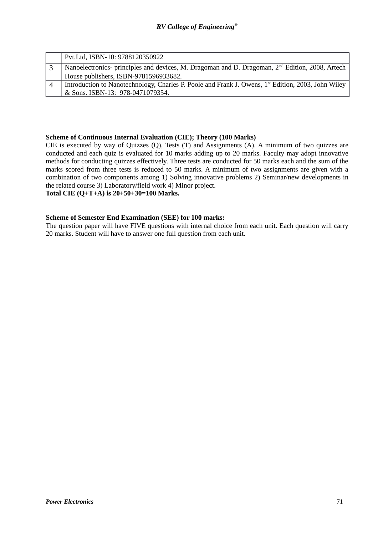|                | Pvt.Ltd, ISBN-10: 9788120350922                                                                                |
|----------------|----------------------------------------------------------------------------------------------------------------|
|                | Nanoelectronics- principles and devices, M. Dragoman and D. Dragoman, 2 <sup>nd</sup> Edition, 2008, Artech    |
|                | House publishers, ISBN-9781596933682.                                                                          |
| $\overline{4}$ | Introduction to Nanotechnology, Charles P. Poole and Frank J. Owens, 1 <sup>st</sup> Edition, 2003, John Wiley |
|                | & Sons. ISBN-13: 978-0471079354.                                                                               |

## **Scheme of Continuous Internal Evaluation (CIE); Theory (100 Marks)**

CIE is executed by way of Quizzes (Q), Tests (T) and Assignments (A). A minimum of two quizzes are conducted and each quiz is evaluated for 10 marks adding up to 20 marks. Faculty may adopt innovative methods for conducting quizzes effectively. Three tests are conducted for 50 marks each and the sum of the marks scored from three tests is reduced to 50 marks. A minimum of two assignments are given with a combination of two components among 1) Solving innovative problems 2) Seminar/new developments in the related course 3) Laboratory/field work 4) Minor project.

**Total CIE (Q+T+A) is 20+50+30=100 Marks.**

## **Scheme of Semester End Examination (SEE) for 100 marks:**

The question paper will have FIVE questions with internal choice from each unit. Each question will carry 20 marks. Student will have to answer one full question from each unit.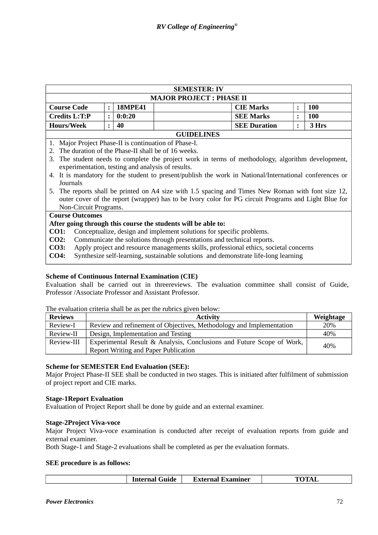| <b>SEMESTER: IV</b>            |                                                  |        |  |                     |  |            |  |  |
|--------------------------------|--------------------------------------------------|--------|--|---------------------|--|------------|--|--|
| <b>MAJOR PROJECT: PHASE II</b> |                                                  |        |  |                     |  |            |  |  |
| <b>Course Code</b>             | <b>18MPF41</b><br><b>CIE Marks</b><br><b>100</b> |        |  |                     |  |            |  |  |
| <b>Credits L:T:P</b>           |                                                  | 0:0:20 |  | <b>SEE Marks</b>    |  | <b>100</b> |  |  |
| <b>Hours/Week</b>              |                                                  | 40     |  | <b>SEE Duration</b> |  | 3 Hrs      |  |  |
| <b>GUIDELINES</b>              |                                                  |        |  |                     |  |            |  |  |

- 1. Major Project Phase-II is continuation of Phase-I.
- 2. The duration of the Phase-II shall be of 16 weeks.
- 3. The student needs to complete the project work in terms of methodology, algorithm development, experimentation, testing and analysis of results.
- 4. It is mandatory for the student to present/publish the work in National/International conferences or Journals
- 5. The reports shall be printed on A4 size with 1.5 spacing and Times New Roman with font size 12, outer cover of the report (wrapper) has to be Ivory color for PG circuit Programs and Light Blue for Non-Circuit Programs.

#### **Course Outcomes**

## **After going through this course the students will be able to:**

- **CO1:** Conceptualize, design and implement solutions for specific problems.
- **CO2:** Communicate the solutions through presentations and technical reports.
- **CO3:** Apply project and resource managements skills, professional ethics, societal concerns

**CO4:** Synthesize self-learning, sustainable solutions and demonstrate life-long learning

## **Scheme of Continuous Internal Examination (CIE)**

Evaluation shall be carried out in threereviews. The evaluation committee shall consist of Guide, Professor /Associate Professor and Assistant Professor.

The evaluation criteria shall be as per the rubrics given below:

| <b>Reviews</b> | <b>Activity</b>                                                       | Weightage |  |  |
|----------------|-----------------------------------------------------------------------|-----------|--|--|
| Review-I       | Review and refinement of Objectives, Methodology and Implementation   | 20%       |  |  |
| Review-II      | Design, Implementation and Testing                                    | 40%       |  |  |
| Review-III     | Experimental Result & Analysis, Conclusions and Future Scope of Work, | 40%       |  |  |
|                | <b>Report Writing and Paper Publication</b>                           |           |  |  |

## **Scheme for SEMESTER End Evaluation (SEE):**

Major Project Phase-II SEE shall be conducted in two stages. This is initiated after fulfilment of submission of project report and CIE marks.

#### **Stage-1Report Evaluation**

Evaluation of Project Report shall be done by guide and an external examiner.

## **Stage-2Project Viva-voce**

Major Project Viva-voce examination is conducted after receipt of evaluation reports from guide and external examiner.

Both Stage-1 and Stage-2 evaluations shall be completed as per the evaluation formats.

## **SEE procedure is as follows:**

| $\cdot$ 1<br>Tuide.<br>--------<br>___<br>___ | . Examiner<br>$\sim$ | $\sim$ |
|-----------------------------------------------|----------------------|--------|
|                                               |                      |        |